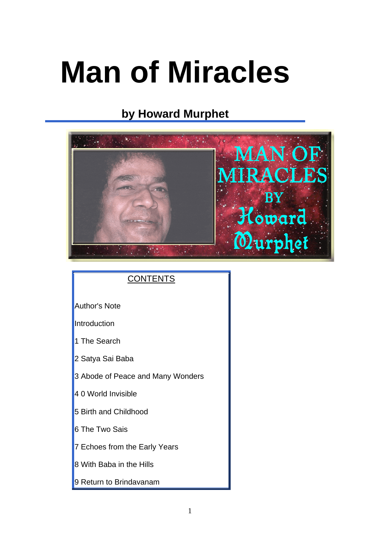# **Man of Miracles**

### **by Howard Murphet**



### **CONTENTS**

Author's Note

**Introduction** 

1 The Search

2 Satya Sai Baba

- 3 Abode of Peace and Many Wonders
- 4 0 World Invisible
- 5 Birth and Childhood
- 6 The Two Sais
- 7 Echoes from the Early Years
- 8 With Baba in the Hills
- 9 Return to Brindavanam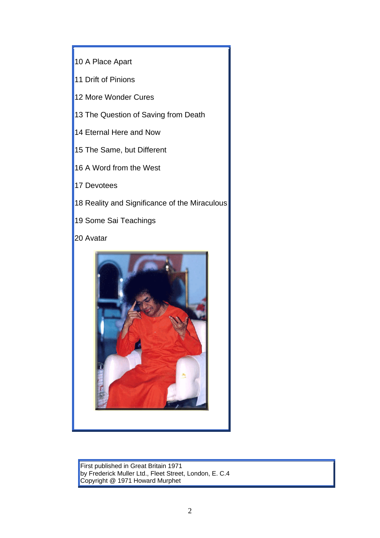- 10 A Place Apart
- 11 Drift of Pinions
- 12 More Wonder Cures
- 13 The Question of Saving from Death
- 14 Eternal Here and Now
- 15 The Same, but Different
- 16 A Word from the West
- 17 Devotees
- 18 Reality and Significance of the Miraculous
- 19 Some Sai Teachings

20 Avatar



First published in Great Britain 1971 by Frederick Muller Ltd., Fleet Street, London, E. C.4 Copyright @ 1971 Howard Murphet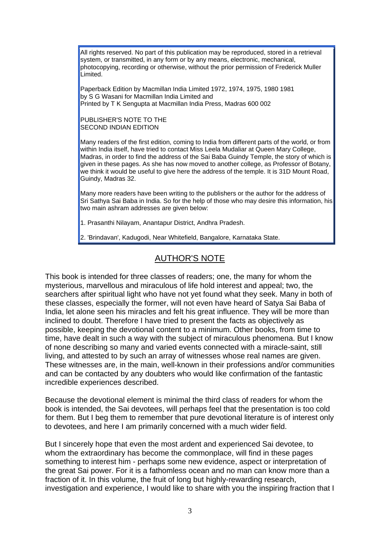All rights reserved. No part of this publication may be reproduced, stored in a retrieval system, or transmitted, in any form or by any means, electronic, mechanical, photocopying, recording or otherwise, without the prior permission of Frederick Muller Limited.

Paperback Edition by Macmillan India Limited 1972, 1974, 1975, 1980 1981 by S G Wasani for Macmillan India Limited and Printed by T K Sengupta at Macmillan India Press, Madras 600 002

PUBLISHER'S NOTE TO THE SECOND INDIAN EDITION

Many readers of the first edition, coming to India from different parts of the world, or from within India itself, have tried to contact Miss Leela Mudaliar at Queen Mary College, Madras, in order to find the address of the Sai Baba Guindy Temple, the story of which is given in these pages. As she has now moved to another college, as Professor of Botany, we think it would be useful to give here the address of the temple. It is 31D Mount Road, Guindy, Madras 32.

Many more readers have been writing to the publishers or the author for the address of Sri Sathya Sai Baba in India. So for the help of those who may desire this information, his two main ashram addresses are given below:

1. Prasanthi Nilayam, Anantapur District, Andhra Pradesh.

2. 'Brindavan', Kadugodi, Near Whitefield, Bangalore, Karnataka State.

### AUTHOR'S NOTE

This book is intended for three classes of readers; one, the many for whom the mysterious, marvellous and miraculous of life hold interest and appeal; two, the searchers after spiritual light who have not yet found what they seek. Many in both of these classes, especially the former, will not even have heard of Satya Sai Baba of India, let alone seen his miracles and felt his great influence. They will be more than inclined to doubt. Therefore I have tried to present the facts as objectively as possible, keeping the devotional content to a minimum. Other books, from time to time, have dealt in such a way with the subject of miraculous phenomena. But I know of none describing so many and varied events connected with a miracle-saint, still living, and attested to by such an array of witnesses whose real names are given. These witnesses are, in the main, well-known in their professions and/or communities and can be contacted by any doubters who would like confirmation of the fantastic incredible experiences described.

Because the devotional element is minimal the third class of readers for whom the book is intended, the Sai devotees, will perhaps feel that the presentation is too cold for them. But I beg them to remember that pure devotional literature is of interest only to devotees, and here I am primarily concerned with a much wider field.

But I sincerely hope that even the most ardent and experienced Sai devotee, to whom the extraordinary has become the commonplace, will find in these pages something to interest him - perhaps some new evidence, aspect or interpretation of the great Sai power. For it is a fathomless ocean and no man can know more than a fraction of it. In this volume, the fruit of long but highly-rewarding research, investigation and experience, I would like to share with you the inspiring fraction that I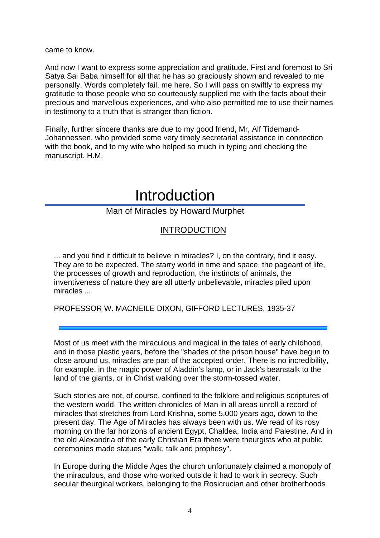came to know.

And now I want to express some appreciation and gratitude. First and foremost to Sri Satya Sai Baba himself for all that he has so graciously shown and revealed to me personally. Words completely fail, me here. So I will pass on swiftly to express my gratitude to those people who so courteously supplied me with the facts about their precious and marvellous experiences, and who also permitted me to use their names in testimony to a truth that is stranger than fiction.

Finally, further sincere thanks are due to my good friend, Mr, Alf Tidemand-Johannessen, who provided some very timely secretarial assistance in connection with the book, and to my wife who helped so much in typing and checking the manuscript. H.M.

### Introduction

### Man of Miracles by Howard Murphet

### INTRODUCTION

... and you find it difficult to believe in miracles? I, on the contrary, find it easy. They are to be expected. The starry world in time and space, the pageant of life, the processes of growth and reproduction, the instincts of animals, the inventiveness of nature they are all utterly unbelievable, miracles piled upon miracles ...

PROFESSOR W. MACNEILE DIXON, GIFFORD LECTURES, 1935-37

Most of us meet with the miraculous and magical in the tales of early childhood, and in those plastic years, before the "shades of the prison house" have begun to close around us, miracles are part of the accepted order. There is no incredibility, for example, in the magic power of Aladdin's lamp, or in Jack's beanstalk to the land of the giants, or in Christ walking over the storm-tossed water.

Such stories are not, of course, confined to the folklore and religious scriptures of the western world. The written chronicles of Man in all areas unroll a record of miracles that stretches from Lord Krishna, some 5,000 years ago, down to the present day. The Age of Miracles has always been with us. We read of its rosy morning on the far horizons of ancient Egypt, Chaldea, India and Palestine. And in the old Alexandria of the early Christian Era there were theurgists who at public ceremonies made statues "walk, talk and prophesy".

In Europe during the Middle Ages the church unfortunately claimed a monopoly of the miraculous, and those who worked outside it had to work in secrecy. Such secular theurgical workers, belonging to the Rosicrucian and other brotherhoods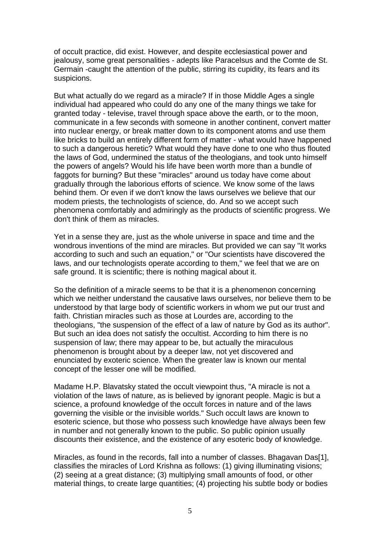of occult practice, did exist. However, and despite ecclesiastical power and jealousy, some great personalities - adepts like Paracelsus and the Comte de St. Germain -caught the attention of the public, stirring its cupidity, its fears and its suspicions.

But what actually do we regard as a miracle? If in those Middle Ages a single individual had appeared who could do any one of the many things we take for granted today - televise, travel through space above the earth, or to the moon, communicate in a few seconds with someone in another continent, convert matter into nuclear energy, or break matter down to its component atoms and use them like bricks to build an entirely different form of matter - what would have happened to such a dangerous heretic? What would they have done to one who thus flouted the laws of God, undermined the status of the theologians, and took unto himself the powers of angels? Would his life have been worth more than a bundle of faggots for burning? But these "miracles" around us today have come about gradually through the laborious efforts of science. We know some of the laws behind them. Or even if we don't know the laws ourselves we believe that our modem priests, the technologists of science, do. And so we accept such phenomena comfortably and admiringly as the products of scientific progress. We don't think of them as miracles.

Yet in a sense they are, just as the whole universe in space and time and the wondrous inventions of the mind are miracles. But provided we can say "It works according to such and such an equation," or "Our scientists have discovered the laws, and our technologists operate according to them," we feel that we are on safe ground. It is scientific; there is nothing magical about it.

So the definition of a miracle seems to be that it is a phenomenon concerning which we neither understand the causative laws ourselves, nor believe them to be understood by that large body of scientific workers in whom we put our trust and faith. Christian miracles such as those at Lourdes are, according to the theologians, "the suspension of the effect of a law of nature by God as its author". But such an idea does not satisfy the occultist. According to him there is no suspension of law; there may appear to be, but actually the miraculous phenomenon is brought about by a deeper law, not yet discovered and enunciated by exoteric science. When the greater law is known our mental concept of the lesser one will be modified.

Madame H.P. Blavatsky stated the occult viewpoint thus, "A miracle is not a violation of the laws of nature, as is believed by ignorant people. Magic is but a science, a profound knowledge of the occult forces in nature and of the laws governing the visible or the invisible worlds." Such occult laws are known to esoteric science, but those who possess such knowledge have always been few in number and not generally known to the public. So public opinion usually discounts their existence, and the existence of any esoteric body of knowledge.

Miracles, as found in the records, fall into a number of classes. Bhagavan Das[1], classifies the miracles of Lord Krishna as follows: (1) giving illuminating visions; (2) seeing at a great distance; (3) multiplying small amounts of food, or other material things, to create large quantities; (4) projecting his subtle body or bodies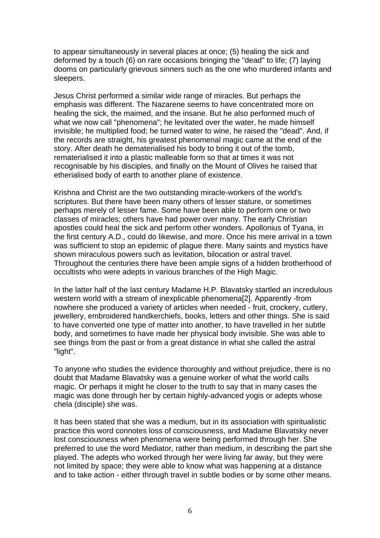to appear simultaneously in several places at once; (5) healing the sick and deformed by a touch (6) on rare occasions bringing the "dead" to life; (7) laying dooms on particularly grievous sinners such as the one who murdered infants and sleepers.

Jesus Christ performed a similar wide range of miracles. But perhaps the emphasis was different. The Nazarene seems to have concentrated more on healing the sick, the maimed, and the insane. But he also performed much of what we now call "phenomena"; he levitated over the water, he made himself invisible; he multiplied food; he turned water to wine, he raised the "dead". And, if the records are straight, his greatest phenomenal magic came at the end of the story. After death he dematerialised his body to bring it out of the tomb, rematerialised it into a plastic malleable form so that at times it was not recognisable by his disciples, and finally on the Mount of Olives he raised that etherialised body of earth to another plane of existence.

Krishna and Christ are the two outstanding miracle-workers of the world's scriptures. But there have been many others of lesser stature, or sometimes perhaps merely of lesser fame. Some have been able to perform one or two classes of miracles; others have had power over many. The early Christian apostles could heal the sick and perform other wonders. Apollonius of Tyana, in the first century A.D., could do likewise, and more. Once his mere arrival in a town was sufficient to stop an epidemic of plague there. Many saints and mystics have shown miraculous powers such as levitation, bilocation or astral travel. Throughout the centuries there have been ample signs of a hidden brotherhood of occultists who were adepts in various branches of the High Magic.

In the latter half of the last century Madame H.P. Blavatsky startled an incredulous western world with a stream of inexplicable phenomena[2]. Apparently -from nowhere she produced a variety of articles when needed - fruit, crockery, cutlery, jewellery, embroidered handkerchiefs, books, letters and other things. She is said to have converted one type of matter into another, to have travelled in her subtle body, and sometimes to have made her physical body invisible. She was able to see things from the past or from a great distance in what she called the astral "light".

To anyone who studies the evidence thoroughly and without prejudice, there is no doubt that Madame Blavatsky was a genuine worker of what the world calls magic. Or perhaps it might he closer to the truth to say that in many cases the magic was done through her by certain highly-advanced yogis or adepts whose chela (disciple) she was.

It has been stated that she was a medium, but in its association with spiritualistic practice this word connotes loss of consciousness, and Madame Blavatsky never lost consciousness when phenomena were being performed through her. She preferred to use the word Mediator, rather than medium, in describing the part she played. The adepts who worked through her were living far away, but they were not limited by space; they were able to know what was happening at a distance and to take action - either through travel in subtle bodies or by some other means.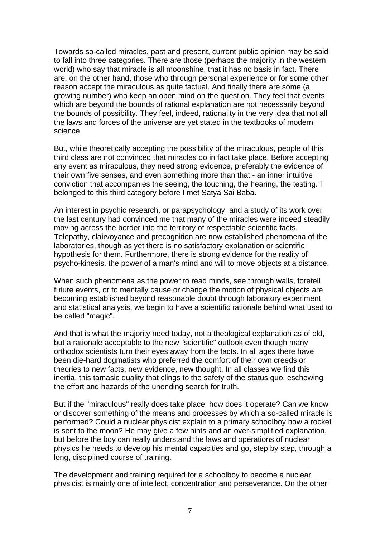Towards so-called miracles, past and present, current public opinion may be said to fall into three categories. There are those (perhaps the majority in the western world) who say that miracle is all moonshine, that it has no basis in fact. There are, on the other hand, those who through personal experience or for some other reason accept the miraculous as quite factual. And finally there are some (a growing number) who keep an open mind on the question. They feel that events which are beyond the bounds of rational explanation are not necessarily beyond the bounds of possibility. They feel, indeed, rationality in the very idea that not all the laws and forces of the universe are yet stated in the textbooks of modern science.

But, while theoretically accepting the possibility of the miraculous, people of this third class are not convinced that miracles do in fact take place. Before accepting any event as miraculous, they need strong evidence, preferably the evidence of their own five senses, and even something more than that - an inner intuitive conviction that accompanies the seeing, the touching, the hearing, the testing. I belonged to this third category before I met Satya Sai Baba.

An interest in psychic research, or parapsychology, and a study of its work over the last century had convinced me that many of the miracles were indeed steadily moving across the border into the territory of respectable scientific facts. Telepathy, clairvoyance and precognition are now established phenomena of the laboratories, though as yet there is no satisfactory explanation or scientific hypothesis for them. Furthermore, there is strong evidence for the reality of psycho-kinesis, the power of a man's mind and will to move objects at a distance.

When such phenomena as the power to read minds, see through walls, foretell future events, or to mentally cause or change the motion of physical objects are becoming established beyond reasonable doubt through laboratory experiment and statistical analysis, we begin to have a scientific rationale behind what used to be called "magic".

And that is what the majority need today, not a theological explanation as of old, but a rationale acceptable to the new "scientific" outlook even though many orthodox scientists turn their eyes away from the facts. In all ages there have been die-hard dogmatists who preferred the comfort of their own creeds or theories to new facts, new evidence, new thought. In all classes we find this inertia, this tamasic quality that clings to the safety of the status quo, eschewing the effort and hazards of the unending search for truth.

But if the "miraculous" really does take place, how does it operate? Can we know or discover something of the means and processes by which a so-called miracle is performed? Could a nuclear physicist explain to a primary schoolboy how a rocket is sent to the moon? He may give a few hints and an over-simplified explanation, but before the boy can really understand the laws and operations of nuclear physics he needs to develop his mental capacities and go, step by step, through a long, disciplined course of training.

The development and training required for a schoolboy to become a nuclear physicist is mainly one of intellect, concentration and perseverance. On the other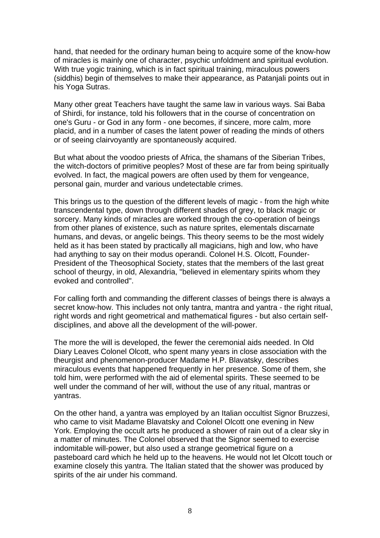hand, that needed for the ordinary human being to acquire some of the know-how of miracles is mainly one of character, psychic unfoldment and spiritual evolution. With true yogic training, which is in fact spiritual training, miraculous powers (siddhis) begin of themselves to make their appearance, as Patanjali points out in his Yoga Sutras.

Many other great Teachers have taught the same law in various ways. Sai Baba of Shirdi, for instance, told his followers that in the course of concentration on one's Guru - or God in any form - one becomes, if sincere, more calm, more placid, and in a number of cases the latent power of reading the minds of others or of seeing clairvoyantly are spontaneously acquired.

But what about the voodoo priests of Africa, the shamans of the Siberian Tribes, the witch-doctors of primitive peoples? Most of these are far from being spiritually evolved. In fact, the magical powers are often used by them for vengeance, personal gain, murder and various undetectable crimes.

This brings us to the question of the different levels of magic - from the high white transcendental type, down through different shades of grey, to black magic or sorcery. Many kinds of miracles are worked through the co-operation of beings from other planes of existence, such as nature sprites, elementals discarnate humans, and devas, or angelic beings. This theory seems to be the most widely held as it has been stated by practically all magicians, high and low, who have had anything to say on their modus operandi. Colonel H.S. Olcott, Founder-President of the Theosophical Society, states that the members of the last great school of theurgy, in old, Alexandria, "believed in elementary spirits whom they evoked and controlled".

For calling forth and commanding the different classes of beings there is always a secret know-how. This includes not only tantra, mantra and yantra - the right ritual, right words and right geometrical and mathematical figures - but also certain selfdisciplines, and above all the development of the will-power.

The more the will is developed, the fewer the ceremonial aids needed. In Old Diary Leaves Colonel Olcott, who spent many years in close association with the theurgist and phenomenon-producer Madame H.P. Blavatsky, describes miraculous events that happened frequently in her presence. Some of them, she told him, were performed with the aid of elemental spirits. These seemed to be well under the command of her will, without the use of any ritual, mantras or yantras.

On the other hand, a yantra was employed by an Italian occultist Signor Bruzzesi, who came to visit Madame Blavatsky and Colonel Olcott one evening in New York. Employing the occult arts he produced a shower of rain out of a clear sky in a matter of minutes. The Colonel observed that the Signor seemed to exercise indomitable will-power, but also used a strange geometrical figure on a pasteboard card which he held up to the heavens. He would not let Olcott touch or examine closely this yantra. The Italian stated that the shower was produced by spirits of the air under his command.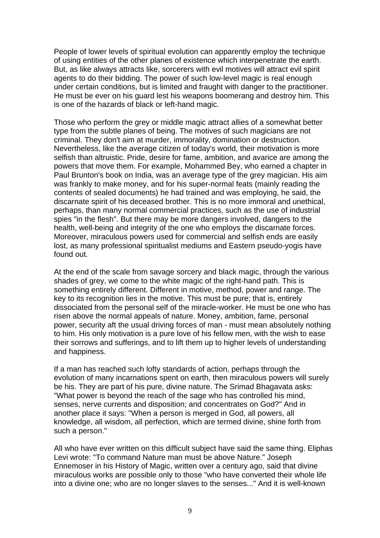People of lower levels of spiritual evolution can apparently employ the technique of using entities of the other planes of existence which interpenetrate the earth. But, as like always attracts like, sorcerers with evil motives will attract evil spirit agents to do their bidding. The power of such low-level magic is real enough under certain conditions, but is limited and fraught with danger to the practitioner. He must be ever on his guard lest his weapons boomerang and destroy him. This is one of the hazards of black or left-hand magic.

Those who perform the grey or middle magic attract allies of a somewhat better type from the subtle planes of being. The motives of such magicians are not criminal. They don't aim at murder, immorality, domination or destruction. Nevertheless, like the average citizen of today's world, their motivation is more selfish than altruistic. Pride, desire for fame, ambition, and avarice are among the powers that move them. For example, Mohammed Bey, who earned a chapter in Paul Brunton's book on India, was an average type of the grey magician. His aim was frankly to make money, and for his super-normal feats (mainly reading the contents of sealed documents) he had trained and was employing, he said, the discarnate spirit of his deceased brother. This is no more immoral and unethical, perhaps, than many normal commercial practices, such as the use of industrial spies "in the flesh". But there may be more dangers involved, dangers to the health, well-being and integrity of the one who employs the discarnate forces. Moreover, miraculous powers used for commercial and selfish ends are easily lost, as many professional spiritualist mediums and Eastern pseudo-yogis have found out.

At the end of the scale from savage sorcery and black magic, through the various shades of grey, we come to the white magic of the right-hand path. This is something entirely different. Different in motive, method, power and range. The key to its recognition lies in the motive. This must be pure; that is, entirely dissociated from the personal self of the miracle-worker. He must be one who has risen above the normal appeals of nature. Money, ambition, fame, personal power, security aft the usual driving forces of man - must mean absolutely nothing to him. His only motivation is a pure love of his fellow men, with the wish to ease their sorrows and sufferings, and to lift them up to higher levels of understanding and happiness.

If a man has reached such lofty standards of action, perhaps through the evolution of many incarnations spent on earth, then miraculous powers will surely be his. They are part of his pure, divine nature. The Srimad Bhagavata asks: "What power is beyond the reach of the sage who has controlled his mind, senses, nerve currents and disposition; and concentrates on God?" And in another place it says: "When a person is merged in God, all powers, all knowledge, all wisdom, all perfection, which are termed divine, shine forth from such a person."

All who have ever written on this difficult subject have said the same thing. Eliphas Levi wrote: "To command Nature man must be above Nature." Joseph Ennemoser in his History of Magic, written over a century ago, said that divine miraculous works are possible only to those "who have converted their whole life into a divine one; who are no longer slaves to the senses..." And it is well-known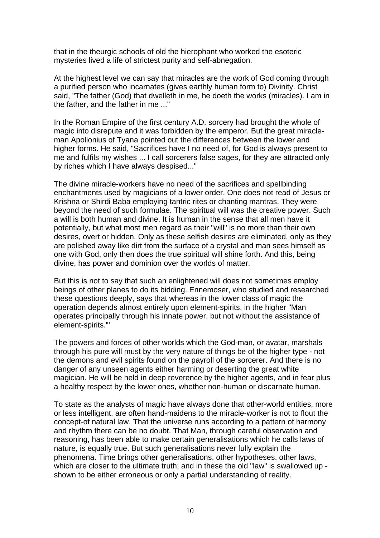that in the theurgic schools of old the hierophant who worked the esoteric mysteries lived a life of strictest purity and self-abnegation.

At the highest level we can say that miracles are the work of God coming through a purified person who incarnates (gives earthly human form to) Divinity. Christ said, "The father (God) that dwelleth in me, he doeth the works (miracles). I am in the father, and the father in me ..."

In the Roman Empire of the first century A.D. sorcery had brought the whole of magic into disrepute and it was forbidden by the emperor. But the great miracleman Apollonius of Tyana pointed out the differences between the lower and higher forms. He said, "Sacrifices have I no need of, for God is always present to me and fulfils my wishes ... I call sorcerers false sages, for they are attracted only by riches which I have always despised..."

The divine miracle-workers have no need of the sacrifices and spellbinding enchantments used by magicians of a lower order. One does not read of Jesus or Krishna or Shirdi Baba employing tantric rites or chanting mantras. They were beyond the need of such formulae. The spiritual will was the creative power. Such a will is both human and divine. It is human in the sense that all men have it potentially, but what most men regard as their "will" is no more than their own desires, overt or hidden. Only as these selfish desires are eliminated, only as they are polished away like dirt from the surface of a crystal and man sees himself as one with God, only then does the true spiritual will shine forth. And this, being divine, has power and dominion over the worlds of matter.

But this is not to say that such an enlightened will does not sometimes employ beings of other planes to do its bidding. Ennemoser, who studied and researched these questions deeply, says that whereas in the lower class of magic the operation depends almost entirely upon element-spirits, in the higher "Man operates principally through his innate power, but not without the assistance of element-spirits."'

The powers and forces of other worlds which the God-man, or avatar, marshals through his pure will must by the very nature of things be of the higher type - not the demons and evil spirits found on the payroll of the sorcerer. And there is no danger of any unseen agents either harming or deserting the great white magician. He will be held in deep reverence by the higher agents, and in fear plus a healthy respect by the lower ones, whether non-human or discarnate human.

To state as the analysts of magic have always done that other-world entities, more or less intelligent, are often hand-maidens to the miracle-worker is not to flout the concept-of natural law. That the universe runs according to a pattern of harmony and rhythm there can be no doubt. That Man, through careful observation and reasoning, has been able to make certain generalisations which he calls laws of nature, is equally true. But such generalisations never fully explain the phenomena. Time brings other generalisations, other hypotheses, other laws, which are closer to the ultimate truth; and in these the old "law" is swallowed up shown to be either erroneous or only a partial understanding of reality.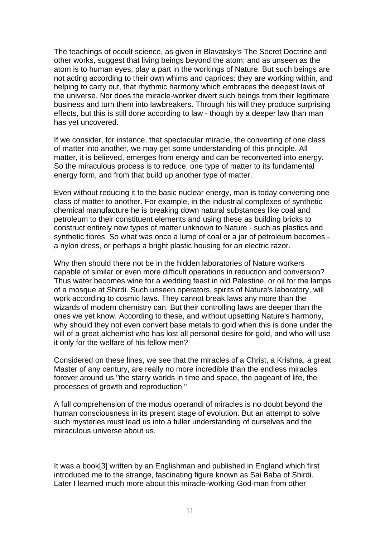The teachings of occult science, as given in Blavatsky's The Secret Doctrine and other works, suggest that living beings beyond the atom; and as unseen as the atom is to human eyes, play a part in the workings of Nature. But such beings are not acting according to their own whims and caprices: they are working within, and helping to carry out, that rhythmic harmony which embraces the deepest laws of the universe. Nor does the miracle-worker divert such beings from their legitimate business and turn them into lawbreakers. Through his will they produce surprising effects, but this is still done according to law - though by a deeper law than man has yet uncovered.

If we consider, for instance, that spectacular miracle, the converting of one class of matter into another, we may get some understanding of this principle. All matter, it is believed, emerges from energy and can be reconverted into energy. So the miraculous process is to reduce, one type of matter to its fundamental energy form, and from that build up another type of matter.

Even without reducing it to the basic nuclear energy, man is today converting one class of matter to another. For example, in the industrial complexes of synthetic chemical manufacture he is breaking down natural substances like coal and petroleum to their constituent elements and using these as building bricks to construct entirely new types of matter unknown to Nature - such as plastics and synthetic fibres. So what was once a lump of coal or a jar of petroleum becomes a nylon dress, or perhaps a bright plastic housing for an electric razor.

Why then should there not be in the hidden laboratories of Nature workers capable of similar or even more difficult operations in reduction and conversion? Thus water becomes wine for a wedding feast in old Palestine, or oil for the lamps of a mosque at Shirdi. Such unseen operators, spirits of Nature's laboratory, will work according to cosmic laws. They cannot break laws any more than the wizards of modern chemistry can. But their controlling laws are deeper than the ones we yet know. According to these, and without upsetting Nature's harmony, why should they not even convert base metals to gold when this is done under the will of a great alchemist who has lost all personal desire for gold, and who will use it only for the welfare of his fellow men?

Considered on these lines, we see that the miracles of a Christ, a Krishna, a great Master of any century, are really no more incredible than the endless miracles forever around us "the starry worlds in time and space, the pageant of life, the processes of growth and reproduction "

A full comprehension of the modus operandi of miracles is no doubt beyond the human consciousness in its present stage of evolution. But an attempt to solve such mysteries must lead us into a fuller understanding of ourselves and the miraculous universe about us.

It was a book[3] written by an Englishman and published in England which first introduced me to the strange, fascinating figure known as Sai Baba of Shirdi. Later I learned much more about this miracle-working God-man from other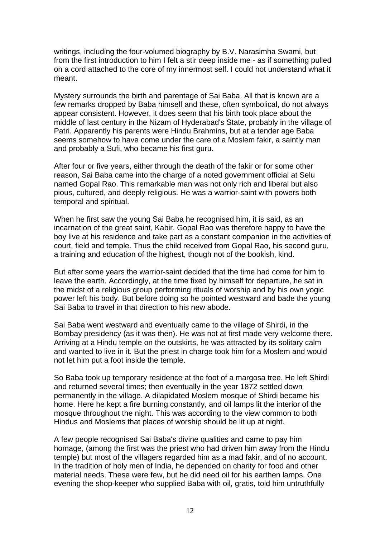writings, including the four-volumed biography by B.V. Narasimha Swami, but from the first introduction to him I felt a stir deep inside me - as if something pulled on a cord attached to the core of my innermost self. I could not understand what it meant.

Mystery surrounds the birth and parentage of Sai Baba. All that is known are a few remarks dropped by Baba himself and these, often symbolical, do not always appear consistent. However, it does seem that his birth took place about the middle of last century in the Nizam of Hyderabad's State, probably in the village of Patri. Apparently his parents were Hindu Brahmins, but at a tender age Baba seems somehow to have come under the care of a Moslem fakir, a saintly man and probably a Sufi, who became his first guru.

After four or five years, either through the death of the fakir or for some other reason, Sai Baba came into the charge of a noted government official at Selu named Gopal Rao. This remarkable man was not only rich and liberal but also pious, cultured, and deeply religious. He was a warrior-saint with powers both temporal and spiritual.

When he first saw the young Sai Baba he recognised him, it is said, as an incarnation of the great saint, Kabir. Gopal Rao was therefore happy to have the boy live at his residence and take part as a constant companion in the activities of court, field and temple. Thus the child received from Gopal Rao, his second guru, a training and education of the highest, though not of the bookish, kind.

But after some years the warrior-saint decided that the time had come for him to leave the earth. Accordingly, at the time fixed by himself for departure, he sat in the midst of a religious group performing rituals of worship and by his own yogic power left his body. But before doing so he pointed westward and bade the young Sai Baba to travel in that direction to his new abode.

Sai Baba went westward and eventually came to the village of Shirdi, in the Bombay presidency (as it was then). He was not at first made very welcome there. Arriving at a Hindu temple on the outskirts, he was attracted by its solitary calm and wanted to live in it. But the priest in charge took him for a Moslem and would not let him put a foot inside the temple.

So Baba took up temporary residence at the foot of a margosa tree. He left Shirdi and returned several times; then eventually in the year 1872 settled down permanently in the village. A dilapidated Moslem mosque of Shirdi became his home. Here he kept a fire burning constantly, and oil lamps lit the interior of the mosque throughout the night. This was according to the view common to both Hindus and Moslems that places of worship should be lit up at night.

A few people recognised Sai Baba's divine qualities and came to pay him homage, (among the first was the priest who had driven him away from the Hindu temple) but most of the villagers regarded him as a mad fakir, and of no account. In the tradition of holy men of India, he depended on charity for food and other material needs. These were few, but he did need oil for his earthen lamps. One evening the shop-keeper who supplied Baba with oil, gratis, told him untruthfully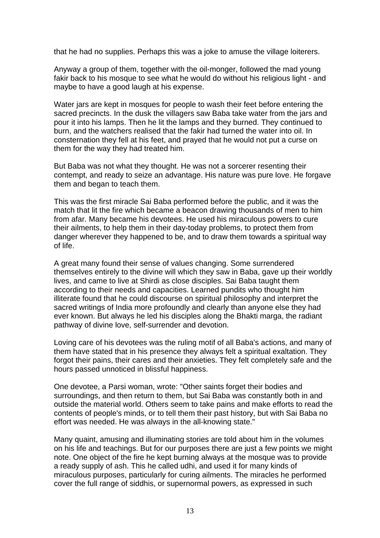that he had no supplies. Perhaps this was a joke to amuse the village loiterers.

Anyway a group of them, together with the oil-monger, followed the mad young fakir back to his mosque to see what he would do without his religious light - and maybe to have a good laugh at his expense.

Water jars are kept in mosques for people to wash their feet before entering the sacred precincts. In the dusk the villagers saw Baba take water from the jars and pour it into his lamps. Then he lit the lamps and they burned. They continued to burn, and the watchers realised that the fakir had turned the water into oil. In consternation they fell at his feet, and prayed that he would not put a curse on them for the way they had treated him.

But Baba was not what they thought. He was not a sorcerer resenting their contempt, and ready to seize an advantage. His nature was pure love. He forgave them and began to teach them.

This was the first miracle Sai Baba performed before the public, and it was the match that lit the fire which became a beacon drawing thousands of men to him from afar. Many became his devotees. He used his miraculous powers to cure their ailments, to help them in their day-today problems, to protect them from danger wherever they happened to be, and to draw them towards a spiritual way of life.

A great many found their sense of values changing. Some surrendered themselves entirely to the divine will which they saw in Baba, gave up their worldly lives, and came to live at Shirdi as close disciples. Sai Baba taught them according to their needs and capacities. Learned pundits who thought him illiterate found that he could discourse on spiritual philosophy and interpret the sacred writings of India more profoundly and clearly than anyone else they had ever known. But always he led his disciples along the Bhakti marga, the radiant pathway of divine love, self-surrender and devotion.

Loving care of his devotees was the ruling motif of all Baba's actions, and many of them have stated that in his presence they always felt a spiritual exaltation. They forgot their pains, their cares and their anxieties. They felt completely safe and the hours passed unnoticed in blissful happiness.

One devotee, a Parsi woman, wrote: "Other saints forget their bodies and surroundings, and then return to them, but Sai Baba was constantly both in and outside the material world. Others seem to take pains and make efforts to read the contents of people's minds, or to tell them their past history, but with Sai Baba no effort was needed. He was always in the all-knowing state."

Many quaint, amusing and illuminating stories are told about him in the volumes on his life and teachings. But for our purposes there are just a few points we might note. One object of the fire he kept burning always at the mosque was to provide a ready supply of ash. This he called udhi, and used it for many kinds of miraculous purposes, particularly for curing ailments. The miracles he performed cover the full range of siddhis, or supernormal powers, as expressed in such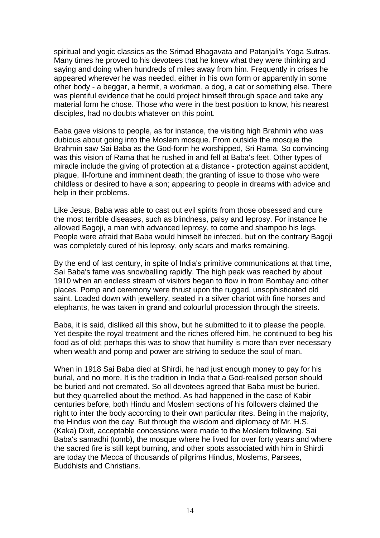spiritual and yogic classics as the Srimad Bhagavata and Patanjali's Yoga Sutras. Many times he proved to his devotees that he knew what they were thinking and saying and doing when hundreds of miles away from him. Frequently in crises he appeared wherever he was needed, either in his own form or apparently in some other body - a beggar, a hermit, a workman, a dog, a cat or something else. There was plentiful evidence that he could project himself through space and take any material form he chose. Those who were in the best position to know, his nearest disciples, had no doubts whatever on this point.

Baba gave visions to people, as for instance, the visiting high Brahmin who was dubious about going into the Moslem mosque. From outside the mosque the Brahmin saw Sai Baba as the God-form he worshipped, Sri Rama. So convincing was this vision of Rama that he rushed in and fell at Baba's feet. Other types of miracle include the giving of protection at a distance - protection against accident, plague, ill-fortune and imminent death; the granting of issue to those who were childless or desired to have a son; appearing to people in dreams with advice and help in their problems.

Like Jesus, Baba was able to cast out evil spirits from those obsessed and cure the most terrible diseases, such as blindness, palsy and leprosy. For instance he allowed Bagoji, a man with advanced leprosy, to come and shampoo his legs. People were afraid that Baba would himself be infected, but on the contrary Bagoji was completely cured of his leprosy, only scars and marks remaining.

By the end of last century, in spite of India's primitive communications at that time, Sai Baba's fame was snowballing rapidly. The high peak was reached by about 1910 when an endless stream of visitors began to flow in from Bombay and other places. Pomp and ceremony were thrust upon the rugged, unsophisticated old saint. Loaded down with jewellery, seated in a silver chariot with fine horses and elephants, he was taken in grand and colourful procession through the streets.

Baba, it is said, disliked all this show, but he submitted to it to please the people. Yet despite the royal treatment and the riches offered him, he continued to beg his food as of old; perhaps this was to show that humility is more than ever necessary when wealth and pomp and power are striving to seduce the soul of man.

When in 1918 Sai Baba died at Shirdi, he had just enough money to pay for his burial, and no more. It is the tradition in India that a God-realised person should be buried and not cremated. So all devotees agreed that Baba must be buried, but they quarrelled about the method. As had happened in the case of Kabir centuries before, both Hindu and Moslem sections of his followers claimed the right to inter the body according to their own particular rites. Being in the majority, the Hindus won the day. But through the wisdom and diplomacy of Mr. H.S. (Kaka) Dixit, acceptable concessions were made to the Moslem following. Sai Baba's samadhi (tomb), the mosque where he lived for over forty years and where the sacred fire is still kept burning, and other spots associated with him in Shirdi are today the Mecca of thousands of pilgrims Hindus, Moslems, Parsees, Buddhists and Christians.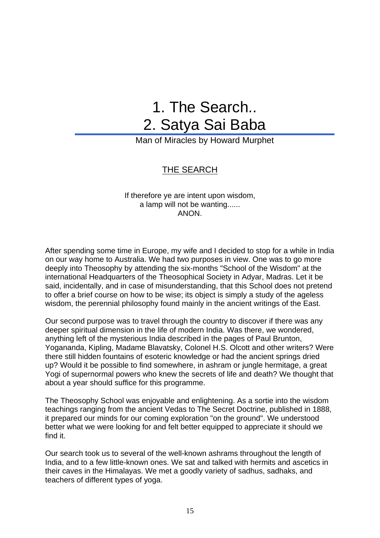## 1. The Search.. 2. Satya Sai Baba

Man of Miracles by Howard Murphet

### THE SEARCH

If therefore ye are intent upon wisdom, a lamp will not be wanting...... ANON.

After spending some time in Europe, my wife and I decided to stop for a while in India on our way home to Australia. We had two purposes in view. One was to go more deeply into Theosophy by attending the six-months "School of the Wisdom" at the international Headquarters of the Theosophical Society in Adyar, Madras. Let it be said, incidentally, and in case of misunderstanding, that this School does not pretend to offer a brief course on how to be wise; its object is simply a study of the ageless wisdom, the perennial philosophy found mainly in the ancient writings of the East.

Our second purpose was to travel through the country to discover if there was any deeper spiritual dimension in the life of modern India. Was there, we wondered, anything left of the mysterious India described in the pages of Paul Brunton, Yogananda, Kipling, Madame Blavatsky, Colonel H.S. Olcott and other writers? Were there still hidden fountains of esoteric knowledge or had the ancient springs dried up? Would it be possible to find somewhere, in ashram or jungle hermitage, a great Yogi of supernormal powers who knew the secrets of life and death? We thought that about a year should suffice for this programme.

The Theosophy School was enjoyable and enlightening. As a sortie into the wisdom teachings ranging from the ancient Vedas to The Secret Doctrine, published in 1888, it prepared our minds for our coming exploration "on the ground". We understood better what we were looking for and felt better equipped to appreciate it should we find it.

Our search took us to several of the well-known ashrams throughout the length of India, and to a few little-known ones. We sat and talked with hermits and ascetics in their caves in the Himalayas. We met a goodly variety of sadhus, sadhaks, and teachers of different types of yoga.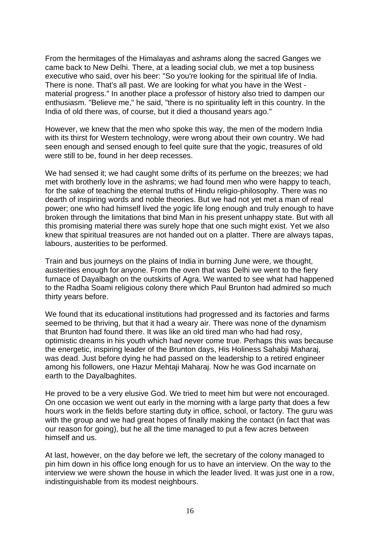From the hermitages of the Himalayas and ashrams along the sacred Ganges we came back to New Delhi. There, at a leading social club, we met a top business executive who said, over his beer: "So you're looking for the spiritual life of India. There is none. That's all past. We are looking for what you have in the West material progress." In another place a professor of history also tried to dampen our enthusiasm. "Believe me," he said, "there is no spirituality left in this country. In the India of old there was, of course, but it died a thousand years ago."

However, we knew that the men who spoke this way, the men of the modern India with its thirst for Western technology, were wrong about their own country. We had seen enough and sensed enough to feel quite sure that the yogic, treasures of old were still to be, found in her deep recesses.

We had sensed it; we had caught some drifts of its perfume on the breezes; we had met with brotherly love in the ashrams; we had found men who were happy to teach, for the sake of teaching the eternal truths of Hindu religio-philosophy. There was no dearth of inspiring words and noble theories. But we had not yet met a man of real power; one who had himself lived the yogic life long enough and truly enough to have broken through the limitations that bind Man in his present unhappy state. But with all this promising material there was surely hope that one such might exist. Yet we also knew that spiritual treasures are not handed out on a platter. There are always tapas, labours, austerities to be performed.

Train and bus journeys on the plains of India in burning June were, we thought, austerities enough for anyone. From the oven that was Delhi we went to the fiery furnace of Dayalbagh on the outskirts of Agra. We wanted to see what had happened to the Radha Soami religious colony there which Paul Brunton had admired so much thirty years before.

We found that its educational institutions had progressed and its factories and farms seemed to be thriving, but that it had a weary air. There was none of the dynamism that Brunton had found there. It was like an old tired man who had had rosy, optimistic dreams in his youth which had never come true. Perhaps this was because the energetic, inspiring leader of the Brunton days, His Holiness Sahabji Maharaj, was dead. Just before dying he had passed on the leadership to a retired engineer among his followers, one Hazur Mehtaji Maharaj. Now he was God incarnate on earth to the Dayalbaghites.

He proved to be a very elusive God. We tried to meet him but were not encouraged. On one occasion we went out early in the morning with a large party that does a few hours work in the fields before starting duty in office, school, or factory. The guru was with the group and we had great hopes of finally making the contact (in fact that was our reason for going), but he all the time managed to put a few acres between himself and us.

At last, however, on the day before we left, the secretary of the colony managed to pin him down in his office long enough for us to have an interview. On the way to the interview we were shown the house in which the leader lived. It was just one in a row, indistinguishable from its modest neighbours.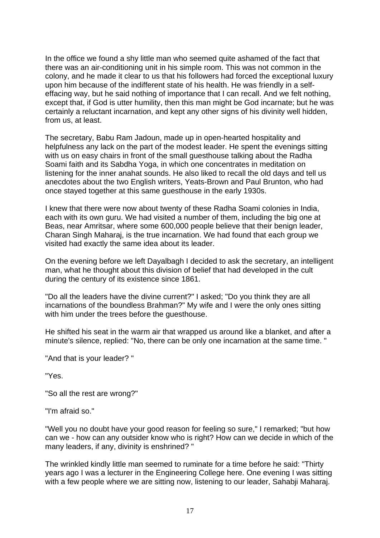In the office we found a shy little man who seemed quite ashamed of the fact that there was an air-conditioning unit in his simple room. This was not common in the colony, and he made it clear to us that his followers had forced the exceptional luxury upon him because of the indifferent state of his health. He was friendly in a selfeffacing way, but he said nothing of importance that I can recall. And we felt nothing, except that, if God is utter humility, then this man might be God incarnate; but he was certainly a reluctant incarnation, and kept any other signs of his divinity well hidden, from us, at least.

The secretary, Babu Ram Jadoun, made up in open-hearted hospitality and helpfulness any lack on the part of the modest leader. He spent the evenings sitting with us on easy chairs in front of the small guesthouse talking about the Radha Soami faith and its Sabdha Yoga, in which one concentrates in meditation on listening for the inner anahat sounds. He also liked to recall the old days and tell us anecdotes about the two English writers, Yeats-Brown and Paul Brunton, who had once stayed together at this same guesthouse in the early 1930s.

I knew that there were now about twenty of these Radha Soami colonies in India, each with its own guru. We had visited a number of them, including the big one at Beas, near Amritsar, where some 600,000 people believe that their benign leader, Charan Singh Maharaj, is the true incarnation. We had found that each group we visited had exactly the same idea about its leader.

On the evening before we left Dayalbagh I decided to ask the secretary, an intelligent man, what he thought about this division of belief that had developed in the cult during the century of its existence since 1861.

"Do all the leaders have the divine current?" I asked; "Do you think they are all incarnations of the boundless Brahman?" My wife and I were the only ones sitting with him under the trees before the guesthouse.

He shifted his seat in the warm air that wrapped us around like a blanket, and after a minute's silence, replied: "No, there can be only one incarnation at the same time. "

"And that is your leader? "

"Yes.

"So all the rest are wrong?"

"I'm afraid so."

"Well you no doubt have your good reason for feeling so sure," I remarked; "but how can we - how can any outsider know who is right? How can we decide in which of the many leaders, if any, divinity is enshrined? "

The wrinkled kindly little man seemed to ruminate for a time before he said: "Thirty years ago I was a lecturer in the Engineering College here. One evening I was sitting with a few people where we are sitting now, listening to our leader, Sahabji Maharaj.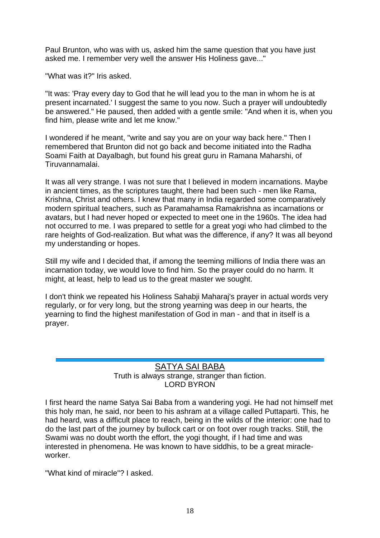Paul Brunton, who was with us, asked him the same question that you have just asked me. I remember very well the answer His Holiness gave..."

"What was it?" Iris asked.

"It was: 'Pray every day to God that he will lead you to the man in whom he is at present incarnated.' I suggest the same to you now. Such a prayer will undoubtedly be answered." He paused, then added with a gentle smile: "And when it is, when you find him, please write and let me know."

I wondered if he meant, "write and say you are on your way back here." Then I remembered that Brunton did not go back and become initiated into the Radha Soami Faith at Dayalbagh, but found his great guru in Ramana Maharshi, of Tiruvannamalai.

It was all very strange. I was not sure that I believed in modern incarnations. Maybe in ancient times, as the scriptures taught, there had been such - men like Rama, Krishna, Christ and others. I knew that many in India regarded some comparatively modern spiritual teachers, such as Paramahamsa Ramakrishna as incarnations or avatars, but I had never hoped or expected to meet one in the 1960s. The idea had not occurred to me. I was prepared to settle for a great yogi who had climbed to the rare heights of God-realization. But what was the difference, if any? It was all beyond my understanding or hopes.

Still my wife and I decided that, if among the teeming millions of India there was an incarnation today, we would love to find him. So the prayer could do no harm. It might, at least, help to lead us to the great master we sought.

I don't think we repeated his Holiness Sahabji Maharaj's prayer in actual words very regularly, or for very long, but the strong yearning was deep in our hearts, the yearning to find the highest manifestation of God in man - and that in itself is a prayer.

#### SATYA SAI BABA

Truth is always strange, stranger than fiction. LORD BYRON

I first heard the name Satya Sai Baba from a wandering yogi. He had not himself met this holy man, he said, nor been to his ashram at a village called Puttaparti. This, he had heard, was a difficult place to reach, being in the wilds of the interior: one had to do the last part of the journey by bullock cart or on foot over rough tracks. Still, the Swami was no doubt worth the effort, the yogi thought, if I had time and was interested in phenomena. He was known to have siddhis, to be a great miracleworker.

"What kind of miracle"? I asked.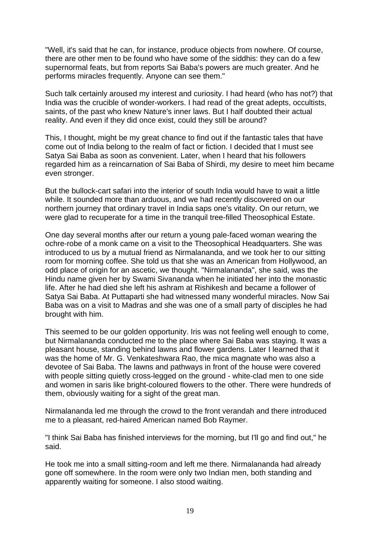"Well, it's said that he can, for instance, produce objects from nowhere. Of course, there are other men to be found who have some of the siddhis: they can do a few supernormal feats, but from reports Sai Baba's powers are much greater. And he performs miracles frequently. Anyone can see them."

Such talk certainly aroused my interest and curiosity. I had heard (who has not?) that India was the crucible of wonder-workers. I had read of the great adepts, occultists, saints, of the past who knew Nature's inner laws. But I half doubted their actual reality. And even if they did once exist, could they still be around?

This, I thought, might be my great chance to find out if the fantastic tales that have come out of India belong to the realm of fact or fiction. I decided that I must see Satya Sai Baba as soon as convenient. Later, when I heard that his followers regarded him as a reincarnation of Sai Baba of Shirdi, my desire to meet him became even stronger.

But the bullock-cart safari into the interior of south India would have to wait a little while. It sounded more than arduous, and we had recently discovered on our northern journey that ordinary travel in India saps one's vitality. On our return, we were glad to recuperate for a time in the tranquil tree-filled Theosophical Estate.

One day several months after our return a young pale-faced woman wearing the ochre-robe of a monk came on a visit to the Theosophical Headquarters. She was introduced to us by a mutual friend as Nirmalananda, and we took her to our sitting room for morning coffee. She told us that she was an American from Hollywood, an odd place of origin for an ascetic, we thought. "Nirmalananda", she said, was the Hindu name given her by Swami Sivananda when he initiated her into the monastic life. After he had died she left his ashram at Rishikesh and became a follower of Satya Sai Baba. At Puttaparti she had witnessed many wonderful miracles. Now Sai Baba was on a visit to Madras and she was one of a small party of disciples he had brought with him.

This seemed to be our golden opportunity. Iris was not feeling well enough to come, but Nirmalananda conducted me to the place where Sai Baba was staying. It was a pleasant house, standing behind lawns and flower gardens. Later I learned that it was the home of Mr. G. Venkateshwara Rao, the mica magnate who was also a devotee of Sai Baba. The lawns and pathways in front of the house were covered with people sitting quietly cross-legged on the ground - white-clad men to one side and women in saris like bright-coloured flowers to the other. There were hundreds of them, obviously waiting for a sight of the great man.

Nirmalananda led me through the crowd to the front verandah and there introduced me to a pleasant, red-haired American named Bob Raymer.

"I think Sai Baba has finished interviews for the morning, but I'll go and find out," he said.

He took me into a small sitting-room and left me there. Nirmalananda had already gone off somewhere. In the room were only two Indian men, both standing and apparently waiting for someone. I also stood waiting.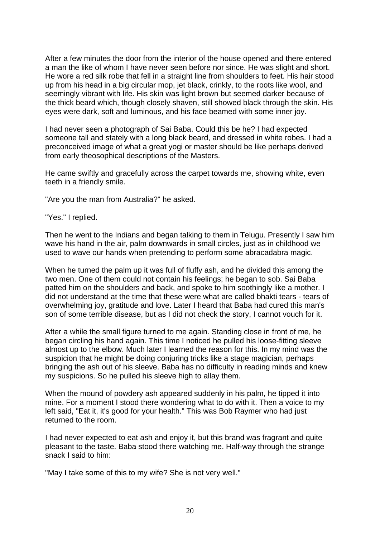After a few minutes the door from the interior of the house opened and there entered a man the like of whom I have never seen before nor since. He was slight and short. He wore a red silk robe that fell in a straight line from shoulders to feet. His hair stood up from his head in a big circular mop, jet black, crinkly, to the roots like wool, and seemingly vibrant with life. His skin was light brown but seemed darker because of the thick beard which, though closely shaven, still showed black through the skin. His eyes were dark, soft and luminous, and his face beamed with some inner joy.

I had never seen a photograph of Sai Baba. Could this be he? I had expected someone tall and stately with a long black beard, and dressed in white robes. I had a preconceived image of what a great yogi or master should be like perhaps derived from early theosophical descriptions of the Masters.

He came swiftly and gracefully across the carpet towards me, showing white, even teeth in a friendly smile.

"Are you the man from Australia?" he asked.

"Yes." I replied.

Then he went to the Indians and began talking to them in Telugu. Presently I saw him wave his hand in the air, palm downwards in small circles, just as in childhood we used to wave our hands when pretending to perform some abracadabra magic.

When he turned the palm up it was full of fluffy ash, and he divided this among the two men. One of them could not contain his feelings; he began to sob. Sai Baba patted him on the shoulders and back, and spoke to him soothingly like a mother. I did not understand at the time that these were what are called bhakti tears - tears of overwhelming joy, gratitude and love. Later I heard that Baba had cured this man's son of some terrible disease, but as I did not check the story, I cannot vouch for it.

After a while the small figure turned to me again. Standing close in front of me, he began circling his hand again. This time I noticed he pulled his loose-fitting sleeve almost up to the elbow. Much later I learned the reason for this. In my mind was the suspicion that he might be doing conjuring tricks like a stage magician, perhaps bringing the ash out of his sleeve. Baba has no difficulty in reading minds and knew my suspicions. So he pulled his sleeve high to allay them.

When the mound of powdery ash appeared suddenly in his palm, he tipped it into mine. For a moment I stood there wondering what to do with it. Then a voice to my left said, "Eat it, it's good for your health." This was Bob Raymer who had just returned to the room.

I had never expected to eat ash and enjoy it, but this brand was fragrant and quite pleasant to the taste. Baba stood there watching me. Half-way through the strange snack I said to him:

"May I take some of this to my wife? She is not very well."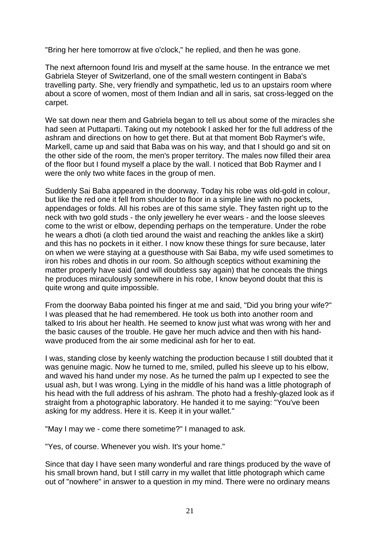"Bring her here tomorrow at five o'clock," he replied, and then he was gone.

The next afternoon found Iris and myself at the same house. In the entrance we met Gabriela Steyer of Switzerland, one of the small western contingent in Baba's travelling party. She, very friendly and sympathetic, led us to an upstairs room where about a score of women, most of them Indian and all in saris, sat cross-legged on the carpet.

We sat down near them and Gabriela began to tell us about some of the miracles she had seen at Puttaparti. Taking out my notebook I asked her for the full address of the ashram and directions on how to get there. But at that moment Bob Raymer's wife, Markell, came up and said that Baba was on his way, and that I should go and sit on the other side of the room, the men's proper territory. The males now filled their area of the floor but I found myself a place by the wall. I noticed that Bob Raymer and I were the only two white faces in the group of men.

Suddenly Sai Baba appeared in the doorway. Today his robe was old-gold in colour, but like the red one it fell from shoulder to floor in a simple line with no pockets, appendages or folds. All his robes are of this same style. They fasten right up to the neck with two gold studs - the only jewellery he ever wears - and the loose sleeves come to the wrist or elbow, depending perhaps on the temperature. Under the robe he wears a dhoti (a cloth tied around the waist and reaching the ankles like a skirt) and this has no pockets in it either. I now know these things for sure because, later on when we were staying at a guesthouse with Sai Baba, my wife used sometimes to iron his robes and dhotis in our room. So although sceptics without examining the matter properly have said (and will doubtless say again) that he conceals the things he produces miraculously somewhere in his robe, I know beyond doubt that this is quite wrong and quite impossible.

From the doorway Baba pointed his finger at me and said, "Did you bring your wife?" I was pleased that he had remembered. He took us both into another room and talked to Iris about her health. He seemed to know just what was wrong with her and the basic causes of the trouble. He gave her much advice and then with his handwave produced from the air some medicinal ash for her to eat.

I was, standing close by keenly watching the production because I still doubted that it was genuine magic. Now he turned to me, smiled, pulled his sleeve up to his elbow, and waved his hand under my nose. As he turned the palm up I expected to see the usual ash, but I was wrong. Lying in the middle of his hand was a little photograph of his head with the full address of his ashram. The photo had a freshly-glazed look as if straight from a photographic laboratory. He handed it to me saying: "You've been asking for my address. Here it is. Keep it in your wallet."

"May I may we - come there sometime?" I managed to ask.

"Yes, of course. Whenever you wish. It's your home."

Since that day I have seen many wonderful and rare things produced by the wave of his small brown hand, but I still carry in my wallet that little photograph which came out of "nowhere" in answer to a question in my mind. There were no ordinary means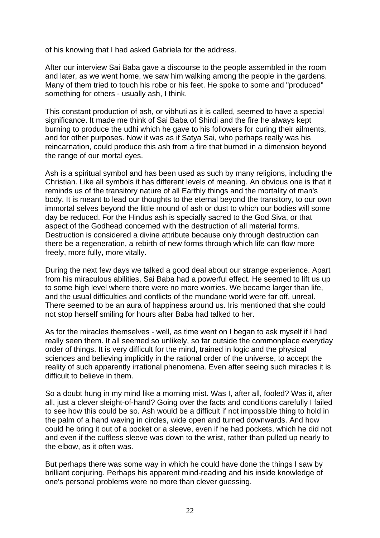of his knowing that I had asked Gabriela for the address.

After our interview Sai Baba gave a discourse to the people assembled in the room and later, as we went home, we saw him walking among the people in the gardens. Many of them tried to touch his robe or his feet. He spoke to some and "produced" something for others - usually ash, I think.

This constant production of ash, or vibhuti as it is called, seemed to have a special significance. It made me think of Sai Baba of Shirdi and the fire he always kept burning to produce the udhi which he gave to his followers for curing their ailments, and for other purposes. Now it was as if Satya Sai, who perhaps really was his reincarnation, could produce this ash from a fire that burned in a dimension beyond the range of our mortal eyes.

Ash is a spiritual symbol and has been used as such by many religions, including the Christian. Like all symbols it has different levels of meaning. An obvious one is that it reminds us of the transitory nature of all Earthly things and the mortality of man's body. It is meant to lead our thoughts to the eternal beyond the transitory, to our own immortal selves beyond the little mound of ash or dust to which our bodies will some day be reduced. For the Hindus ash is specially sacred to the God Siva, or that aspect of the Godhead concerned with the destruction of all material forms. Destruction is considered a divine attribute because only through destruction can there be a regeneration, a rebirth of new forms through which life can flow more freely, more fully, more vitally.

During the next few days we talked a good deal about our strange experience. Apart from his miraculous abilities, Sai Baba had a powerful effect. He seemed to lift us up to some high level where there were no more worries. We became larger than life, and the usual difficulties and conflicts of the mundane world were far off, unreal. There seemed to be an aura of happiness around us. Iris mentioned that she could not stop herself smiling for hours after Baba had talked to her.

As for the miracles themselves - well, as time went on I began to ask myself if I had really seen them. It all seemed so unlikely, so far outside the commonplace everyday order of things. It is very difficult for the mind, trained in logic and the physical sciences and believing implicitly in the rational order of the universe, to accept the reality of such apparently irrational phenomena. Even after seeing such miracles it is difficult to believe in them.

So a doubt hung in my mind like a morning mist. Was I, after all, fooled? Was it, after all, just a clever sleight-of-hand? Going over the facts and conditions carefully I failed to see how this could be so. Ash would be a difficult if not impossible thing to hold in the palm of a hand waving in circles, wide open and turned downwards. And how could he bring it out of a pocket or a sleeve, even if he had pockets, which he did not and even if the cuffless sleeve was down to the wrist, rather than pulled up nearly to the elbow, as it often was.

But perhaps there was some way in which he could have done the things I saw by brilliant conjuring. Perhaps his apparent mind-reading and his inside knowledge of one's personal problems were no more than clever guessing.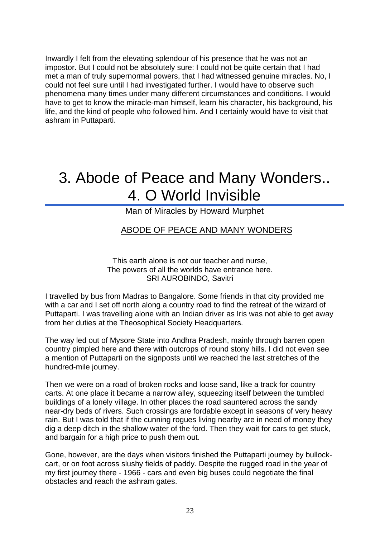Inwardly I felt from the elevating splendour of his presence that he was not an impostor. But I could not be absolutely sure: I could not be quite certain that I had met a man of truly supernormal powers, that I had witnessed genuine miracles. No, I could not feel sure until I had investigated further. I would have to observe such phenomena many times under many different circumstances and conditions. I would have to get to know the miracle-man himself, learn his character, his background, his life, and the kind of people who followed him. And I certainly would have to visit that ashram in Puttaparti.

## 3. Abode of Peace and Many Wonders.. 4. O World Invisible

Man of Miracles by Howard Murphet

### ABODE OF PEACE AND MANY WONDERS

This earth alone is not our teacher and nurse, The powers of all the worlds have entrance here. SRI AUROBINDO, Savitri

I travelled by bus from Madras to Bangalore. Some friends in that city provided me with a car and I set off north along a country road to find the retreat of the wizard of Puttaparti. I was travelling alone with an Indian driver as Iris was not able to get away from her duties at the Theosophical Society Headquarters.

The way led out of Mysore State into Andhra Pradesh, mainly through barren open country pimpled here and there with outcrops of round stony hills. I did not even see a mention of Puttaparti on the signposts until we reached the last stretches of the hundred-mile journey.

Then we were on a road of broken rocks and loose sand, like a track for country carts. At one place it became a narrow alley, squeezing itself between the tumbled buildings of a lonely village. In other places the road sauntered across the sandy near-dry beds of rivers. Such crossings are fordable except in seasons of very heavy rain. But I was told that if the cunning rogues living nearby are in need of money they dig a deep ditch in the shallow water of the ford. Then they wait for cars to get stuck, and bargain for a high price to push them out.

Gone, however, are the days when visitors finished the Puttaparti journey by bullockcart, or on foot across slushy fields of paddy. Despite the rugged road in the year of my first journey there - 1966 - cars and even big buses could negotiate the final obstacles and reach the ashram gates.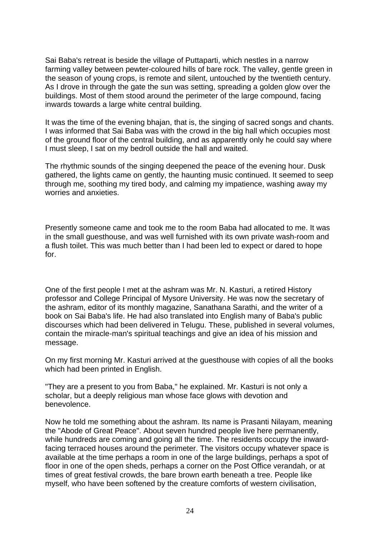Sai Baba's retreat is beside the village of Puttaparti, which nestles in a narrow farming valley between pewter-coloured hills of bare rock. The valley, gentle green in the season of young crops, is remote and silent, untouched by the twentieth century. As I drove in through the gate the sun was setting, spreading a golden glow over the buildings. Most of them stood around the perimeter of the large compound, facing inwards towards a large white central building.

It was the time of the evening bhajan, that is, the singing of sacred songs and chants. I was informed that Sai Baba was with the crowd in the big hall which occupies most of the ground floor of the central building, and as apparently only he could say where I must sleep, I sat on my bedroll outside the hall and waited.

The rhythmic sounds of the singing deepened the peace of the evening hour. Dusk gathered, the lights came on gently, the haunting music continued. It seemed to seep through me, soothing my tired body, and calming my impatience, washing away my worries and anxieties.

Presently someone came and took me to the room Baba had allocated to me. It was in the small guesthouse, and was well furnished with its own private wash-room and a flush toilet. This was much better than I had been led to expect or dared to hope for.

One of the first people I met at the ashram was Mr. N. Kasturi, a retired History professor and College Principal of Mysore University. He was now the secretary of the ashram, editor of its monthly magazine, Sanathana Sarathi, and the writer of a book on Sai Baba's life. He had also translated into English many of Baba's public discourses which had been delivered in Telugu. These, published in several volumes, contain the miracle-man's spiritual teachings and give an idea of his mission and message.

On my first morning Mr. Kasturi arrived at the guesthouse with copies of all the books which had been printed in English.

"They are a present to you from Baba," he explained. Mr. Kasturi is not only a scholar, but a deeply religious man whose face glows with devotion and benevolence.

Now he told me something about the ashram. Its name is Prasanti Nilayam, meaning the "Abode of Great Peace". About seven hundred people live here permanently, while hundreds are coming and going all the time. The residents occupy the inwardfacing terraced houses around the perimeter. The visitors occupy whatever space is available at the time perhaps a room in one of the large buildings, perhaps a spot of floor in one of the open sheds, perhaps a corner on the Post Office verandah, or at times of great festival crowds, the bare brown earth beneath a tree. People like myself, who have been softened by the creature comforts of western civilisation,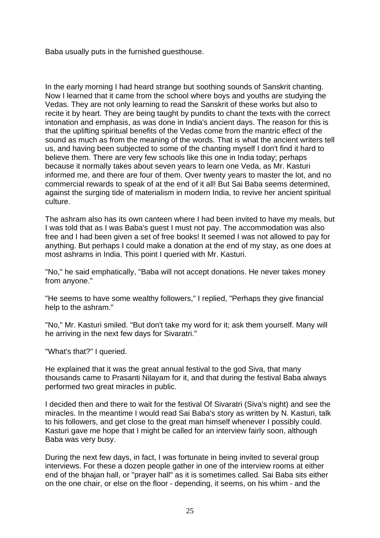Baba usually puts in the furnished guesthouse.

In the early morning I had heard strange but soothing sounds of Sanskrit chanting. Now I learned that it came from the school where boys and youths are studying the Vedas. They are not only learning to read the Sanskrit of these works but also to recite it by heart. They are being taught by pundits to chant the texts with the correct intonation and emphasis, as was done in India's ancient days. The reason for this is that the uplifting spiritual benefits of the Vedas come from the mantric effect of the sound as much as from the meaning of the words. That is what the ancient writers tell us, and having been subjected to some of the chanting myself I don't find it hard to believe them. There are very few schools like this one in India today; perhaps because it normally takes about seven years to learn one Veda, as Mr. Kasturi informed me, and there are four of them. Over twenty years to master the lot, and no commercial rewards to speak of at the end of it all! But Sai Baba seems determined, against the surging tide of materialism in modern India, to revive her ancient spiritual culture.

The ashram also has its own canteen where I had been invited to have my meals, but I was told that as I was Baba's guest I must not pay. The accommodation was also free and I had been given a set of free books! It seemed I was not allowed to pay for anything. But perhaps I could make a donation at the end of my stay, as one does at most ashrams in India. This point I queried with Mr. Kasturi.

"No," he said emphatically, "Baba will not accept donations. He never takes money from anyone."

"He seems to have some wealthy followers," I replied, "Perhaps they give financial help to the ashram."

"No," Mr. Kasturi smiled. "But don't take my word for it; ask them yourself. Many will he arriving in the next few days for Sivaratri."

"What's that?" I queried.

He explained that it was the great annual festival to the god Siva, that many thousands came to Prasanti Nilayam for it, and that during the festival Baba always performed two great miracles in public.

I decided then and there to wait for the festival Of Sivaratri (Siva's night) and see the miracles. In the meantime I would read Sai Baba's story as written by N. Kasturi, talk to his followers, and get close to the great man himself whenever I possibly could. Kasturi gave me hope that I might be called for an interview fairly soon, although Baba was very busy.

During the next few days, in fact, I was fortunate in being invited to several group interviews. For these a dozen people gather in one of the interview rooms at either end of the bhajan hall, or "prayer hall" as it is sometimes called. Sai Baba sits either on the one chair, or else on the floor - depending, it seems, on his whim - and the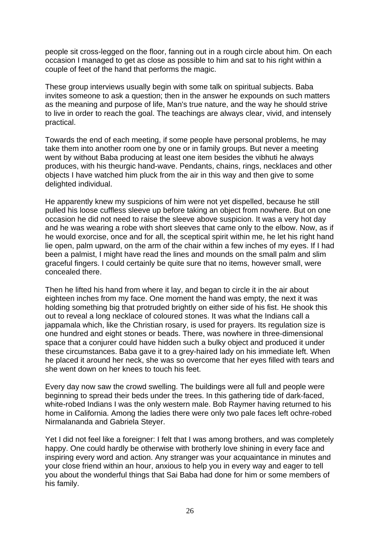people sit cross-legged on the floor, fanning out in a rough circle about him. On each occasion I managed to get as close as possible to him and sat to his right within a couple of feet of the hand that performs the magic.

These group interviews usually begin with some talk on spiritual subjects. Baba invites someone to ask a question; then in the answer he expounds on such matters as the meaning and purpose of life, Man's true nature, and the way he should strive to live in order to reach the goal. The teachings are always clear, vivid, and intensely practical.

Towards the end of each meeting, if some people have personal problems, he may take them into another room one by one or in family groups. But never a meeting went by without Baba producing at least one item besides the vibhuti he always produces, with his theurgic hand-wave. Pendants, chains, rings, necklaces and other objects I have watched him pluck from the air in this way and then give to some delighted individual.

He apparently knew my suspicions of him were not yet dispelled, because he still pulled his loose cuffless sleeve up before taking an object from nowhere. But on one occasion he did not need to raise the sleeve above suspicion. It was a very hot day and he was wearing a robe with short sleeves that came only to the elbow. Now, as if he would exorcise, once and for all, the sceptical spirit within me, he let his right hand lie open, palm upward, on the arm of the chair within a few inches of my eyes. If I had been a palmist, I might have read the lines and mounds on the small palm and slim graceful fingers. I could certainly be quite sure that no items, however small, were concealed there.

Then he lifted his hand from where it lay, and began to circle it in the air about eighteen inches from my face. One moment the hand was empty, the next it was holding something big that protruded brightly on either side of his fist. He shook this out to reveal a long necklace of coloured stones. It was what the Indians call a jappamala which, like the Christian rosary, is used for prayers. Its regulation size is one hundred and eight stones or beads. There, was nowhere in three-dimensional space that a conjurer could have hidden such a bulky object and produced it under these circumstances. Baba gave it to a grey-haired lady on his immediate left. When he placed it around her neck, she was so overcome that her eyes filled with tears and she went down on her knees to touch his feet.

Every day now saw the crowd swelling. The buildings were all full and people were beginning to spread their beds under the trees. In this gathering tide of dark-faced, white-robed Indians I was the only western male. Bob Raymer having returned to his home in California. Among the ladies there were only two pale faces left ochre-robed Nirmalananda and Gabriela Steyer.

Yet I did not feel like a foreigner: I felt that I was among brothers, and was completely happy. One could hardly be otherwise with brotherly love shining in every face and inspiring every word and action. Any stranger was your acquaintance in minutes and your close friend within an hour, anxious to help you in every way and eager to tell you about the wonderful things that Sai Baba had done for him or some members of his family.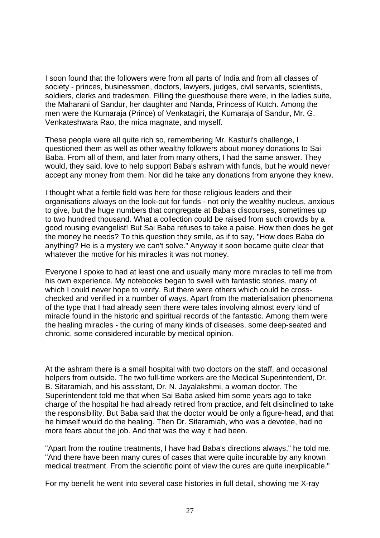I soon found that the followers were from all parts of India and from all classes of society - princes, businessmen, doctors, lawyers, judges, civil servants, scientists, soldiers, clerks and tradesmen. Filling the guesthouse there were, in the ladies suite, the Maharani of Sandur, her daughter and Nanda, Princess of Kutch. Among the men were the Kumaraja (Prince) of Venkatagiri, the Kumaraja of Sandur, Mr. G. Venkateshwara Rao, the mica magnate, and myself.

These people were all quite rich so, remembering Mr. Kasturi's challenge, I questioned them as well as other wealthy followers about money donations to Sai Baba. From all of them, and later from many others, I had the same answer. They would, they said, love to help support Baba's ashram with funds, but he would never accept any money from them. Nor did he take any donations from anyone they knew.

I thought what a fertile field was here for those religious leaders and their organisations always on the look-out for funds - not only the wealthy nucleus, anxious to give, but the huge numbers that congregate at Baba's discourses, sometimes up to two hundred thousand. What a collection could be raised from such crowds by a good rousing evangelist! But Sai Baba refuses to take a paise. How then does he get the money he needs? To this question they smile, as if to say, "How does Baba do anything? He is a mystery we can't solve." Anyway it soon became quite clear that whatever the motive for his miracles it was not money.

Everyone I spoke to had at least one and usually many more miracles to tell me from his own experience. My notebooks began to swell with fantastic stories, many of which I could never hope to verify. But there were others which could be crosschecked and verified in a number of ways. Apart from the materialisation phenomena of the type that I had already seen there were tales involving almost every kind of miracle found in the historic and spiritual records of the fantastic. Among them were the healing miracles - the curing of many kinds of diseases, some deep-seated and chronic, some considered incurable by medical opinion.

At the ashram there is a small hospital with two doctors on the staff, and occasional helpers from outside. The two full-time workers are the Medical Superintendent, Dr. B. Sitaramiah, and his assistant, Dr. N. Jayalakshmi, a woman doctor. The Superintendent told me that when Sai Baba asked him some years ago to take charge of the hospital he had already retired from practice, and felt disinclined to take the responsibility. But Baba said that the doctor would be only a figure-head, and that he himself would do the healing. Then Dr. Sitaramiah, who was a devotee, had no more fears about the job. And that was the way it had been.

"Apart from the routine treatments, I have had Baba's directions always," he told me. "And there have been many cures of cases that were quite incurable by any known medical treatment. From the scientific point of view the cures are quite inexplicable."

For my benefit he went into several case histories in full detail, showing me X-ray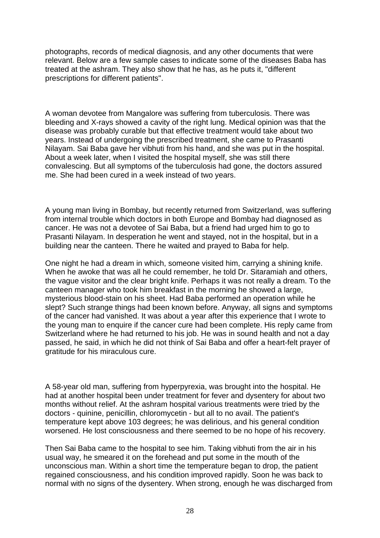photographs, records of medical diagnosis, and any other documents that were relevant. Below are a few sample cases to indicate some of the diseases Baba has treated at the ashram. They also show that he has, as he puts it, "different prescriptions for different patients".

A woman devotee from Mangalore was suffering from tuberculosis. There was bleeding and X-rays showed a cavity of the right lung. Medical opinion was that the disease was probably curable but that effective treatment would take about two years. Instead of undergoing the prescribed treatment, she came to Prasanti Nilayam. Sai Baba gave her vibhuti from his hand, and she was put in the hospital. About a week later, when I visited the hospital myself, she was still there convalescing. But all symptoms of the tuberculosis had gone, the doctors assured me. She had been cured in a week instead of two years.

A young man living in Bombay, but recently returned from Switzerland, was suffering from internal trouble which doctors in both Europe and Bombay had diagnosed as cancer. He was not a devotee of Sai Baba, but a friend had urged him to go to Prasanti Nilayam. In desperation he went and stayed, not in the hospital, but in a building near the canteen. There he waited and prayed to Baba for help.

One night he had a dream in which, someone visited him, carrying a shining knife. When he awoke that was all he could remember, he told Dr. Sitaramiah and others, the vague visitor and the clear bright knife. Perhaps it was not really a dream. To the canteen manager who took him breakfast in the morning he showed a large, mysterious blood-stain on his sheet. Had Baba performed an operation while he slept? Such strange things had been known before. Anyway, all signs and symptoms of the cancer had vanished. It was about a year after this experience that I wrote to the young man to enquire if the cancer cure had been complete. His reply came from Switzerland where he had returned to his job. He was in sound health and not a day passed, he said, in which he did not think of Sai Baba and offer a heart-felt prayer of gratitude for his miraculous cure.

A 58-year old man, suffering from hyperpyrexia, was brought into the hospital. He had at another hospital been under treatment for fever and dysentery for about two months without relief. At the ashram hospital various treatments were tried by the doctors - quinine, penicillin, chloromycetin - but all to no avail. The patient's temperature kept above 103 degrees; he was delirious, and his general condition worsened. He lost consciousness and there seemed to be no hope of his recovery.

Then Sai Baba came to the hospital to see him. Taking vibhuti from the air in his usual way, he smeared it on the forehead and put some in the mouth of the unconscious man. Within a short time the temperature began to drop, the patient regained consciousness, and his condition improved rapidly. Soon he was back to normal with no signs of the dysentery. When strong, enough he was discharged from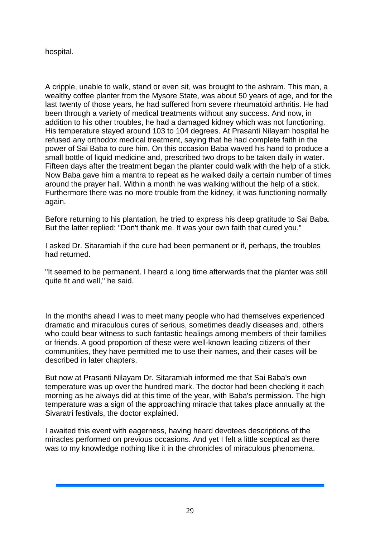hospital.

A cripple, unable to walk, stand or even sit, was brought to the ashram. This man, a wealthy coffee planter from the Mysore State, was about 50 years of age, and for the last twenty of those years, he had suffered from severe rheumatoid arthritis. He had been through a variety of medical treatments without any success. And now, in addition to his other troubles, he had a damaged kidney which was not functioning. His temperature stayed around 103 to 104 degrees. At Prasanti Nilayam hospital he refused any orthodox medical treatment, saying that he had complete faith in the power of Sai Baba to cure him. On this occasion Baba waved his hand to produce a small bottle of liquid medicine and, prescribed two drops to be taken daily in water. Fifteen days after the treatment began the planter could walk with the help of a stick. Now Baba gave him a mantra to repeat as he walked daily a certain number of times around the prayer hall. Within a month he was walking without the help of a stick. Furthermore there was no more trouble from the kidney, it was functioning normally again.

Before returning to his plantation, he tried to express his deep gratitude to Sai Baba. But the latter replied: "Don't thank me. It was your own faith that cured you."

I asked Dr. Sitaramiah if the cure had been permanent or if, perhaps, the troubles had returned.

"It seemed to be permanent. I heard a long time afterwards that the planter was still quite fit and well," he said.

In the months ahead I was to meet many people who had themselves experienced dramatic and miraculous cures of serious, sometimes deadly diseases and, others who could bear witness to such fantastic healings among members of their families or friends. A good proportion of these were well-known leading citizens of their communities, they have permitted me to use their names, and their cases will be described in later chapters.

But now at Prasanti Nilayam Dr. Sitaramiah informed me that Sai Baba's own temperature was up over the hundred mark. The doctor had been checking it each morning as he always did at this time of the year, with Baba's permission. The high temperature was a sign of the approaching miracle that takes place annually at the Sivaratri festivals, the doctor explained.

I awaited this event with eagerness, having heard devotees descriptions of the miracles performed on previous occasions. And yet I felt a little sceptical as there was to my knowledge nothing like it in the chronicles of miraculous phenomena.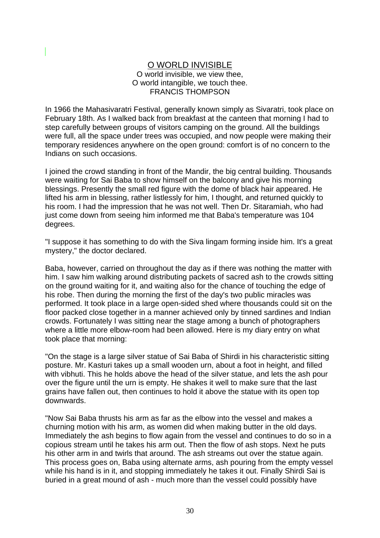#### O WORLD INVISIBLE O world invisible, we view thee, O world intangible, we touch thee. FRANCIS THOMPSON

In 1966 the Mahasivaratri Festival, generally known simply as Sivaratri, took place on February 18th. As I walked back from breakfast at the canteen that morning I had to step carefully between groups of visitors camping on the ground. All the buildings were full, all the space under trees was occupied, and now people were making their temporary residences anywhere on the open ground: comfort is of no concern to the Indians on such occasions.

I joined the crowd standing in front of the Mandir, the big central building. Thousands were waiting for Sai Baba to show himself on the balcony and give his morning blessings. Presently the small red figure with the dome of black hair appeared. He lifted his arm in blessing, rather listlessly for him, I thought, and returned quickly to his room. I had the impression that he was not well. Then Dr. Sitaramiah, who had just come down from seeing him informed me that Baba's temperature was 104 degrees.

"I suppose it has something to do with the Siva lingam forming inside him. It's a great mystery," the doctor declared.

Baba, however, carried on throughout the day as if there was nothing the matter with him. I saw him walking around distributing packets of sacred ash to the crowds sitting on the ground waiting for it, and waiting also for the chance of touching the edge of his robe. Then during the morning the first of the day's two public miracles was performed. It took place in a large open-sided shed where thousands could sit on the floor packed close together in a manner achieved only by tinned sardines and Indian crowds. Fortunately I was sitting near the stage among a bunch of photographers where a little more elbow-room had been allowed. Here is my diary entry on what took place that morning:

"On the stage is a large silver statue of Sai Baba of Shirdi in his characteristic sitting posture. Mr. Kasturi takes up a small wooden urn, about a foot in height, and filled with vibhuti. This he holds above the head of the silver statue, and lets the ash pour over the figure until the urn is empty. He shakes it well to make sure that the last grains have fallen out, then continues to hold it above the statue with its open top downwards.

"Now Sai Baba thrusts his arm as far as the elbow into the vessel and makes a churning motion with his arm, as women did when making butter in the old days. Immediately the ash begins to flow again from the vessel and continues to do so in a copious stream until he takes his arm out. Then the flow of ash stops. Next he puts his other arm in and twirls that around. The ash streams out over the statue again. This process goes on, Baba using alternate arms, ash pouring from the empty vessel while his hand is in it, and stopping immediately he takes it out. Finally Shirdi Sai is buried in a great mound of ash - much more than the vessel could possibly have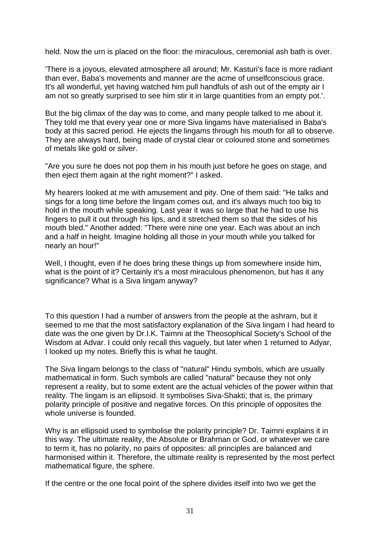held. Now the urn is placed on the floor: the miraculous, ceremonial ash bath is over.

'There is a joyous, elevated atmosphere all around; Mr. Kasturi's face is more radiant than ever, Baba's movements and manner are the acme of unselfconscious grace. It's all wonderful, yet having watched him pull handfuls of ash out of the empty air I am not so greatly surprised to see him stir it in large quantities from an empty pot.'.

But the big climax of the day was to come, and many people talked to me about it. They told me that every year one or more Siva lingams have materialised in Baba's body at this sacred period. He ejects the lingams through his mouth for all to observe. They are always hard, being made of crystal clear or coloured stone and sometimes of metals like gold or silver.

"Are you sure he does not pop them in his mouth just before he goes on stage, and then eject them again at the right moment?" I asked.

My hearers looked at me with amusement and pity. One of them said: "He talks and sings for a long time before the lingam comes out, and it's always much too big to hold in the mouth while speaking. Last year it was so large that he had to use his fingers to pull it out through his lips, and it stretched them so that the sides of his mouth bled." Another added: "There were nine one year. Each was about an inch and a half in height. Imagine holding all those in your mouth while you talked for nearly an hour!"

Well, I thought, even if he does bring these things up from somewhere inside him, what is the point of it? Certainly it's a most miraculous phenomenon, but has it any significance? What is a Siva lingam anyway?

To this question I had a number of answers from the people at the ashram, but it seemed to me that the most satisfactory explanation of the Siva lingam I had heard to date was the one given by Dr.I.K. Taimni at the Theosophical Society's School of the Wisdom at Advar. I could only recall this vaguely, but later when 1 returned to Adyar, I looked up my notes. Briefly this is what he taught.

The Siva lingam belongs to the class of "natural" Hindu symbols, which are usually mathematical in form. Such symbols are called "natural" because they not only represent a reality, but to some extent are the actual vehicles of the power within that reality. The lingam is an ellipsoid. It symbolises Siva-Shakti; that is, the primary polarity principle of positive and negative forces. On this principle of opposites the whole universe is founded.

Why is an ellipsoid used to symbolise the polarity principle? Dr. Taimni explains it in this way. The ultimate reality, the Absolute or Brahman or God, or whatever we care to term it, has no polarity, no pairs of opposites: all principles are balanced and harmonised within it. Therefore, the ultimate reality is represented by the most perfect mathematical figure, the sphere.

If the centre or the one focal point of the sphere divides itself into two we get the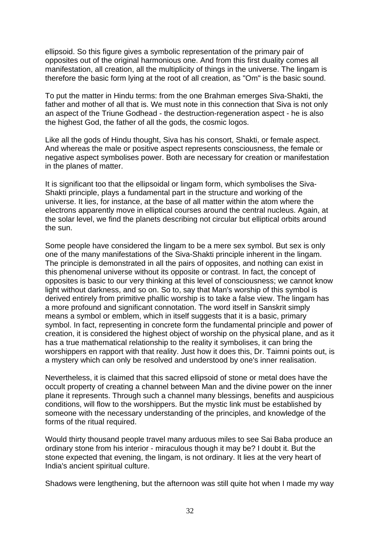ellipsoid. So this figure gives a symbolic representation of the primary pair of opposites out of the original harmonious one. And from this first duality comes all manifestation, all creation, all the multiplicity of things in the universe. The lingam is therefore the basic form lying at the root of all creation, as "Om" is the basic sound.

To put the matter in Hindu terms: from the one Brahman emerges Siva-Shakti, the father and mother of all that is. We must note in this connection that Siva is not only an aspect of the Triune Godhead - the destruction-regeneration aspect - he is also the highest God, the father of all the gods, the cosmic logos.

Like all the gods of Hindu thought, Siva has his consort, Shakti, or female aspect. And whereas the male or positive aspect represents consciousness, the female or negative aspect symbolises power. Both are necessary for creation or manifestation in the planes of matter.

It is significant too that the ellipsoidal or lingam form, which symbolises the Siva-Shakti principle, plays a fundamental part in the structure and working of the universe. It lies, for instance, at the base of all matter within the atom where the electrons apparently move in elliptical courses around the central nucleus. Again, at the solar level, we find the planets describing not circular but elliptical orbits around the sun.

Some people have considered the lingam to be a mere sex symbol. But sex is only one of the many manifestations of the Siva-Shakti principle inherent in the lingam. The principle is demonstrated in all the pairs of opposites, and nothing can exist in this phenomenal universe without its opposite or contrast. In fact, the concept of opposites is basic to our very thinking at this level of consciousness; we cannot know light without darkness, and so on. So to, say that Man's worship of this symbol is derived entirely from primitive phallic worship is to take a false view. The lingam has a more profound and significant connotation. The word itself in Sanskrit simply means a symbol or emblem, which in itself suggests that it is a basic, primary symbol. In fact, representing in concrete form the fundamental principle and power of creation, it is considered the highest object of worship on the physical plane, and as it has a true mathematical relationship to the reality it symbolises, it can bring the worshippers en rapport with that reality. Just how it does this, Dr. Taimni points out, is a mystery which can only be resolved and understood by one's inner realisation.

Nevertheless, it is claimed that this sacred ellipsoid of stone or metal does have the occult property of creating a channel between Man and the divine power on the inner plane it represents. Through such a channel many blessings, benefits and auspicious conditions, will flow to the worshippers. But the mystic link must be established by someone with the necessary understanding of the principles, and knowledge of the forms of the ritual required.

Would thirty thousand people travel many arduous miles to see Sai Baba produce an ordinary stone from his interior - miraculous though it may be? I doubt it. But the stone expected that evening, the lingam, is not ordinary. It lies at the very heart of India's ancient spiritual culture.

Shadows were lengthening, but the afternoon was still quite hot when I made my way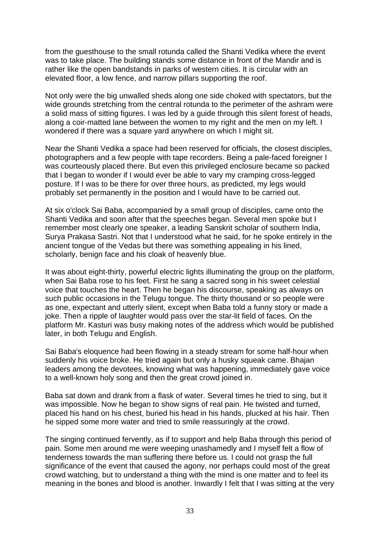from the guesthouse to the small rotunda called the Shanti Vedika where the event was to take place. The building stands some distance in front of the Mandir and is rather like the open bandstands in parks of western cities. It is circular with an elevated floor, a low fence, and narrow pillars supporting the roof.

Not only were the big unwalled sheds along one side choked with spectators, but the wide grounds stretching from the central rotunda to the perimeter of the ashram were a solid mass of sitting figures. I was led by a guide through this silent forest of heads, along a coir-matted lane between the women to my right and the men on my left. I wondered if there was a square yard anywhere on which I might sit.

Near the Shanti Vedika a space had been reserved for officials, the closest disciples, photographers and a few people with tape recorders. Being a pale-faced foreigner I was courteously placed there. But even this privileged enclosure became so packed that I began to wonder if I would ever be able to vary my cramping cross-legged posture. If I was to be there for over three hours, as predicted, my legs would probably set permanently in the position and I would have to be carried out.

At six o'clock Sai Baba, accompanied by a small group of disciples, came onto the Shanti Vedika and soon after that the speeches began. Several men spoke but I remember most clearly one speaker, a leading Sanskrit scholar of southern India, Surya Prakasa Sastri. Not that I understood what he said, for he spoke entirely in the ancient tongue of the Vedas but there was something appealing in his lined, scholarly, benign face and his cloak of heavenly blue.

It was about eight-thirty, powerful electric lights illuminating the group on the platform, when Sai Baba rose to his feet. First he sang a sacred song in his sweet celestial voice that touches the heart. Then he began his discourse, speaking as always on such public occasions in the Telugu tongue. The thirty thousand or so people were as one, expectant and utterly silent, except when Baba told a funny story or made a joke. Then a ripple of laughter would pass over the star-lit field of faces. On the platform Mr. Kasturi was busy making notes of the address which would be published later, in both Telugu and English.

Sai Baba's eloquence had been flowing in a steady stream for some half-hour when suddenly his voice broke. He tried again but only a husky squeak came. Bhajan leaders among the devotees, knowing what was happening, immediately gave voice to a well-known holy song and then the great crowd joined in.

Baba sat down and drank from a flask of water. Several times he tried to sing, but it was impossible. Now he began to show signs of real pain. He twisted and turned, placed his hand on his chest, buried his head in his hands, plucked at his hair. Then he sipped some more water and tried to smile reassuringly at the crowd.

The singing continued fervently, as if to support and help Baba through this period of pain. Some men around me were weeping unashamedly and I myself felt a flow of tenderness towards the man suffering there before us. I could not grasp the full significance of the event that caused the agony, nor perhaps could most of the great crowd watching, but to understand a thing with the mind is one matter and to feel its meaning in the bones and blood is another. Inwardly I felt that I was sitting at the very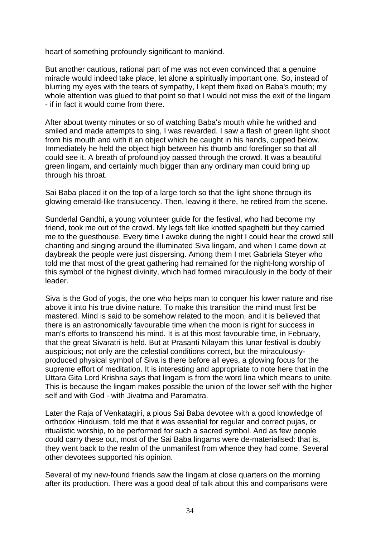heart of something profoundly significant to mankind.

But another cautious, rational part of me was not even convinced that a genuine miracle would indeed take place, let alone a spiritually important one. So, instead of blurring my eyes with the tears of sympathy, I kept them fixed on Baba's mouth; my whole attention was glued to that point so that I would not miss the exit of the lingam - if in fact it would come from there.

After about twenty minutes or so of watching Baba's mouth while he writhed and smiled and made attempts to sing, I was rewarded. I saw a flash of green light shoot from his mouth and with it an object which he caught in his hands, cupped below. Immediately he held the object high between his thumb and forefinger so that all could see it. A breath of profound joy passed through the crowd. It was a beautiful green lingam, and certainly much bigger than any ordinary man could bring up through his throat.

Sai Baba placed it on the top of a large torch so that the light shone through its glowing emerald-like translucency. Then, leaving it there, he retired from the scene.

Sunderlal Gandhi, a young volunteer guide for the festival, who had become my friend, took me out of the crowd. My legs felt like knotted spaghetti but they carried me to the guesthouse. Every time I awoke during the night I could hear the crowd still chanting and singing around the illuminated Siva lingam, and when I came down at daybreak the people were just dispersing. Among them I met Gabriela Steyer who told me that most of the great gathering had remained for the night-long worship of this symbol of the highest divinity, which had formed miraculously in the body of their leader.

Siva is the God of yogis, the one who helps man to conquer his lower nature and rise above it into his true divine nature. To make this transition the mind must first be mastered. Mind is said to be somehow related to the moon, and it is believed that there is an astronomically favourable time when the moon is right for success in man's efforts to transcend his mind. It is at this most favourable time, in February, that the great Sivaratri is held. But at Prasanti Nilayam this lunar festival is doubly auspicious; not only are the celestial conditions correct, but the miraculouslyproduced physical symbol of Siva is there before all eyes, a glowing focus for the supreme effort of meditation. It is interesting and appropriate to note here that in the Uttara Gita Lord Krishna says that lingam is from the word lina which means to unite. This is because the lingam makes possible the union of the lower self with the higher self and with God - with Jivatma and Paramatra.

Later the Raja of Venkatagiri, a pious Sai Baba devotee with a good knowledge of orthodox Hinduism, told me that it was essential for regular and correct pujas, or ritualistic worship, to be performed for such a sacred symbol. And as few people could carry these out, most of the Sai Baba lingams were de-materialised: that is, they went back to the realm of the unmanifest from whence they had come. Several other devotees supported his opinion.

Several of my new-found friends saw the lingam at close quarters on the morning after its production. There was a good deal of talk about this and comparisons were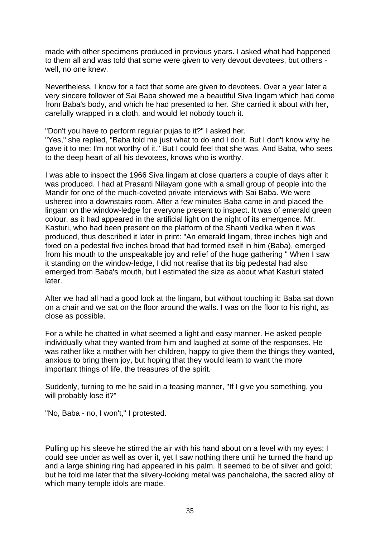made with other specimens produced in previous years. I asked what had happened to them all and was told that some were given to very devout devotees, but others well, no one knew.

Nevertheless, I know for a fact that some are given to devotees. Over a year later a very sincere follower of Sai Baba showed me a beautiful Siva lingam which had come from Baba's body, and which he had presented to her. She carried it about with her, carefully wrapped in a cloth, and would let nobody touch it.

"Don't you have to perform regular pujas to it?" I asked her.

"Yes," she replied, "Baba told me just what to do and I do it. But I don't know why he gave it to me: I'm not worthy of it." But I could feel that she was. And Baba, who sees to the deep heart of all his devotees, knows who is worthy.

I was able to inspect the 1966 Siva lingam at close quarters a couple of days after it was produced. I had at Prasanti Nilayam gone with a small group of people into the Mandir for one of the much-coveted private interviews with Sai Baba. We were ushered into a downstairs room. After a few minutes Baba came in and placed the lingam on the window-ledge for everyone present to inspect. It was of emerald green colour, as it had appeared in the artificial light on the night of its emergence. Mr. Kasturi, who had been present on the platform of the Shanti Vedika when it was produced, thus described it later in print: "An emerald lingam, three inches high and fixed on a pedestal five inches broad that had formed itself in him (Baba), emerged from his mouth to the unspeakable joy and relief of the huge gathering " When I saw it standing on the window-ledge, I did not realise that its big pedestal had also emerged from Baba's mouth, but I estimated the size as about what Kasturi stated later.

After we had all had a good look at the lingam, but without touching it; Baba sat down on a chair and we sat on the floor around the walls. I was on the floor to his right, as close as possible.

For a while he chatted in what seemed a light and easy manner. He asked people individually what they wanted from him and laughed at some of the responses. He was rather like a mother with her children, happy to give them the things they wanted, anxious to bring them joy, but hoping that they would learn to want the more important things of life, the treasures of the spirit.

Suddenly, turning to me he said in a teasing manner, "If I give you something, you will probably lose it?"

"No, Baba - no, I won't," I protested.

Pulling up his sleeve he stirred the air with his hand about on a level with my eyes; I could see under as well as over it, yet I saw nothing there until he turned the hand up and a large shining ring had appeared in his palm. It seemed to be of silver and gold: but he told me later that the silvery-looking metal was panchaloha, the sacred alloy of which many temple idols are made.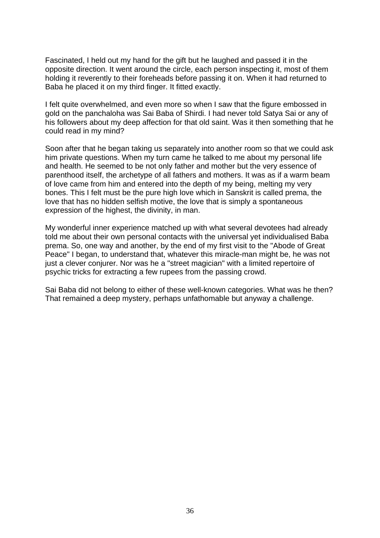Fascinated, I held out my hand for the gift but he laughed and passed it in the opposite direction. It went around the circle, each person inspecting it, most of them holding it reverently to their foreheads before passing it on. When it had returned to Baba he placed it on my third finger. It fitted exactly.

I felt quite overwhelmed, and even more so when I saw that the figure embossed in gold on the panchaloha was Sai Baba of Shirdi. I had never told Satya Sai or any of his followers about my deep affection for that old saint. Was it then something that he could read in my mind?

Soon after that he began taking us separately into another room so that we could ask him private questions. When my turn came he talked to me about my personal life and health. He seemed to be not only father and mother but the very essence of parenthood itself, the archetype of all fathers and mothers. It was as if a warm beam of love came from him and entered into the depth of my being, melting my very bones. This I felt must be the pure high love which in Sanskrit is called prema, the love that has no hidden selfish motive, the love that is simply a spontaneous expression of the highest, the divinity, in man.

My wonderful inner experience matched up with what several devotees had already told me about their own personal contacts with the universal yet individualised Baba prema. So, one way and another, by the end of my first visit to the "Abode of Great Peace" I began, to understand that, whatever this miracle-man might be, he was not just a clever conjurer. Nor was he a "street magician" with a limited repertoire of psychic tricks for extracting a few rupees from the passing crowd.

Sai Baba did not belong to either of these well-known categories. What was he then? That remained a deep mystery, perhaps unfathomable but anyway a challenge.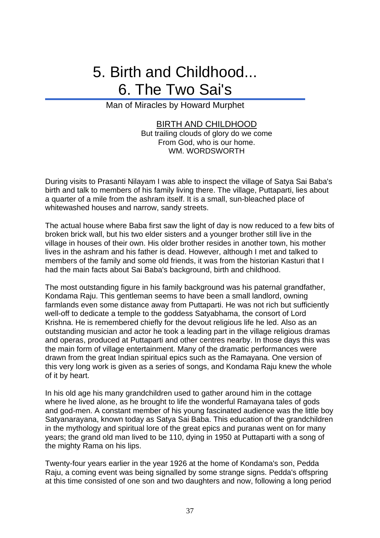# 5. Birth and Childhood... 6. The Two Sai's

#### Man of Miracles by Howard Murphet

### BIRTH AND CHILDHOOD

But trailing clouds of glory do we come From God, who is our home. WM. WORDSWORTH

During visits to Prasanti Nilayam I was able to inspect the village of Satya Sai Baba's birth and talk to members of his family living there. The village, Puttaparti, lies about a quarter of a mile from the ashram itself. It is a small, sun-bleached place of whitewashed houses and narrow, sandy streets.

The actual house where Baba first saw the light of day is now reduced to a few bits of broken brick wall, but his two elder sisters and a younger brother still live in the village in houses of their own. His older brother resides in another town, his mother lives in the ashram and his father is dead. However, although I met and talked to members of the family and some old friends, it was from the historian Kasturi that I had the main facts about Sai Baba's background, birth and childhood.

The most outstanding figure in his family background was his paternal grandfather, Kondama Raju. This gentleman seems to have been a small landlord, owning farmlands even some distance away from Puttaparti. He was not rich but sufficiently well-off to dedicate a temple to the goddess Satyabhama, the consort of Lord Krishna. He is remembered chiefly for the devout religious life he led. Also as an outstanding musician and actor he took a leading part in the village religious dramas and operas, produced at Puttaparti and other centres nearby. In those days this was the main form of village entertainment. Many of the dramatic performances were drawn from the great Indian spiritual epics such as the Ramayana. One version of this very long work is given as a series of songs, and Kondama Raju knew the whole of it by heart.

In his old age his many grandchildren used to gather around him in the cottage where he lived alone, as he brought to life the wonderful Ramayana tales of gods and god-men. A constant member of his young fascinated audience was the little boy Satyanarayana, known today as Satya Sai Baba. This education of the grandchildren in the mythology and spiritual lore of the great epics and puranas went on for many years; the grand old man lived to be 110, dying in 1950 at Puttaparti with a song of the mighty Rama on his lips.

Twenty-four years earlier in the year 1926 at the home of Kondama's son, Pedda Raju, a coming event was being signalled by some strange signs. Pedda's offspring at this time consisted of one son and two daughters and now, following a long period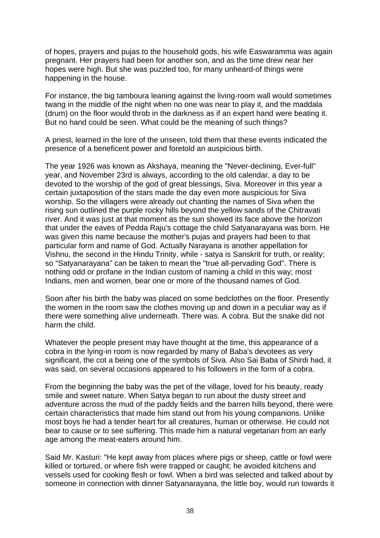of hopes, prayers and pujas to the household gods, his wife Easwaramma was again pregnant. Her prayers had been for another son, and as the time drew near her hopes were high. But she was puzzled too, for many unheard-of things were happening in the house.

For instance, the big tamboura leaning against the living-room wall would sometimes twang in the middle of the night when no one was near to play it, and the maddala (drum) on the floor would throb in the darkness as if an expert hand were beating it. But no hand could be seen. What could be the meaning of such things?

A priest, learned in the lore of the unseen, told them that these events indicated the presence of a beneficent power and foretold an auspicious birth.

The year 1926 was known as Akshaya, meaning the "Never-declining, Ever-full" year, and November 23rd is always, according to the old calendar, a day to be devoted to the worship of the god of great blessings, Siva. Moreover in this year a certain juxtaposition of the stars made the day even more auspicious for Siva worship. So the villagers were already out chanting the names of Siva when the rising sun outlined the purple rocky hills beyond the yellow sands of the Chitravati river. And it was just at that moment as the sun showed its face above the horizon that under the eaves of Pedda Raju's cottage the child Satyanarayana was born. He was given this name because the mother's pujas and prayers had been to that particular form and name of God. Actually Narayana is another appellation for Vishnu, the second in the Hindu Trinity, while - satya is Sanskrit for truth, or reality; so "Satyanarayana" can be taken to mean the "true all-pervading God". There is nothing odd or profane in the Indian custom of naming a child in this way; most Indians, men and women, bear one or more of the thousand names of God.

Soon after his birth the baby was placed on some bedclothes on the floor. Presently the women in the room saw the clothes moving up and down in a peculiar way as if there were something alive underneath. There was. A cobra. But the snake did not harm the child.

Whatever the people present may have thought at the time, this appearance of a cobra in the lying-in room is now regarded by many of Baba's devotees as very significant, the cot a being one of the symbols of Siva. Also Sai Baba of Shirdi had, it was said, on several occasions appeared to his followers in the form of a cobra.

From the beginning the baby was the pet of the village, loved for his beauty, ready smile and sweet nature. When Satya began to run about the dusty street and adventure across the mud of the paddy fields and the barren hills beyond, there were certain characteristics that made him stand out from his young companions. Unlike most boys he had a tender heart for all creatures, human or otherwise. He could not bear to cause or to see suffering. This made him a natural vegetarian from an early age among the meat-eaters around him.

Said Mr. Kasturi: "He kept away from places where pigs or sheep, cattle or fowl were killed or tortured, or where fish were trapped or caught; he avoided kitchens and vessels used for cooking flesh or fowl. When a bird was selected and talked about by someone in connection with dinner Satyanarayana, the little boy, would run towards it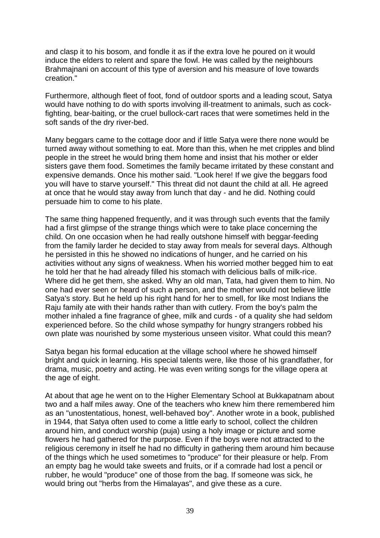and clasp it to his bosom, and fondle it as if the extra love he poured on it would induce the elders to relent and spare the fowl. He was called by the neighbours Brahmajnani on account of this type of aversion and his measure of love towards creation."

Furthermore, although fleet of foot, fond of outdoor sports and a leading scout, Satya would have nothing to do with sports involving ill-treatment to animals, such as cockfighting, bear-baiting, or the cruel bullock-cart races that were sometimes held in the soft sands of the dry river-bed.

Many beggars came to the cottage door and if little Satya were there none would be turned away without something to eat. More than this, when he met cripples and blind people in the street he would bring them home and insist that his mother or elder sisters gave them food. Sometimes the family became irritated by these constant and expensive demands. Once his mother said. "Look here! If we give the beggars food you will have to starve yourself." This threat did not daunt the child at all. He agreed at once that he would stay away from lunch that day - and he did. Nothing could persuade him to come to his plate.

The same thing happened frequently, and it was through such events that the family had a first glimpse of the strange things which were to take place concerning the child. On one occasion when he had really outshone himself with beggar-feeding from the family larder he decided to stay away from meals for several days. Although he persisted in this he showed no indications of hunger, and he carried on his activities without any signs of weakness. When his worried mother begged him to eat he told her that he had already filled his stomach with delicious balls of milk-rice. Where did he get them, she asked. Why an old man, Tata, had given them to him. No one had ever seen or heard of such a person, and the mother would not believe little Satya's story. But he held up his right hand for her to smell, for like most Indians the Raju family ate with their hands rather than with cutlery. From the boy's palm the mother inhaled a fine fragrance of ghee, milk and curds - of a quality she had seldom experienced before. So the child whose sympathy for hungry strangers robbed his own plate was nourished by some mysterious unseen visitor. What could this mean?

Satya began his formal education at the village school where he showed himself bright and quick in learning. His special talents were, like those of his grandfather, for drama, music, poetry and acting. He was even writing songs for the village opera at the age of eight.

At about that age he went on to the Higher Elementary School at Bukkapatnam about two and a half miles away. One of the teachers who knew him there remembered him as an "unostentatious, honest, well-behaved boy". Another wrote in a book, published in 1944, that Satya often used to come a little early to school, collect the children around him, and conduct worship (puja) using a holy image or picture and some flowers he had gathered for the purpose. Even if the boys were not attracted to the religious ceremony in itself he had no difficulty in gathering them around him because of the things which he used sometimes to "produce" for their pleasure or help. From an empty bag he would take sweets and fruits, or if a comrade had lost a pencil or rubber, he would "produce" one of those from the bag. If someone was sick, he would bring out "herbs from the Himalayas", and give these as a cure.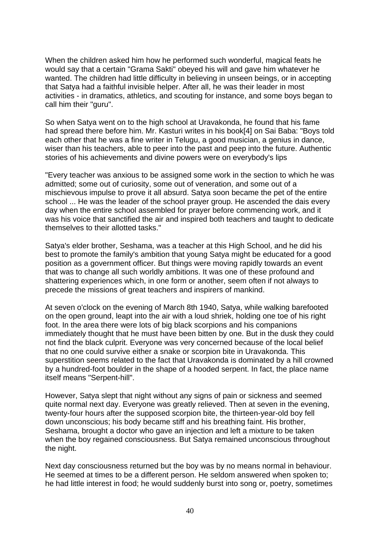When the children asked him how he performed such wonderful, magical feats he would say that a certain "Grama Sakti" obeyed his will and gave him whatever he wanted. The children had little difficulty in believing in unseen beings, or in accepting that Satya had a faithful invisible helper. After all, he was their leader in most activities - in dramatics, athletics, and scouting for instance, and some boys began to call him their "guru".

So when Satya went on to the high school at Uravakonda, he found that his fame had spread there before him. Mr. Kasturi writes in his book[4] on Sai Baba: "Boys told each other that he was a fine writer in Telugu, a good musician, a genius in dance, wiser than his teachers, able to peer into the past and peep into the future. Authentic stories of his achievements and divine powers were on everybody's lips

"Every teacher was anxious to be assigned some work in the section to which he was admitted; some out of curiosity, some out of veneration, and some out of a mischievous impulse to prove it all absurd. Satya soon became the pet of the entire school ... He was the leader of the school prayer group. He ascended the dais every day when the entire school assembled for prayer before commencing work, and it was his voice that sanctified the air and inspired both teachers and taught to dedicate themselves to their allotted tasks."

Satya's elder brother, Seshama, was a teacher at this High School, and he did his best to promote the family's ambition that young Satya might be educated for a good position as a government officer. But things were moving rapidly towards an event that was to change all such worldly ambitions. It was one of these profound and shattering experiences which, in one form or another, seem often if not always to precede the missions of great teachers and inspirers of mankind.

At seven o'clock on the evening of March 8th 1940, Satya, while walking barefooted on the open ground, leapt into the air with a loud shriek, holding one toe of his right foot. In the area there were lots of big black scorpions and his companions immediately thought that he must have been bitten by one. But in the dusk they could not find the black culprit. Everyone was very concerned because of the local belief that no one could survive either a snake or scorpion bite in Uravakonda. This superstition seems related to the fact that Uravakonda is dominated by a hill crowned by a hundred-foot boulder in the shape of a hooded serpent. In fact, the place name itself means "Serpent-hill".

However, Satya slept that night without any signs of pain or sickness and seemed quite normal next day. Everyone was greatly relieved. Then at seven in the evening, twenty-four hours after the supposed scorpion bite, the thirteen-year-old boy fell down unconscious; his body became stiff and his breathing faint. His brother, Seshama, brought a doctor who gave an injection and left a mixture to be taken when the boy regained consciousness. But Satya remained unconscious throughout the night.

Next day consciousness returned but the boy was by no means normal in behaviour. He seemed at times to be a different person. He seldom answered when spoken to; he had little interest in food; he would suddenly burst into song or, poetry, sometimes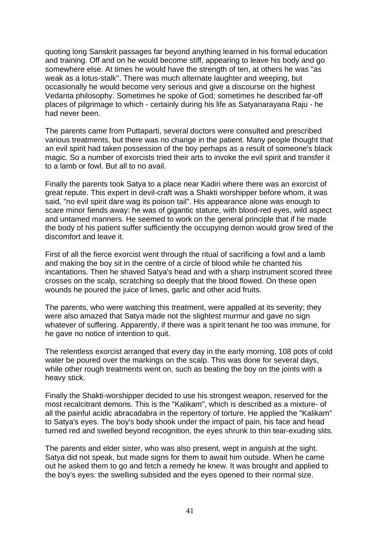quoting long Sanskrit passages far beyond anything learned in his formal education and training. Off and on he would become stiff, appearing to leave his body and go somewhere else. At times he would have the strength of ten, at others he was "as weak as a lotus-stalk''. There was much alternate laughter and weeping, but occasionally he would become very serious and give a discourse on the highest Vedanta philosophy. Sometimes he spoke of God; sometimes he described far-off places of pilgrimage to which - certainly during his life as Satyanarayana Raju - he had never been.

The parents came from Puttaparti, several doctors were consulted and prescribed various treatments, but there was no change in the patient. Many people thought that an evil spirit had taken possession of the boy perhaps as a result of someone's black magic. So a number of exorcists tried their arts to invoke the evil spirit and transfer it to a lamb or fowl. But all to no avail.

Finally the parents took Satya to a place near Kadiri where there was an exorcist of great repute. This expert in devil-craft was a Shakti worshipper before whom, it was said, "no evil spirit dare wag its poison tail". His appearance alone was enough to scare minor fiends away: he was of gigantic stature, with blood-red eyes, wild aspect and untamed manners. He seemed to work on the general principle that if he made the body of his patient suffer sufficiently the occupying demon would grow tired of the discomfort and leave it.

First of all the fierce exorcist went through the ritual of sacrificing a fowl and a lamb and making the boy sit in the centre of a circle of blood while he chanted his incantations. Then he shaved Satya's head and with a sharp instrument scored three crosses on the scalp, scratching so deeply that the blood flowed. On these open wounds he poured the juice of limes, garlic and other acid fruits.

The parents, who were watching this treatment, were appalled at its severity; they were also amazed that Satya made not the slightest murmur and gave no sign whatever of suffering. Apparently, if there was a spirit tenant he too was immune, for he gave no notice of intention to quit.

The relentless exorcist arranged that every day in the early morning, 108 pots of cold water be poured over the markings on the scalp. This was done for several days, while other rough treatments went on, such as beating the boy on the joints with a heavy stick.

Finally the Shakti-worshipper decided to use his strongest weapon, reserved for the most recalcitrant demons. This is the "Kalikam", which is described as a mixture- of all the painful acidic abracadabra in the repertory of torture. He applied the "Kalikam" to Satya's eyes. The boy's body shook under the impact of pain, his face and head turned red and swelled beyond recognition, the eyes shrunk to thin tear-exuding slits.

The parents and elder sister, who was also present, wept in anguish at the sight. Satya did not speak, but made signs for them to await him outside. When he came out he asked them to go and fetch a remedy he knew. It was brought and applied to the boy's eyes: the swelling subsided and the eyes opened to their normal size.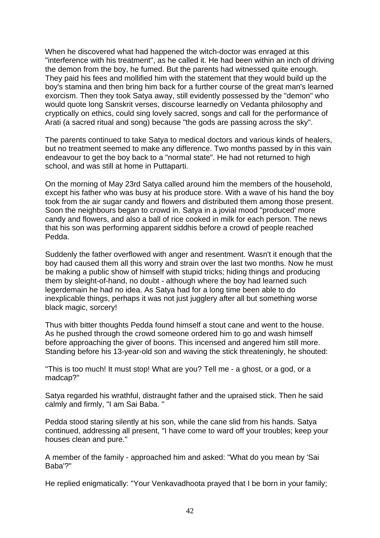When he discovered what had happened the witch-doctor was enraged at this "interference with his treatment", as he called it. He had been within an inch of driving the demon from the boy, he fumed. But the parents had witnessed quite enough. They paid his fees and mollified him with the statement that they would build up the boy's stamina and then bring him back for a further course of the great man's learned exorcism. Then they took Satya away, still evidently possessed by the "demon" who would quote long Sanskrit verses, discourse learnedly on Vedanta philosophy and cryptically on ethics, could sing lovely sacred, songs and call for the performance of Arati (a sacred ritual and song) because "the gods are passing across the sky".

The parents continued to take Satya to medical doctors and various kinds of healers, but no treatment seemed to make any difference. Two months passed by in this vain endeavour to get the boy back to a "normal state". He had not returned to high school, and was still at home in Puttaparti.

On the morning of May 23rd Satya called around him the members of the household, except his father who was busy at his produce store. With a wave of his hand the boy took from the air sugar candy and flowers and distributed them among those present. Soon the neighbours began to crowd in. Satya in a jovial mood "produced' more candy and flowers, and also a ball of rice cooked in milk for each person. The news that his son was performing apparent siddhis before a crowd of people reached Pedda.

Suddenly the father overflowed with anger and resentment. Wasn't it enough that the boy had caused them all this worry and strain over the last two months. Now he must be making a public show of himself with stupid tricks; hiding things and producing them by sleight-of-hand, no doubt - although where the boy had learned such legerdemain he had no idea. As Satya had for a long time been able to do inexplicable things, perhaps it was not just jugglery after all but something worse black magic, sorcery!

Thus with bitter thoughts Pedda found himself a stout cane and went to the house. As he pushed through the crowd someone ordered him to go and wash himself before approaching the giver of boons. This incensed and angered him still more. Standing before his 13-year-old son and waving the stick threateningly, he shouted:

''This is too much! It must stop! What are you? Tell me - a ghost, or a god, or a madcap?"

Satya regarded his wrathful, distraught father and the upraised stick. Then he said calmly and firmly, "I am Sai Baba. ''

Pedda stood staring silently at his son, while the cane slid from his hands. Satya continued, addressing all present, "I have come to ward off your troubles; keep your houses clean and pure."

A member of the family - approached him and asked: "What do you mean by 'Sai Baba'?"

He replied enigmatically: "Your Venkavadhoota prayed that I be born in your family;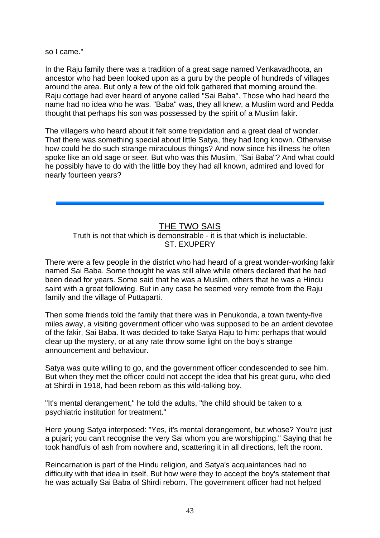so I came."

In the Raju family there was a tradition of a great sage named Venkavadhoota, an ancestor who had been looked upon as a guru by the people of hundreds of villages around the area. But only a few of the old folk gathered that morning around the. Raju cottage had ever heard of anyone called "Sai Baba". Those who had heard the name had no idea who he was. "Baba" was, they all knew, a Muslim word and Pedda thought that perhaps his son was possessed by the spirit of a Muslim fakir.

The villagers who heard about it felt some trepidation and a great deal of wonder. That there was something special about little Satya, they had long known. Otherwise how could he do such strange miraculous things? And now since his illness he often spoke like an old sage or seer. But who was this Muslim, "Sai Baba"? And what could he possibly have to do with the little boy they had all known, admired and loved for nearly fourteen years?

#### THE TWO SAIS Truth is not that which is demonstrable - it is that which is ineluctable. ST. EXUPERY

There were a few people in the district who had heard of a great wonder-working fakir named Sai Baba. Some thought he was still alive while others declared that he had been dead for years. Some said that he was a Muslim, others that he was a Hindu saint with a great following. But in any case he seemed very remote from the Raju family and the village of Puttaparti.

Then some friends told the family that there was in Penukonda, a town twenty-five miles away, a visiting government officer who was supposed to be an ardent devotee of the fakir, Sai Baba. It was decided to take Satya Raju to him: perhaps that would clear up the mystery, or at any rate throw some light on the boy's strange announcement and behaviour.

Satya was quite willing to go, and the government officer condescended to see him. But when they met the officer could not accept the idea that his great guru, who died at Shirdi in 1918, had been reborn as this wild-talking boy.

"It's mental derangement," he told the adults, "the child should be taken to a psychiatric institution for treatment."

Here young Satya interposed: "Yes, it's mental derangement, but whose? You're just a pujari; you can't recognise the very Sai whom you are worshipping." Saying that he took handfuls of ash from nowhere and, scattering it in all directions, left the room.

Reincarnation is part of the Hindu religion, and Satya's acquaintances had no difficulty with that idea in itself. But how were they to accept the boy's statement that he was actually Sai Baba of Shirdi reborn. The government officer had not helped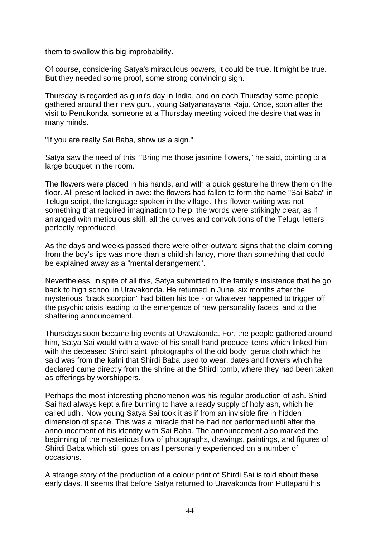them to swallow this big improbability.

Of course, considering Satya's miraculous powers, it could be true. It might be true. But they needed some proof, some strong convincing sign.

Thursday is regarded as guru's day in India, and on each Thursday some people gathered around their new guru, young Satyanarayana Raju. Once, soon after the visit to Penukonda, someone at a Thursday meeting voiced the desire that was in many minds.

"If you are really Sai Baba, show us a sign."

Satya saw the need of this. "Bring me those jasmine flowers," he said, pointing to a large bouquet in the room.

The flowers were placed in his hands, and with a quick gesture he threw them on the floor. All present looked in awe: the flowers had fallen to form the name "Sai Baba" in Telugu script, the language spoken in the village. This flower-writing was not something that required imagination to help; the words were strikingly clear, as if arranged with meticulous skill, all the curves and convolutions of the Telugu letters perfectly reproduced.

As the days and weeks passed there were other outward signs that the claim coming from the boy's lips was more than a childish fancy, more than something that could be explained away as a "mental derangement".

Nevertheless, in spite of all this, Satya submitted to the family's insistence that he go back to high school in Uravakonda. He returned in June, six months after the mysterious "black scorpion" had bitten his toe - or whatever happened to trigger off the psychic crisis leading to the emergence of new personality facets, and to the shattering announcement.

Thursdays soon became big events at Uravakonda. For, the people gathered around him, Satya Sai would with a wave of his small hand produce items which linked him with the deceased Shirdi saint: photographs of the old body, gerua cloth which he said was from the kafni that Shirdi Baba used to wear, dates and flowers which he declared came directly from the shrine at the Shirdi tomb, where they had been taken as offerings by worshippers.

Perhaps the most interesting phenomenon was his regular production of ash. Shirdi Sai had always kept a fire burning to have a ready supply of holy ash, which he called udhi. Now young Satya Sai took it as if from an invisible fire in hidden dimension of space. This was a miracle that he had not performed until after the announcement of his identity with Sai Baba. The announcement also marked the beginning of the mysterious flow of photographs, drawings, paintings, and figures of Shirdi Baba which still goes on as I personally experienced on a number of occasions.

A strange story of the production of a colour print of Shirdi Sai is told about these early days. It seems that before Satya returned to Uravakonda from Puttaparti his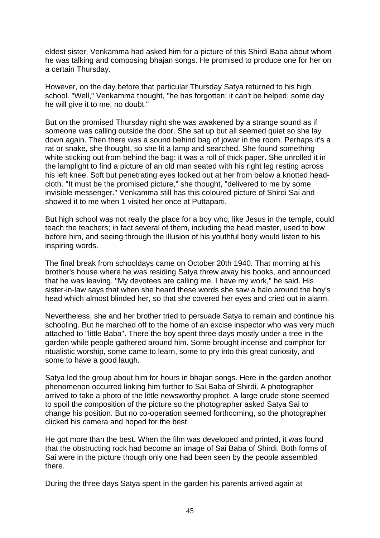eldest sister, Venkamma had asked him for a picture of this Shirdi Baba about whom he was talking and composing bhajan songs. He promised to produce one for her on a certain Thursday.

However, on the day before that particular Thursday Satya returned to his high school. "Well," Venkamma thought, "he has forgotten; it can't be helped; some day he will give it to me, no doubt."

But on the promised Thursday night she was awakened by a strange sound as if someone was calling outside the door. She sat up but all seemed quiet so she lay down again. Then there was a sound behind bag of jowar in the room. Perhaps it's a rat or snake, she thought, so she lit a lamp and searched. She found something white sticking out from behind the bag: it was a roll of thick paper. She unrolled it in the lamplight to find a picture of an old man seated with his right leg resting across his left knee. Soft but penetrating eyes looked out at her from below a knotted headcloth. "It must be the promised picture," she thought, "delivered to me by some invisible messenger." Venkamma still has this coloured picture of Shirdi Sai and showed it to me when 1 visited her once at Puttaparti.

But high school was not really the place for a boy who, like Jesus in the temple, could teach the teachers; in fact several of them, including the head master, used to bow before him, and seeing through the illusion of his youthful body would listen to his inspiring words.

The final break from schooldays came on October 20th 1940. That morning at his brother's house where he was residing Satya threw away his books, and announced that he was leaving. "My devotees are calling me. I have my work," he said. His sister-in-law says that when she heard these words she saw a halo around the boy's head which almost blinded her, so that she covered her eyes and cried out in alarm.

Nevertheless, she and her brother tried to persuade Satya to remain and continue his schooling. But he marched off to the home of an excise inspector who was very much attached to "little Baba". There the boy spent three days mostly under a tree in the garden while people gathered around him. Some brought incense and camphor for ritualistic worship, some came to learn, some to pry into this great curiosity, and some to have a good laugh.

Satya led the group about him for hours in bhajan songs. Here in the garden another phenomenon occurred linking him further to Sai Baba of Shirdi. A photographer arrived to take a photo of the little newsworthy prophet. A large crude stone seemed to spoil the composition of the picture so the photographer asked Satya Sai to change his position. But no co-operation seemed forthcoming, so the photographer clicked his camera and hoped for the best.

He got more than the best. When the film was developed and printed, it was found that the obstructing rock had become an image of Sai Baba of Shirdi. Both forms of Sai were in the picture though only one had been seen by the people assembled there.

During the three days Satya spent in the garden his parents arrived again at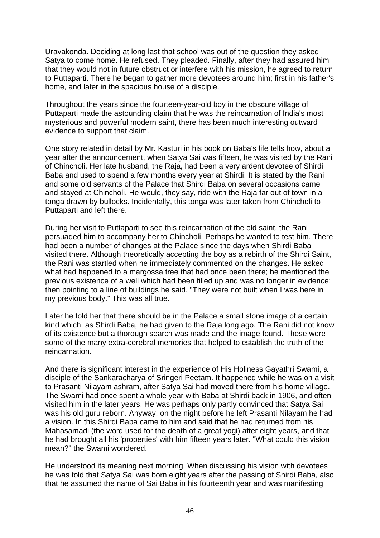Uravakonda. Deciding at long last that school was out of the question they asked Satya to come home. He refused. They pleaded. Finally, after they had assured him that they would not in future obstruct or interfere with his mission, he agreed to return to Puttaparti. There he began to gather more devotees around him; first in his father's home, and later in the spacious house of a disciple.

Throughout the years since the fourteen-year-old boy in the obscure village of Puttaparti made the astounding claim that he was the reincarnation of India's most mysterious and powerful modern saint, there has been much interesting outward evidence to support that claim.

One story related in detail by Mr. Kasturi in his book on Baba's life tells how, about a year after the announcement, when Satya Sai was fifteen, he was visited by the Rani of Chincholi. Her late husband, the Raja, had been a very ardent devotee of Shirdi Baba and used to spend a few months every year at Shirdi. It is stated by the Rani and some old servants of the Palace that Shirdi Baba on several occasions came and stayed at Chincholi. He would, they say, ride with the Raja far out of town in a tonga drawn by bullocks. Incidentally, this tonga was later taken from Chincholi to Puttaparti and left there.

During her visit to Puttaparti to see this reincarnation of the old saint, the Rani persuaded him to accompany her to Chincholi. Perhaps he wanted to test him. There had been a number of changes at the Palace since the days when Shirdi Baba visited there. Although theoretically accepting the boy as a rebirth of the Shirdi Saint, the Rani was startled when he immediately commented on the changes. He asked what had happened to a margossa tree that had once been there; he mentioned the previous existence of a well which had been filled up and was no longer in evidence; then pointing to a line of buildings he said. "They were not built when I was here in my previous body." This was all true.

Later he told her that there should be in the Palace a small stone image of a certain kind which, as Shirdi Baba, he had given to the Raja long ago. The Rani did not know of its existence but a thorough search was made and the image found. These were some of the many extra-cerebral memories that helped to establish the truth of the reincarnation.

And there is significant interest in the experience of His Holiness Gayathri Swami, a disciple of the Sankaracharya of Sringeri Peetam. It happened while he was on a visit to Prasanti Nilayam ashram, after Satya Sai had moved there from his home village. The Swami had once spent a whole year with Baba at Shirdi back in 1906, and often visited him in the later years. He was perhaps only partly convinced that Satya Sai was his old guru reborn. Anyway, on the night before he left Prasanti Nilayam he had a vision. In this Shirdi Baba came to him and said that he had returned from his Mahasamadi (the word used for the death of a great yogi) after eight years, and that he had brought all his 'properties' with him fifteen years later. "What could this vision mean?" the Swami wondered.

He understood its meaning next morning. When discussing his vision with devotees he was told that Satya Sai was born eight years after the passing of Shirdi Baba, also that he assumed the name of Sai Baba in his fourteenth year and was manifesting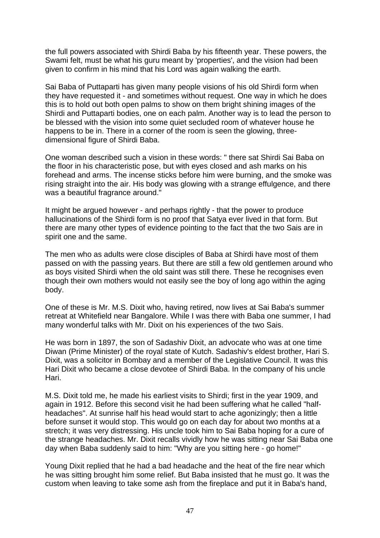the full powers associated with Shirdi Baba by his fifteenth year. These powers, the Swami felt, must be what his guru meant by 'properties', and the vision had been given to confirm in his mind that his Lord was again walking the earth.

Sai Baba of Puttaparti has given many people visions of his old Shirdi form when they have requested it - and sometimes without request. One way in which he does this is to hold out both open palms to show on them bright shining images of the Shirdi and Puttaparti bodies, one on each palm. Another way is to lead the person to be blessed with the vision into some quiet secluded room of whatever house he happens to be in. There in a corner of the room is seen the glowing, threedimensional figure of Shirdi Baba.

One woman described such a vision in these words: " there sat Shirdi Sai Baba on the floor in his characteristic pose, but with eyes closed and ash marks on his forehead and arms. The incense sticks before him were burning, and the smoke was rising straight into the air. His body was glowing with a strange effulgence, and there was a beautiful fragrance around."

It might be argued however - and perhaps rightly - that the power to produce hallucinations of the Shirdi form is no proof that Satya ever lived in that form. But there are many other types of evidence pointing to the fact that the two Sais are in spirit one and the same.

The men who as adults were close disciples of Baba at Shirdi have most of them passed on with the passing years. But there are still a few old gentlemen around who as boys visited Shirdi when the old saint was still there. These he recognises even though their own mothers would not easily see the boy of long ago within the aging body.

One of these is Mr. M.S. Dixit who, having retired, now lives at Sai Baba's summer retreat at Whitefield near Bangalore. While I was there with Baba one summer, I had many wonderful talks with Mr. Dixit on his experiences of the two Sais.

He was born in 1897, the son of Sadashiv Dixit, an advocate who was at one time Diwan (Prime Minister) of the royal state of Kutch. Sadashiv's eldest brother, Hari S. Dixit, was a solicitor in Bombay and a member of the Legislative Council. It was this Hari Dixit who became a close devotee of Shirdi Baba. In the company of his uncle Hari.

M.S. Dixit told me, he made his earliest visits to Shirdi; first in the year 1909, and again in 1912. Before this second visit he had been suffering what he called "halfheadaches". At sunrise half his head would start to ache agonizingly; then a little before sunset it would stop. This would go on each day for about two months at a stretch; it was very distressing. His uncle took him to Sai Baba hoping for a cure of the strange headaches. Mr. Dixit recalls vividly how he was sitting near Sai Baba one day when Baba suddenly said to him: "Why are you sitting here - go home!"

Young Dixit replied that he had a bad headache and the heat of the fire near which he was sitting brought him some relief. But Baba insisted that he must go. It was the custom when leaving to take some ash from the fireplace and put it in Baba's hand,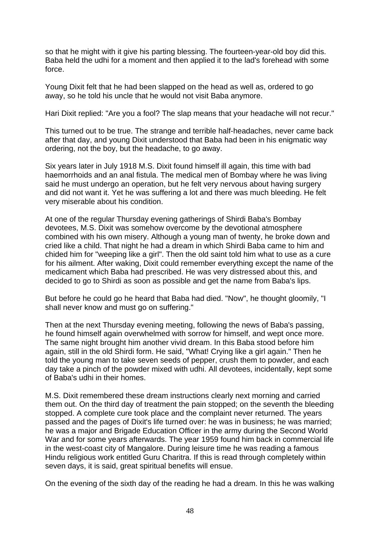so that he might with it give his parting blessing. The fourteen-year-old boy did this. Baba held the udhi for a moment and then applied it to the lad's forehead with some force.

Young Dixit felt that he had been slapped on the head as well as, ordered to go away, so he told his uncle that he would not visit Baba anymore.

Hari Dixit replied: "Are you a fool? The slap means that your headache will not recur."

This turned out to be true. The strange and terrible half-headaches, never came back after that day, and young Dixit understood that Baba had been in his enigmatic way ordering, not the boy, but the headache, to go away.

Six years later in July 1918 M.S. Dixit found himself ill again, this time with bad haemorrhoids and an anal fistula. The medical men of Bombay where he was living said he must undergo an operation, but he felt very nervous about having surgery and did not want it. Yet he was suffering a lot and there was much bleeding. He felt very miserable about his condition.

At one of the regular Thursday evening gatherings of Shirdi Baba's Bombay devotees, M.S. Dixit was somehow overcome by the devotional atmosphere combined with his own misery. Although a young man of twenty, he broke down and cried like a child. That night he had a dream in which Shirdi Baba came to him and chided him for "weeping like a girl". Then the old saint told him what to use as a cure for his ailment. After waking, Dixit could remember everything except the name of the medicament which Baba had prescribed. He was very distressed about this, and decided to go to Shirdi as soon as possible and get the name from Baba's lips.

But before he could go he heard that Baba had died. "Now", he thought gloomily, "I shall never know and must go on suffering."

Then at the next Thursday evening meeting, following the news of Baba's passing, he found himself again overwhelmed with sorrow for himself, and wept once more. The same night brought him another vivid dream. In this Baba stood before him again, still in the old Shirdi form. He said, "What! Crying like a girl again." Then he told the young man to take seven seeds of pepper, crush them to powder, and each day take a pinch of the powder mixed with udhi. All devotees, incidentally, kept some of Baba's udhi in their homes.

M.S. Dixit remembered these dream instructions clearly next morning and carried them out. On the third day of treatment the pain stopped; on the seventh the bleeding stopped. A complete cure took place and the complaint never returned. The years passed and the pages of Dixit's life turned over: he was in business; he was married; he was a major and Brigade Education Officer in the army during the Second World War and for some years afterwards. The year 1959 found him back in commercial life in the west-coast city of Mangalore. During leisure time he was reading a famous Hindu religious work entitled Guru Charitra. If this is read through completely within seven days, it is said, great spiritual benefits will ensue.

On the evening of the sixth day of the reading he had a dream. In this he was walking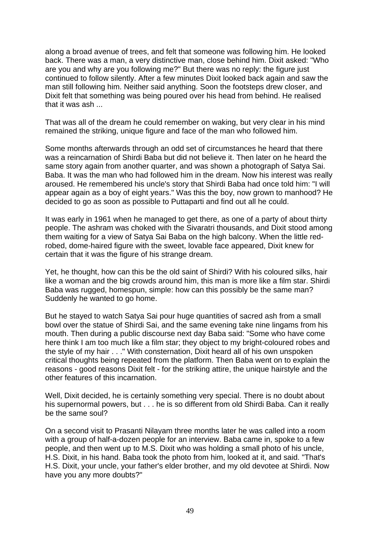along a broad avenue of trees, and felt that someone was following him. He looked back. There was a man, a very distinctive man, close behind him. Dixit asked: "Who are you and why are you following me?" But there was no reply: the figure just continued to follow silently. After a few minutes Dixit looked back again and saw the man still following him. Neither said anything. Soon the footsteps drew closer, and Dixit felt that something was being poured over his head from behind. He realised that it was ash ...

That was all of the dream he could remember on waking, but very clear in his mind remained the striking, unique figure and face of the man who followed him.

Some months afterwards through an odd set of circumstances he heard that there was a reincarnation of Shirdi Baba but did not believe it. Then later on he heard the same story again from another quarter, and was shown a photograph of Satya Sai. Baba. It was the man who had followed him in the dream. Now his interest was really aroused. He remembered his uncle's story that Shirdi Baba had once told him: "I will appear again as a boy of eight years." Was this the boy, now grown to manhood? He decided to go as soon as possible to Puttaparti and find out all he could.

It was early in 1961 when he managed to get there, as one of a party of about thirty people. The ashram was choked with the Sivaratri thousands, and Dixit stood among them waiting for a view of Satya Sai Baba on the high balcony. When the little redrobed, dome-haired figure with the sweet, lovable face appeared, Dixit knew for certain that it was the figure of his strange dream.

Yet, he thought, how can this be the old saint of Shirdi? With his coloured silks, hair like a woman and the big crowds around him, this man is more like a film star. Shirdi Baba was rugged, homespun, simple: how can this possibly be the same man? Suddenly he wanted to go home.

But he stayed to watch Satya Sai pour huge quantities of sacred ash from a small bowl over the statue of Shirdi Sai, and the same evening take nine lingams from his mouth. Then during a public discourse next day Baba said: "Some who have come here think I am too much like a film star; they object to my bright-coloured robes and the style of my hair . . ." With consternation, Dixit heard all of his own unspoken critical thoughts being repeated from the platform. Then Baba went on to explain the reasons - good reasons Dixit felt - for the striking attire, the unique hairstyle and the other features of this incarnation.

Well, Dixit decided, he is certainly something very special. There is no doubt about his supernormal powers, but . . . he is so different from old Shirdi Baba. Can it really be the same soul?

On a second visit to Prasanti Nilayam three months later he was called into a room with a group of half-a-dozen people for an interview. Baba came in, spoke to a few people, and then went up to M.S. Dixit who was holding a small photo of his uncle, H.S. Dixit, in his hand. Baba took the photo from him, looked at it, and said. "That's H.S. Dixit, your uncle, your father's elder brother, and my old devotee at Shirdi. Now have you any more doubts?"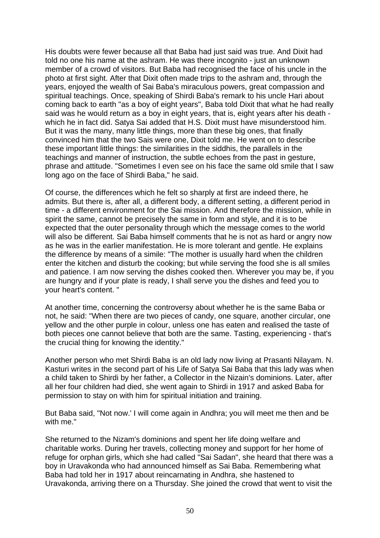His doubts were fewer because all that Baba had just said was true. And Dixit had told no one his name at the ashram. He was there incognito - just an unknown member of a crowd of visitors. But Baba had recognised the face of his uncle in the photo at first sight. After that Dixit often made trips to the ashram and, through the years, enjoyed the wealth of Sai Baba's miraculous powers, great compassion and spiritual teachings. Once, speaking of Shirdi Baba's remark to his uncle Hari about coming back to earth "as a boy of eight years", Baba told Dixit that what he had really said was he would return as a boy in eight years, that is, eight years after his death which he in fact did. Satya Sai added that H.S. Dixit must have misunderstood him. But it was the many, many little things, more than these big ones, that finally convinced him that the two Sais were one, Dixit told me. He went on to describe these important little things: the similarities in the siddhis, the parallels in the teachings and manner of instruction, the subtle echoes from the past in gesture, phrase and attitude. "Sometimes I even see on his face the same old smile that I saw long ago on the face of Shirdi Baba," he said.

Of course, the differences which he felt so sharply at first are indeed there, he admits. But there is, after all, a different body, a different setting, a different period in time - a different environment for the Sai mission. And therefore the mission, while in spirit the same, cannot be precisely the same in form and style, and it is to be expected that the outer personality through which the message comes to the world will also be different. Sai Baba himself comments that he is not as hard or angry now as he was in the earlier manifestation. He is more tolerant and gentle. He explains the difference by means of a simile: "The mother is usually hard when the children enter the kitchen and disturb the cooking; but while serving the food she is all smiles and patience. I am now serving the dishes cooked then. Wherever you may be, if you are hungry and if your plate is ready, I shall serve you the dishes and feed you to your heart's content. "

At another time, concerning the controversy about whether he is the same Baba or not, he said: "When there are two pieces of candy, one square, another circular, one yellow and the other purple in colour, unless one has eaten and realised the taste of both pieces one cannot believe that both are the same. Tasting, experiencing - that's the crucial thing for knowing the identity."

Another person who met Shirdi Baba is an old lady now living at Prasanti Nilayam. N. Kasturi writes in the second part of his Life of Satya Sai Baba that this lady was when a child taken to Shirdi by her father, a Collector in the Nizain's dominions. Later, after all her four children had died, she went again to Shirdi in 1917 and asked Baba for permission to stay on with him for spiritual initiation and training.

But Baba said, "Not now.' I will come again in Andhra; you will meet me then and be with me."

She returned to the Nizam's dominions and spent her life doing welfare and charitable works. During her travels, collecting money and support for her home of refuge for orphan girls, which she had called "Sai Sadan", she heard that there was a boy in Uravakonda who had announced himself as Sai Baba. Remembering what Baba had told her in 1917 about reincarnating in Andhra, she hastened to Uravakonda, arriving there on a Thursday. She joined the crowd that went to visit the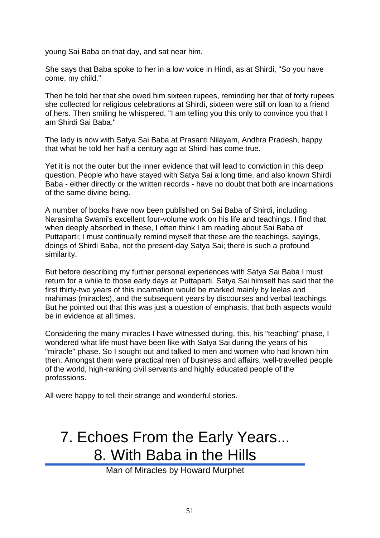young Sai Baba on that day, and sat near him.

She says that Baba spoke to her in a low voice in Hindi, as at Shirdi, "So you have come, my child."

Then he told her that she owed him sixteen rupees, reminding her that of forty rupees she collected for religious celebrations at Shirdi, sixteen were still on loan to a friend of hers. Then smiling he whispered, "I am telling you this only to convince you that I am Shirdi Sai Baba."

The lady is now with Satya Sai Baba at Prasanti Nilayam, Andhra Pradesh, happy that what he told her half a century ago at Shirdi has come true.

Yet it is not the outer but the inner evidence that will lead to conviction in this deep question. People who have stayed with Satya Sai a long time, and also known Shirdi Baba - either directly or the written records - have no doubt that both are incarnations of the same divine being.

A number of books have now been published on Sai Baba of Shirdi, including Narasimha Swami's excellent four-volume work on his life and teachings. I find that when deeply absorbed in these, I often think I am reading about Sai Baba of Puttaparti; I must continually remind myself that these are the teachings, sayings, doings of Shirdi Baba, not the present-day Satya Sai; there is such a profound similarity.

But before describing my further personal experiences with Satya Sai Baba I must return for a while to those early days at Puttaparti. Satya Sai himself has said that the first thirty-two years of this incarnation would be marked mainly by leelas and mahimas (miracles), and the subsequent years by discourses and verbal teachings. But he pointed out that this was just a question of emphasis, that both aspects would be in evidence at all times.

Considering the many miracles I have witnessed during, this, his "teaching" phase, I wondered what life must have been like with Satya Sai during the years of his "miracle" phase. So I sought out and talked to men and women who had known him then. Amongst them were practical men of business and affairs, well-travelled people of the world, high-ranking civil servants and highly educated people of the professions.

All were happy to tell their strange and wonderful stories.

# 7. Echoes From the Early Years... 8. With Baba in the Hills

Man of Miracles by Howard Murphet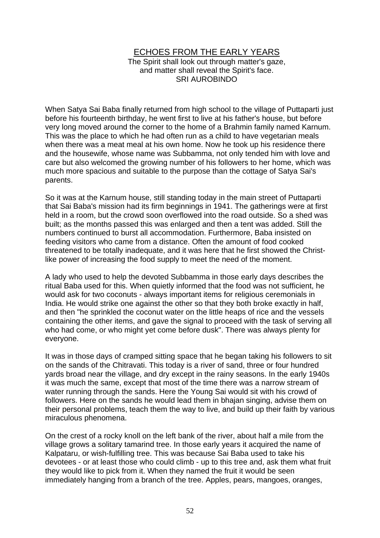#### ECHOES FROM THE EARLY YEARS The Spirit shall look out through matter's gaze, and matter shall reveal the Spirit's face. SRI AUROBINDO

When Satya Sai Baba finally returned from high school to the village of Puttaparti just before his fourteenth birthday, he went first to live at his father's house, but before very long moved around the corner to the home of a Brahmin family named Karnum. This was the place to which he had often run as a child to have vegetarian meals when there was a meat meal at his own home. Now he took up his residence there and the housewife, whose name was Subbamma, not only tended him with love and care but also welcomed the growing number of his followers to her home, which was much more spacious and suitable to the purpose than the cottage of Satya Sai's parents.

So it was at the Karnum house, still standing today in the main street of Puttaparti that Sai Baba's mission had its firm beginnings in 1941. The gatherings were at first held in a room, but the crowd soon overflowed into the road outside. So a shed was built; as the months passed this was enlarged and then a tent was added. Still the numbers continued to burst all accommodation. Furthermore, Baba insisted on feeding visitors who came from a distance. Often the amount of food cooked threatened to be totally inadequate, and it was here that he first showed the Christlike power of increasing the food supply to meet the need of the moment.

A lady who used to help the devoted Subbamma in those early days describes the ritual Baba used for this. When quietly informed that the food was not sufficient, he would ask for two coconuts - always important items for religious ceremonials in India. He would strike one against the other so that they both broke exactly in half, and then "he sprinkled the coconut water on the little heaps of rice and the vessels containing the other items, and gave the signal to proceed with the task of serving all who had come, or who might yet come before dusk". There was always plenty for everyone.

It was in those days of cramped sitting space that he began taking his followers to sit on the sands of the Chitravati. This today is a river of sand, three or four hundred yards broad near the village, and dry except in the rainy seasons. In the early 1940s it was much the same, except that most of the time there was a narrow stream of water running through the sands. Here the Young Sai would sit with his crowd of followers. Here on the sands he would lead them in bhajan singing, advise them on their personal problems, teach them the way to live, and build up their faith by various miraculous phenomena.

On the crest of a rocky knoll on the left bank of the river, about half a mile from the village grows a solitary tamarind tree. In those early years it acquired the name of Kalpataru, or wish-fulfilling tree. This was because Sai Baba used to take his devotees - or at least those who could climb - up to this tree and, ask them what fruit they would like to pick from it. When they named the fruit it would be seen immediately hanging from a branch of the tree. Apples, pears, mangoes, oranges,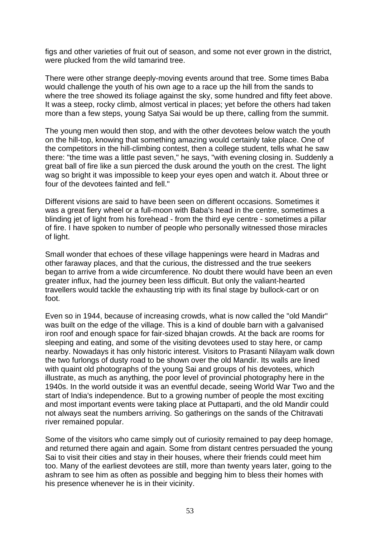figs and other varieties of fruit out of season, and some not ever grown in the district, were plucked from the wild tamarind tree.

There were other strange deeply-moving events around that tree. Some times Baba would challenge the youth of his own age to a race up the hill from the sands to where the tree showed its foliage against the sky, some hundred and fifty feet above. It was a steep, rocky climb, almost vertical in places; yet before the others had taken more than a few steps, young Satya Sai would be up there, calling from the summit.

The young men would then stop, and with the other devotees below watch the youth on the hill-top, knowing that something amazing would certainly take place. One of the competitors in the hill-climbing contest, then a college student, tells what he saw there: "the time was a little past seven," he says, "with evening closing in. Suddenly a great ball of fire like a sun pierced the dusk around the youth on the crest. The light wag so bright it was impossible to keep your eyes open and watch it. About three or four of the devotees fainted and fell."

Different visions are said to have been seen on different occasions. Sometimes it was a great fiery wheel or a full-moon with Baba's head in the centre, sometimes a blinding jet of light from his forehead - from the third eye centre - sometimes a pillar of fire. I have spoken to number of people who personally witnessed those miracles of light.

Small wonder that echoes of these village happenings were heard in Madras and other faraway places, and that the curious, the distressed and the true seekers began to arrive from a wide circumference. No doubt there would have been an even greater influx, had the journey been less difficult. But only the valiant-hearted travellers would tackle the exhausting trip with its final stage by bullock-cart or on foot.

Even so in 1944, because of increasing crowds, what is now called the "old Mandir" was built on the edge of the village. This is a kind of double barn with a galvanised iron roof and enough space for fair-sized bhajan crowds. At the back are rooms for sleeping and eating, and some of the visiting devotees used to stay here, or camp nearby. Nowadays it has only historic interest. Visitors to Prasanti Nilayam walk down the two furlongs of dusty road to be shown over the old Mandir. Its walls are lined with quaint old photographs of the young Sai and groups of his devotees, which illustrate, as much as anything, the poor level of provincial photography here in the 1940s. In the world outside it was an eventful decade, seeing World War Two and the start of India's independence. But to a growing number of people the most exciting and most important events were taking place at Puttaparti, and the old Mandir could not always seat the numbers arriving. So gatherings on the sands of the Chitravati river remained popular.

Some of the visitors who came simply out of curiosity remained to pay deep homage, and returned there again and again. Some from distant centres persuaded the young Sai to visit their cities and stay in their houses, where their friends could meet him too. Many of the earliest devotees are still, more than twenty years later, going to the ashram to see him as often as possible and begging him to bless their homes with his presence whenever he is in their vicinity.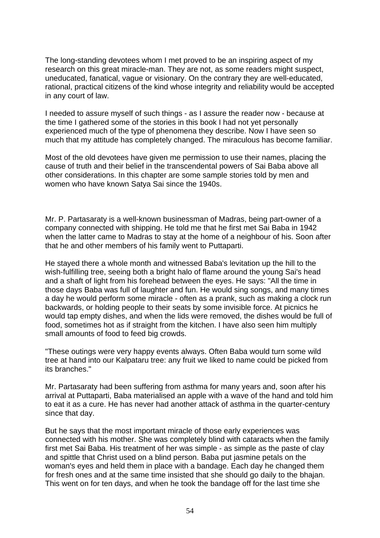The long-standing devotees whom I met proved to be an inspiring aspect of my research on this great miracle-man. They are not, as some readers might suspect, uneducated, fanatical, vague or visionary. On the contrary they are well-educated, rational, practical citizens of the kind whose integrity and reliability would be accepted in any court of law.

I needed to assure myself of such things - as I assure the reader now - because at the time I gathered some of the stories in this book I had not yet personally experienced much of the type of phenomena they describe. Now I have seen so much that my attitude has completely changed. The miraculous has become familiar.

Most of the old devotees have given me permission to use their names, placing the cause of truth and their belief in the transcendental powers of Sai Baba above all other considerations. In this chapter are some sample stories told by men and women who have known Satya Sai since the 1940s.

Mr. P. Partasaraty is a well-known businessman of Madras, being part-owner of a company connected with shipping. He told me that he first met Sai Baba in 1942 when the latter came to Madras to stay at the home of a neighbour of his. Soon after that he and other members of his family went to Puttaparti.

He stayed there a whole month and witnessed Baba's levitation up the hill to the wish-fulfilling tree, seeing both a bright halo of flame around the young Sai's head and a shaft of light from his forehead between the eyes. He says: "All the time in those days Baba was full of laughter and fun. He would sing songs, and many times a day he would perform some miracle - often as a prank, such as making a clock run backwards, or holding people to their seats by some invisible force. At picnics he would tap empty dishes, and when the lids were removed, the dishes would be full of food, sometimes hot as if straight from the kitchen. I have also seen him multiply small amounts of food to feed big crowds.

"These outings were very happy events always. Often Baba would turn some wild tree at hand into our Kalpataru tree: any fruit we liked to name could be picked from its branches."

Mr. Partasaraty had been suffering from asthma for many years and, soon after his arrival at Puttaparti, Baba materialised an apple with a wave of the hand and told him to eat it as a cure. He has never had another attack of asthma in the quarter-century since that day.

But he says that the most important miracle of those early experiences was connected with his mother. She was completely blind with cataracts when the family first met Sai Baba. His treatment of her was simple - as simple as the paste of clay and spittle that Christ used on a blind person. Baba put jasmine petals on the woman's eyes and held them in place with a bandage. Each day he changed them for fresh ones and at the same time insisted that she should go daily to the bhajan. This went on for ten days, and when he took the bandage off for the last time she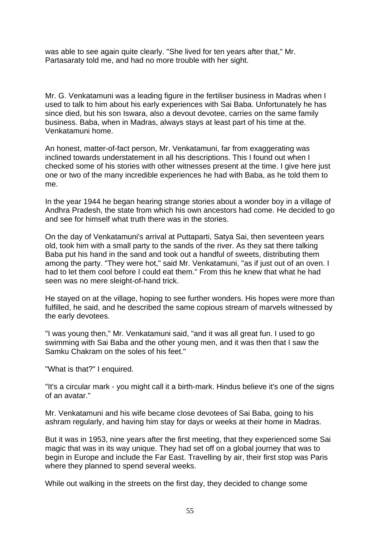was able to see again quite clearly. "She lived for ten years after that," Mr. Partasaraty told me, and had no more trouble with her sight.

Mr. G. Venkatamuni was a leading figure in the fertiliser business in Madras when I used to talk to him about his early experiences with Sai Baba. Unfortunately he has since died, but his son Iswara, also a devout devotee, carries on the same family business. Baba, when in Madras, always stays at least part of his time at the. Venkatamuni home.

An honest, matter-of-fact person, Mr. Venkatamuni, far from exaggerating was inclined towards understatement in all his descriptions. This I found out when I checked some of his stories with other witnesses present at the time. I give here just one or two of the many incredible experiences he had with Baba, as he told them to me.

In the year 1944 he began hearing strange stories about a wonder boy in a village of Andhra Pradesh, the state from which his own ancestors had come. He decided to go and see for himself what truth there was in the stories.

On the day of Venkatamuni's arrival at Puttaparti, Satya Sai, then seventeen years old, took him with a small party to the sands of the river. As they sat there talking Baba put his hand in the sand and took out a handful of sweets, distributing them among the party. "They were hot," said Mr. Venkatamuni, "as if just out of an oven. I had to let them cool before I could eat them." From this he knew that what he had seen was no mere sleight-of-hand trick.

He stayed on at the village, hoping to see further wonders. His hopes were more than fulfilled, he said, and he described the same copious stream of marvels witnessed by the early devotees.

"I was young then," Mr. Venkatamuni said, "and it was all great fun. I used to go swimming with Sai Baba and the other young men, and it was then that I saw the Samku Chakram on the soles of his feet."

"What is that?" I enquired.

"It's a circular mark - you might call it a birth-mark. Hindus believe it's one of the signs of an avatar."

Mr. Venkatamuni and his wife became close devotees of Sai Baba, going to his ashram regularly, and having him stay for days or weeks at their home in Madras.

But it was in 1953, nine years after the first meeting, that they experienced some Sai magic that was in its way unique. They had set off on a global journey that was to begin in Europe and include the Far East. Travelling by air, their first stop was Paris where they planned to spend several weeks.

While out walking in the streets on the first day, they decided to change some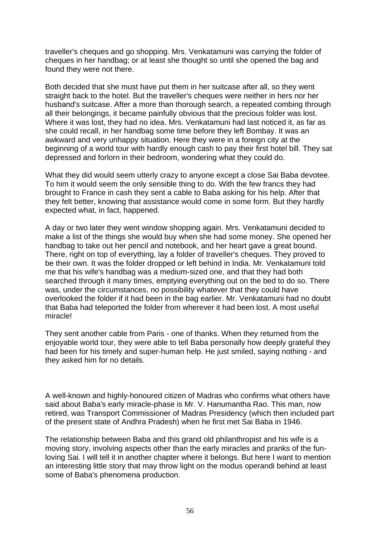traveller's cheques and go shopping. Mrs. Venkatamuni was carrying the folder of cheques in her handbag; or at least she thought so until she opened the bag and found they were not there.

Both decided that she must have put them in her suitcase after all, so they went straight back to the hotel. But the traveller's cheques were neither in hers nor her husband's suitcase. After a more than thorough search, a repeated combing through all their belongings, it became painfully obvious that the precious folder was lost. Where it was lost, they had no idea. Mrs. Venkatamuni had last noticed it, as far as she could recall, in her handbag some time before they left Bombay. It was an awkward and very unhappy situation. Here they were in a foreign city at the beginning of a world tour with hardly enough cash to pay their first hotel bill. They sat depressed and forlorn in their bedroom, wondering what they could do.

What they did would seem utterly crazy to anyone except a close Sai Baba devotee. To him it would seem the only sensible thing to do. With the few francs they had brought to France in cash they sent a cable to Baba asking for his help. After that they felt better, knowing that assistance would come in some form. But they hardly expected what, in fact, happened.

A day or two later they went window shopping again. Mrs. Venkatamuni decided to make a list of the things she would buy when she had some money. She opened her handbag to take out her pencil and notebook, and her heart gave a great bound. There, right on top of everything, lay a folder of traveller's cheques. They proved to be their own. It was the folder dropped or left behind in India. Mr. Venkatamuni told me that his wife's handbag was a medium-sized one, and that they had both searched through it many times, emptying everything out on the bed to do so. There was, under the circumstances, no possibility whatever that they could have overlooked the folder if it had been in the bag earlier. Mr. Venkatamuni had no doubt that Baba had teleported the folder from wherever it had been lost. A most useful miracle!

They sent another cable from Paris - one of thanks. When they returned from the enjoyable world tour, they were able to tell Baba personally how deeply grateful they had been for his timely and super-human help. He just smiled, saying nothing - and they asked him for no details.

A well-known and highly-honoured citizen of Madras who confirms what others have said about Baba's early miracle-phase is Mr. V. Hanumantha Rao. This man, now retired, was Transport Commissioner of Madras Presidency (which then included part of the present state of Andhra Pradesh) when he first met Sai Baba in 1946.

The relationship between Baba and this grand old philanthropist and his wife is a moving story, involving aspects other than the early miracles and pranks of the funloving Sai. I will tell it in another chapter where it belongs. But here I want to mention an interesting little story that may throw light on the modus operandi behind at least some of Baba's phenomena production.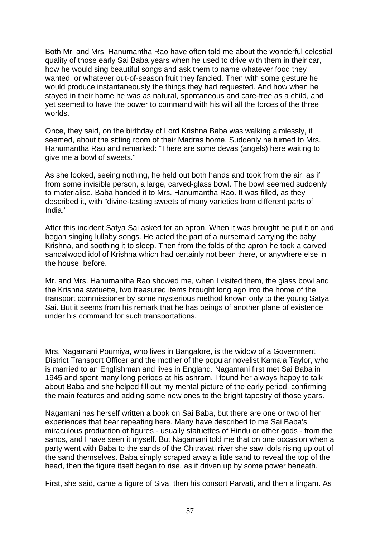Both Mr. and Mrs. Hanumantha Rao have often told me about the wonderful celestial quality of those early Sai Baba years when he used to drive with them in their car, how he would sing beautiful songs and ask them to name whatever food they wanted, or whatever out-of-season fruit they fancied. Then with some gesture he would produce instantaneously the things they had requested. And how when he stayed in their home he was as natural, spontaneous and care-free as a child, and yet seemed to have the power to command with his will all the forces of the three worlds.

Once, they said, on the birthday of Lord Krishna Baba was walking aimlessly, it seemed, about the sitting room of their Madras home. Suddenly he turned to Mrs. Hanumantha Rao and remarked: "There are some devas (angels) here waiting to give me a bowl of sweets."

As she looked, seeing nothing, he held out both hands and took from the air, as if from some invisible person, a large, carved-glass bowl. The bowl seemed suddenly to materialise. Baba handed it to Mrs. Hanumantha Rao. It was filled, as they described it, with "divine-tasting sweets of many varieties from different parts of India."

After this incident Satya Sai asked for an apron. When it was brought he put it on and began singing lullaby songs. He acted the part of a nursemaid carrying the baby Krishna, and soothing it to sleep. Then from the folds of the apron he took a carved sandalwood idol of Krishna which had certainly not been there, or anywhere else in the house, before.

Mr. and Mrs. Hanumantha Rao showed me, when I visited them, the glass bowl and the Krishna statuette, two treasured items brought long ago into the home of the transport commissioner by some mysterious method known only to the young Satya Sai. But it seems from his remark that he has beings of another plane of existence under his command for such transportations.

Mrs. Nagamani Pourniya, who lives in Bangalore, is the widow of a Government District Transport Officer and the mother of the popular novelist Kamala Taylor, who is married to an Englishman and lives in England. Nagamani first met Sai Baba in 1945 and spent many long periods at his ashram. I found her always happy to talk about Baba and she helped fill out my mental picture of the early period, confirming the main features and adding some new ones to the bright tapestry of those years.

Nagamani has herself written a book on Sai Baba, but there are one or two of her experiences that bear repeating here. Many have described to me Sai Baba's miraculous production of figures - usually statuettes of Hindu or other gods - from the sands, and I have seen it myself. But Nagamani told me that on one occasion when a party went with Baba to the sands of the Chitravati river she saw idols rising up out of the sand themselves. Baba simply scraped away a little sand to reveal the top of the head, then the figure itself began to rise, as if driven up by some power beneath.

First, she said, came a figure of Siva, then his consort Parvati, and then a lingam. As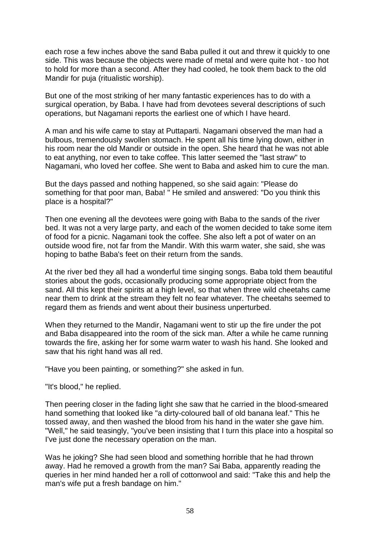each rose a few inches above the sand Baba pulled it out and threw it quickly to one side. This was because the objects were made of metal and were quite hot - too hot to hold for more than a second. After they had cooled, he took them back to the old Mandir for puja (ritualistic worship).

But one of the most striking of her many fantastic experiences has to do with a surgical operation, by Baba. I have had from devotees several descriptions of such operations, but Nagamani reports the earliest one of which I have heard.

A man and his wife came to stay at Puttaparti. Nagamani observed the man had a bulbous, tremendously swollen stomach. He spent all his time lying down, either in his room near the old Mandir or outside in the open. She heard that he was not able to eat anything, nor even to take coffee. This latter seemed the "last straw" to Nagamani, who loved her coffee. She went to Baba and asked him to cure the man.

But the days passed and nothing happened, so she said again: "Please do something for that poor man, Baba! " He smiled and answered: "Do you think this place is a hospital?"

Then one evening all the devotees were going with Baba to the sands of the river bed. It was not a very large party, and each of the women decided to take some item of food for a picnic. Nagamani took the coffee. She also left a pot of water on an outside wood fire, not far from the Mandir. With this warm water, she said, she was hoping to bathe Baba's feet on their return from the sands.

At the river bed they all had a wonderful time singing songs. Baba told them beautiful stories about the gods, occasionally producing some appropriate object from the sand. All this kept their spirits at a high level, so that when three wild cheetahs came near them to drink at the stream they felt no fear whatever. The cheetahs seemed to regard them as friends and went about their business unperturbed.

When they returned to the Mandir, Nagamani went to stir up the fire under the pot and Baba disappeared into the room of the sick man. After a while he came running towards the fire, asking her for some warm water to wash his hand. She looked and saw that his right hand was all red.

"Have you been painting, or something?" she asked in fun.

"It's blood," he replied.

Then peering closer in the fading light she saw that he carried in the blood-smeared hand something that looked like "a dirty-coloured ball of old banana leaf." This he tossed away, and then washed the blood from his hand in the water she gave him. "Well," he said teasingly, "you've been insisting that I turn this place into a hospital so I've just done the necessary operation on the man.

Was he joking? She had seen blood and something horrible that he had thrown away. Had he removed a growth from the man? Sai Baba, apparently reading the queries in her mind handed her a roll of cottonwool and said: "Take this and help the man's wife put a fresh bandage on him."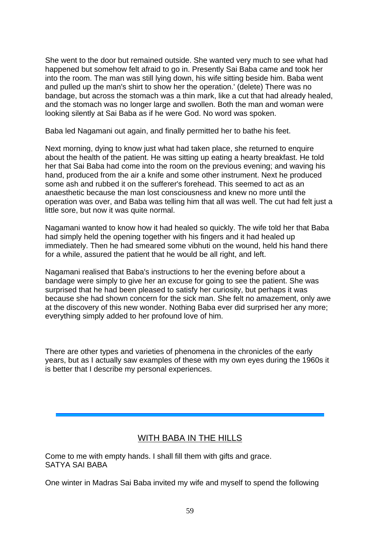She went to the door but remained outside. She wanted very much to see what had happened but somehow felt afraid to go in. Presently Sai Baba came and took her into the room. The man was still lying down, his wife sitting beside him. Baba went and pulled up the man's shirt to show her the operation.' (delete) There was no bandage, but across the stomach was a thin mark, like a cut that had already healed, and the stomach was no longer large and swollen. Both the man and woman were looking silently at Sai Baba as if he were God. No word was spoken.

Baba led Nagamani out again, and finally permitted her to bathe his feet.

Next morning, dying to know just what had taken place, she returned to enquire about the health of the patient. He was sitting up eating a hearty breakfast. He told her that Sai Baba had come into the room on the previous evening; and waving his hand, produced from the air a knife and some other instrument. Next he produced some ash and rubbed it on the sufferer's forehead. This seemed to act as an anaesthetic because the man lost consciousness and knew no more until the operation was over, and Baba was telling him that all was well. The cut had felt just a little sore, but now it was quite normal.

Nagamani wanted to know how it had healed so quickly. The wife told her that Baba had simply held the opening together with his fingers and it had healed up immediately. Then he had smeared some vibhuti on the wound, held his hand there for a while, assured the patient that he would be all right, and left.

Nagamani realised that Baba's instructions to her the evening before about a bandage were simply to give her an excuse for going to see the patient. She was surprised that he had been pleased to satisfy her curiosity, but perhaps it was because she had shown concern for the sick man. She felt no amazement, only awe at the discovery of this new wonder. Nothing Baba ever did surprised her any more; everything simply added to her profound love of him.

There are other types and varieties of phenomena in the chronicles of the early years, but as I actually saw examples of these with my own eyes during the 1960s it is better that I describe my personal experiences.

# WITH BABA IN THE HILLS

Come to me with empty hands. I shall fill them with gifts and grace. SATYA SAI BABA

One winter in Madras Sai Baba invited my wife and myself to spend the following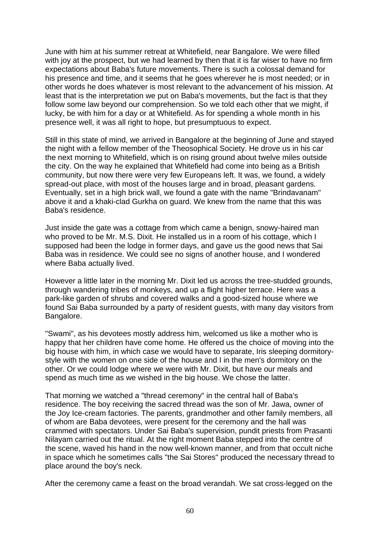June with him at his summer retreat at Whitefield, near Bangalore. We were filled with joy at the prospect, but we had learned by then that it is far wiser to have no firm expectations about Baba's future movements. There is such a colossal demand for his presence and time, and it seems that he goes wherever he is most needed; or in other words he does whatever is most relevant to the advancement of his mission. At least that is the interpretation we put on Baba's movements, but the fact is that they follow some law beyond our comprehension. So we told each other that we might, if lucky, be with him for a day or at Whitefield. As for spending a whole month in his presence well, it was all right to hope, but presumptuous to expect.

Still in this state of mind, we arrived in Bangalore at the beginning of June and stayed the night with a fellow member of the Theosophical Society. He drove us in his car the next morning to Whitefield, which is on rising ground about twelve miles outside the city. On the way he explained that Whitefield had come into being as a British community, but now there were very few Europeans left. It was, we found, a widely spread-out place, with most of the houses large and in broad, pleasant gardens. Eventually, set in a high brick wall, we found a gate with the name "Brindavanam" above it and a khaki-clad Gurkha on guard. We knew from the name that this was Baba's residence.

Just inside the gate was a cottage from which came a benign, snowy-haired man who proved to be Mr. M.S. Dixit. He installed us in a room of his cottage, which I supposed had been the lodge in former days, and gave us the good news that Sai Baba was in residence. We could see no signs of another house, and I wondered where Baba actually lived.

However a little later in the morning Mr. Dixit led us across the tree-studded grounds, through wandering tribes of monkeys, and up a flight higher terrace. Here was a park-like garden of shrubs and covered walks and a good-sized house where we found Sai Baba surrounded by a party of resident guests, with many day visitors from Bangalore.

"Swami", as his devotees mostly address him, welcomed us like a mother who is happy that her children have come home. He offered us the choice of moving into the big house with him, in which case we would have to separate, Iris sleeping dormitorystyle with the women on one side of the house and I in the men's dormitory on the other. Or we could lodge where we were with Mr. Dixit, but have our meals and spend as much time as we wished in the big house. We chose the latter.

That morning we watched a "thread ceremony" in the central hall of Baba's residence. The boy receiving the sacred thread was the son of Mr. Jawa, owner of the Joy Ice-cream factories. The parents, grandmother and other family members, all of whom are Baba devotees, were present for the ceremony and the hall was crammed with spectators. Under Sai Baba's supervision, pundit priests from Prasanti Nilayam carried out the ritual. At the right moment Baba stepped into the centre of the scene, waved his hand in the now well-known manner, and from that occult niche in space which he sometimes calls "the Sai Stores" produced the necessary thread to place around the boy's neck.

After the ceremony came a feast on the broad verandah. We sat cross-legged on the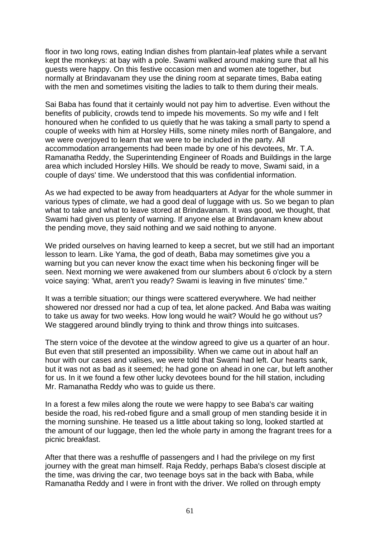floor in two long rows, eating Indian dishes from plantain-leaf plates while a servant kept the monkeys: at bay with a pole. Swami walked around making sure that all his guests were happy. On this festive occasion men and women ate together, but normally at Brindavanam they use the dining room at separate times, Baba eating with the men and sometimes visiting the ladies to talk to them during their meals.

Sai Baba has found that it certainly would not pay him to advertise. Even without the benefits of publicity, crowds tend to impede his movements. So my wife and I felt honoured when he confided to us quietly that he was taking a small party to spend a couple of weeks with him at Horsley Hills, some ninety miles north of Bangalore, and we were overjoyed to learn that we were to be included in the party. All accommodation arrangements had been made by one of his devotees, Mr. T.A. Ramanatha Reddy, the Superintending Engineer of Roads and Buildings in the large area which included Horsley Hills. We should be ready to move, Swami said, in a couple of days' time. We understood that this was confidential information.

As we had expected to be away from headquarters at Adyar for the whole summer in various types of climate, we had a good deal of luggage with us. So we began to plan what to take and what to leave stored at Brindavanam. It was good, we thought, that Swami had given us plenty of warning. If anyone else at Brindavanam knew about the pending move, they said nothing and we said nothing to anyone.

We prided ourselves on having learned to keep a secret, but we still had an important lesson to learn. Like Yama, the god of death, Baba may sometimes give you a warning but you can never know the exact time when his beckoning finger will be seen. Next morning we were awakened from our slumbers about 6 o'clock by a stern voice saying: 'What, aren't you ready? Swami is leaving in five minutes' time."

It was a terrible situation; our things were scattered everywhere. We had neither showered nor dressed nor had a cup of tea, let alone packed. And Baba was waiting to take us away for two weeks. How long would he wait? Would he go without us? We staggered around blindly trying to think and throw things into suitcases.

The stern voice of the devotee at the window agreed to give us a quarter of an hour. But even that still presented an impossibility. When we came out in about half an hour with our cases and valises, we were told that Swami had left. Our hearts sank, but it was not as bad as it seemed; he had gone on ahead in one car, but left another for us. In it we found a few other lucky devotees bound for the hill station, including Mr. Ramanatha Reddy who was to guide us there.

In a forest a few miles along the route we were happy to see Baba's car waiting beside the road, his red-robed figure and a small group of men standing beside it in the morning sunshine. He teased us a little about taking so long, looked startled at the amount of our luggage, then led the whole party in among the fragrant trees for a picnic breakfast.

After that there was a reshuffle of passengers and I had the privilege on my first journey with the great man himself. Raja Reddy, perhaps Baba's closest disciple at the time, was driving the car, two teenage boys sat in the back with Baba, while Ramanatha Reddy and I were in front with the driver. We rolled on through empty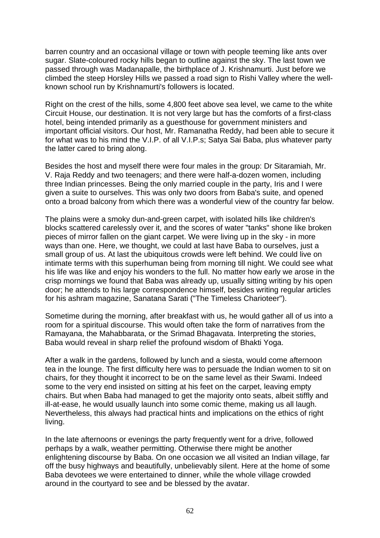barren country and an occasional village or town with people teeming like ants over sugar. Slate-coloured rocky hills began to outline against the sky. The last town we passed through was Madanapalle, the birthplace of J. Krishnamurti. Just before we climbed the steep Horsley Hills we passed a road sign to Rishi Valley where the wellknown school run by Krishnamurti's followers is located.

Right on the crest of the hills, some 4,800 feet above sea level, we came to the white Circuit House, our destination. It is not very large but has the comforts of a first-class hotel, being intended primarily as a guesthouse for government ministers and important official visitors. Our host, Mr. Ramanatha Reddy, had been able to secure it for what was to his mind the V.I.P. of all V.I.P.s; Satya Sai Baba, plus whatever party the latter cared to bring along.

Besides the host and myself there were four males in the group: Dr Sitaramiah, Mr. V. Raja Reddy and two teenagers; and there were half-a-dozen women, including three Indian princesses. Being the only married couple in the party, Iris and I were given a suite to ourselves. This was only two doors from Baba's suite, and opened onto a broad balcony from which there was a wonderful view of the country far below.

The plains were a smoky dun-and-green carpet, with isolated hills like children's blocks scattered carelessly over it, and the scores of water "tanks" shone like broken pieces of mirror fallen on the giant carpet. We were living up in the sky - in more ways than one. Here, we thought, we could at last have Baba to ourselves, just a small group of us. At last the ubiquitous crowds were left behind. We could live on intimate terms with this superhuman being from morning till night. We could see what his life was like and enjoy his wonders to the full. No matter how early we arose in the crisp mornings we found that Baba was already up, usually sitting writing by his open door; he attends to his large correspondence himself, besides writing regular articles for his ashram magazine, Sanatana Sarati ("The Timeless Charioteer").

Sometime during the morning, after breakfast with us, he would gather all of us into a room for a spiritual discourse. This would often take the form of narratives from the Ramayana, the Mahabbarata, or the Srimad Bhagavata. Interpreting the stories, Baba would reveal in sharp relief the profound wisdom of Bhakti Yoga.

After a walk in the gardens, followed by lunch and a siesta, would come afternoon tea in the lounge. The first difficulty here was to persuade the Indian women to sit on chairs, for they thought it incorrect to be on the same level as their Swami. Indeed some to the very end insisted on sitting at his feet on the carpet, leaving empty chairs. But when Baba had managed to get the majority onto seats, albeit stiffly and ill-at-ease, he would usually launch into some comic theme, making us all laugh. Nevertheless, this always had practical hints and implications on the ethics of right living.

In the late afternoons or evenings the party frequently went for a drive, followed perhaps by a walk, weather permitting. Otherwise there might be another enlightening discourse by Baba. On one occasion we all visited an Indian village, far off the busy highways and beautifully, unbelievably silent. Here at the home of some Baba devotees we were entertained to dinner, while the whole village crowded around in the courtyard to see and be blessed by the avatar.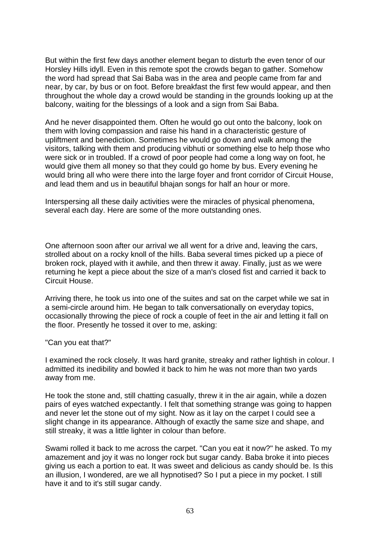But within the first few days another element began to disturb the even tenor of our Horsley Hills idyll. Even in this remote spot the crowds began to gather. Somehow the word had spread that Sai Baba was in the area and people came from far and near, by car, by bus or on foot. Before breakfast the first few would appear, and then throughout the whole day a crowd would be standing in the grounds looking up at the balcony, waiting for the blessings of a look and a sign from Sai Baba.

And he never disappointed them. Often he would go out onto the balcony, look on them with loving compassion and raise his hand in a characteristic gesture of upliftment and benediction. Sometimes he would go down and walk among the visitors, talking with them and producing vibhuti or something else to help those who were sick or in troubled. If a crowd of poor people had come a long way on foot, he would give them all money so that they could go home by bus. Every evening he would bring all who were there into the large foyer and front corridor of Circuit House, and lead them and us in beautiful bhajan songs for half an hour or more.

Interspersing all these daily activities were the miracles of physical phenomena, several each day. Here are some of the more outstanding ones.

One afternoon soon after our arrival we all went for a drive and, leaving the cars, strolled about on a rocky knoll of the hills. Baba several times picked up a piece of broken rock, played with it awhile, and then threw it away. Finally, just as we were returning he kept a piece about the size of a man's closed fist and carried it back to Circuit House.

Arriving there, he took us into one of the suites and sat on the carpet while we sat in a semi-circle around him. He began to talk conversationally on everyday topics, occasionally throwing the piece of rock a couple of feet in the air and letting it fall on the floor. Presently he tossed it over to me, asking:

"Can you eat that?"

I examined the rock closely. It was hard granite, streaky and rather lightish in colour. I admitted its inedibility and bowled it back to him he was not more than two yards away from me.

He took the stone and, still chatting casually, threw it in the air again, while a dozen pairs of eyes watched expectantly. I felt that something strange was going to happen and never let the stone out of my sight. Now as it lay on the carpet I could see a slight change in its appearance. Although of exactly the same size and shape, and still streaky, it was a little lighter in colour than before.

Swami rolled it back to me across the carpet. "Can you eat it now?" he asked. To my amazement and joy it was no longer rock but sugar candy. Baba broke it into pieces giving us each a portion to eat. It was sweet and delicious as candy should be. Is this an illusion, I wondered, are we all hypnotised? So I put a piece in my pocket. I still have it and to it's still sugar candy.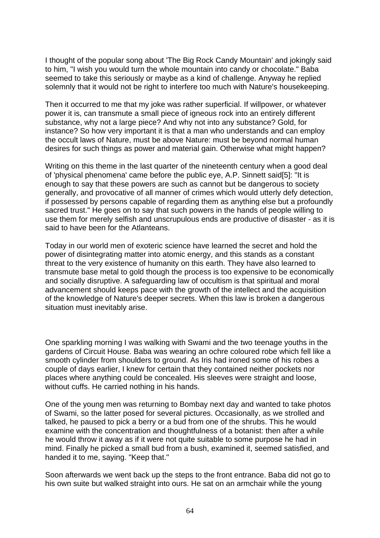I thought of the popular song about 'The Big Rock Candy Mountain' and jokingly said to him, "I wish you would turn the whole mountain into candy or chocolate." Baba seemed to take this seriously or maybe as a kind of challenge. Anyway he replied solemnly that it would not be right to interfere too much with Nature's housekeeping.

Then it occurred to me that my joke was rather superficial. If willpower, or whatever power it is, can transmute a small piece of igneous rock into an entirely different substance, why not a large piece? And why not into any substance? Gold, for instance? So how very important it is that a man who understands and can employ the occult laws of Nature, must be above Nature: must be beyond normal human desires for such things as power and material gain. Otherwise what might happen?

Writing on this theme in the last quarter of the nineteenth century when a good deal of 'physical phenomena' came before the public eye, A.P. Sinnett said[5]: "It is enough to say that these powers are such as cannot but be dangerous to society generally, and provocative of all manner of crimes which would utterly defy detection, if possessed by persons capable of regarding them as anything else but a profoundly sacred trust." He goes on to say that such powers in the hands of people willing to use them for merely selfish and unscrupulous ends are productive of disaster - as it is said to have been for the Atlanteans.

Today in our world men of exoteric science have learned the secret and hold the power of disintegrating matter into atomic energy, and this stands as a constant threat to the very existence of humanity on this earth. They have also learned to transmute base metal to gold though the process is too expensive to be economically and socially disruptive. A safeguarding law of occultism is that spiritual and moral advancement should keeps pace with the growth of the intellect and the acquisition of the knowledge of Nature's deeper secrets. When this law is broken a dangerous situation must inevitably arise.

One sparkling morning I was walking with Swami and the two teenage youths in the gardens of Circuit House. Baba was wearing an ochre coloured robe which fell like a smooth cylinder from shoulders to ground. As Iris had ironed some of his robes a couple of days earlier, I knew for certain that they contained neither pockets nor places where anything could be concealed. His sleeves were straight and loose, without cuffs. He carried nothing in his hands.

One of the young men was returning to Bombay next day and wanted to take photos of Swami, so the latter posed for several pictures. Occasionally, as we strolled and talked, he paused to pick a berry or a bud from one of the shrubs. This he would examine with the concentration and thoughtfulness of a botanist: then after a while he would throw it away as if it were not quite suitable to some purpose he had in mind. Finally he picked a small bud from a bush, examined it, seemed satisfied, and handed it to me, saying. "Keep that."

Soon afterwards we went back up the steps to the front entrance. Baba did not go to his own suite but walked straight into ours. He sat on an armchair while the young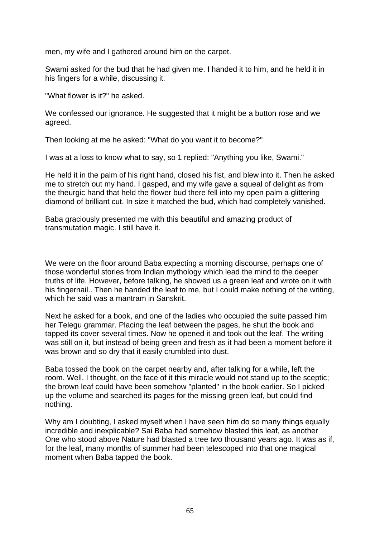men, my wife and I gathered around him on the carpet.

Swami asked for the bud that he had given me. I handed it to him, and he held it in his fingers for a while, discussing it.

"What flower is it?" he asked.

We confessed our ignorance. He suggested that it might be a button rose and we agreed.

Then looking at me he asked: "What do you want it to become?"

I was at a loss to know what to say, so 1 replied: "Anything you like, Swami."

He held it in the palm of his right hand, closed his fist, and blew into it. Then he asked me to stretch out my hand. I gasped, and my wife gave a squeal of delight as from the theurgic hand that held the flower bud there fell into my open palm a glittering diamond of brilliant cut. In size it matched the bud, which had completely vanished.

Baba graciously presented me with this beautiful and amazing product of transmutation magic. I still have it.

We were on the floor around Baba expecting a morning discourse, perhaps one of those wonderful stories from Indian mythology which lead the mind to the deeper truths of life. However, before talking, he showed us a green leaf and wrote on it with his fingernail.. Then he handed the leaf to me, but I could make nothing of the writing, which he said was a mantram in Sanskrit.

Next he asked for a book, and one of the ladies who occupied the suite passed him her Telegu grammar. Placing the leaf between the pages, he shut the book and tapped its cover several times. Now he opened it and took out the leaf. The writing was still on it, but instead of being green and fresh as it had been a moment before it was brown and so dry that it easily crumbled into dust.

Baba tossed the book on the carpet nearby and, after talking for a while, left the room. Well, I thought, on the face of it this miracle would not stand up to the sceptic; the brown leaf could have been somehow "planted" in the book earlier. So I picked up the volume and searched its pages for the missing green leaf, but could find nothing.

Why am I doubting, I asked myself when I have seen him do so many things equally incredible and inexplicable? Sai Baba had somehow blasted this leaf, as another One who stood above Nature had blasted a tree two thousand years ago. It was as if, for the leaf, many months of summer had been telescoped into that one magical moment when Baba tapped the book.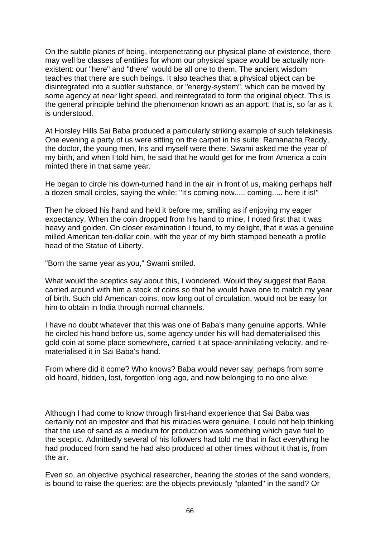On the subtle planes of being, interpenetrating our physical plane of existence, there may well be classes of entities for whom our physical space would be actually nonexistent: our "here" and "there" would be all one to them. The ancient wisdom teaches that there are such beings. It also teaches that a physical object can be disintegrated into a subtler substance, or "energy-system", which can be moved by some agency at near light speed, and reintegrated to form the original object. This is the general principle behind the phenomenon known as an apport; that is, so far as it is understood.

At Horsley Hills Sai Baba produced a particularly striking example of such telekinesis. One evening a party of us were sitting on the carpet in his suite; Ramanatha Reddy, the doctor, the young men, Iris and myself were there. Swami asked me the year of my birth, and when I told him, he said that he would get for me from America a coin minted there in that same year.

He began to circle his down-turned hand in the air in front of us, making perhaps half a dozen small circles, saying the while: "It's coming now..... coming..... here it is!"

Then he closed his hand and held it before me, smiling as if enjoying my eager expectancy. When the coin dropped from his hand to mine, I noted first that it was heavy and golden. On closer examination I found, to my delight, that it was a genuine milled American ten-dollar coin, with the year of my birth stamped beneath a profile head of the Statue of Liberty.

"Born the same year as you," Swami smiled.

What would the sceptics say about this, I wondered. Would they suggest that Baba carried around with him a stock of coins so that he would have one to match my year of birth. Such old American coins, now long out of circulation, would not be easy for him to obtain in India through normal channels.

I have no doubt whatever that this was one of Baba's many genuine apports. While he circled his hand before us, some agency under his will had dematerialised this gold coin at some place somewhere, carried it at space-annihilating velocity, and rematerialised it in Sai Baba's hand.

From where did it come? Who knows? Baba would never say; perhaps from some old hoard, hidden, lost, forgotten long ago, and now belonging to no one alive.

Although I had come to know through first-hand experience that Sai Baba was certainly not an impostor and that his miracles were genuine, I could not help thinking that the use of sand as a medium for production was something which gave fuel to the sceptic. Admittedly several of his followers had told me that in fact everything he had produced from sand he had also produced at other times without it that is, from the air.

Even so, an objective psychical researcher, hearing the stories of the sand wonders, is bound to raise the queries: are the objects previously "planted" in the sand? Or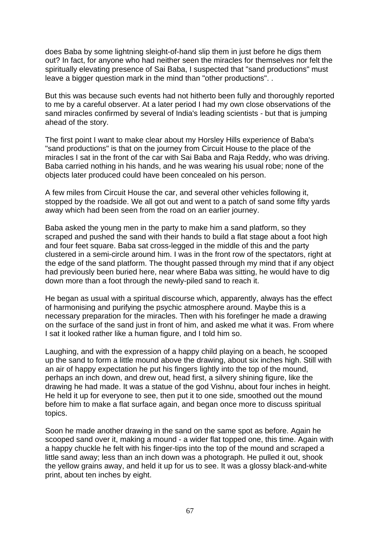does Baba by some lightning sleight-of-hand slip them in just before he digs them out? In fact, for anyone who had neither seen the miracles for themselves nor felt the spiritually elevating presence of Sai Baba, I suspected that "sand productions" must leave a bigger question mark in the mind than "other productions". .

But this was because such events had not hitherto been fully and thoroughly reported to me by a careful observer. At a later period I had my own close observations of the sand miracles confirmed by several of India's leading scientists - but that is jumping ahead of the story.

The first point I want to make clear about my Horsley Hills experience of Baba's "sand productions" is that on the journey from Circuit House to the place of the miracles I sat in the front of the car with Sai Baba and Raja Reddy, who was driving. Baba carried nothing in his hands, and he was wearing his usual robe; none of the objects later produced could have been concealed on his person.

A few miles from Circuit House the car, and several other vehicles following it, stopped by the roadside. We all got out and went to a patch of sand some fifty yards away which had been seen from the road on an earlier journey.

Baba asked the young men in the party to make him a sand platform, so they scraped and pushed the sand with their hands to build a flat stage about a foot high and four feet square. Baba sat cross-legged in the middle of this and the party clustered in a semi-circle around him. I was in the front row of the spectators, right at the edge of the sand platform. The thought passed through my mind that if any object had previously been buried here, near where Baba was sitting, he would have to dig down more than a foot through the newly-piled sand to reach it.

He began as usual with a spiritual discourse which, apparently, always has the effect of harmonising and purifying the psychic atmosphere around. Maybe this is a necessary preparation for the miracles. Then with his forefinger he made a drawing on the surface of the sand just in front of him, and asked me what it was. From where I sat it looked rather like a human figure, and I told him so.

Laughing, and with the expression of a happy child playing on a beach, he scooped up the sand to form a little mound above the drawing, about six inches high. Still with an air of happy expectation he put his fingers lightly into the top of the mound, perhaps an inch down, and drew out, head first, a silvery shining figure, like the drawing he had made. It was a statue of the god Vishnu, about four inches in height. He held it up for everyone to see, then put it to one side, smoothed out the mound before him to make a flat surface again, and began once more to discuss spiritual topics.

Soon he made another drawing in the sand on the same spot as before. Again he scooped sand over it, making a mound - a wider flat topped one, this time. Again with a happy chuckle he felt with his finger-tips into the top of the mound and scraped a little sand away; less than an inch down was a photograph. He pulled it out, shook the yellow grains away, and held it up for us to see. It was a glossy black-and-white print, about ten inches by eight.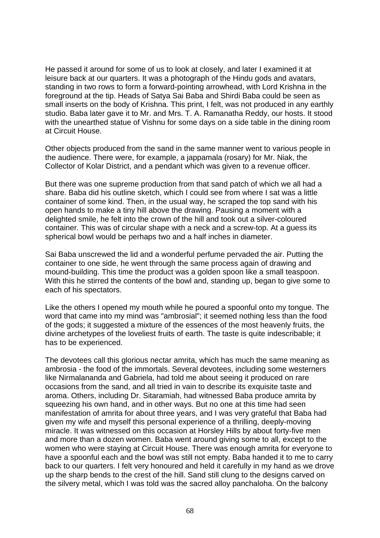He passed it around for some of us to look at closely, and later I examined it at leisure back at our quarters. It was a photograph of the Hindu gods and avatars, standing in two rows to form a forward-pointing arrowhead, with Lord Krishna in the foreground at the tip. Heads of Satya Sai Baba and Shirdi Baba could be seen as small inserts on the body of Krishna. This print, I felt, was not produced in any earthly studio. Baba later gave it to Mr. and Mrs. T. A. Ramanatha Reddy, our hosts. It stood with the unearthed statue of Vishnu for some days on a side table in the dining room at Circuit House.

Other objects produced from the sand in the same manner went to various people in the audience. There were, for example, a jappamala (rosary) for Mr. Niak, the Collector of Kolar District, and a pendant which was given to a revenue officer.

But there was one supreme production from that sand patch of which we all had a share. Baba did his outline sketch, which I could see from where I sat was a little container of some kind. Then, in the usual way, he scraped the top sand with his open hands to make a tiny hill above the drawing. Pausing a moment with a delighted smile, he felt into the crown of the hill and took out a silver-coloured container. This was of circular shape with a neck and a screw-top. At a guess its spherical bowl would be perhaps two and a half inches in diameter.

Sai Baba unscrewed the lid and a wonderful perfume pervaded the air. Putting the container to one side, he went through the same process again of drawing and mound-building. This time the product was a golden spoon like a small teaspoon. With this he stirred the contents of the bowl and, standing up, began to give some to each of his spectators.

Like the others I opened my mouth while he poured a spoonful onto my tongue. The word that came into my mind was "ambrosial"; it seemed nothing less than the food of the gods; it suggested a mixture of the essences of the most heavenly fruits, the divine archetypes of the loveliest fruits of earth. The taste is quite indescribable; it has to be experienced.

The devotees call this glorious nectar amrita, which has much the same meaning as ambrosia - the food of the immortals. Several devotees, including some westerners like Nirmalananda and Gabriela, had told me about seeing it produced on rare occasions from the sand, and all tried in vain to describe its exquisite taste and aroma. Others, including Dr. Sitaramiah, had witnessed Baba produce amrita by squeezing his own hand, and in other ways. But no one at this time had seen manifestation of amrita for about three years, and I was very grateful that Baba had given my wife and myself this personal experience of a thrilling, deeply-moving miracle. It was witnessed on this occasion at Horsley Hills by about forty-five men and more than a dozen women. Baba went around giving some to all, except to the women who were staying at Circuit House. There was enough amrita for everyone to have a spoonful each and the bowl was still not empty. Baba handed it to me to carry back to our quarters. I felt very honoured and held it carefully in my hand as we drove up the sharp bends to the crest of the hill. Sand still clung to the designs carved on the silvery metal, which I was told was the sacred alloy panchaloha. On the balcony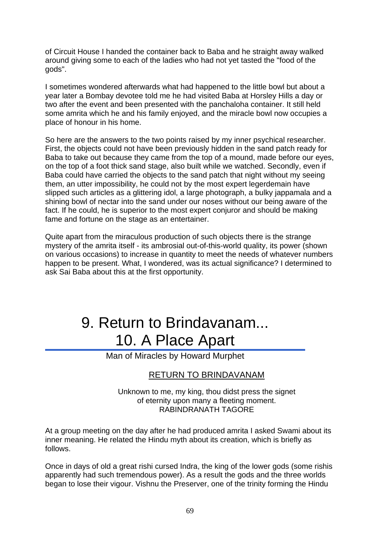of Circuit House I handed the container back to Baba and he straight away walked around giving some to each of the ladies who had not yet tasted the "food of the gods".

I sometimes wondered afterwards what had happened to the little bowl but about a year later a Bombay devotee told me he had visited Baba at Horsley Hills a day or two after the event and been presented with the panchaloha container. It still held some amrita which he and his family enjoyed, and the miracle bowl now occupies a place of honour in his home.

So here are the answers to the two points raised by my inner psychical researcher. First, the objects could not have been previously hidden in the sand patch ready for Baba to take out because they came from the top of a mound, made before our eyes, on the top of a foot thick sand stage, also built while we watched. Secondly, even if Baba could have carried the objects to the sand patch that night without my seeing them, an utter impossibility, he could not by the most expert legerdemain have slipped such articles as a glittering idol, a large photograph, a bulky jappamala and a shining bowl of nectar into the sand under our noses without our being aware of the fact. If he could, he is superior to the most expert conjuror and should be making fame and fortune on the stage as an entertainer.

Quite apart from the miraculous production of such objects there is the strange mystery of the amrita itself - its ambrosial out-of-this-world quality, its power (shown on various occasions) to increase in quantity to meet the needs of whatever numbers happen to be present. What, I wondered, was its actual significance? I determined to ask Sai Baba about this at the first opportunity.

# 9. Return to Brindavanam... 10. A Place Apart

Man of Miracles by Howard Murphet

## RETURN TO BRINDAVANAM

Unknown to me, my king, thou didst press the signet of eternity upon many a fleeting moment. RABINDRANATH TAGORE

At a group meeting on the day after he had produced amrita I asked Swami about its inner meaning. He related the Hindu myth about its creation, which is briefly as follows.

Once in days of old a great rishi cursed Indra, the king of the lower gods (some rishis apparently had such tremendous power). As a result the gods and the three worlds began to lose their vigour. Vishnu the Preserver, one of the trinity forming the Hindu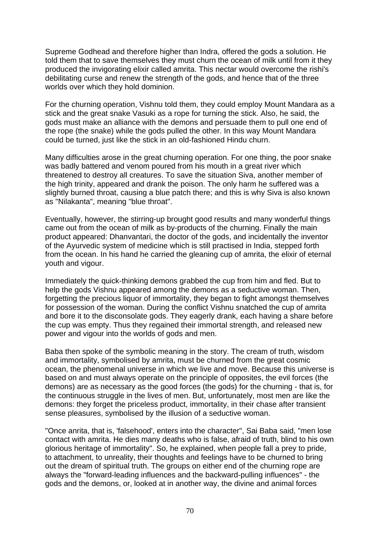Supreme Godhead and therefore higher than Indra, offered the gods a solution. He told them that to save themselves they must churn the ocean of milk until from it they produced the invigorating elixir called amrita. This nectar would overcome the rishi's debilitating curse and renew the strength of the gods, and hence that of the three worlds over which they hold dominion.

For the churning operation, Vishnu told them, they could employ Mount Mandara as a stick and the great snake Vasuki as a rope for turning the stick. Also, he said, the gods must make an alliance with the demons and persuade them to pull one end of the rope (the snake) while the gods pulled the other. In this way Mount Mandara could be turned, just like the stick in an old-fashioned Hindu churn.

Many difficulties arose in the great churning operation. For one thing, the poor snake was badly battered and venom poured from his mouth in a great river which threatened to destroy all creatures. To save the situation Siva, another member of the high trinity, appeared and drank the poison. The only harm he suffered was a slightly burned throat, causing a blue patch there; and this is why Siva is also known as "Nilakanta", meaning "blue throat".

Eventually, however, the stirring-up brought good results and many wonderful things came out from the ocean of milk as by-products of the churning. Finally the main product appeared: Dhanvantari, the doctor of the gods, and incidentally the inventor of the Ayurvedic system of medicine which is still practised in India, stepped forth from the ocean. In his hand he carried the gleaning cup of amrita, the elixir of eternal youth and vigour.

Immediately the quick-thinking demons grabbed the cup from him and fled. But to help the gods Vishnu appeared among the demons as a seductive woman. Then, forgetting the precious liquor of immortality, they began to fight amongst themselves for possession of the woman. During the conflict Vishnu snatched the cup of amrita and bore it to the disconsolate gods. They eagerly drank, each having a share before the cup was empty. Thus they regained their immortal strength, and released new power and vigour into the worlds of gods and men.

Baba then spoke of the symbolic meaning in the story. The cream of truth, wisdom and immortality, symbolised by amrita, must be churned from the great cosmic ocean, the phenomenal universe in which we live and move. Because this universe is based on and must always operate on the principle of opposites, the evil forces (the demons) are as necessary as the good forces (the gods) for the churning - that is, for the continuous struggle in the lives of men. But, unfortunately, most men are like the demons: they forget the priceless product, immortality, in their chase after transient sense pleasures, symbolised by the illusion of a seductive woman.

"Once anrita, that is, 'falsehood', enters into the character", Sai Baba said, "men lose contact with amrita. He dies many deaths who is false, afraid of truth, blind to his own glorious heritage of immortality". So, he explained, when people fall a prey to pride, to attachment, to unreality, their thoughts and feelings have to be churned to bring out the dream of spiritual truth. The groups on either end of the churning rope are always the "forward-leading influences and the backward-pulling influences" - the gods and the demons, or, looked at in another way, the divine and animal forces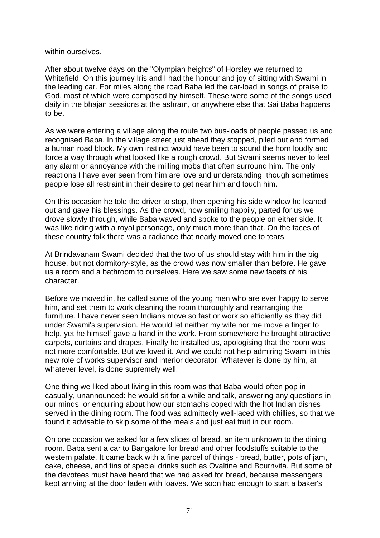within ourselves.

After about twelve days on the "Olympian heights" of Horsley we returned to Whitefield. On this journey Iris and I had the honour and joy of sitting with Swami in the leading car. For miles along the road Baba led the car-load in songs of praise to God, most of which were composed by himself. These were some of the songs used daily in the bhajan sessions at the ashram, or anywhere else that Sai Baba happens to be.

As we were entering a village along the route two bus-loads of people passed us and recognised Baba. In the village street just ahead they stopped, piled out and formed a human road block. My own instinct would have been to sound the horn loudly and force a way through what looked like a rough crowd. But Swami seems never to feel any alarm or annoyance with the milling mobs that often surround him. The only reactions I have ever seen from him are love and understanding, though sometimes people lose all restraint in their desire to get near him and touch him.

On this occasion he told the driver to stop, then opening his side window he leaned out and gave his blessings. As the crowd, now smiling happily, parted for us we drove slowly through, while Baba waved and spoke to the people on either side. It was like riding with a royal personage, only much more than that. On the faces of these country folk there was a radiance that nearly moved one to tears.

At Brindavanam Swami decided that the two of us should stay with him in the big house, but not dormitory-style, as the crowd was now smaller than before. He gave us a room and a bathroom to ourselves. Here we saw some new facets of his character.

Before we moved in, he called some of the young men who are ever happy to serve him, and set them to work cleaning the room thoroughly and rearranging the furniture. I have never seen Indians move so fast or work so efficiently as they did under Swami's supervision. He would let neither my wife nor me move a finger to help, yet he himself gave a hand in the work. From somewhere he brought attractive carpets, curtains and drapes. Finally he installed us, apologising that the room was not more comfortable. But we loved it. And we could not help admiring Swami in this new role of works supervisor and interior decorator. Whatever is done by him, at whatever level, is done supremely well.

One thing we liked about living in this room was that Baba would often pop in casually, unannounced: he would sit for a while and talk, answering any questions in our minds, or enquiring about how our stomachs coped with the hot Indian dishes served in the dining room. The food was admittedly well-laced with chillies, so that we found it advisable to skip some of the meals and just eat fruit in our room.

On one occasion we asked for a few slices of bread, an item unknown to the dining room. Baba sent a car to Bangalore for bread and other foodstuffs suitable to the western palate. It came back with a fine parcel of things - bread, butter, pots of jam, cake, cheese, and tins of special drinks such as Ovaltine and Bournvita. But some of the devotees must have heard that we had asked for bread, because messengers kept arriving at the door laden with loaves. We soon had enough to start a baker's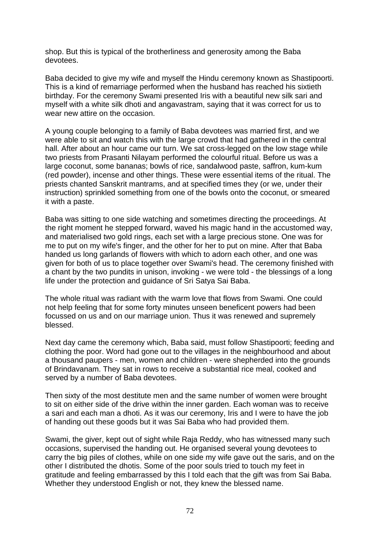shop. But this is typical of the brotherliness and generosity among the Baba devotees.

Baba decided to give my wife and myself the Hindu ceremony known as Shastipoorti. This is a kind of remarriage performed when the husband has reached his sixtieth birthday. For the ceremony Swami presented Iris with a beautiful new silk sari and myself with a white silk dhoti and angavastram, saying that it was correct for us to wear new attire on the occasion.

A young couple belonging to a family of Baba devotees was married first, and we were able to sit and watch this with the large crowd that had gathered in the central hall. After about an hour came our turn. We sat cross-legged on the low stage while two priests from Prasanti Nilayam performed the colourful ritual. Before us was a large coconut, some bananas; bowls of rice, sandalwood paste, saffron, kum-kum (red powder), incense and other things. These were essential items of the ritual. The priests chanted Sanskrit mantrams, and at specified times they (or we, under their instruction) sprinkled something from one of the bowls onto the coconut, or smeared it with a paste.

Baba was sitting to one side watching and sometimes directing the proceedings. At the right moment he stepped forward, waved his magic hand in the accustomed way, and materialised two gold rings, each set with a large precious stone. One was for me to put on my wife's finger, and the other for her to put on mine. After that Baba handed us long garlands of flowers with which to adorn each other, and one was given for both of us to place together over Swami's head. The ceremony finished with a chant by the two pundits in unison, invoking - we were told - the blessings of a long life under the protection and guidance of Sri Satya Sai Baba.

The whole ritual was radiant with the warm love that flows from Swami. One could not help feeling that for some forty minutes unseen beneficent powers had been focussed on us and on our marriage union. Thus it was renewed and supremely blessed.

Next day came the ceremony which, Baba said, must follow Shastipoorti; feeding and clothing the poor. Word had gone out to the villages in the neighbourhood and about a thousand paupers - men, women and children - were shepherded into the grounds of Brindavanam. They sat in rows to receive a substantial rice meal, cooked and served by a number of Baba devotees.

Then sixty of the most destitute men and the same number of women were brought to sit on either side of the drive within the inner garden. Each woman was to receive a sari and each man a dhoti. As it was our ceremony, Iris and I were to have the job of handing out these goods but it was Sai Baba who had provided them.

Swami, the giver, kept out of sight while Raja Reddy, who has witnessed many such occasions, supervised the handing out. He organised several young devotees to carry the big piles of clothes, while on one side my wife gave out the saris, and on the other I distributed the dhotis. Some of the poor souls tried to touch my feet in gratitude and feeling embarrassed by this I told each that the gift was from Sai Baba. Whether they understood English or not, they knew the blessed name.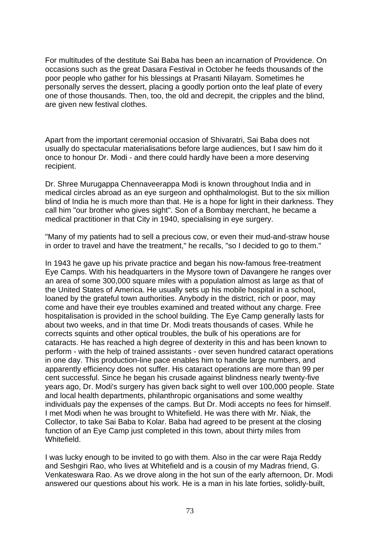For multitudes of the destitute Sai Baba has been an incarnation of Providence. On occasions such as the great Dasara Festival in October he feeds thousands of the poor people who gather for his blessings at Prasanti Nilayam. Sometimes he personally serves the dessert, placing a goodly portion onto the leaf plate of every one of those thousands. Then, too, the old and decrepit, the cripples and the blind, are given new festival clothes.

Apart from the important ceremonial occasion of Shivaratri, Sai Baba does not usually do spectacular materialisations before large audiences, but I saw him do it once to honour Dr. Modi - and there could hardly have been a more deserving recipient.

Dr. Shree Murugappa Chennaveerappa Modi is known throughout India and in medical circles abroad as an eye surgeon and ophthalmologist. But to the six million blind of India he is much more than that. He is a hope for light in their darkness. They call him "our brother who gives sight". Son of a Bombay merchant, he became a medical practitioner in that City in 1940, specialising in eye surgery.

"Many of my patients had to sell a precious cow, or even their mud-and-straw house in order to travel and have the treatment," he recalls, "so I decided to go to them."

In 1943 he gave up his private practice and began his now-famous free-treatment Eye Camps. With his headquarters in the Mysore town of Davangere he ranges over an area of some 300,000 square miles with a population almost as large as that of the United States of America. He usually sets up his mobile hospital in a school, loaned by the grateful town authorities. Anybody in the district, rich or poor, may come and have their eye troubles examined and treated without any charge. Free hospitalisation is provided in the school building. The Eye Camp generally lasts for about two weeks, and in that time Dr. Modi treats thousands of cases. While he corrects squints and other optical troubles, the bulk of his operations are for cataracts. He has reached a high degree of dexterity in this and has been known to perform - with the help of trained assistants - over seven hundred cataract operations in one day. This production-line pace enables him to handle large numbers, and apparently efficiency does not suffer. His cataract operations are more than 99 per cent successful. Since he began his crusade against blindness nearly twenty-five years ago, Dr. Modi's surgery has given back sight to well over 100,000 people. State and local health departments, philanthropic organisations and some wealthy individuals pay the expenses of the camps. But Dr. Modi accepts no fees for himself. I met Modi when he was brought to Whitefield. He was there with Mr. Niak, the Collector, to take Sai Baba to Kolar. Baba had agreed to be present at the closing function of an Eye Camp just completed in this town, about thirty miles from Whitefield.

I was lucky enough to be invited to go with them. Also in the car were Raja Reddy and Seshgiri Rao, who lives at Whitefield and is a cousin of my Madras friend, G. Venkateswara Rao. As we drove along in the hot sun of the early afternoon, Dr. Modi answered our questions about his work. He is a man in his late forties, solidly-built,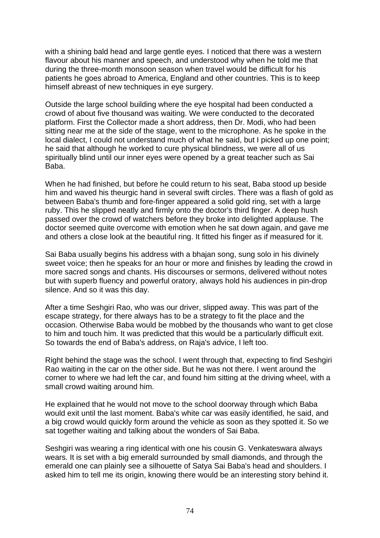with a shining bald head and large gentle eyes. I noticed that there was a western flavour about his manner and speech, and understood why when he told me that during the three-month monsoon season when travel would be difficult for his patients he goes abroad to America, England and other countries. This is to keep himself abreast of new techniques in eye surgery.

Outside the large school building where the eye hospital had been conducted a crowd of about five thousand was waiting. We were conducted to the decorated platform. First the Collector made a short address, then Dr. Modi, who had been sitting near me at the side of the stage, went to the microphone. As he spoke in the local dialect, I could not understand much of what he said, but I picked up one point; he said that although he worked to cure physical blindness, we were all of us spiritually blind until our inner eyes were opened by a great teacher such as Sai Baba.

When he had finished, but before he could return to his seat, Baba stood up beside him and waved his theurgic hand in several swift circles. There was a flash of gold as between Baba's thumb and fore-finger appeared a solid gold ring, set with a large ruby. This he slipped neatly and firmly onto the doctor's third finger. A deep hush passed over the crowd of watchers before they broke into delighted applause. The doctor seemed quite overcome with emotion when he sat down again, and gave me and others a close look at the beautiful ring. It fitted his finger as if measured for it.

Sai Baba usually begins his address with a bhajan song, sung solo in his divinely sweet voice; then he speaks for an hour or more and finishes by leading the crowd in more sacred songs and chants. His discourses or sermons, delivered without notes but with superb fluency and powerful oratory, always hold his audiences in pin-drop silence. And so it was this day.

After a time Seshgiri Rao, who was our driver, slipped away. This was part of the escape strategy, for there always has to be a strategy to fit the place and the occasion. Otherwise Baba would be mobbed by the thousands who want to get close to him and touch him. It was predicted that this would be a particularly difficult exit. So towards the end of Baba's address, on Raja's advice, I left too.

Right behind the stage was the school. I went through that, expecting to find Seshgiri Rao waiting in the car on the other side. But he was not there. I went around the corner to where we had left the car, and found him sitting at the driving wheel, with a small crowd waiting around him.

He explained that he would not move to the school doorway through which Baba would exit until the last moment. Baba's white car was easily identified, he said, and a big crowd would quickly form around the vehicle as soon as they spotted it. So we sat together waiting and talking about the wonders of Sai Baba.

Seshgiri was wearing a ring identical with one his cousin G. Venkateswara always wears. It is set with a big emerald surrounded by small diamonds, and through the emerald one can plainly see a silhouette of Satya Sai Baba's head and shoulders. I asked him to tell me its origin, knowing there would be an interesting story behind it.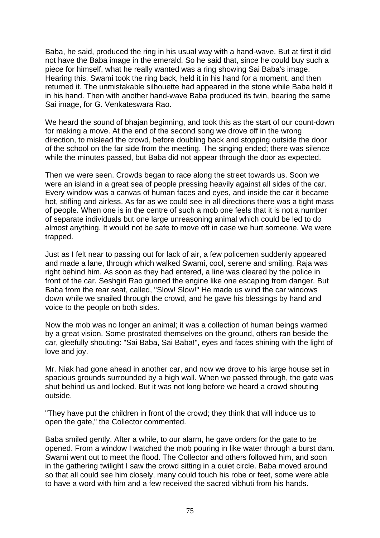Baba, he said, produced the ring in his usual way with a hand-wave. But at first it did not have the Baba image in the emerald. So he said that, since he could buy such a piece for himself, what he really wanted was a ring showing Sai Baba's image. Hearing this, Swami took the ring back, held it in his hand for a moment, and then returned it. The unmistakable silhouette had appeared in the stone while Baba held it in his hand. Then with another hand-wave Baba produced its twin, bearing the same Sai image, for G. Venkateswara Rao.

We heard the sound of bhajan beginning, and took this as the start of our count-down for making a move. At the end of the second song we drove off in the wrong direction, to mislead the crowd, before doubling back and stopping outside the door of the school on the far side from the meeting. The singing ended; there was silence while the minutes passed, but Baba did not appear through the door as expected.

Then we were seen. Crowds began to race along the street towards us. Soon we were an island in a great sea of people pressing heavily against all sides of the car. Every window was a canvas of human faces and eyes, and inside the car it became hot, stifling and airless. As far as we could see in all directions there was a tight mass of people. When one is in the centre of such a mob one feels that it is not a number of separate individuals but one large unreasoning animal which could be led to do almost anything. It would not be safe to move off in case we hurt someone. We were trapped.

Just as I felt near to passing out for lack of air, a few policemen suddenly appeared and made a lane, through which walked Swami, cool, serene and smiling. Raja was right behind him. As soon as they had entered, a line was cleared by the police in front of the car. Seshgiri Rao gunned the engine like one escaping from danger. But Baba from the rear seat, called, "Slow! Slow!" He made us wind the car windows down while we snailed through the crowd, and he gave his blessings by hand and voice to the people on both sides.

Now the mob was no longer an animal; it was a collection of human beings warmed by a great vision. Some prostrated themselves on the ground, others ran beside the car, gleefully shouting: "Sai Baba, Sai Baba!", eyes and faces shining with the light of love and joy.

Mr. Niak had gone ahead in another car, and now we drove to his large house set in spacious grounds surrounded by a high wall. When we passed through, the gate was shut behind us and locked. But it was not long before we heard a crowd shouting outside.

"They have put the children in front of the crowd; they think that will induce us to open the gate," the Collector commented.

Baba smiled gently. After a while, to our alarm, he gave orders for the gate to be opened. From a window I watched the mob pouring in like water through a burst dam. Swami went out to meet the flood. The Collector and others followed him, and soon in the gathering twilight I saw the crowd sitting in a quiet circle. Baba moved around so that all could see him closely, many could touch his robe or feet, some were able to have a word with him and a few received the sacred vibhuti from his hands.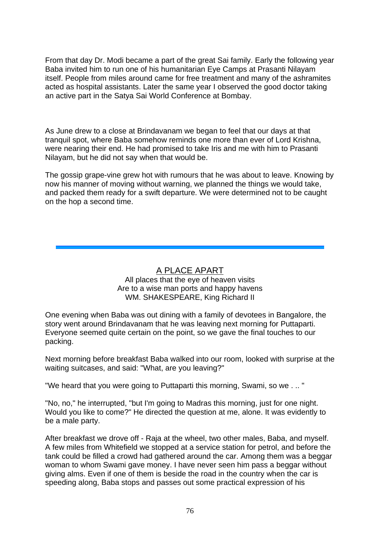From that day Dr. Modi became a part of the great Sai family. Early the following year Baba invited him to run one of his humanitarian Eye Camps at Prasanti Nilayam itself. People from miles around came for free treatment and many of the ashramites acted as hospital assistants. Later the same year I observed the good doctor taking an active part in the Satya Sai World Conference at Bombay.

As June drew to a close at Brindavanam we began to feel that our days at that tranquil spot, where Baba somehow reminds one more than ever of Lord Krishna, were nearing their end. He had promised to take Iris and me with him to Prasanti Nilayam, but he did not say when that would be.

The gossip grape-vine grew hot with rumours that he was about to leave. Knowing by now his manner of moving without warning, we planned the things we would take, and packed them ready for a swift departure. We were determined not to be caught on the hop a second time.

## A PLACE APART

#### All places that the eye of heaven visits Are to a wise man ports and happy havens WM. SHAKESPEARE, King Richard II

One evening when Baba was out dining with a family of devotees in Bangalore, the story went around Brindavanam that he was leaving next morning for Puttaparti. Everyone seemed quite certain on the point, so we gave the final touches to our packing.

Next morning before breakfast Baba walked into our room, looked with surprise at the waiting suitcases, and said: "What, are you leaving?"

"We heard that you were going to Puttaparti this morning, Swami, so we . .. "

"No, no," he interrupted, "but I'm going to Madras this morning, just for one night. Would you like to come?" He directed the question at me, alone. It was evidently to be a male party.

After breakfast we drove off - Raja at the wheel, two other males, Baba, and myself. A few miles from Whitefield we stopped at a service station for petrol, and before the tank could be filled a crowd had gathered around the car. Among them was a beggar woman to whom Swami gave money. I have never seen him pass a beggar without giving alms. Even if one of them is beside the road in the country when the car is speeding along, Baba stops and passes out some practical expression of his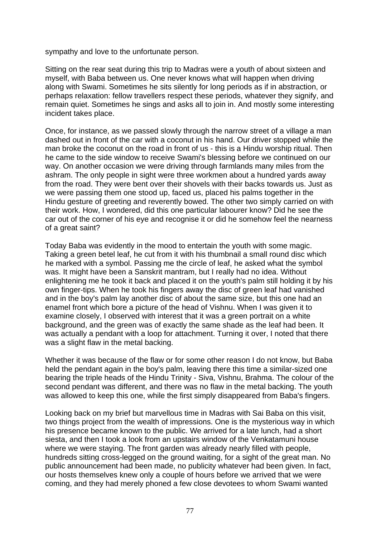sympathy and love to the unfortunate person.

Sitting on the rear seat during this trip to Madras were a youth of about sixteen and myself, with Baba between us. One never knows what will happen when driving along with Swami. Sometimes he sits silently for long periods as if in abstraction, or perhaps relaxation: fellow travellers respect these periods, whatever they signify, and remain quiet. Sometimes he sings and asks all to join in. And mostly some interesting incident takes place.

Once, for instance, as we passed slowly through the narrow street of a village a man dashed out in front of the car with a coconut in his hand. Our driver stopped while the man broke the coconut on the road in front of us - this is a Hindu worship ritual. Then he came to the side window to receive Swami's blessing before we continued on our way. On another occasion we were driving through farmlands many miles from the ashram. The only people in sight were three workmen about a hundred yards away from the road. They were bent over their shovels with their backs towards us. Just as we were passing them one stood up, faced us, placed his palms together in the Hindu gesture of greeting and reverently bowed. The other two simply carried on with their work. How, I wondered, did this one particular labourer know? Did he see the car out of the corner of his eye and recognise it or did he somehow feel the nearness of a great saint?

Today Baba was evidently in the mood to entertain the youth with some magic. Taking a green betel leaf, he cut from it with his thumbnail a small round disc which he marked with a symbol. Passing me the circle of leaf, he asked what the symbol was. It might have been a Sanskrit mantram, but I really had no idea. Without enlightening me he took it back and placed it on the youth's palm still holding it by his own finger-tips. When he took his fingers away the disc of green leaf had vanished and in the boy's palm lay another disc of about the same size, but this one had an enamel front which bore a picture of the head of Vishnu. When I was given it to examine closely, I observed with interest that it was a green portrait on a white background, and the green was of exactly the same shade as the leaf had been. It was actually a pendant with a loop for attachment. Turning it over, I noted that there was a slight flaw in the metal backing.

Whether it was because of the flaw or for some other reason I do not know, but Baba held the pendant again in the boy's palm, leaving there this time a similar-sized one bearing the triple heads of the Hindu Trinity - Siva, Vishnu, Brahma. The colour of the second pendant was different, and there was no flaw in the metal backing. The youth was allowed to keep this one, while the first simply disappeared from Baba's fingers.

Looking back on my brief but marvellous time in Madras with Sai Baba on this visit, two things project from the wealth of impressions. One is the mysterious way in which his presence became known to the public. We arrived for a late lunch, had a short siesta, and then I took a look from an upstairs window of the Venkatamuni house where we were staying. The front garden was already nearly filled with people, hundreds sitting cross-legged on the ground waiting, for a sight of the great man. No public announcement had been made, no publicity whatever had been given. In fact, our hosts themselves knew only a couple of hours before we arrived that we were coming, and they had merely phoned a few close devotees to whom Swami wanted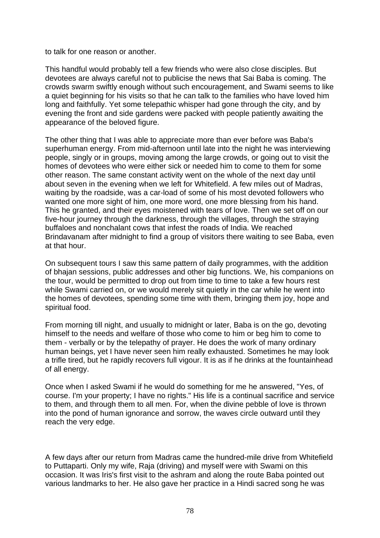to talk for one reason or another.

This handful would probably tell a few friends who were also close disciples. But devotees are always careful not to publicise the news that Sai Baba is coming. The crowds swarm swiftly enough without such encouragement, and Swami seems to like a quiet beginning for his visits so that he can talk to the families who have loved him long and faithfully. Yet some telepathic whisper had gone through the city, and by evening the front and side gardens were packed with people patiently awaiting the appearance of the beloved figure.

The other thing that I was able to appreciate more than ever before was Baba's superhuman energy. From mid-afternoon until late into the night he was interviewing people, singly or in groups, moving among the large crowds, or going out to visit the homes of devotees who were either sick or needed him to come to them for some other reason. The same constant activity went on the whole of the next day until about seven in the evening when we left for Whitefield. A few miles out of Madras, waiting by the roadside, was a car-load of some of his most devoted followers who wanted one more sight of him, one more word, one more blessing from his hand. This he granted, and their eyes moistened with tears of love. Then we set off on our five-hour journey through the darkness, through the villages, through the straying buffaloes and nonchalant cows that infest the roads of India. We reached Brindavanam after midnight to find a group of visitors there waiting to see Baba, even at that hour.

On subsequent tours I saw this same pattern of daily programmes, with the addition of bhajan sessions, public addresses and other big functions. We, his companions on the tour, would be permitted to drop out from time to time to take a few hours rest while Swami carried on, or we would merely sit quietly in the car while he went into the homes of devotees, spending some time with them, bringing them joy, hope and spiritual food.

From morning till night, and usually to midnight or later, Baba is on the go, devoting himself to the needs and welfare of those who come to him or beg him to come to them - verbally or by the telepathy of prayer. He does the work of many ordinary human beings, yet I have never seen him really exhausted. Sometimes he may look a trifle tired, but he rapidly recovers full vigour. It is as if he drinks at the fountainhead of all energy.

Once when I asked Swami if he would do something for me he answered, "Yes, of course. I'm your property; I have no rights." His life is a continual sacrifice and service to them, and through them to all men. For, when the divine pebble of love is thrown into the pond of human ignorance and sorrow, the waves circle outward until they reach the very edge.

A few days after our return from Madras came the hundred-mile drive from Whitefield to Puttaparti. Only my wife, Raja (driving) and myself were with Swami on this occasion. It was Iris's first visit to the ashram and along the route Baba pointed out various landmarks to her. He also gave her practice in a Hindi sacred song he was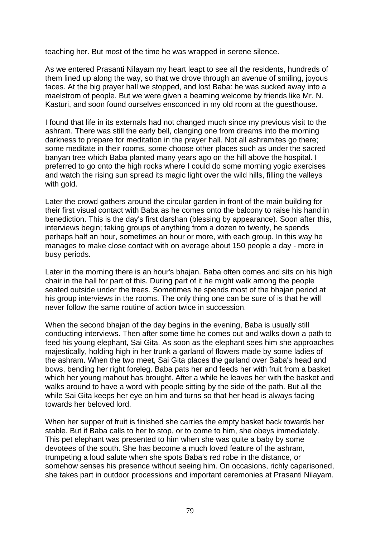teaching her. But most of the time he was wrapped in serene silence.

As we entered Prasanti Nilayam my heart leapt to see all the residents, hundreds of them lined up along the way, so that we drove through an avenue of smiling, joyous faces. At the big prayer hall we stopped, and lost Baba: he was sucked away into a maelstrom of people. But we were given a beaming welcome by friends like Mr. N. Kasturi, and soon found ourselves ensconced in my old room at the guesthouse.

I found that life in its externals had not changed much since my previous visit to the ashram. There was still the early bell, clanging one from dreams into the morning darkness to prepare for meditation in the prayer hall. Not all ashramites go there; some meditate in their rooms, some choose other places such as under the sacred banyan tree which Baba planted many years ago on the hill above the hospital. I preferred to go onto the high rocks where I could do some morning yogic exercises and watch the rising sun spread its magic light over the wild hills, filling the valleys with gold.

Later the crowd gathers around the circular garden in front of the main building for their first visual contact with Baba as he comes onto the balcony to raise his hand in benediction. This is the day's first darshan (blessing by appearance). Soon after this, interviews begin; taking groups of anything from a dozen to twenty, he spends perhaps half an hour, sometimes an hour or more, with each group. In this way he manages to make close contact with on average about 150 people a day - more in busy periods.

Later in the morning there is an hour's bhajan. Baba often comes and sits on his high chair in the hall for part of this. During part of it he might walk among the people seated outside under the trees. Sometimes he spends most of the bhajan period at his group interviews in the rooms. The only thing one can be sure of is that he will never follow the same routine of action twice in succession.

When the second bhajan of the day begins in the evening, Baba is usually still conducting interviews. Then after some time he comes out and walks down a path to feed his young elephant, Sai Gita. As soon as the elephant sees him she approaches majestically, holding high in her trunk a garland of flowers made by some ladies of the ashram. When the two meet, Sai Gita places the garland over Baba's head and bows, bending her right foreleg. Baba pats her and feeds her with fruit from a basket which her young mahout has brought. After a while he leaves her with the basket and walks around to have a word with people sitting by the side of the path. But all the while Sai Gita keeps her eye on him and turns so that her head is always facing towards her beloved lord.

When her supper of fruit is finished she carries the empty basket back towards her stable. But if Baba calls to her to stop, or to come to him, she obeys immediately. This pet elephant was presented to him when she was quite a baby by some devotees of the south. She has become a much loved feature of the ashram, trumpeting a loud salute when she spots Baba's red robe in the distance, or somehow senses his presence without seeing him. On occasions, richly caparisoned, she takes part in outdoor processions and important ceremonies at Prasanti Nilayam.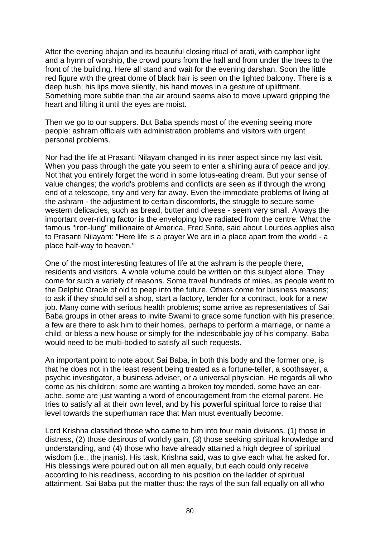After the evening bhajan and its beautiful closing ritual of arati, with camphor light and a hymn of worship, the crowd pours from the hall and from under the trees to the front of the building. Here all stand and wait for the evening darshan. Soon the little red figure with the great dome of black hair is seen on the lighted balcony. There is a deep hush; his lips move silently, his hand moves in a gesture of upliftment. Something more subtle than the air around seems also to move upward gripping the heart and lifting it until the eyes are moist.

Then we go to our suppers. But Baba spends most of the evening seeing more people: ashram officials with administration problems and visitors with urgent personal problems.

Nor had the life at Prasanti Nilayam changed in its inner aspect since my last visit. When you pass through the gate you seem to enter a shining aura of peace and joy. Not that you entirely forget the world in some lotus-eating dream. But your sense of value changes; the world's problems and conflicts are seen as if through the wrong end of a telescope, tiny and very far away. Even the immediate problems of living at the ashram - the adjustment to certain discomforts, the struggle to secure some western delicacies, such as bread, butter and cheese - seem very small. Always the important over-riding factor is the enveloping love radiated from the centre. What the famous "iron-lung" millionaire of America, Fred Snite, said about Lourdes applies also to Prasanti Nilayam: "Here life is a prayer We are in a place apart from the world - a place half-way to heaven."

One of the most interesting features of life at the ashram is the people there, residents and visitors. A whole volume could be written on this subject alone. They come for such a variety of reasons. Some travel hundreds of miles, as people went to the Delphic Oracle of old to peep into the future. Others come for business reasons; to ask if they should sell a shop, start a factory, tender for a contract, look for a new job. Many come with serious health problems; some arrive as representatives of Sai Baba groups in other areas to invite Swami to grace some function with his presence; a few are there to ask him to their homes, perhaps to perform a marriage, or name a child, or bless a new house or simply for the indescribable joy of his company. Baba would need to be multi-bodied to satisfy all such requests.

An important point to note about Sai Baba, in both this body and the former one, is that he does not in the least resent being treated as a fortune-teller, a soothsayer, a psychic investigator, a business adviser, or a universal physician. He regards all who come as his children; some are wanting a broken toy mended, some have an earache, some are just wanting a word of encouragement from the eternal parent. He tries to satisfy all at their own level, and by his powerful spiritual force to raise that level towards the superhuman race that Man must eventually become.

Lord Krishna classified those who came to him into four main divisions. (1) those in distress, (2) those desirous of worldly gain, (3) those seeking spiritual knowledge and understanding, and (4) those who have already attained a high degree of spiritual wisdom (i.e., the jnanis). His task, Krishna said, was to give each what he asked for. His blessings were poured out on all men equally, but each could only receive according to his readiness, according to his position on the ladder of spiritual attainment. Sai Baba put the matter thus: the rays of the sun fall equally on all who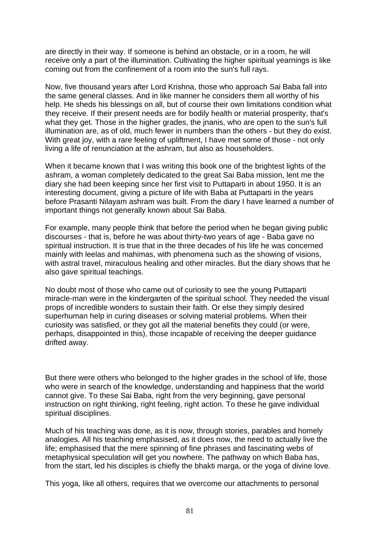are directly in their way. If someone is behind an obstacle, or in a room, he will receive only a part of the illumination. Cultivating the higher spiritual yearnings is like coming out from the confinement of a room into the sun's full rays.

Now, five thousand years after Lord Krishna, those who approach Sai Baba fall into the same general classes. And in like manner he considers them all worthy of his help. He sheds his blessings on all, but of course their own limitations condition what they receive. If their present needs are for bodily health or material prosperity, that's what they get. Those in the higher grades, the jnanis, who are open to the sun's full illumination are, as of old, much fewer in numbers than the others - but they do exist. With great joy, with a rare feeling of upliftment, I have met some of those - not only living a life of renunciation at the ashram, but also as householders.

When it became known that I was writing this book one of the brightest lights of the ashram, a woman completely dedicated to the great Sai Baba mission, lent me the diary she had been keeping since her first visit to Puttaparti in about 1950. It is an interesting document, giving a picture of life with Baba at Puttaparti in the years before Prasanti Nilayam ashram was built. From the diary I have learned a number of important things not generally known about Sai Baba.

For example, many people think that before the period when he began giving public discourses - that is, before he was about thirty-two years of age - Baba gave no spiritual instruction. It is true that in the three decades of his life he was concerned mainly with leelas and mahimas, with phenomena such as the showing of visions, with astral travel, miraculous healing and other miracles. But the diary shows that he also gave spiritual teachings.

No doubt most of those who came out of curiosity to see the young Puttaparti miracle-man were in the kindergarten of the spiritual school. They needed the visual props of incredible wonders to sustain their faith. Or else they simply desired superhuman help in curing diseases or solving material problems. When their curiosity was satisfied, or they got all the material benefits they could (or were, perhaps, disappointed in this), those incapable of receiving the deeper guidance drifted away.

But there were others who belonged to the higher grades in the school of life, those who were in search of the knowledge, understanding and happiness that the world cannot give. To these Sai Baba, right from the very beginning, gave personal instruction on right thinking, right feeling, right action. To these he gave individual spiritual disciplines.

Much of his teaching was done, as it is now, through stories, parables and homely analogies. All his teaching emphasised, as it does now, the need to actually live the life; emphasised that the mere spinning of fine phrases and fascinating webs of metaphysical speculation will get you nowhere. The pathway on which Baba has, from the start, led his disciples is chiefly the bhakti marga, or the yoga of divine love.

This yoga, like all others, requires that we overcome our attachments to personal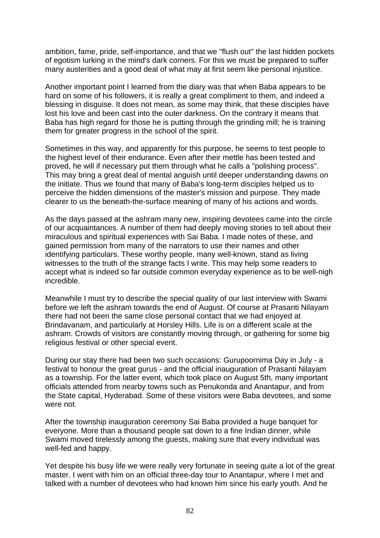ambition, fame, pride, self-importance, and that we "flush out" the last hidden pockets of egotism lurking in the mind's dark corners. For this we must be prepared to suffer many austerities and a good deal of what may at first seem like personal injustice.

Another important point I learned from the diary was that when Baba appears to be hard on some of his followers, it is really a great compliment to them, and indeed a blessing in disguise. It does not mean, as some may think, that these disciples have lost his love and been cast into the outer darkness. On the contrary it means that Baba has high regard for those he is putting through the grinding mill; he is training them for greater progress in the school of the spirit.

Sometimes in this way, and apparently for this purpose, he seems to test people to the highest level of their endurance. Even after their mettle has been tested and proved, he will if necessary put them through what he calls a "polishing process". This may bring a great deal of mental anguish until deeper understanding dawns on the initiate. Thus we found that many of Baba's long-term disciples helped us to perceive the hidden dimensions of the master's mission and purpose. They made clearer to us the beneath-the-surface meaning of many of his actions and words.

As the days passed at the ashram many new, inspiring devotees came into the circle of our acquaintances. A number of them had deeply moving stories to tell about their miraculous and spiritual experiences with Sai Baba. I made notes of these, and gained permission from many of the narrators to use their names and other identifying particulars. These worthy people, many well-known, stand as living witnesses to the truth of the strange facts I write. This may help some readers to accept what is indeed so far outside common everyday experience as to be well-nigh incredible.

Meanwhile I must try to describe the special quality of our last interview with Swami before we left the ashram towards the end of August. Of course at Prasanti Nilayam there had not been the same close personal contact that we had enjoyed at Brindavanam, and particularly at Horsley Hills. Life is on a different scale at the ashram. Crowds of visitors are constantly moving through, or gathering for some big religious festival or other special event.

During our stay there had been two such occasions: Gurupoornima Day in July - a festival to honour the great gurus - and the official inauguration of Prasanti Nilayam as a township. For the latter event, which took place on August 5th, many important officials attended from nearby towns such as Penukonda and Anantapur, and from the State capital, Hyderabad. Some of these visitors were Baba devotees, and some were not.

After the township inauguration ceremony Sai Baba provided a huge banquet for everyone. More than a thousand people sat down to a fine Indian dinner, while Swami moved tirelessly among the guests, making sure that every individual was well-fed and happy.

Yet despite his busy life we were really very fortunate in seeing quite a lot of the great master. I went with him on an official three-day tour to Anantapur, where I met and talked with a number of devotees who had known him since his early youth. And he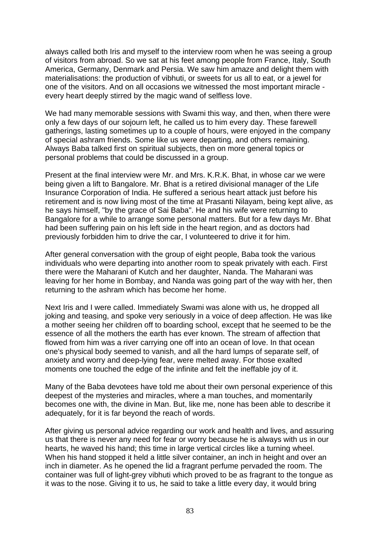always called both Iris and myself to the interview room when he was seeing a group of visitors from abroad. So we sat at his feet among people from France, Italy, South America, Germany, Denmark and Persia. We saw him amaze and delight them with materialisations: the production of vibhuti, or sweets for us all to eat, or a jewel for one of the visitors. And on all occasions we witnessed the most important miracle every heart deeply stirred by the magic wand of selfless love.

We had many memorable sessions with Swami this way, and then, when there were only a few days of our sojourn left, he called us to him every day. These farewell gatherings, lasting sometimes up to a couple of hours, were enjoyed in the company of special ashram friends. Some like us were departing, and others remaining. Always Baba talked first on spiritual subjects, then on more general topics or personal problems that could be discussed in a group.

Present at the final interview were Mr. and Mrs. K.R.K. Bhat, in whose car we were being given a lift to Bangalore. Mr. Bhat is a retired divisional manager of the Life Insurance Corporation of India. He suffered a serious heart attack just before his retirement and is now living most of the time at Prasanti Nilayam, being kept alive, as he says himself, "by the grace of Sai Baba". He and his wife were returning to Bangalore for a while to arrange some personal matters. But for a few days Mr. Bhat had been suffering pain on his left side in the heart region, and as doctors had previously forbidden him to drive the car, I volunteered to drive it for him.

After general conversation with the group of eight people, Baba took the various individuals who were departing into another room to speak privately with each. First there were the Maharani of Kutch and her daughter, Nanda. The Maharani was leaving for her home in Bombay, and Nanda was going part of the way with her, then returning to the ashram which has become her home.

Next Iris and I were called. Immediately Swami was alone with us, he dropped all joking and teasing, and spoke very seriously in a voice of deep affection. He was like a mother seeing her children off to boarding school, except that he seemed to be the essence of all the mothers the earth has ever known. The stream of affection that flowed from him was a river carrying one off into an ocean of love. In that ocean one's physical body seemed to vanish, and all the hard lumps of separate self, of anxiety and worry and deep-lying fear, were melted away. For those exalted moments one touched the edge of the infinite and felt the ineffable joy of it.

Many of the Baba devotees have told me about their own personal experience of this deepest of the mysteries and miracles, where a man touches, and momentarily becomes one with, the divine in Man. But, like me, none has been able to describe it adequately, for it is far beyond the reach of words.

After giving us personal advice regarding our work and health and lives, and assuring us that there is never any need for fear or worry because he is always with us in our hearts, he waved his hand; this time in large vertical circles like a turning wheel. When his hand stopped it held a little silver container, an inch in height and over an inch in diameter. As he opened the lid a fragrant perfume pervaded the room. The container was full of light-grey vibhuti which proved to be as fragrant to the tongue as it was to the nose. Giving it to us, he said to take a little every day, it would bring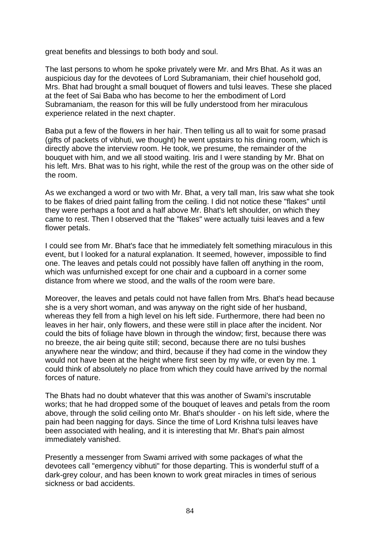great benefits and blessings to both body and soul.

The last persons to whom he spoke privately were Mr. and Mrs Bhat. As it was an auspicious day for the devotees of Lord Subramaniam, their chief household god, Mrs. Bhat had brought a small bouquet of flowers and tulsi leaves. These she placed at the feet of Sai Baba who has become to her the embodiment of Lord Subramaniam, the reason for this will be fully understood from her miraculous experience related in the next chapter.

Baba put a few of the flowers in her hair. Then telling us all to wait for some prasad (gifts of packets of vibhuti, we thought) he went upstairs to his dining room, which is directly above the interview room. He took, we presume, the remainder of the bouquet with him, and we all stood waiting. Iris and I were standing by Mr. Bhat on his left. Mrs. Bhat was to his right, while the rest of the group was on the other side of the room.

As we exchanged a word or two with Mr. Bhat, a very tall man, Iris saw what she took to be flakes of dried paint falling from the ceiling. I did not notice these "flakes" until they were perhaps a foot and a half above Mr. Bhat's left shoulder, on which they came to rest. Then I observed that the "flakes" were actually tuisi leaves and a few flower petals.

I could see from Mr. Bhat's face that he immediately felt something miraculous in this event, but I looked for a natural explanation. It seemed, however, impossible to find one. The leaves and petals could not possibly have fallen off anything in the room, which was unfurnished except for one chair and a cupboard in a corner some distance from where we stood, and the walls of the room were bare.

Moreover, the leaves and petals could not have fallen from Mrs. Bhat's head because she is a very short woman, and was anyway on the right side of her husband, whereas they fell from a high level on his left side. Furthermore, there had been no leaves in her hair, only flowers, and these were still in place after the incident. Nor could the bits of foliage have blown in through the window; first, because there was no breeze, the air being quite still; second, because there are no tulsi bushes anywhere near the window; and third, because if they had come in the window they would not have been at the height where first seen by my wife, or even by me. 1 could think of absolutely no place from which they could have arrived by the normal forces of nature.

The Bhats had no doubt whatever that this was another of Swami's inscrutable works; that he had dropped some of the bouquet of leaves and petals from the room above, through the solid ceiling onto Mr. Bhat's shoulder - on his left side, where the pain had been nagging for days. Since the time of Lord Krishna tulsi leaves have been associated with healing, and it is interesting that Mr. Bhat's pain almost immediately vanished.

Presently a messenger from Swami arrived with some packages of what the devotees call "emergency vibhuti" for those departing. This is wonderful stuff of a dark-grey colour, and has been known to work great miracles in times of serious sickness or bad accidents.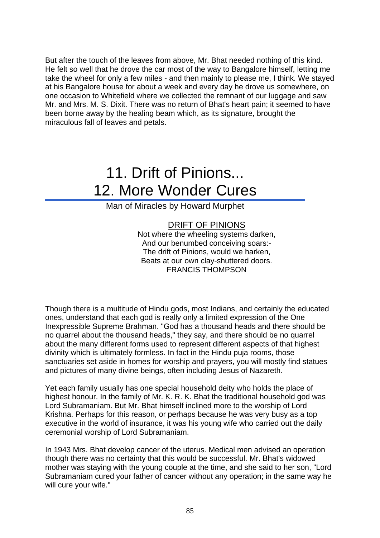But after the touch of the leaves from above, Mr. Bhat needed nothing of this kind. He felt so well that he drove the car most of the way to Bangalore himself, letting me take the wheel for only a few miles - and then mainly to please me, I think. We stayed at his Bangalore house for about a week and every day he drove us somewhere, on one occasion to Whitefield where we collected the remnant of our luggage and saw Mr. and Mrs. M. S. Dixit. There was no return of Bhat's heart pain; it seemed to have been borne away by the healing beam which, as its signature, brought the miraculous fall of leaves and petals.

# 11. Drift of Pinions... 12. More Wonder Cures

Man of Miracles by Howard Murphet

## DRIFT OF PINIONS

Not where the wheeling systems darken, And our benumbed conceiving soars:- The drift of Pinions, would we harken, Beats at our own clay-shuttered doors. FRANCIS THOMPSON

Though there is a multitude of Hindu gods, most Indians, and certainly the educated ones, understand that each god is really only a limited expression of the One Inexpressible Supreme Brahman. "God has a thousand heads and there should be no quarrel about the thousand heads," they say, and there should be no quarrel about the many different forms used to represent different aspects of that highest divinity which is ultimately formless. In fact in the Hindu puja rooms, those sanctuaries set aside in homes for worship and prayers, you will mostly find statues and pictures of many divine beings, often including Jesus of Nazareth.

Yet each family usually has one special household deity who holds the place of highest honour. In the family of Mr. K. R. K. Bhat the traditional household god was Lord Subramaniam. But Mr. Bhat himself inclined more to the worship of Lord Krishna. Perhaps for this reason, or perhaps because he was very busy as a top executive in the world of insurance, it was his young wife who carried out the daily ceremonial worship of Lord Subramaniam.

In 1943 Mrs. Bhat develop cancer of the uterus. Medical men advised an operation though there was no certainty that this would be successful. Mr. Bhat's widowed mother was staying with the young couple at the time, and she said to her son, "Lord Subramaniam cured your father of cancer without any operation; in the same way he will cure your wife."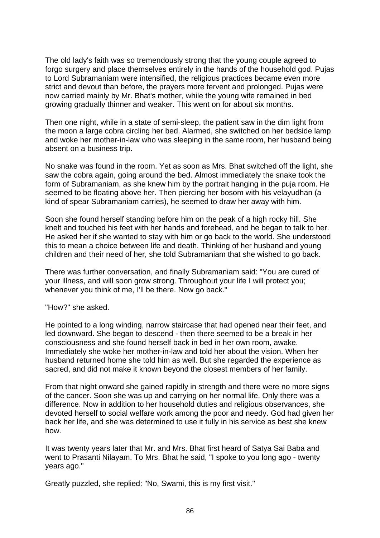The old lady's faith was so tremendously strong that the young couple agreed to forgo surgery and place themselves entirely in the hands of the household god. Pujas to Lord Subramaniam were intensified, the religious practices became even more strict and devout than before, the prayers more fervent and prolonged. Pujas were now carried mainly by Mr. Bhat's mother, while the young wife remained in bed growing gradually thinner and weaker. This went on for about six months.

Then one night, while in a state of semi-sleep, the patient saw in the dim light from the moon a large cobra circling her bed. Alarmed, she switched on her bedside lamp and woke her mother-in-law who was sleeping in the same room, her husband being absent on a business trip.

No snake was found in the room. Yet as soon as Mrs. Bhat switched off the light, she saw the cobra again, going around the bed. Almost immediately the snake took the form of Subramaniam, as she knew him by the portrait hanging in the puja room. He seemed to be floating above her. Then piercing her bosom with his velayudhan (a kind of spear Subramaniam carries), he seemed to draw her away with him.

Soon she found herself standing before him on the peak of a high rocky hill. She knelt and touched his feet with her hands and forehead, and he began to talk to her. He asked her if she wanted to stay with him or go back to the world. She understood this to mean a choice between life and death. Thinking of her husband and young children and their need of her, she told Subramaniam that she wished to go back.

There was further conversation, and finally Subramaniam said: "You are cured of your illness, and will soon grow strong. Throughout your life I will protect you; whenever you think of me, I'll be there. Now go back."

"How?" she asked.

He pointed to a long winding, narrow staircase that had opened near their feet, and led downward. She began to descend - then there seemed to be a break in her consciousness and she found herself back in bed in her own room, awake. Immediately she woke her mother-in-law and told her about the vision. When her husband returned home she told him as well. But she regarded the experience as sacred, and did not make it known beyond the closest members of her family.

From that night onward she gained rapidly in strength and there were no more signs of the cancer. Soon she was up and carrying on her normal life. Only there was a difference. Now in addition to her household duties and religious observances, she devoted herself to social welfare work among the poor and needy. God had given her back her life, and she was determined to use it fully in his service as best she knew how.

It was twenty years later that Mr. and Mrs. Bhat first heard of Satya Sai Baba and went to Prasanti Nilayam. To Mrs. Bhat he said, "I spoke to you long ago - twenty years ago."

Greatly puzzled, she replied: "No, Swami, this is my first visit."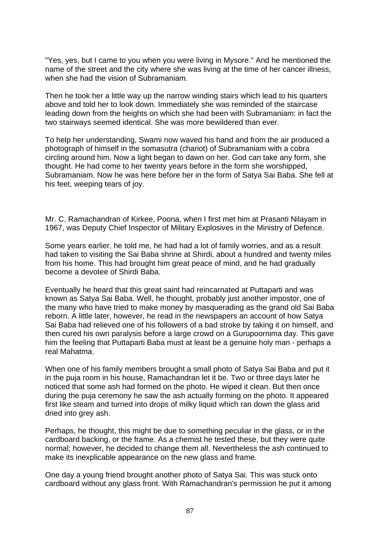"Yes, yes, but I came to you when you were living in Mysore." And he mentioned the name of the street and the city where she was living at the time of her cancer illness, when she had the vision of Subramaniam.

Then he took her a little way up the narrow winding stairs which lead to his quarters above and told her to look down. Immediately she was reminded of the staircase leading down from the heights on which she had been with Subramaniam: in fact the two stairways seemed identical. She was more bewildered than ever.

To help her understanding, Swami now waved his hand and from the air produced a photograph of himself in the somasutra (chariot) of Subramaniam with a cobra circling around him. Now a light began to dawn on her. God can take any form, she thought. He had come to her twenty years before in the form she worshipped, Subramaniam. Now he was here before her in the form of Satya Sai Baba. She fell at his feet, weeping tears of joy.

Mr. C. Ramachandran of Kirkee, Poona, when I first met him at Prasanti Nilayam in 1967, was Deputy Chief Inspector of Military Explosives in the Ministry of Defence.

Some years earlier, he told me, he had had a lot of family worries, and as a result had taken to visiting the Sai Baba shrine at Shirdi, about a hundred and twenty miles from his home. This had brought him great peace of mind, and he had gradually become a devotee of Shirdi Baba.

Eventually he heard that this great saint had reincarnated at Puttaparti and was known as Satya Sai Baba. Well, he thought, probably just another impostor, one of the many who have tried to make money by masquerading as the grand old Sai Baba reborn. A little later, however, he read in the newspapers an account of how Satya Sai Baba had relieved one of his followers of a bad stroke by taking it on himself, and then cured his own paralysis before a large crowd on a Gurupoornima day. This gave him the feeling that Puttaparti Baba must at least be a genuine holy man - perhaps a real Mahatma.

When one of his family members brought a small photo of Satya Sai Baba and put it in the puja room in his house, Ramachandran let it be. Two or three days later he noticed that some ash had formed on the photo. He wiped it clean. But then once during the puja ceremony he saw the ash actually forming on the photo. It appeared first like steam and turned into drops of milky liquid which ran down the glass and dried into grey ash.

Perhaps, he thought, this might be due to something peculiar in the glass, or in the cardboard backing, or the frame. As a chemist he tested these, but they were quite normal; however, he decided to change them all. Nevertheless the ash continued to make its inexplicable appearance on the new glass and frame.

One day a young friend brought another photo of Satya Sai. This was stuck onto cardboard without any glass front. With Ramachandran's permission he put it among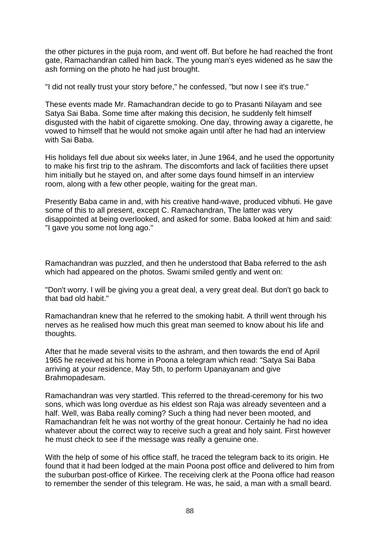the other pictures in the puja room, and went off. But before he had reached the front gate, Ramachandran called him back. The young man's eyes widened as he saw the ash forming on the photo he had just brought.

"I did not really trust your story before," he confessed, "but now I see it's true."

These events made Mr. Ramachandran decide to go to Prasanti Nilayam and see Satya Sai Baba. Some time after making this decision, he suddenly felt himself disgusted with the habit of cigarette smoking. One day, throwing away a cigarette, he vowed to himself that he would not smoke again until after he had had an interview with Sai Baba.

His holidays fell due about six weeks later, in June 1964, and he used the opportunity to make his first trip to the ashram. The discomforts and lack of facilities there upset him initially but he stayed on, and after some days found himself in an interview room, along with a few other people, waiting for the great man.

Presently Baba came in and, with his creative hand-wave, produced vibhuti. He gave some of this to all present, except C. Ramachandran, The latter was very disappointed at being overlooked, and asked for some. Baba looked at him and said: "I gave you some not long ago."

Ramachandran was puzzled, and then he understood that Baba referred to the ash which had appeared on the photos. Swami smiled gently and went on:

"Don't worry. I will be giving you a great deal, a very great deal. But don't go back to that bad old habit."

Ramachandran knew that he referred to the smoking habit. A thrill went through his nerves as he realised how much this great man seemed to know about his life and thoughts.

After that he made several visits to the ashram, and then towards the end of April 1965 he received at his home in Poona a telegram which read: "Satya Sai Baba arriving at your residence, May 5th, to perform Upanayanam and give Brahmopadesam.

Ramachandran was very startled. This referred to the thread-ceremony for his two sons, which was long overdue as his eldest son Raja was already seventeen and a half. Well, was Baba really coming? Such a thing had never been mooted, and Ramachandran felt he was not worthy of the great honour. Certainly he had no idea whatever about the correct way to receive such a great and holy saint. First however he must check to see if the message was really a genuine one.

With the help of some of his office staff, he traced the telegram back to its origin. He found that it had been lodged at the main Poona post office and delivered to him from the suburban post-office of Kirkee. The receiving clerk at the Poona office had reason to remember the sender of this telegram. He was, he said, a man with a small beard.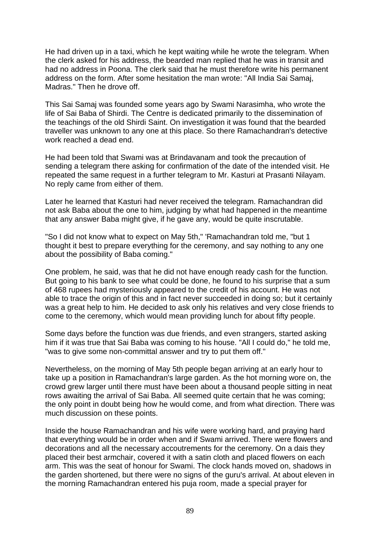He had driven up in a taxi, which he kept waiting while he wrote the telegram. When the clerk asked for his address, the bearded man replied that he was in transit and had no address in Poona. The clerk said that he must therefore write his permanent address on the form. After some hesitation the man wrote: "All India Sai Samaj, Madras." Then he drove off.

This Sai Samaj was founded some years ago by Swami Narasimha, who wrote the life of Sai Baba of Shirdi. The Centre is dedicated primarily to the dissemination of the teachings of the old Shirdi Saint. On investigation it was found that the bearded traveller was unknown to any one at this place. So there Ramachandran's detective work reached a dead end.

He had been told that Swami was at Brindavanam and took the precaution of sending a telegram there asking for confirmation of the date of the intended visit. He repeated the same request in a further telegram to Mr. Kasturi at Prasanti Nilayam. No reply came from either of them.

Later he learned that Kasturi had never received the telegram. Ramachandran did not ask Baba about the one to him, judging by what had happened in the meantime that any answer Baba might give, if he gave any, would be quite inscrutable.

"So I did not know what to expect on May 5th," 'Ramachandran told me, "but 1 thought it best to prepare everything for the ceremony, and say nothing to any one about the possibility of Baba coming."

One problem, he said, was that he did not have enough ready cash for the function. But going to his bank to see what could be done, he found to his surprise that a sum of 468 rupees had mysteriously appeared to the credit of his account. He was not able to trace the origin of this and in fact never succeeded in doing so; but it certainly was a great help to him. He decided to ask only his relatives and very close friends to come to the ceremony, which would mean providing lunch for about fifty people.

Some days before the function was due friends, and even strangers, started asking him if it was true that Sai Baba was coming to his house. "All I could do," he told me, "was to give some non-committal answer and try to put them off."

Nevertheless, on the morning of May 5th people began arriving at an early hour to take up a position in Ramachandran's large garden. As the hot morning wore on, the crowd grew larger until there must have been about a thousand people sitting in neat rows awaiting the arrival of Sai Baba. All seemed quite certain that he was coming; the only point in doubt being how he would come, and from what direction. There was much discussion on these points.

Inside the house Ramachandran and his wife were working hard, and praying hard that everything would be in order when and if Swami arrived. There were flowers and decorations and all the necessary accoutrements for the ceremony. On a dais they placed their best armchair, covered it with a satin cloth and placed flowers on each arm. This was the seat of honour for Swami. The clock hands moved on, shadows in the garden shortened, but there were no signs of the guru's arrival. At about eleven in the morning Ramachandran entered his puja room, made a special prayer for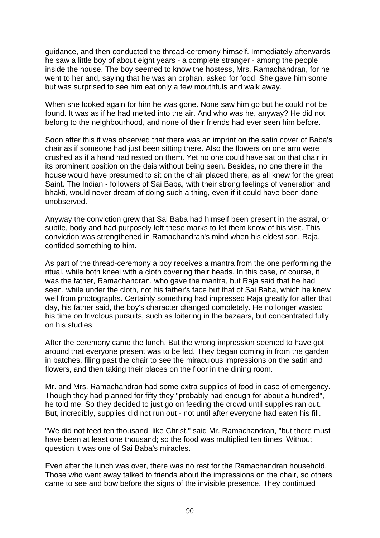guidance, and then conducted the thread-ceremony himself. Immediately afterwards he saw a little boy of about eight years - a complete stranger - among the people inside the house. The boy seemed to know the hostess, Mrs. Ramachandran, for he went to her and, saying that he was an orphan, asked for food. She gave him some but was surprised to see him eat only a few mouthfuls and walk away.

When she looked again for him he was gone. None saw him go but he could not be found. It was as if he had melted into the air. And who was he, anyway? He did not belong to the neighbourhood, and none of their friends had ever seen him before.

Soon after this it was observed that there was an imprint on the satin cover of Baba's chair as if someone had just been sitting there. Also the flowers on one arm were crushed as if a hand had rested on them. Yet no one could have sat on that chair in its prominent position on the dais without being seen. Besides, no one there in the house would have presumed to sit on the chair placed there, as all knew for the great Saint. The Indian - followers of Sai Baba, with their strong feelings of veneration and bhakti, would never dream of doing such a thing, even if it could have been done unobserved.

Anyway the conviction grew that Sai Baba had himself been present in the astral, or subtle, body and had purposely left these marks to let them know of his visit. This conviction was strengthened in Ramachandran's mind when his eldest son, Raja, confided something to him.

As part of the thread-ceremony a boy receives a mantra from the one performing the ritual, while both kneel with a cloth covering their heads. In this case, of course, it was the father, Ramachandran, who gave the mantra, but Raja said that he had seen, while under the cloth, not his father's face but that of Sai Baba, which he knew well from photographs. Certainly something had impressed Raja greatly for after that day, his father said, the boy's character changed completely. He no longer wasted his time on frivolous pursuits, such as loitering in the bazaars, but concentrated fully on his studies.

After the ceremony came the lunch. But the wrong impression seemed to have got around that everyone present was to be fed. They began coming in from the garden in batches, filing past the chair to see the miraculous impressions on the satin and flowers, and then taking their places on the floor in the dining room.

Mr. and Mrs. Ramachandran had some extra supplies of food in case of emergency. Though they had planned for fifty they "probably had enough for about a hundred", he told me. So they decided to just go on feeding the crowd until supplies ran out. But, incredibly, supplies did not run out - not until after everyone had eaten his fill.

"We did not feed ten thousand, like Christ," said Mr. Ramachandran, "but there must have been at least one thousand; so the food was multiplied ten times. Without question it was one of Sai Baba's miracles.

Even after the lunch was over, there was no rest for the Ramachandran household. Those who went away talked to friends about the impressions on the chair, so others came to see and bow before the signs of the invisible presence. They continued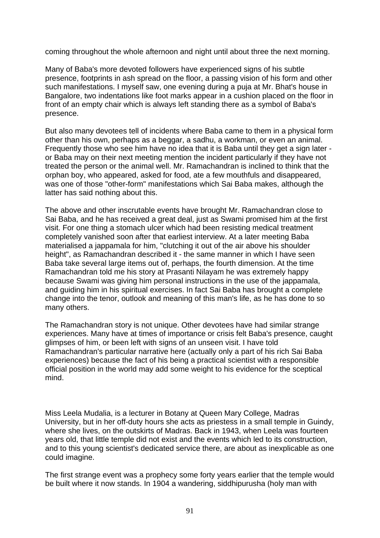coming throughout the whole afternoon and night until about three the next morning.

Many of Baba's more devoted followers have experienced signs of his subtle presence, footprints in ash spread on the floor, a passing vision of his form and other such manifestations. I myself saw, one evening during a puja at Mr. Bhat's house in Bangalore, two indentations like foot marks appear in a cushion placed on the floor in front of an empty chair which is always left standing there as a symbol of Baba's presence.

But also many devotees tell of incidents where Baba came to them in a physical form other than his own, perhaps as a beggar, a sadhu, a workman, or even an animal. Frequently those who see him have no idea that it is Baba until they get a sign later or Baba may on their next meeting mention the incident particularly if they have not treated the person or the animal well. Mr. Ramachandran is inclined to think that the orphan boy, who appeared, asked for food, ate a few mouthfuls and disappeared, was one of those "other-form" manifestations which Sai Baba makes, although the latter has said nothing about this.

The above and other inscrutable events have brought Mr. Ramachandran close to Sai Baba, and he has received a great deal, just as Swami promised him at the first visit. For one thing a stomach ulcer which had been resisting medical treatment completely vanished soon after that earliest interview. At a later meeting Baba materialised a jappamala for him, "clutching it out of the air above his shoulder height", as Ramachandran described it - the same manner in which I have seen Baba take several large items out of, perhaps, the fourth dimension. At the time Ramachandran told me his story at Prasanti Nilayam he was extremely happy because Swami was giving him personal instructions in the use of the jappamala, and guiding him in his spiritual exercises. In fact Sai Baba has brought a complete change into the tenor, outlook and meaning of this man's life, as he has done to so many others.

The Ramachandran story is not unique. Other devotees have had similar strange experiences. Many have at times of importance or crisis felt Baba's presence, caught glimpses of him, or been left with signs of an unseen visit. I have told Ramachandran's particular narrative here (actually only a part of his rich Sai Baba experiences) because the fact of his being a practical scientist with a responsible official position in the world may add some weight to his evidence for the sceptical mind.

Miss Leela Mudalia, is a lecturer in Botany at Queen Mary College, Madras University, but in her off-duty hours she acts as priestess in a small temple in Guindy, where she lives, on the outskirts of Madras. Back in 1943, when Leela was fourteen years old, that little temple did not exist and the events which led to its construction, and to this young scientist's dedicated service there, are about as inexplicable as one could imagine.

The first strange event was a prophecy some forty years earlier that the temple would be built where it now stands. In 1904 a wandering, siddhipurusha (holy man with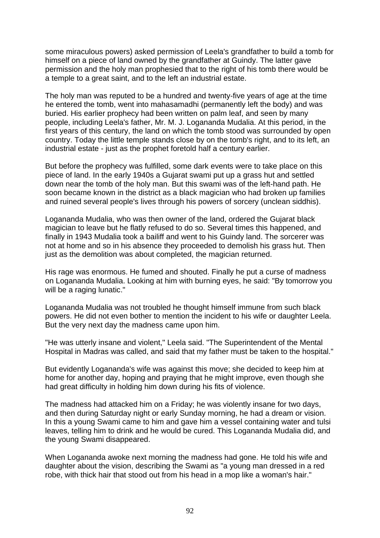some miraculous powers) asked permission of Leela's grandfather to build a tomb for himself on a piece of land owned by the grandfather at Guindy. The latter gave permission and the holy man prophesied that to the right of his tomb there would be a temple to a great saint, and to the left an industrial estate.

The holy man was reputed to be a hundred and twenty-five years of age at the time he entered the tomb, went into mahasamadhi (permanently left the body) and was buried. His earlier prophecy had been written on palm leaf, and seen by many people, including Leela's father, Mr. M. J. Logananda Mudalia. At this period, in the first years of this century, the land on which the tomb stood was surrounded by open country. Today the little temple stands close by on the tomb's right, and to its left, an industrial estate - just as the prophet foretold half a century earlier.

But before the prophecy was fulfilled, some dark events were to take place on this piece of land. In the early 1940s a Gujarat swami put up a grass hut and settled down near the tomb of the holy man. But this swami was of the left-hand path. He soon became known in the district as a black magician who had broken up families and ruined several people's lives through his powers of sorcery (unclean siddhis).

Logananda Mudalia, who was then owner of the land, ordered the Gujarat black magician to leave but he flatly refused to do so. Several times this happened, and finally in 1943 Mudalia took a bailiff and went to his Guindy land. The sorcerer was not at home and so in his absence they proceeded to demolish his grass hut. Then just as the demolition was about completed, the magician returned.

His rage was enormous. He fumed and shouted. Finally he put a curse of madness on Logananda Mudalia. Looking at him with burning eyes, he said: "By tomorrow you will be a raging lunatic."

Logananda Mudalia was not troubled he thought himself immune from such black powers. He did not even bother to mention the incident to his wife or daughter Leela. But the very next day the madness came upon him.

"He was utterly insane and violent," Leela said. "The Superintendent of the Mental Hospital in Madras was called, and said that my father must be taken to the hospital."

But evidently Logananda's wife was against this move; she decided to keep him at home for another day, hoping and praying that he might improve, even though she had great difficulty in holding him down during his fits of violence.

The madness had attacked him on a Friday; he was violently insane for two days, and then during Saturday night or early Sunday morning, he had a dream or vision. In this a young Swami came to him and gave him a vessel containing water and tulsi leaves, telling him to drink and he would be cured. This Logananda Mudalia did, and the young Swami disappeared.

When Logananda awoke next morning the madness had gone. He told his wife and daughter about the vision, describing the Swami as "a young man dressed in a red robe, with thick hair that stood out from his head in a mop like a woman's hair."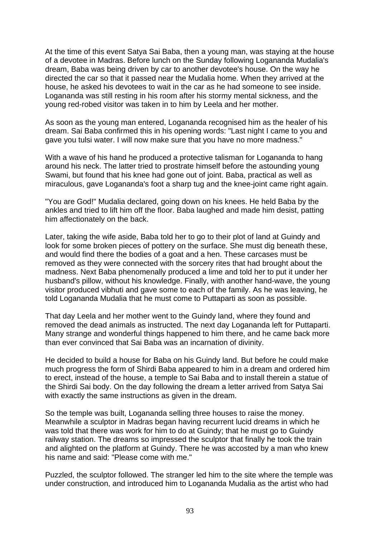At the time of this event Satya Sai Baba, then a young man, was staying at the house of a devotee in Madras. Before lunch on the Sunday following Logananda Mudalia's dream, Baba was being driven by car to another devotee's house. On the way he directed the car so that it passed near the Mudalia home. When they arrived at the house, he asked his devotees to wait in the car as he had someone to see inside. Logananda was still resting in his room after his stormy mental sickness, and the young red-robed visitor was taken in to him by Leela and her mother.

As soon as the young man entered, Logananda recognised him as the healer of his dream. Sai Baba confirmed this in his opening words: "Last night I came to you and gave you tulsi water. I will now make sure that you have no more madness."

With a wave of his hand he produced a protective talisman for Logananda to hang around his neck. The latter tried to prostrate himself before the astounding young Swami, but found that his knee had gone out of joint. Baba, practical as well as miraculous, gave Logananda's foot a sharp tug and the knee-joint came right again.

"You are God!" Mudalia declared, going down on his knees. He held Baba by the ankles and tried to lift him off the floor. Baba laughed and made him desist, patting him affectionately on the back.

Later, taking the wife aside, Baba told her to go to their plot of land at Guindy and look for some broken pieces of pottery on the surface. She must dig beneath these, and would find there the bodies of a goat and a hen. These carcases must be removed as they were connected with the sorcery rites that had brought about the madness. Next Baba phenomenally produced a lime and told her to put it under her husband's pillow, without his knowledge. Finally, with another hand-wave, the young visitor produced vibhuti and gave some to each of the family. As he was leaving, he told Logananda Mudalia that he must come to Puttaparti as soon as possible.

That day Leela and her mother went to the Guindy land, where they found and removed the dead animals as instructed. The next day Logananda left for Puttaparti. Many strange and wonderful things happened to him there, and he came back more than ever convinced that Sai Baba was an incarnation of divinity.

He decided to build a house for Baba on his Guindy land. But before he could make much progress the form of Shirdi Baba appeared to him in a dream and ordered him to erect, instead of the house, a temple to Sai Baba and to install therein a statue of the Shirdi Sai body. On the day following the dream a letter arrived from Satya Sai with exactly the same instructions as given in the dream.

So the temple was built, Logananda selling three houses to raise the money. Meanwhile a sculptor in Madras began having recurrent lucid dreams in which he was told that there was work for him to do at Guindy; that he must go to Guindy railway station. The dreams so impressed the sculptor that finally he took the train and alighted on the platform at Guindy. There he was accosted by a man who knew his name and said: "Please come with me."

Puzzled, the sculptor followed. The stranger led him to the site where the temple was under construction, and introduced him to Logananda Mudalia as the artist who had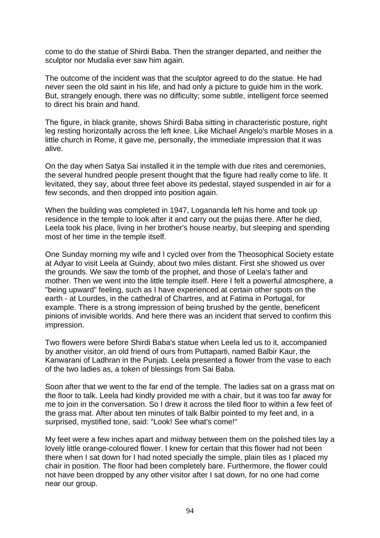come to do the statue of Shirdi Baba. Then the stranger departed, and neither the sculptor nor Mudalia ever saw him again.

The outcome of the incident was that the sculptor agreed to do the statue. He had never seen the old saint in his life, and had only a picture to guide him in the work. But, strangely enough, there was no difficulty; some subtle, intelligent force seemed to direct his brain and hand.

The figure, in black granite, shows Shirdi Baba sitting in characteristic posture, right leg resting horizontally across the left knee. Like Michael Angelo's marble Moses in a little church in Rome, it gave me, personally, the immediate impression that it was alive.

On the day when Satya Sai installed it in the temple with due rites and ceremonies, the several hundred people present thought that the figure had really come to life. It levitated, they say, about three feet above its pedestal, stayed suspended in air for a few seconds, and then dropped into position again.

When the building was completed in 1947, Logananda left his home and took up residence in the temple to look after it and carry out the pujas there. After he died, Leela took his place, living in her brother's house nearby, but sleeping and spending most of her time in the temple itself.

One Sunday morning my wife and I cycled over from the Theosophical Society estate at Adyar to visit Leela at Guindy, about two miles distant. First she showed us over the grounds. We saw the tomb of the prophet, and those of Leela's father and mother. Then we went into the little temple itself. Here I felt a powerful atmosphere, a "being upward" feeling, such as I have experienced at certain other spots on the earth - at Lourdes, in the cathedral of Chartres, and at Fatima in Portugal, for example. There is a strong impression of being brushed by the gentle, beneficent pinions of invisible worlds. And here there was an incident that served to confirm this impression.

Two flowers were before Shirdi Baba's statue when Leela led us to it, accompanied by another visitor, an old friend of ours from Puttaparti, named Balbir Kaur, the Kanwarani of Ladhran in the Punjab. Leela presented a flower from the vase to each of the two ladies as, a token of blessings from Sai Baba.

Soon after that we went to the far end of the temple. The ladies sat on a grass mat on the floor to talk. Leela had kindly provided me with a chair, but it was too far away for me to join in the conversation. So I drew it across the tiled floor to within a few feet of the grass mat. After about ten minutes of talk Balbir pointed to my feet and, in a surprised, mystified tone, said: "Look! See what's come!"

My feet were a few inches apart and midway between them on the polished tiles lay a lovely little orange-coloured flower. I knew for certain that this flower had not been there when I sat down for I had noted specially the simple, plain tiles as I placed my chair in position. The floor had been completely bare. Furthermore, the flower could not have been dropped by any other visitor after I sat down, for no one had come near our group.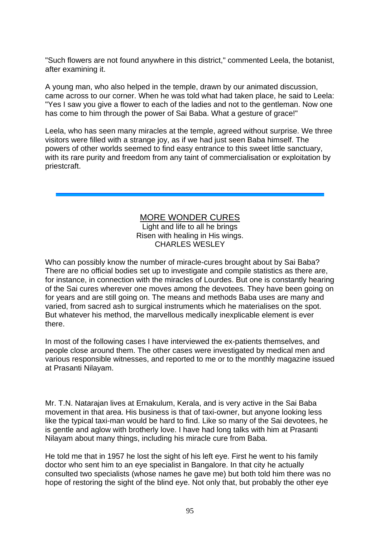"Such flowers are not found anywhere in this district," commented Leela, the botanist, after examining it.

A young man, who also helped in the temple, drawn by our animated discussion, came across to our corner. When he was told what had taken place, he said to Leela: "Yes I saw you give a flower to each of the ladies and not to the gentleman. Now one has come to him through the power of Sai Baba. What a gesture of grace!"

Leela, who has seen many miracles at the temple, agreed without surprise. We three visitors were filled with a strange joy, as if we had just seen Baba himself. The powers of other worlds seemed to find easy entrance to this sweet little sanctuary, with its rare purity and freedom from any taint of commercialisation or exploitation by priestcraft.

#### MORE WONDER CURES Light and life to all he brings Risen with healing in His wings. CHARLES WESLEY

Who can possibly know the number of miracle-cures brought about by Sai Baba? There are no official bodies set up to investigate and compile statistics as there are, for instance, in connection with the miracles of Lourdes. But one is constantly hearing of the Sai cures wherever one moves among the devotees. They have been going on for years and are still going on. The means and methods Baba uses are many and varied, from sacred ash to surgical instruments which he materialises on the spot. But whatever his method, the marvellous medically inexplicable element is ever there.

In most of the following cases I have interviewed the ex-patients themselves, and people close around them. The other cases were investigated by medical men and various responsible witnesses, and reported to me or to the monthly magazine issued at Prasanti Nilayam.

Mr. T.N. Natarajan lives at Ernakulum, Kerala, and is very active in the Sai Baba movement in that area. His business is that of taxi-owner, but anyone looking less like the typical taxi-man would be hard to find. Like so many of the Sai devotees, he is gentle and aglow with brotherly love. I have had long talks with him at Prasanti Nilayam about many things, including his miracle cure from Baba.

He told me that in 1957 he lost the sight of his left eye. First he went to his family doctor who sent him to an eye specialist in Bangalore. In that city he actually consulted two specialists (whose names he gave me) but both told him there was no hope of restoring the sight of the blind eye. Not only that, but probably the other eye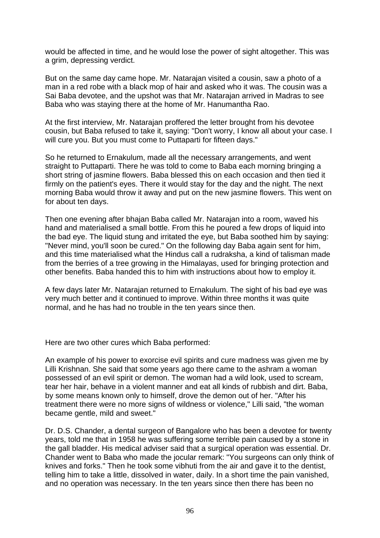would be affected in time, and he would lose the power of sight altogether. This was a grim, depressing verdict.

But on the same day came hope. Mr. Natarajan visited a cousin, saw a photo of a man in a red robe with a black mop of hair and asked who it was. The cousin was a Sai Baba devotee, and the upshot was that Mr. Natarajan arrived in Madras to see Baba who was staying there at the home of Mr. Hanumantha Rao.

At the first interview, Mr. Natarajan proffered the letter brought from his devotee cousin, but Baba refused to take it, saying: "Don't worry, I know all about your case. I will cure you. But you must come to Puttaparti for fifteen days."

So he returned to Ernakulum, made all the necessary arrangements, and went straight to Puttaparti. There he was told to come to Baba each morning bringing a short string of jasmine flowers. Baba blessed this on each occasion and then tied it firmly on the patient's eyes. There it would stay for the day and the night. The next morning Baba would throw it away and put on the new jasmine flowers. This went on for about ten days.

Then one evening after bhajan Baba called Mr. Natarajan into a room, waved his hand and materialised a small bottle. From this he poured a few drops of liquid into the bad eye. The liquid stung and irritated the eye, but Baba soothed him by saying: "Never mind, you'll soon be cured." On the following day Baba again sent for him, and this time materialised what the Hindus call a rudraksha, a kind of talisman made from the berries of a tree growing in the Himalayas, used for bringing protection and other benefits. Baba handed this to him with instructions about how to employ it.

A few days later Mr. Natarajan returned to Ernakulum. The sight of his bad eye was very much better and it continued to improve. Within three months it was quite normal, and he has had no trouble in the ten years since then.

Here are two other cures which Baba performed:

An example of his power to exorcise evil spirits and cure madness was given me by Lilli Krishnan. She said that some years ago there came to the ashram a woman possessed of an evil spirit or demon. The woman had a wild look, used to scream, tear her hair, behave in a violent manner and eat all kinds of rubbish and dirt. Baba, by some means known only to himself, drove the demon out of her. "After his treatment there were no more signs of wildness or violence," Lilli said, "the woman became gentle, mild and sweet."

Dr. D.S. Chander, a dental surgeon of Bangalore who has been a devotee for twenty years, told me that in 1958 he was suffering some terrible pain caused by a stone in the gall bladder. His medical adviser said that a surgical operation was essential. Dr. Chander went to Baba who made the jocular remark: "You surgeons can only think of knives and forks." Then he took some vibhuti from the air and gave it to the dentist, telling him to take a little, dissolved in water, daily. In a short time the pain vanished, and no operation was necessary. In the ten years since then there has been no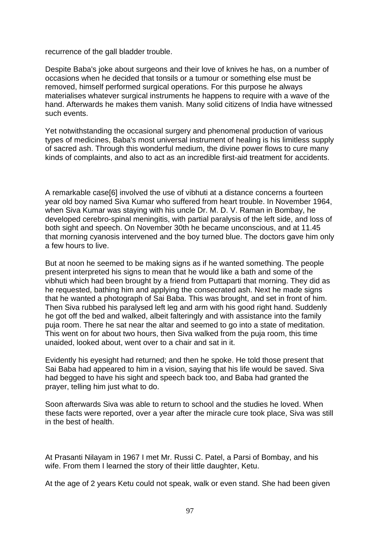recurrence of the gall bladder trouble.

Despite Baba's joke about surgeons and their love of knives he has, on a number of occasions when he decided that tonsils or a tumour or something else must be removed, himself performed surgical operations. For this purpose he always materialises whatever surgical instruments he happens to require with a wave of the hand. Afterwards he makes them vanish. Many solid citizens of India have witnessed such events.

Yet notwithstanding the occasional surgery and phenomenal production of various types of medicines, Baba's most universal instrument of healing is his limitless supply of sacred ash. Through this wonderful medium, the divine power flows to cure many kinds of complaints, and also to act as an incredible first-aid treatment for accidents.

A remarkable case[6] involved the use of vibhuti at a distance concerns a fourteen year old boy named Siva Kumar who suffered from heart trouble. In November 1964, when Siva Kumar was staying with his uncle Dr. M. D. V. Raman in Bombay, he developed cerebro-spinal meningitis, with partial paralysis of the left side, and loss of both sight and speech. On November 30th he became unconscious, and at 11.45 that morning cyanosis intervened and the boy turned blue. The doctors gave him only a few hours to live.

But at noon he seemed to be making signs as if he wanted something. The people present interpreted his signs to mean that he would like a bath and some of the vibhuti which had been brought by a friend from Puttaparti that morning. They did as he requested, bathing him and applying the consecrated ash. Next he made signs that he wanted a photograph of Sai Baba. This was brought, and set in front of him. Then Siva rubbed his paralysed left leg and arm with his good right hand. Suddenly he got off the bed and walked, albeit falteringly and with assistance into the family puja room. There he sat near the altar and seemed to go into a state of meditation. This went on for about two hours, then Siva walked from the puja room, this time unaided, looked about, went over to a chair and sat in it.

Evidently his eyesight had returned; and then he spoke. He told those present that Sai Baba had appeared to him in a vision, saying that his life would be saved. Siva had begged to have his sight and speech back too, and Baba had granted the prayer, telling him just what to do.

Soon afterwards Siva was able to return to school and the studies he loved. When these facts were reported, over a year after the miracle cure took place, Siva was still in the best of health.

At Prasanti Nilayam in 1967 I met Mr. Russi C. Patel, a Parsi of Bombay, and his wife. From them I learned the story of their little daughter, Ketu.

At the age of 2 years Ketu could not speak, walk or even stand. She had been given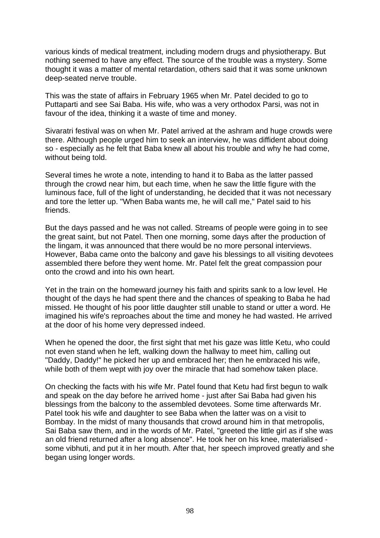various kinds of medical treatment, including modern drugs and physiotherapy. But nothing seemed to have any effect. The source of the trouble was a mystery. Some thought it was a matter of mental retardation, others said that it was some unknown deep-seated nerve trouble.

This was the state of affairs in February 1965 when Mr. Patel decided to go to Puttaparti and see Sai Baba. His wife, who was a very orthodox Parsi, was not in favour of the idea, thinking it a waste of time and money.

Sivaratri festival was on when Mr. Patel arrived at the ashram and huge crowds were there. Although people urged him to seek an interview, he was diffident about doing so - especially as he felt that Baba knew all about his trouble and why he had come, without being told.

Several times he wrote a note, intending to hand it to Baba as the latter passed through the crowd near him, but each time, when he saw the little figure with the luminous face, full of the light of understanding, he decided that it was not necessary and tore the letter up. "When Baba wants me, he will call me," Patel said to his friends.

But the days passed and he was not called. Streams of people were going in to see the great saint, but not Patel. Then one morning, some days after the production of the lingam, it was announced that there would be no more personal interviews. However, Baba came onto the balcony and gave his blessings to all visiting devotees assembled there before they went home. Mr. Patel felt the great compassion pour onto the crowd and into his own heart.

Yet in the train on the homeward journey his faith and spirits sank to a low level. He thought of the days he had spent there and the chances of speaking to Baba he had missed. He thought of his poor little daughter still unable to stand or utter a word. He imagined his wife's reproaches about the time and money he had wasted. He arrived at the door of his home very depressed indeed.

When he opened the door, the first sight that met his gaze was little Ketu, who could not even stand when he left, walking down the hallway to meet him, calling out "Daddy, Daddy!" he picked her up and embraced her; then he embraced his wife, while both of them wept with joy over the miracle that had somehow taken place.

On checking the facts with his wife Mr. Patel found that Ketu had first begun to walk and speak on the day before he arrived home - just after Sai Baba had given his blessings from the balcony to the assembled devotees. Some time afterwards Mr. Patel took his wife and daughter to see Baba when the latter was on a visit to Bombay. In the midst of many thousands that crowd around him in that metropolis, Sai Baba saw them, and in the words of Mr. Patel, "greeted the little girl as if she was an old friend returned after a long absence". He took her on his knee, materialised some vibhuti, and put it in her mouth. After that, her speech improved greatly and she began using longer words.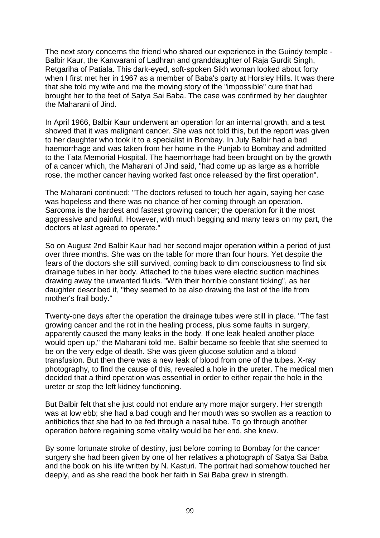The next story concerns the friend who shared our experience in the Guindy temple - Balbir Kaur, the Kanwarani of Ladhran and granddaughter of Raja Gurdit Singh, Retgariha of Patiala. This dark-eyed, soft-spoken Sikh woman looked about forty when I first met her in 1967 as a member of Baba's party at Horsley Hills. It was there that she told my wife and me the moving story of the "impossible" cure that had brought her to the feet of Satya Sai Baba. The case was confirmed by her daughter the Maharani of Jind.

In April 1966, Balbir Kaur underwent an operation for an internal growth, and a test showed that it was malignant cancer. She was not told this, but the report was given to her daughter who took it to a specialist in Bombay. In July Balbir had a bad haemorrhage and was taken from her home in the Punjab to Bombay and admitted to the Tata Memorial Hospital. The haemorrhage had been brought on by the growth of a cancer which, the Maharani of Jind said, "had come up as large as a horrible rose, the mother cancer having worked fast once released by the first operation".

The Maharani continued: "The doctors refused to touch her again, saying her case was hopeless and there was no chance of her coming through an operation. Sarcoma is the hardest and fastest growing cancer; the operation for it the most aggressive and painful. However, with much begging and many tears on my part, the doctors at last agreed to operate."

So on August 2nd Balbir Kaur had her second major operation within a period of just over three months. She was on the table for more than four hours. Yet despite the fears of the doctors she still survived, coming back to dim consciousness to find six drainage tubes in her body. Attached to the tubes were electric suction machines drawing away the unwanted fluids. "With their horrible constant ticking", as her daughter described it, "they seemed to be also drawing the last of the life from mother's frail body."

Twenty-one days after the operation the drainage tubes were still in place. "The fast growing cancer and the rot in the healing process, plus some faults in surgery, apparently caused the many leaks in the body. If one leak healed another place would open up," the Maharani told me. Balbir became so feeble that she seemed to be on the very edge of death. She was given glucose solution and a blood transfusion. But then there was a new leak of blood from one of the tubes. X-ray photography, to find the cause of this, revealed a hole in the ureter. The medical men decided that a third operation was essential in order to either repair the hole in the ureter or stop the left kidney functioning.

But Balbir felt that she just could not endure any more major surgery. Her strength was at low ebb; she had a bad cough and her mouth was so swollen as a reaction to antibiotics that she had to be fed through a nasal tube. To go through another operation before regaining some vitality would be her end, she knew.

By some fortunate stroke of destiny, just before coming to Bombay for the cancer surgery she had been given by one of her relatives a photograph of Satya Sai Baba and the book on his life written by N. Kasturi. The portrait had somehow touched her deeply, and as she read the book her faith in Sai Baba grew in strength.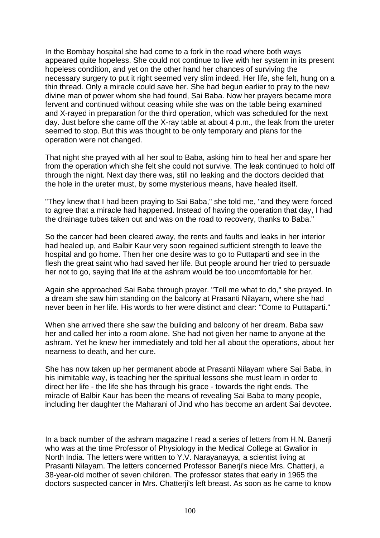In the Bombay hospital she had come to a fork in the road where both ways appeared quite hopeless. She could not continue to live with her system in its present hopeless condition, and yet on the other hand her chances of surviving the necessary surgery to put it right seemed very slim indeed. Her life, she felt, hung on a thin thread. Only a miracle could save her. She had begun earlier to pray to the new divine man of power whom she had found, Sai Baba. Now her prayers became more fervent and continued without ceasing while she was on the table being examined and X-rayed in preparation for the third operation, which was scheduled for the next day. Just before she came off the X-ray table at about 4 p.m., the leak from the ureter seemed to stop. But this was thought to be only temporary and plans for the operation were not changed.

That night she prayed with all her soul to Baba, asking him to heal her and spare her from the operation which she felt she could not survive. The leak continued to hold off through the night. Next day there was, still no leaking and the doctors decided that the hole in the ureter must, by some mysterious means, have healed itself.

"They knew that I had been praying to Sai Baba," she told me, "and they were forced to agree that a miracle had happened. Instead of having the operation that day, I had the drainage tubes taken out and was on the road to recovery, thanks to Baba."

So the cancer had been cleared away, the rents and faults and leaks in her interior had healed up, and Balbir Kaur very soon regained sufficient strength to leave the hospital and go home. Then her one desire was to go to Puttaparti and see in the flesh the great saint who had saved her life. But people around her tried to persuade her not to go, saying that life at the ashram would be too uncomfortable for her.

Again she approached Sai Baba through prayer. "Tell me what to do," she prayed. In a dream she saw him standing on the balcony at Prasanti Nilayam, where she had never been in her life. His words to her were distinct and clear: "Come to Puttaparti."

When she arrived there she saw the building and balcony of her dream. Baba saw her and called her into a room alone. She had not given her name to anyone at the ashram. Yet he knew her immediately and told her all about the operations, about her nearness to death, and her cure.

She has now taken up her permanent abode at Prasanti Nilayam where Sai Baba, in his inimitable way, is teaching her the spiritual lessons she must learn in order to direct her life - the life she has through his grace - towards the right ends. The miracle of Balbir Kaur has been the means of revealing Sai Baba to many people, including her daughter the Maharani of Jind who has become an ardent Sai devotee.

In a back number of the ashram magazine I read a series of letters from H.N. Banerji who was at the time Professor of Physiology in the Medical College at Gwalior in North India. The letters were written to Y.V. Narayanayya, a scientist living at Prasanti Nilayam. The letters concerned Professor Banerji's niece Mrs. Chatterji, a 38-year-old mother of seven children. The professor states that early in 1965 the doctors suspected cancer in Mrs. Chatterji's left breast. As soon as he came to know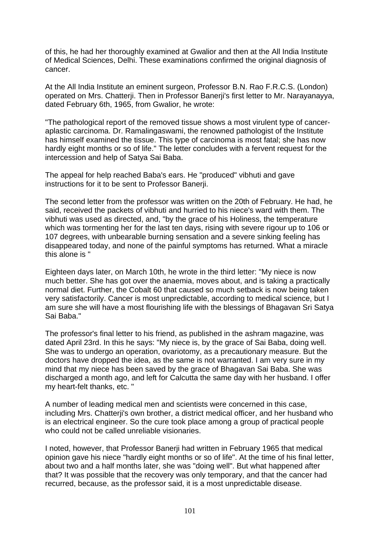of this, he had her thoroughly examined at Gwalior and then at the All India Institute of Medical Sciences, Delhi. These examinations confirmed the original diagnosis of cancer.

At the All India Institute an eminent surgeon, Professor B.N. Rao F.R.C.S. (London) operated on Mrs. Chatterji. Then in Professor Banerji's first letter to Mr. Narayanayya, dated February 6th, 1965, from Gwalior, he wrote:

"The pathological report of the removed tissue shows a most virulent type of canceraplastic carcinoma. Dr. Ramalingaswami, the renowned pathologist of the Institute has himself examined the tissue. This type of carcinoma is most fatal; she has now hardly eight months or so of life." The letter concludes with a fervent request for the intercession and help of Satya Sai Baba.

The appeal for help reached Baba's ears. He "produced" vibhuti and gave instructions for it to be sent to Professor Banerji.

The second letter from the professor was written on the 20th of February. He had, he said, received the packets of vibhuti and hurried to his niece's ward with them. The vibhuti was used as directed, and, "by the grace of his Holiness, the temperature which was tormenting her for the last ten days, rising with severe rigour up to 106 or 107 degrees, with unbearable burning sensation and a severe sinking feeling has disappeared today, and none of the painful symptoms has returned. What a miracle this alone is "

Eighteen days later, on March 10th, he wrote in the third letter: "My niece is now much better. She has got over the anaemia, moves about, and is taking a practically normal diet. Further, the Cobalt 60 that caused so much setback is now being taken very satisfactorily. Cancer is most unpredictable, according to medical science, but I am sure she will have a most flourishing life with the blessings of Bhagavan Sri Satya Sai Baba."

The professor's final letter to his friend, as published in the ashram magazine, was dated April 23rd. In this he says: "My niece is, by the grace of Sai Baba, doing well. She was to undergo an operation, ovariotomy, as a precautionary measure. But the doctors have dropped the idea, as the same is not warranted. I am very sure in my mind that my niece has been saved by the grace of Bhagavan Sai Baba. She was discharged a month ago, and left for Calcutta the same day with her husband. I offer my heart-felt thanks, etc. "

A number of leading medical men and scientists were concerned in this case, including Mrs. Chatterji's own brother, a district medical officer, and her husband who is an electrical engineer. So the cure took place among a group of practical people who could not be called unreliable visionaries.

I noted, however, that Professor Banerji had written in February 1965 that medical opinion gave his niece "hardly eight months or so of life". At the time of his final letter, about two and a half months later, she was "doing well". But what happened after that? It was possible that the recovery was only temporary, and that the cancer had recurred, because, as the professor said, it is a most unpredictable disease.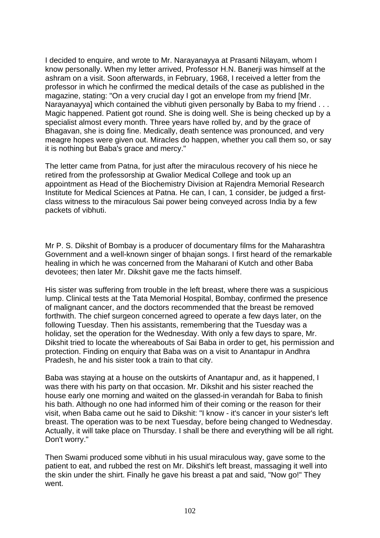I decided to enquire, and wrote to Mr. Narayanayya at Prasanti Nilayam, whom I know personally. When my letter arrived, Professor H.N. Banerji was himself at the ashram on a visit. Soon afterwards, in February, 1968, I received a letter from the professor in which he confirmed the medical details of the case as published in the magazine, stating: "On a very crucial day I got an envelope from my friend [Mr. Narayanayya] which contained the vibhuti given personally by Baba to my friend . . . Magic happened. Patient got round. She is doing well. She is being checked up by a specialist almost every month. Three years have rolled by, and by the grace of Bhagavan, she is doing fine. Medically, death sentence was pronounced, and very meagre hopes were given out. Miracles do happen, whether you call them so, or say it is nothing but Baba's grace and mercy."

The letter came from Patna, for just after the miraculous recovery of his niece he retired from the professorship at Gwalior Medical College and took up an appointment as Head of the Biochemistry Division at Rajendra Memorial Research Institute for Medical Sciences at Patna. He can, I can, 1 consider, be judged a firstclass witness to the miraculous Sai power being conveyed across India by a few packets of vibhuti.

Mr P. S. Dikshit of Bombay is a producer of documentary films for the Maharashtra Government and a well-known singer of bhajan songs. I first heard of the remarkable healing in which he was concerned from the Maharani of Kutch and other Baba devotees; then later Mr. Dikshit gave me the facts himself.

His sister was suffering from trouble in the left breast, where there was a suspicious lump. Clinical tests at the Tata Memorial Hospital, Bombay, confirmed the presence of malignant cancer, and the doctors recommended that the breast be removed forthwith. The chief surgeon concerned agreed to operate a few days later, on the following Tuesday. Then his assistants, remembering that the Tuesday was a holiday, set the operation for the Wednesday. With only a few days to spare, Mr. Dikshit tried to locate the whereabouts of Sai Baba in order to get, his permission and protection. Finding on enquiry that Baba was on a visit to Anantapur in Andhra Pradesh, he and his sister took a train to that city.

Baba was staying at a house on the outskirts of Anantapur and, as it happened, I was there with his party on that occasion. Mr. Dikshit and his sister reached the house early one morning and waited on the glassed-in verandah for Baba to finish his bath. Although no one had informed him of their coming or the reason for their visit, when Baba came out he said to Dikshit: "I know - it's cancer in your sister's left breast. The operation was to be next Tuesday, before being changed to Wednesday. Actually, it will take place on Thursday. I shall be there and everything will be all right. Don't worry."

Then Swami produced some vibhuti in his usual miraculous way, gave some to the patient to eat, and rubbed the rest on Mr. Dikshit's left breast, massaging it well into the skin under the shirt. Finally he gave his breast a pat and said, "Now go!" They went.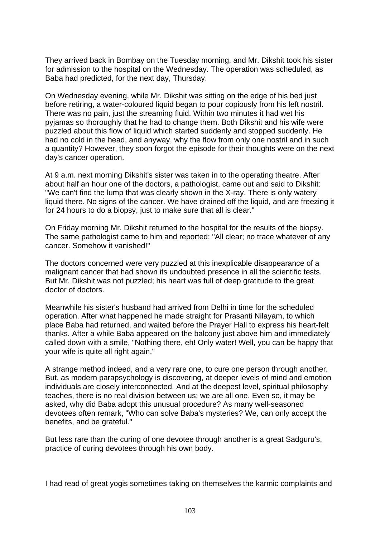They arrived back in Bombay on the Tuesday morning, and Mr. Dikshit took his sister for admission to the hospital on the Wednesday. The operation was scheduled, as Baba had predicted, for the next day, Thursday.

On Wednesday evening, while Mr. Dikshit was sitting on the edge of his bed just before retiring, a water-coloured liquid began to pour copiously from his left nostril. There was no pain, just the streaming fluid. Within two minutes it had wet his pyjamas so thoroughly that he had to change them. Both Dikshit and his wife were puzzled about this flow of liquid which started suddenly and stopped suddenly. He had no cold in the head, and anyway, why the flow from only one nostril and in such a quantity? However, they soon forgot the episode for their thoughts were on the next day's cancer operation.

At 9 a.m. next morning Dikshit's sister was taken in to the operating theatre. After about half an hour one of the doctors, a pathologist, came out and said to Dikshit: "We can't find the lump that was clearly shown in the X-ray. There is only watery liquid there. No signs of the cancer. We have drained off the liquid, and are freezing it for 24 hours to do a biopsy, just to make sure that all is clear."

On Friday morning Mr. Dikshit returned to the hospital for the results of the biopsy. The same pathologist came to him and reported: "All clear; no trace whatever of any cancer. Somehow it vanished!"

The doctors concerned were very puzzled at this inexplicable disappearance of a malignant cancer that had shown its undoubted presence in all the scientific tests. But Mr. Dikshit was not puzzled; his heart was full of deep gratitude to the great doctor of doctors.

Meanwhile his sister's husband had arrived from Delhi in time for the scheduled operation. After what happened he made straight for Prasanti Nilayam, to which place Baba had returned, and waited before the Prayer Hall to express his heart-felt thanks. After a while Baba appeared on the balcony just above him and immediately called down with a smile, "Nothing there, eh! Only water! Well, you can be happy that your wife is quite all right again."

A strange method indeed, and a very rare one, to cure one person through another. But, as modern parapsychology is discovering, at deeper levels of mind and emotion individuals are closely interconnected. And at the deepest level, spiritual philosophy teaches, there is no real division between us; we are all one. Even so, it may be asked, why did Baba adopt this unusual procedure? As many well-seasoned devotees often remark, "Who can solve Baba's mysteries? We, can only accept the benefits, and be grateful."

But less rare than the curing of one devotee through another is a great Sadguru's, practice of curing devotees through his own body.

I had read of great yogis sometimes taking on themselves the karmic complaints and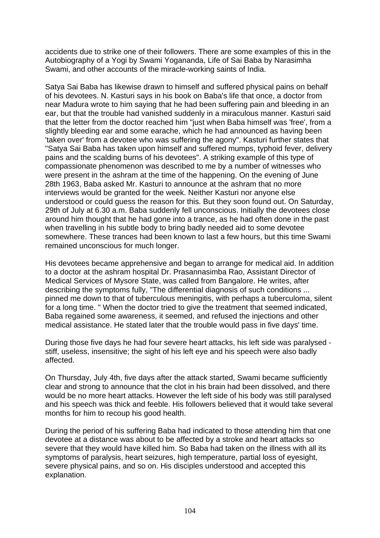accidents due to strike one of their followers. There are some examples of this in the Autobiography of a Yogi by Swami Yogananda, Life of Sai Baba by Narasimha Swami, and other accounts of the miracle-working saints of India.

Satya Sai Baba has likewise drawn to himself and suffered physical pains on behalf of his devotees. N. Kasturi says in his book on Baba's life that once, a doctor from near Madura wrote to him saying that he had been suffering pain and bleeding in an ear, but that the trouble had vanished suddenly in a miraculous manner. Kasturi said that the letter from the doctor reached him "just when Baba himself was 'free', from a slightly bleeding ear and some earache, which he had announced as having been 'taken over' from a devotee who was suffering the agony". Kasturi further states that "Satya Sai Baba has taken upon himself and suffered mumps, typhoid fever, delivery pains and the scalding burns of his devotees". A striking example of this type of compassionate phenomenon was described to me by a number of witnesses who were present in the ashram at the time of the happening. On the evening of June 28th 1963, Baba asked Mr. Kasturi to announce at the ashram that no more interviews would be granted for the week. Neither Kasturi nor anyone else understood or could guess the reason for this. But they soon found out. On Saturday, 29th of July at 6.30 a.m. Baba suddenly fell unconscious. Initially the devotees close around him thought that he had gone into a trance, as he had often done in the past when travelling in his subtle body to bring badly needed aid to some devotee somewhere. These trances had been known to last a few hours, but this time Swami remained unconscious for much longer.

His devotees became apprehensive and began to arrange for medical aid. In addition to a doctor at the ashram hospital Dr. Prasannasimba Rao, Assistant Director of Medical Services of Mysore State, was called from Bangalore. He writes, after describing the symptoms fully, "The differential diagnosis of such conditions ... pinned me down to that of tuberculous meningitis, with perhaps a tuberculoma, silent for a long time. " When the doctor tried to give the treatment that seemed indicated, Baba regained some awareness, it seemed, and refused the injections and other medical assistance. He stated later that the trouble would pass in five days' time.

During those five days he had four severe heart attacks, his left side was paralysed stiff, useless, insensitive; the sight of his left eye and his speech were also badly affected.

On Thursday, July 4th, five days after the attack started, Swami became sufficiently clear and strong to announce that the clot in his brain had been dissolved, and there would be no more heart attacks. However the left side of his body was still paralysed and his speech was thick and feeble. His followers believed that it would take several months for him to recoup his good health.

During the period of his suffering Baba had indicated to those attending him that one devotee at a distance was about to be affected by a stroke and heart attacks so severe that they would have killed him. So Baba had taken on the illness with all its symptoms of paralysis, heart seizures, high temperature, partial loss of eyesight, severe physical pains, and so on. His disciples understood and accepted this explanation.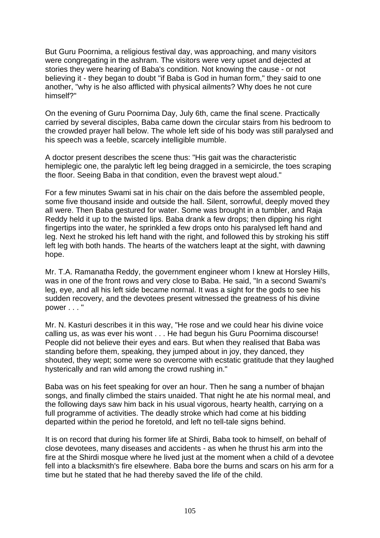But Guru Poornima, a religious festival day, was approaching, and many visitors were congregating in the ashram. The visitors were very upset and dejected at stories they were hearing of Baba's condition. Not knowing the cause - or not believing it - they began to doubt "if Baba is God in human form," they said to one another, "why is he also afflicted with physical ailments? Why does he not cure himself?"

On the evening of Guru Poornima Day, July 6th, came the final scene. Practically carried by several disciples, Baba came down the circular stairs from his bedroom to the crowded prayer hall below. The whole left side of his body was still paralysed and his speech was a feeble, scarcely intelligible mumble.

A doctor present describes the scene thus: "His gait was the characteristic hemiplegic one, the paralytic left leg being dragged in a semicircle, the toes scraping the floor. Seeing Baba in that condition, even the bravest wept aloud."

For a few minutes Swami sat in his chair on the dais before the assembled people, some five thousand inside and outside the hall. Silent, sorrowful, deeply moved they all were. Then Baba gestured for water. Some was brought in a tumbler, and Raja Reddy held it up to the twisted lips. Baba drank a few drops; then dipping his right fingertips into the water, he sprinkled a few drops onto his paralysed left hand and leg. Next he stroked his left hand with the right, and followed this by stroking his stiff left leg with both hands. The hearts of the watchers leapt at the sight, with dawning hope.

Mr. T.A. Ramanatha Reddy, the government engineer whom I knew at Horsley Hills, was in one of the front rows and very close to Baba. He said, "In a second Swami's leg, eye, and all his left side became normal. It was a sight for the gods to see his sudden recovery, and the devotees present witnessed the greatness of his divine power . . . "

Mr. N. Kasturi describes it in this way, "He rose and we could hear his divine voice calling us, as was ever his wont . . . He had begun his Guru Poornima discourse! People did not believe their eyes and ears. But when they realised that Baba was standing before them, speaking, they jumped about in joy, they danced, they shouted, they wept; some were so overcome with ecstatic gratitude that they laughed hysterically and ran wild among the crowd rushing in."

Baba was on his feet speaking for over an hour. Then he sang a number of bhajan songs, and finally climbed the stairs unaided. That night he ate his normal meal, and the following days saw him back in his usual vigorous, hearty health, carrying on a full programme of activities. The deadly stroke which had come at his bidding departed within the period he foretold, and left no tell-tale signs behind.

It is on record that during his former life at Shirdi, Baba took to himself, on behalf of close devotees, many diseases and accidents - as when he thrust his arm into the fire at the Shirdi mosque where he lived just at the moment when a child of a devotee fell into a blacksmith's fire elsewhere. Baba bore the burns and scars on his arm for a time but he stated that he had thereby saved the life of the child.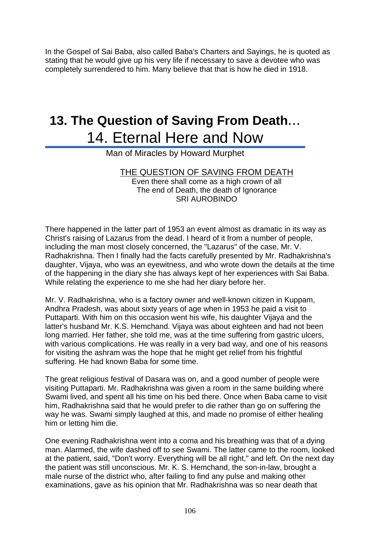In the Gospel of Sai Baba, also called Baba's Charters and Sayings, he is quoted as stating that he would give up his very life if necessary to save a devotee who was completely surrendered to him. Many believe that that is how he died in 1918.

## **13. The Question of Saving From Death**... 14. Eternal Here and Now

Man of Miracles by Howard Murphet

#### THE QUESTION OF SAVING FROM DEATH

Even there shall come as a high crown of all The end of Death, the death of Ignorance SRI AUROBINDO

There happened in the latter part of 1953 an event almost as dramatic in its way as Christ's raising of Lazarus from the dead. I heard of it from a number of people, including the man most closely concerned, the "Lazarus" of the case, Mr. V. Radhakrishna. Then I finally had the facts carefully presented by Mr. Radhakrishna's daughter, Vijaya, who was an eyewitness, and who wrote down the details at the time of the happening in the diary she has always kept of her experiences with Sai Baba. While relating the experience to me she had her diary before her.

Mr. V. Radhakrishna, who is a factory owner and well-known citizen in Kuppam, Andhra Pradesh, was about sixty years of age when in 1953 he paid a visit to Puttaparti. With him on this occasion went his wife, his daughter Vijaya and the latter's husband Mr. K.S. Hemchand. Vijaya was about eighteen and had not been long married. Her father, she told me, was at the time suffering from gastric ulcers, with various complications. He was really in a very bad way, and one of his reasons for visiting the ashram was the hope that he might get relief from his frightful suffering. He had known Baba for some time.

The great religious festival of Dasara was on, and a good number of people were visiting Puttaparti. Mr. Radhakrishna was given a room in the same building where Swami lived, and spent all his time on his bed there. Once when Baba came to visit him, Radhakrishna said that he would prefer to die rather than go on suffering the way he was. Swami simply laughed at this, and made no promise of either healing him or letting him die.

One evening Radhakrishna went into a coma and his breathing was that of a dying man. Alarmed, the wife dashed off to see Swami. The latter came to the room, looked at the patient, said, "Don't worry. Everything will be all right," and left. On the next day the patient was still unconscious. Mr. K. S. Hemchand, the son-in-law, brought a male nurse of the district who, after failing to find any pulse and making other examinations, gave as his opinion that Mr. Radhakrishna was so near death that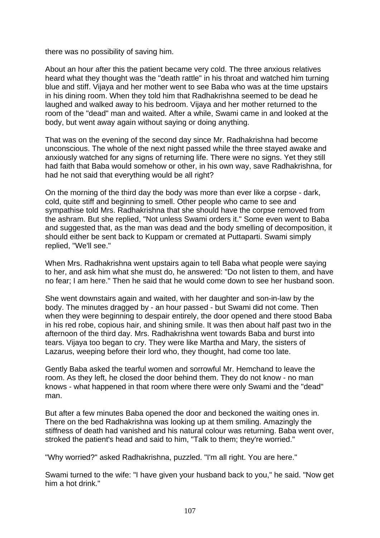there was no possibility of saving him.

About an hour after this the patient became very cold. The three anxious relatives heard what they thought was the "death rattle" in his throat and watched him turning blue and stiff. Vijaya and her mother went to see Baba who was at the time upstairs in his dining room. When they told him that Radhakrishna seemed to be dead he laughed and walked away to his bedroom. Vijaya and her mother returned to the room of the "dead" man and waited. After a while, Swami came in and looked at the body, but went away again without saying or doing anything.

That was on the evening of the second day since Mr. Radhakrishna had become unconscious. The whole of the next night passed while the three stayed awake and anxiously watched for any signs of returning life. There were no signs. Yet they still had faith that Baba would somehow or other, in his own way, save Radhakrishna, for had he not said that everything would be all right?

On the morning of the third day the body was more than ever like a corpse - dark, cold, quite stiff and beginning to smell. Other people who came to see and sympathise told Mrs. Radhakrishna that she should have the corpse removed from the ashram. But she replied, "Not unless Swami orders it." Some even went to Baba and suggested that, as the man was dead and the body smelling of decomposition, it should either be sent back to Kuppam or cremated at Puttaparti. Swami simply replied, "We'll see."

When Mrs. Radhakrishna went upstairs again to tell Baba what people were saying to her, and ask him what she must do, he answered: "Do not listen to them, and have no fear; I am here." Then he said that he would come down to see her husband soon.

She went downstairs again and waited, with her daughter and son-in-law by the body. The minutes dragged by - an hour passed - but Swami did not come. Then when they were beginning to despair entirely, the door opened and there stood Baba in his red robe, copious hair, and shining smile. It was then about half past two in the afternoon of the third day. Mrs. Radhakrishna went towards Baba and burst into tears. Vijaya too began to cry. They were like Martha and Mary, the sisters of Lazarus, weeping before their lord who, they thought, had come too late.

Gently Baba asked the tearful women and sorrowful Mr. Hemchand to leave the room. As they left, he closed the door behind them. They do not know - no man knows - what happened in that room where there were only Swami and the "dead" man.

But after a few minutes Baba opened the door and beckoned the waiting ones in. There on the bed Radhakrishna was looking up at them smiling. Amazingly the stiffness of death had vanished and his natural colour was returning. Baba went over, stroked the patient's head and said to him, "Talk to them; they're worried."

"Why worried?" asked Radhakrishna, puzzled. "I'm all right. You are here."

Swami turned to the wife: "I have given your husband back to you," he said. "Now get him a hot drink."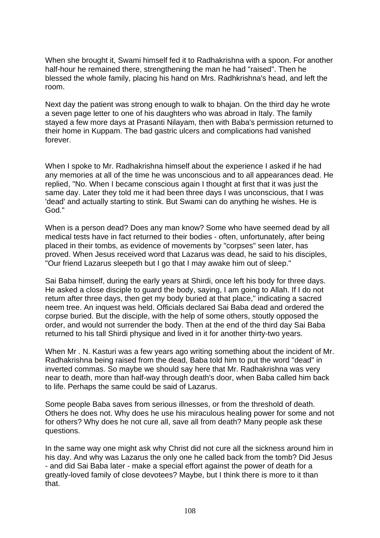When she brought it, Swami himself fed it to Radhakrishna with a spoon. For another half-hour he remained there, strengthening the man he had "raised". Then he blessed the whole family, placing his hand on Mrs. Radhkrishna's head, and left the room.

Next day the patient was strong enough to walk to bhajan. On the third day he wrote a seven page letter to one of his daughters who was abroad in Italy. The family stayed a few more days at Prasanti Nilayam, then with Baba's permission returned to their home in Kuppam. The bad gastric ulcers and complications had vanished forever.

When I spoke to Mr. Radhakrishna himself about the experience I asked if he had any memories at all of the time he was unconscious and to all appearances dead. He replied, "No. When I became conscious again I thought at first that it was just the same day. Later they told me it had been three days I was unconscious, that I was 'dead' and actually starting to stink. But Swami can do anything he wishes. He is God."

When is a person dead? Does any man know? Some who have seemed dead by all medical tests have in fact returned to their bodies - often, unfortunately, after being placed in their tombs, as evidence of movements by "corpses" seen later, has proved. When Jesus received word that Lazarus was dead, he said to his disciples, "Our friend Lazarus sleepeth but I go that I may awake him out of sleep."

Sai Baba himself, during the early years at Shirdi, once left his body for three days. He asked a close disciple to guard the body, saying, I am going to Allah. If I do not return after three days, then get my body buried at that place," indicating a sacred neem tree. An inquest was held. Officials declared Sai Baba dead and ordered the corpse buried. But the disciple, with the help of some others, stoutly opposed the order, and would not surrender the body. Then at the end of the third day Sai Baba returned to his tall Shirdi physique and lived in it for another thirty-two years.

When Mr . N. Kasturi was a few years ago writing something about the incident of Mr. Radhakrishna being raised from the dead, Baba told him to put the word "dead" in inverted commas. So maybe we should say here that Mr. Radhakrishna was very near to death, more than half-way through death's door, when Baba called him back to life. Perhaps the same could be said of Lazarus.

Some people Baba saves from serious illnesses, or from the threshold of death. Others he does not. Why does he use his miraculous healing power for some and not for others? Why does he not cure all, save all from death? Many people ask these questions.

In the same way one might ask why Christ did not cure all the sickness around him in his day. And why was Lazarus the only one he called back from the tomb? Did Jesus - and did Sai Baba later - make a special effort against the power of death for a greatly-loved family of close devotees? Maybe, but I think there is more to it than that.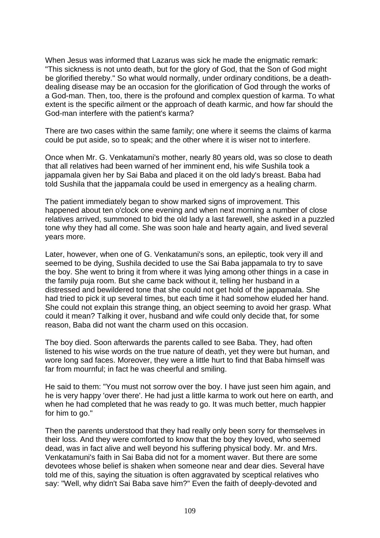When Jesus was informed that Lazarus was sick he made the enigmatic remark: "This sickness is not unto death, but for the glory of God, that the Son of God might be glorified thereby." So what would normally, under ordinary conditions, be a deathdealing disease may be an occasion for the glorification of God through the works of a God-man. Then, too, there is the profound and complex question of karma. To what extent is the specific ailment or the approach of death karmic, and how far should the God-man interfere with the patient's karma?

There are two cases within the same family; one where it seems the claims of karma could be put aside, so to speak; and the other where it is wiser not to interfere.

Once when Mr. G. Venkatamuni's mother, nearly 80 years old, was so close to death that all relatives had been warned of her imminent end, his wife Sushila took a jappamala given her by Sai Baba and placed it on the old lady's breast. Baba had told Sushila that the jappamala could be used in emergency as a healing charm.

The patient immediately began to show marked signs of improvement. This happened about ten o'clock one evening and when next morning a number of close relatives arrived, summoned to bid the old lady a last farewell, she asked in a puzzled tone why they had all come. She was soon hale and hearty again, and lived several years more.

Later, however, when one of G. Venkatamuni's sons, an epileptic, took very ill and seemed to be dying, Sushila decided to use the Sai Baba jappamala to try to save the boy. She went to bring it from where it was lying among other things in a case in the family puja room. But she came back without it, telling her husband in a distressed and bewildered tone that she could not get hold of the jappamala. She had tried to pick it up several times, but each time it had somehow eluded her hand. She could not explain this strange thing, an object seeming to avoid her grasp. What could it mean? Talking it over, husband and wife could only decide that, for some reason, Baba did not want the charm used on this occasion.

The boy died. Soon afterwards the parents called to see Baba. They, had often listened to his wise words on the true nature of death, yet they were but human, and wore long sad faces. Moreover, they were a little hurt to find that Baba himself was far from mournful; in fact he was cheerful and smiling.

He said to them: "You must not sorrow over the boy. I have just seen him again, and he is very happy 'over there'. He had just a little karma to work out here on earth, and when he had completed that he was ready to go. It was much better, much happier for him to go."

Then the parents understood that they had really only been sorry for themselves in their loss. And they were comforted to know that the boy they loved, who seemed dead, was in fact alive and well beyond his suffering physical body. Mr. and Mrs. Venkatamuni's faith in Sai Baba did not for a moment waver. But there are some devotees whose belief is shaken when someone near and dear dies. Several have told me of this, saying the situation is often aggravated by sceptical relatives who say: "Well, why didn't Sai Baba save him?" Even the faith of deeply-devoted and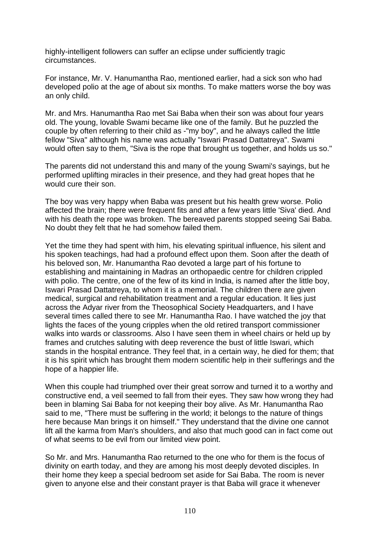highly-intelligent followers can suffer an eclipse under sufficiently tragic circumstances.

For instance, Mr. V. Hanumantha Rao, mentioned earlier, had a sick son who had developed polio at the age of about six months. To make matters worse the boy was an only child.

Mr. and Mrs. Hanumantha Rao met Sai Baba when their son was about four years old. The young, lovable Swami became like one of the family. But he puzzled the couple by often referring to their child as -"my boy", and he always called the little fellow "Siva" although his name was actually "Iswari Prasad Dattatreya". Swami would often say to them, "Siva is the rope that brought us together, and holds us so."

The parents did not understand this and many of the young Swami's sayings, but he performed uplifting miracles in their presence, and they had great hopes that he would cure their son.

The boy was very happy when Baba was present but his health grew worse. Polio affected the brain; there were frequent fits and after a few years little 'Siva' died. And with his death the rope was broken. The bereaved parents stopped seeing Sai Baba. No doubt they felt that he had somehow failed them.

Yet the time they had spent with him, his elevating spiritual influence, his silent and his spoken teachings, had had a profound effect upon them. Soon after the death of his beloved son, Mr. Hanumantha Rao devoted a large part of his fortune to establishing and maintaining in Madras an orthopaedic centre for children crippled with polio. The centre, one of the few of its kind in India, is named after the little boy, Iswari Prasad Dattatreya, to whom it is a memorial. The children there are given medical, surgical and rehabilitation treatment and a regular education. It lies just across the Adyar river from the Theosophical Society Headquarters, and I have several times called there to see Mr. Hanumantha Rao. I have watched the joy that lights the faces of the young cripples when the old retired transport commissioner walks into wards or classrooms. Also I have seen them in wheel chairs or held up by frames and crutches saluting with deep reverence the bust of little Iswari, which stands in the hospital entrance. They feel that, in a certain way, he died for them; that it is his spirit which has brought them modern scientific help in their sufferings and the hope of a happier life.

When this couple had triumphed over their great sorrow and turned it to a worthy and constructive end, a veil seemed to fall from their eyes. They saw how wrong they had been in blaming Sai Baba for not keeping their boy alive. As Mr. Hanumantha Rao said to me, "There must be suffering in the world; it belongs to the nature of things here because Man brings it on himself." They understand that the divine one cannot lift all the karma from Man's shoulders, and also that much good can in fact come out of what seems to be evil from our limited view point.

So Mr. and Mrs. Hanumantha Rao returned to the one who for them is the focus of divinity on earth today, and they are among his most deeply devoted disciples. In their home they keep a special bedroom set aside for Sai Baba. The room is never given to anyone else and their constant prayer is that Baba will grace it whenever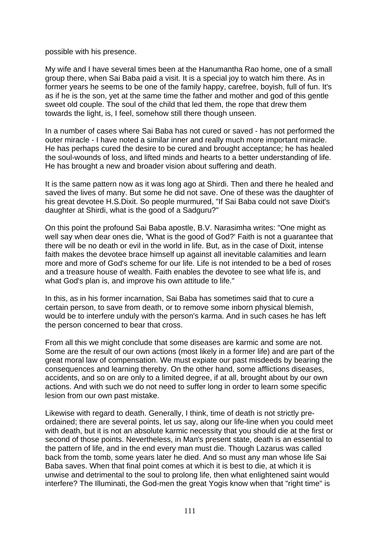possible with his presence.

My wife and I have several times been at the Hanumantha Rao home, one of a small group there, when Sai Baba paid a visit. It is a special joy to watch him there. As in former years he seems to be one of the family happy, carefree, boyish, full of fun. It's as if he is the son, yet at the same time the father and mother and god of this gentle sweet old couple. The soul of the child that led them, the rope that drew them towards the light, is, I feel, somehow still there though unseen.

In a number of cases where Sai Baba has not cured or saved - has not performed the outer miracle - I have noted a similar inner and really much more important miracle. He has perhaps cured the desire to be cured and brought acceptance; he has healed the soul-wounds of loss, and lifted minds and hearts to a better understanding of life. He has brought a new and broader vision about suffering and death.

It is the same pattern now as it was long ago at Shirdi. Then and there he healed and saved the lives of many. But some he did not save. One of these was the daughter of his great devotee H.S.Dixit. So people murmured, "If Sai Baba could not save Dixit's daughter at Shirdi, what is the good of a Sadguru?"

On this point the profound Sai Baba apostle, B.V. Narasimha writes: "One might as well say when dear ones die, 'What is the good of God?' Faith is not a guarantee that there will be no death or evil in the world in life. But, as in the case of Dixit, intense faith makes the devotee brace himself up against all inevitable calamities and learn more and more of God's scheme for our life. Life is not intended to be a bed of roses and a treasure house of wealth. Faith enables the devotee to see what life is, and what God's plan is, and improve his own attitude to life."

In this, as in his former incarnation, Sai Baba has sometimes said that to cure a certain person, to save from death, or to remove some inborn physical blemish, would be to interfere unduly with the person's karma. And in such cases he has left the person concerned to bear that cross.

From all this we might conclude that some diseases are karmic and some are not. Some are the result of our own actions (most likely in a former life) and are part of the great moral law of compensation. We must expiate our past misdeeds by bearing the consequences and learning thereby. On the other hand, some afflictions diseases, accidents, and so on are only to a limited degree, if at all, brought about by our own actions. And with such we do not need to suffer long in order to learn some specific lesion from our own past mistake.

Likewise with regard to death. Generally, I think, time of death is not strictly preordained; there are several points, let us say, along our life-line when you could meet with death, but it is not an absolute karmic necessity that you should die at the first or second of those points. Nevertheless, in Man's present state, death is an essential to the pattern of life, and in the end every man must die. Though Lazarus was called back from the tomb, some years later he died. And so must any man whose life Sai Baba saves. When that final point comes at which it is best to die, at which it is unwise and detrimental to the soul to prolong life, then what enlightened saint would interfere? The Illuminati, the God-men the great Yogis know when that "right time" is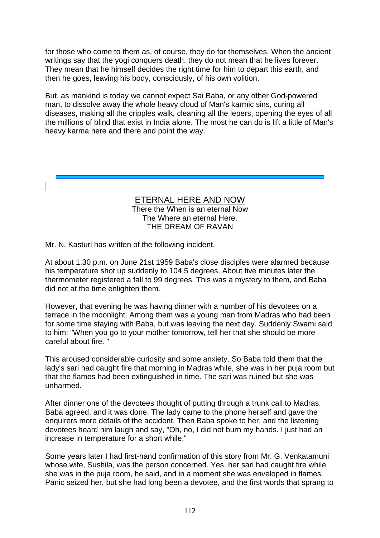for those who come to them as, of course, they do for themselves. When the ancient writings say that the yogi conquers death, they do not mean that he lives forever. They mean that he himself decides the right time for him to depart this earth, and then he goes, leaving his body, consciously, of his own volition.

But, as mankind is today we cannot expect Sai Baba, or any other God-powered man, to dissolve away the whole heavy cloud of Man's karmic sins, curing all diseases, making all the cripples walk, cleaning all the lepers, opening the eyes of all the millions of blind that exist in India alone. The most he can do is lift a little of Man's heavy karma here and there and point the way.

#### ETERNAL HERE AND NOW

There the When is an eternal Now The Where an eternal Here. THE DREAM OF RAVAN

Mr. N. Kasturi has written of the following incident.

At about 1.30 p.m. on June 21st 1959 Baba's close disciples were alarmed because his temperature shot up suddenly to 104.5 degrees. About five minutes later the thermometer registered a fall to 99 degrees. This was a mystery to them, and Baba did not at the time enlighten them.

However, that evening he was having dinner with a number of his devotees on a terrace in the moonlight. Among them was a young man from Madras who had been for some time staying with Baba, but was leaving the next day. Suddenly Swami said to him: "When you go to your mother tomorrow, tell her that she should be more careful about fire. "

This aroused considerable curiosity and some anxiety. So Baba told them that the lady's sari had caught fire that morning in Madras while, she was in her puja room but that the flames had been extinguished in time. The sari was ruined but she was unharmed.

After dinner one of the devotees thought of putting through a trunk call to Madras. Baba agreed, and it was done. The lady came to the phone herself and gave the enquirers more details of the accident. Then Baba spoke to her, and the listening devotees heard him laugh and say, "Oh, no, I did not burn my hands. I just had an increase in temperature for a short while."

Some years later I had first-hand confirmation of this story from Mr. G. Venkatamuni whose wife, Sushila, was the person concerned. Yes, her sari had caught fire while she was in the puja room, he said, and in a moment she was enveloped in flames. Panic seized her, but she had long been a devotee, and the first words that sprang to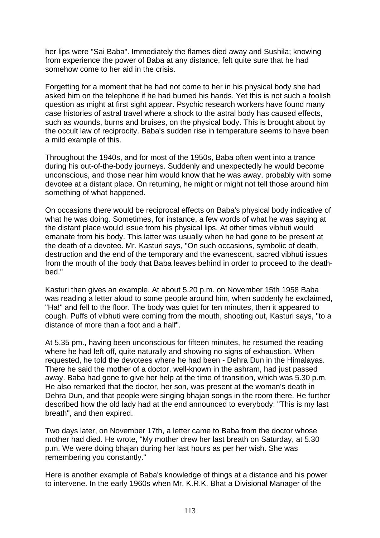her lips were "Sai Baba". Immediately the flames died away and Sushila; knowing from experience the power of Baba at any distance, felt quite sure that he had somehow come to her aid in the crisis.

Forgetting for a moment that he had not come to her in his physical body she had asked him on the telephone if he had burned his hands. Yet this is not such a foolish question as might at first sight appear. Psychic research workers have found many case histories of astral travel where a shock to the astral body has caused effects, such as wounds, burns and bruises, on the physical body. This is brought about by the occult law of reciprocity. Baba's sudden rise in temperature seems to have been a mild example of this.

Throughout the 1940s, and for most of the 1950s, Baba often went into a trance during his out-of-the-body journeys. Suddenly and unexpectedly he would become unconscious, and those near him would know that he was away, probably with some devotee at a distant place. On returning, he might or might not tell those around him something of what happened.

On occasions there would be reciprocal effects on Baba's physical body indicative of what he was doing. Sometimes, for instance, a few words of what he was saying at the distant place would issue from his physical lips. At other times vibhuti would emanate from his body. This latter was usually when he had gone to be present at the death of a devotee. Mr. Kasturi says, "On such occasions, symbolic of death, destruction and the end of the temporary and the evanescent, sacred vibhuti issues from the mouth of the body that Baba leaves behind in order to proceed to the deathbed."

Kasturi then gives an example. At about 5.20 p.m. on November 15th 1958 Baba was reading a letter aloud to some people around him, when suddenly he exclaimed, "Ha!" and fell to the floor. The body was quiet for ten minutes, then it appeared to cough. Puffs of vibhuti were coming from the mouth, shooting out, Kasturi says, "to a distance of more than a foot and a half".

At 5.35 pm., having been unconscious for fifteen minutes, he resumed the reading where he had left off, quite naturally and showing no signs of exhaustion. When requested, he told the devotees where he had been - Dehra Dun in the Himalayas. There he said the mother of a doctor, well-known in the ashram, had just passed away. Baba had gone to give her help at the time of transition, which was 5.30 p.m. He also remarked that the doctor, her son, was present at the woman's death in Dehra Dun, and that people were singing bhajan songs in the room there. He further described how the old lady had at the end announced to everybody: "This is my last breath", and then expired.

Two days later, on November 17th, a letter came to Baba from the doctor whose mother had died. He wrote, "My mother drew her last breath on Saturday, at 5.30 p.m. We were doing bhajan during her last hours as per her wish. She was remembering you constantly."

Here is another example of Baba's knowledge of things at a distance and his power to intervene. In the early 1960s when Mr. K.R.K. Bhat a Divisional Manager of the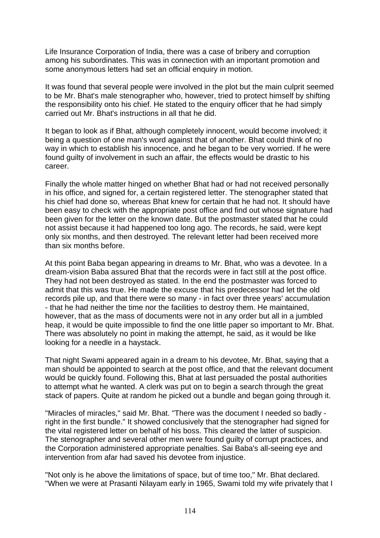Life Insurance Corporation of India, there was a case of bribery and corruption among his subordinates. This was in connection with an important promotion and some anonymous letters had set an official enquiry in motion.

It was found that several people were involved in the plot but the main culprit seemed to be Mr. Bhat's male stenographer who, however, tried to protect himself by shifting the responsibility onto his chief. He stated to the enquiry officer that he had simply carried out Mr. Bhat's instructions in all that he did.

It began to look as if Bhat, although completely innocent, would become involved; it being a question of one man's word against that of another. Bhat could think of no way in which to establish his innocence, and he began to be very worried. If he were found guilty of involvement in such an affair, the effects would be drastic to his career.

Finally the whole matter hinged on whether Bhat had or had not received personally in his office, and signed for, a certain registered letter. The stenographer stated that his chief had done so, whereas Bhat knew for certain that he had not. It should have been easy to check with the appropriate post office and find out whose signature had been given for the letter on the known date. But the postmaster stated that he could not assist because it had happened too long ago. The records, he said, were kept only six months, and then destroyed. The relevant letter had been received more than six months before.

At this point Baba began appearing in dreams to Mr. Bhat, who was a devotee. In a dream-vision Baba assured Bhat that the records were in fact still at the post office. They had not been destroyed as stated. In the end the postmaster was forced to admit that this was true. He made the excuse that his predecessor had let the old records pile up, and that there were so many - in fact over three years' accumulation - that he had neither the time nor the facilities to destroy them. He maintained, however, that as the mass of documents were not in any order but all in a jumbled heap, it would be quite impossible to find the one little paper so important to Mr. Bhat. There was absolutely no point in making the attempt, he said, as it would be like looking for a needle in a haystack.

That night Swami appeared again in a dream to his devotee, Mr. Bhat, saying that a man should be appointed to search at the post office, and that the relevant document would be quickly found. Following this, Bhat at last persuaded the postal authorities to attempt what he wanted. A clerk was put on to begin a search through the great stack of papers. Quite at random he picked out a bundle and began going through it.

"Miracles of miracles," said Mr. Bhat. "There was the document I needed so badly right in the first bundle." It showed conclusively that the stenographer had signed for the vital registered letter on behalf of his boss. This cleared the latter of suspicion. The stenographer and several other men were found guilty of corrupt practices, and the Corporation administered appropriate penalties. Sai Baba's all-seeing eye and intervention from afar had saved his devotee from injustice.

"Not only is he above the limitations of space, but of time too," Mr. Bhat declared. "When we were at Prasanti Nilayam early in 1965, Swami told my wife privately that I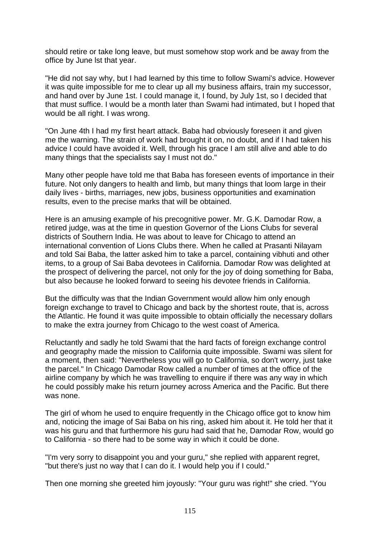should retire or take long leave, but must somehow stop work and be away from the office by June lst that year.

"He did not say why, but I had learned by this time to follow Swami's advice. However it was quite impossible for me to clear up all my business affairs, train my successor, and hand over by June 1st. I could manage it, I found, by July 1st, so I decided that that must suffice. I would be a month later than Swami had intimated, but I hoped that would be all right. I was wrong.

"On June 4th I had my first heart attack. Baba had obviously foreseen it and given me the warning. The strain of work had brought it on, no doubt, and if I had taken his advice I could have avoided it. Well, through his grace I am still alive and able to do many things that the specialists say I must not do."

Many other people have told me that Baba has foreseen events of importance in their future. Not only dangers to health and limb, but many things that loom large in their daily lives - births, marriages, new jobs, business opportunities and examination results, even to the precise marks that will be obtained.

Here is an amusing example of his precognitive power. Mr. G.K. Damodar Row, a retired judge, was at the time in question Governor of the Lions Clubs for several districts of Southern India. He was about to leave for Chicago to attend an international convention of Lions Clubs there. When he called at Prasanti Nilayam and told Sai Baba, the latter asked him to take a parcel, containing vibhuti and other items, to a group of Sai Baba devotees in California. Damodar Row was delighted at the prospect of delivering the parcel, not only for the joy of doing something for Baba, but also because he looked forward to seeing his devotee friends in California.

But the difficulty was that the Indian Government would allow him only enough foreign exchange to travel to Chicago and back by the shortest route, that is, across the Atlantic. He found it was quite impossible to obtain officially the necessary dollars to make the extra journey from Chicago to the west coast of America.

Reluctantly and sadly he told Swami that the hard facts of foreign exchange control and geography made the mission to California quite impossible. Swami was silent for a moment, then said: "Nevertheless you will go to California, so don't worry, just take the parcel." In Chicago Damodar Row called a number of times at the office of the airline company by which he was travelling to enquire if there was any way in which he could possibly make his return journey across America and the Pacific. But there was none.

The girl of whom he used to enquire frequently in the Chicago office got to know him and, noticing the image of Sai Baba on his ring, asked him about it. He told her that it was his guru and that furthermore his guru had said that he, Damodar Row, would go to California - so there had to be some way in which it could be done.

"I'm very sorry to disappoint you and your guru," she replied with apparent regret, "but there's just no way that I can do it. I would help you if I could."

Then one morning she greeted him joyously: "Your guru was right!" she cried. "You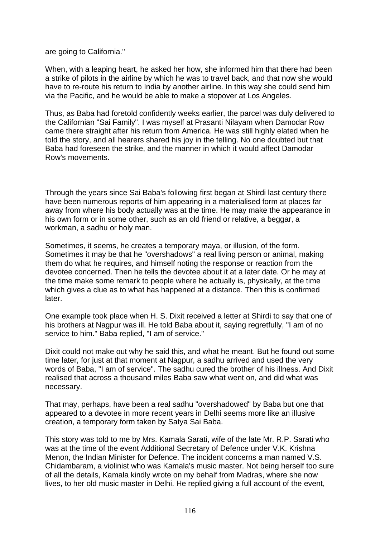are going to California."

When, with a leaping heart, he asked her how, she informed him that there had been a strike of pilots in the airline by which he was to travel back, and that now she would have to re-route his return to India by another airline. In this way she could send him via the Pacific, and he would be able to make a stopover at Los Angeles.

Thus, as Baba had foretold confidently weeks earlier, the parcel was duly delivered to the Californian "Sai Family". I was myself at Prasanti Nilayam when Damodar Row came there straight after his return from America. He was still highly elated when he told the story, and all hearers shared his joy in the telling. No one doubted but that Baba had foreseen the strike, and the manner in which it would affect Damodar Row's movements.

Through the years since Sai Baba's following first began at Shirdi last century there have been numerous reports of him appearing in a materialised form at places far away from where his body actually was at the time. He may make the appearance in his own form or in some other, such as an old friend or relative, a beggar, a workman, a sadhu or holy man.

Sometimes, it seems, he creates a temporary maya, or illusion, of the form. Sometimes it may be that he "overshadows" a real living person or animal, making them do what he requires, and himself noting the response or reaction from the devotee concerned. Then he tells the devotee about it at a later date. Or he may at the time make some remark to people where he actually is, physically, at the time which gives a clue as to what has happened at a distance. Then this is confirmed later.

One example took place when H. S. Dixit received a letter at Shirdi to say that one of his brothers at Nagpur was ill. He told Baba about it, saying regretfully, "I am of no service to him." Baba replied, "I am of service."

Dixit could not make out why he said this, and what he meant. But he found out some time later, for just at that moment at Nagpur, a sadhu arrived and used the very words of Baba, "I am of service". The sadhu cured the brother of his illness. And Dixit realised that across a thousand miles Baba saw what went on, and did what was necessary.

That may, perhaps, have been a real sadhu "overshadowed" by Baba but one that appeared to a devotee in more recent years in Delhi seems more like an illusive creation, a temporary form taken by Satya Sai Baba.

This story was told to me by Mrs. Kamala Sarati, wife of the late Mr. R.P. Sarati who was at the time of the event Additional Secretary of Defence under V.K. Krishna Menon, the Indian Minister for Defence. The incident concerns a man named V.S. Chidambaram, a violinist who was Kamala's music master. Not being herself too sure of all the details, Kamala kindly wrote on my behalf from Madras, where she now lives, to her old music master in Delhi. He replied giving a full account of the event,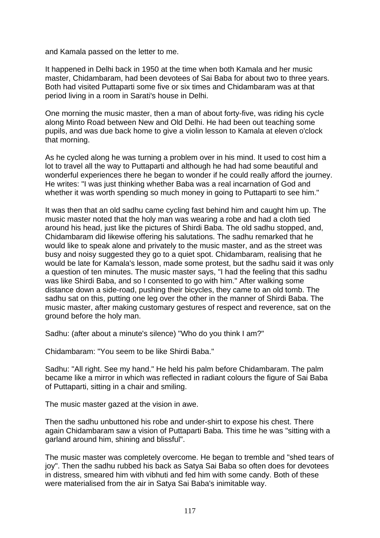and Kamala passed on the letter to me.

It happened in Delhi back in 1950 at the time when both Kamala and her music master, Chidambaram, had been devotees of Sai Baba for about two to three years. Both had visited Puttaparti some five or six times and Chidambaram was at that period living in a room in Sarati's house in Delhi.

One morning the music master, then a man of about forty-five, was riding his cycle along Minto Road between New and Old Delhi. He had been out teaching some pupils, and was due back home to give a violin lesson to Kamala at eleven o'clock that morning.

As he cycled along he was turning a problem over in his mind. It used to cost him a lot to travel all the way to Puttaparti and although he had had some beautiful and wonderful experiences there he began to wonder if he could really afford the journey. He writes: "I was just thinking whether Baba was a real incarnation of God and whether it was worth spending so much money in going to Puttaparti to see him."

It was then that an old sadhu came cycling fast behind him and caught him up. The music master noted that the holy man was wearing a robe and had a cloth tied around his head, just like the pictures of Shirdi Baba. The old sadhu stopped, and, Chidambaram did likewise offering his salutations. The sadhu remarked that he would like to speak alone and privately to the music master, and as the street was busy and noisy suggested they go to a quiet spot. Chidambaram, realising that he would be late for Kamala's lesson, made some protest, but the sadhu said it was only a question of ten minutes. The music master says, "I had the feeling that this sadhu was like Shirdi Baba, and so I consented to go with him." After walking some distance down a side-road, pushing their bicycles, they came to an old tomb. The sadhu sat on this, putting one leg over the other in the manner of Shirdi Baba. The music master, after making customary gestures of respect and reverence, sat on the ground before the holy man.

Sadhu: (after about a minute's silence) "Who do you think I am?"

Chidambaram: "You seem to be like Shirdi Baba."

Sadhu: "All right. See my hand." He held his palm before Chidambaram. The palm became like a mirror in which was reflected in radiant colours the figure of Sai Baba of Puttaparti, sitting in a chair and smiling.

The music master gazed at the vision in awe.

Then the sadhu unbuttoned his robe and under-shirt to expose his chest. There again Chidambaram saw a vision of Puttaparti Baba. This time he was "sitting with a garland around him, shining and blissful".

The music master was completely overcome. He began to tremble and "shed tears of joy". Then the sadhu rubbed his back as Satya Sai Baba so often does for devotees in distress, smeared him with vibhuti and fed him with some candy. Both of these were materialised from the air in Satya Sai Baba's inimitable way.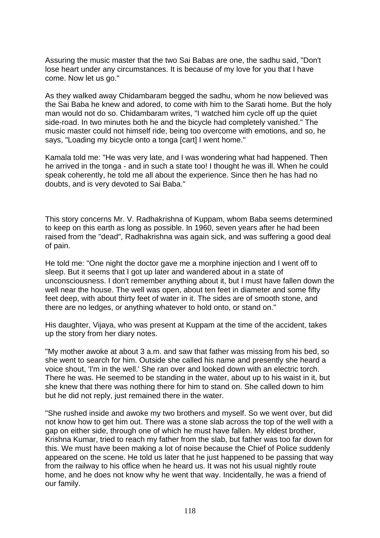Assuring the music master that the two Sai Babas are one, the sadhu said, "Don't lose heart under any circumstances. It is because of my love for you that I have come. Now let us go."

As they walked away Chidambaram begged the sadhu, whom he now believed was the Sai Baba he knew and adored, to come with him to the Sarati home. But the holy man would not do so. Chidambaram writes, "I watched him cycle off up the quiet side-road. In two minutes both he and the bicycle had completely vanished." The music master could not himself ride, being too overcome with emotions, and so, he says, "Loading my bicycle onto a tonga [cart] I went home."

Kamala told me: "He was very late, and I was wondering what had happened. Then he arrived in the tonga - and in such a state too! I thought he was ill. When he could speak coherently, he told me all about the experience. Since then he has had no doubts, and is very devoted to Sai Baba."

This story concerns Mr. V. Radhakrishna of Kuppam, whom Baba seems determined to keep on this earth as long as possible. In 1960, seven years after he had been raised from the "dead", Radhakrishna was again sick, and was suffering a good deal of pain.

He told me: "One night the doctor gave me a morphine injection and I went off to sleep. But it seems that I got up later and wandered about in a state of unconsciousness. I don't remember anything about it, but I must have fallen down the well near the house. The well was open, about ten feet in diameter and some fifty feet deep, with about thirty feet of water in it. The sides are of smooth stone, and there are no ledges, or anything whatever to hold onto, or stand on."

His daughter, Vijaya, who was present at Kuppam at the time of the accident, takes up the story from her diary notes.

"My mother awoke at about 3 a.m. and saw that father was missing from his bed, so she went to search for him. Outside she called his name and presently she heard a voice shout, 'I'm in the well.' She ran over and looked down with an electric torch. There he was. He seemed to be standing in the water, about up to his waist in it, but she knew that there was nothing there for him to stand on. She called down to him but he did not reply, just remained there in the water.

"She rushed inside and awoke my two brothers and myself. So we went over, but did not know how to get him out. There was a stone slab across the top of the well with a gap on either side, through one of which he must have fallen. My eldest brother, Krishna Kumar, tried to reach my father from the slab, but father was too far down for this. We must have been making a lot of noise because the Chief of Police suddenly appeared on the scene. He told us later that he just happened to be passing that way from the railway to his office when he heard us. It was not his usual nightly route home, and he does not know why he went that way. Incidentally, he was a friend of our family.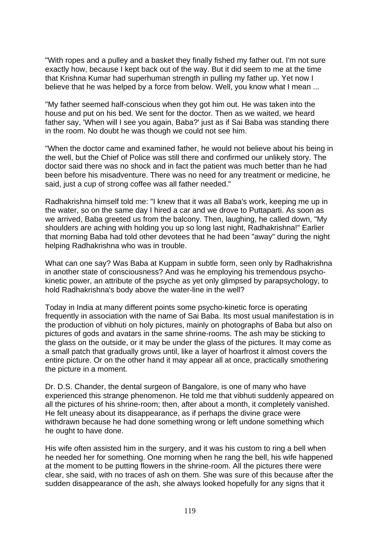"With ropes and a pulley and a basket they finally fished my father out. I'm not sure exactly how, because I kept back out of the way. But it did seem to me at the time that Krishna Kumar had superhuman strength in pulling my father up. Yet now I believe that he was helped by a force from below. Well, you know what I mean ...

"My father seemed half-conscious when they got him out. He was taken into the house and put on his bed. We sent for the doctor. Then as we waited, we heard father say, 'When will I see you again, Baba?' just as if Sai Baba was standing there in the room. No doubt he was though we could not see him.

"When the doctor came and examined father, he would not believe about his being in the well, but the Chief of Police was still there and confirmed our unlikely story. The doctor said there was no shock and in fact the patient was much better than he had been before his misadventure. There was no need for any treatment or medicine, he said, just a cup of strong coffee was all father needed."

Radhakrishna himself told me: "I knew that it was all Baba's work, keeping me up in the water, so on the same day I hired a car and we drove to Puttaparti. As soon as we arrived, Baba greeted us from the balcony. Then, laughing, he called down, "My shoulders are aching with holding you up so long last night, Radhakrishna!" Earlier that morning Baba had told other devotees that he had been "away" during the night helping Radhakrishna who was in trouble.

What can one say? Was Baba at Kuppam in subtle form, seen only by Radhakrishna in another state of consciousness? And was he employing his tremendous psychokinetic power, an attribute of the psyche as yet only glimpsed by parapsychology, to hold Radhakrishna's body above the water-line in the well?

Today in India at many different points some psycho-kinetic force is operating frequently in association with the name of Sai Baba. Its most usual manifestation is in the production of vibhuti on holy pictures, mainly on photographs of Baba but also on pictures of gods and avatars in the same shrine-rooms. The ash may be sticking to the glass on the outside, or it may be under the glass of the pictures. It may come as a small patch that gradually grows until, like a layer of hoarfrost it almost covers the entire picture. Or on the other hand it may appear all at once, practically smothering the picture in a moment.

Dr. D.S. Chander, the dental surgeon of Bangalore, is one of many who have experienced this strange phenomenon. He told me that vibhuti suddenly appeared on all the pictures of his shrine-room; then, after about a month, it completely vanished. He felt uneasy about its disappearance, as if perhaps the divine grace were withdrawn because he had done something wrong or left undone something which he ought to have done.

His wife often assisted him in the surgery, and it was his custom to ring a bell when he needed her for something. One morning when he rang the bell, his wife happened at the moment to be putting flowers in the shrine-room. All the pictures there were clear, she said, with no traces of ash on them. She was sure of this because after the sudden disappearance of the ash, she always looked hopefully for any signs that it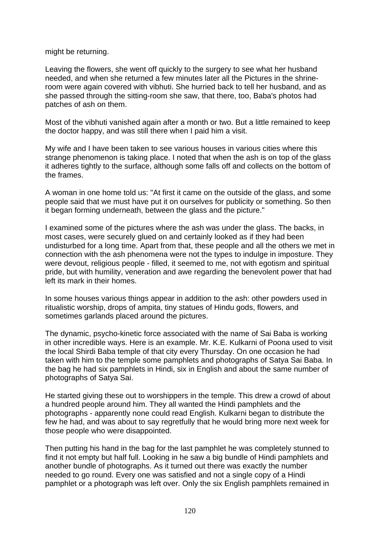might be returning.

Leaving the flowers, she went off quickly to the surgery to see what her husband needed, and when she returned a few minutes later all the Pictures in the shrineroom were again covered with vibhuti. She hurried back to tell her husband, and as she passed through the sitting-room she saw, that there, too, Baba's photos had patches of ash on them.

Most of the vibhuti vanished again after a month or two. But a little remained to keep the doctor happy, and was still there when I paid him a visit.

My wife and I have been taken to see various houses in various cities where this strange phenomenon is taking place. I noted that when the ash is on top of the glass it adheres tightly to the surface, although some falls off and collects on the bottom of the frames.

A woman in one home told us: "At first it came on the outside of the glass, and some people said that we must have put it on ourselves for publicity or something. So then it began forming underneath, between the glass and the picture."

I examined some of the pictures where the ash was under the glass. The backs, in most cases, were securely glued on and certainly looked as if they had been undisturbed for a long time. Apart from that, these people and all the others we met in connection with the ash phenomena were not the types to indulge in imposture. They were devout, religious people - filled, it seemed to me, not with egotism and spiritual pride, but with humility, veneration and awe regarding the benevolent power that had left its mark in their homes.

In some houses various things appear in addition to the ash: other powders used in ritualistic worship, drops of ampita, tiny statues of Hindu gods, flowers, and sometimes garlands placed around the pictures.

The dynamic, psycho-kinetic force associated with the name of Sai Baba is working in other incredible ways. Here is an example. Mr. K.E. Kulkarni of Poona used to visit the local Shirdi Baba temple of that city every Thursday. On one occasion he had taken with him to the temple some pamphlets and photographs of Satya Sai Baba. In the bag he had six pamphlets in Hindi, six in English and about the same number of photographs of Satya Sai.

He started giving these out to worshippers in the temple. This drew a crowd of about a hundred people around him. They all wanted the Hindi pamphlets and the photographs - apparently none could read English. Kulkarni began to distribute the few he had, and was about to say regretfully that he would bring more next week for those people who were disappointed.

Then putting his hand in the bag for the last pamphlet he was completely stunned to find it not empty but half full. Looking in he saw a big bundle of Hindi pamphlets and another bundle of photographs. As it turned out there was exactly the number needed to go round. Every one was satisfied and not a single copy of a Hindi pamphlet or a photograph was left over. Only the six English pamphlets remained in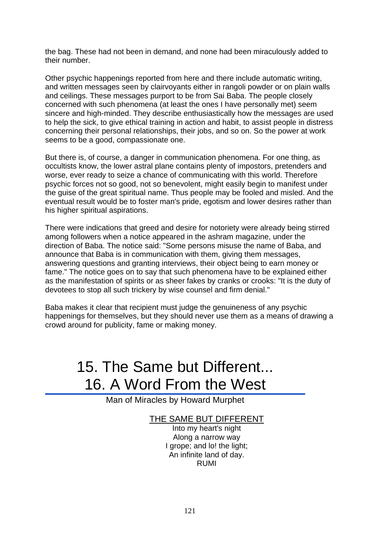the bag. These had not been in demand, and none had been miraculously added to their number.

Other psychic happenings reported from here and there include automatic writing, and written messages seen by clairvoyants either in rangoli powder or on plain walls and ceilings. These messages purport to be from Sai Baba. The people closely concerned with such phenomena (at least the ones I have personally met) seem sincere and high-minded. They describe enthusiastically how the messages are used to help the sick, to give ethical training in action and habit, to assist people in distress concerning their personal relationships, their jobs, and so on. So the power at work seems to be a good, compassionate one.

But there is, of course, a danger in communication phenomena. For one thing, as occultists know, the lower astral plane contains plenty of impostors, pretenders and worse, ever ready to seize a chance of communicating with this world. Therefore psychic forces not so good, not so benevolent, might easily begin to manifest under the guise of the great spiritual name. Thus people may be fooled and misled. And the eventual result would be to foster man's pride, egotism and lower desires rather than his higher spiritual aspirations.

There were indications that greed and desire for notoriety were already being stirred among followers when a notice appeared in the ashram magazine, under the direction of Baba. The notice said: "Some persons misuse the name of Baba, and announce that Baba is in communication with them, giving them messages, answering questions and granting interviews, their object being to earn money or fame." The notice goes on to say that such phenomena have to be explained either as the manifestation of spirits or as sheer fakes by cranks or crooks: "It is the duty of devotees to stop all such trickery by wise counsel and firm denial."

Baba makes it clear that recipient must judge the genuineness of any psychic happenings for themselves, but they should never use them as a means of drawing a crowd around for publicity, fame or making money.

## 15. The Same but Different... 16. A Word From the West

Man of Miracles by Howard Murphet

#### THE SAME BUT DIFFERENT

Into my heart's night Along a narrow way I grope; and lo! the light; An infinite land of day. RUMI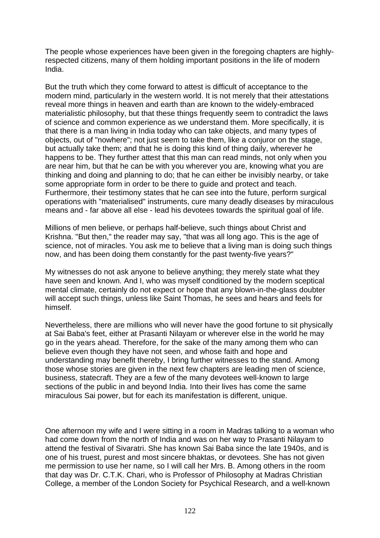The people whose experiences have been given in the foregoing chapters are highlyrespected citizens, many of them holding important positions in the life of modern India.

But the truth which they come forward to attest is difficult of acceptance to the modern mind, particularly in the western world. It is not merely that their attestations reveal more things in heaven and earth than are known to the widely-embraced materialistic philosophy, but that these things frequently seem to contradict the laws of science and common experience as we understand them. More specifically, it is that there is a man living in India today who can take objects, and many types of objects, out of "nowhere"; not just seem to take them, like a conjuror on the stage, but actually take them; and that he is doing this kind of thing daily, wherever he happens to be. They further attest that this man can read minds, not only when you are near him, but that he can be with you wherever you are, knowing what you are thinking and doing and planning to do; that he can either be invisibly nearby, or take some appropriate form in order to be there to guide and protect and teach. Furthermore, their testimony states that he can see into the future, perform surgical operations with "materialised" instruments, cure many deadly diseases by miraculous means and - far above all else - lead his devotees towards the spiritual goal of life.

Millions of men believe, or perhaps half-believe, such things about Christ and Krishna. "But then," the reader may say, "that was all long ago. This is the age of science, not of miracles. You ask me to believe that a living man is doing such things now, and has been doing them constantly for the past twenty-five years?"

My witnesses do not ask anyone to believe anything; they merely state what they have seen and known. And I, who was myself conditioned by the modern sceptical mental climate, certainly do not expect or hope that any blown-in-the-glass doubter will accept such things, unless like Saint Thomas, he sees and hears and feels for himself.

Nevertheless, there are millions who will never have the good fortune to sit physically at Sai Baba's feet, either at Prasanti Nilayam or wherever else in the world he may go in the years ahead. Therefore, for the sake of the many among them who can believe even though they have not seen, and whose faith and hope and understanding may benefit thereby, I bring further witnesses to the stand. Among those whose stories are given in the next few chapters are leading men of science, business, statecraft. They are a few of the many devotees well-known to large sections of the public in and beyond India. Into their lives has come the same miraculous Sai power, but for each its manifestation is different, unique.

One afternoon my wife and I were sitting in a room in Madras talking to a woman who had come down from the north of India and was on her way to Prasanti Nilayam to attend the festival of Sivaratri. She has known Sai Baba since the late 1940s, and is one of his truest, purest and most sincere bhaktas, or devotees. She has not given me permission to use her name, so I will call her Mrs. B. Among others in the room that day was Dr. C.T.K. Chari, who is Professor of Philosophy at Madras Christian College, a member of the London Society for Psychical Research, and a well-known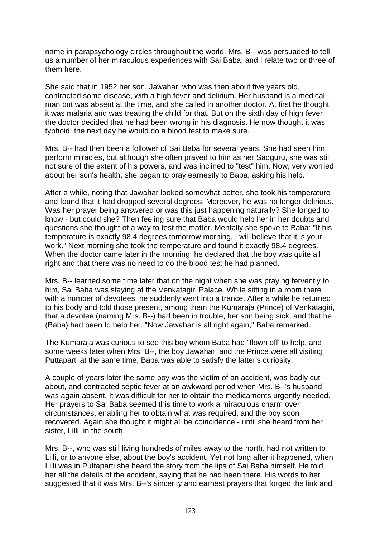name in parapsychology circles throughout the world. Mrs. B-- was persuaded to tell us a number of her miraculous experiences with Sai Baba, and I relate two or three of them here.

She said that in 1952 her son, Jawahar, who was then about five years old, contracted some disease, with a high fever and delirium. Her husband is a medical man but was absent at the time, and she called in another doctor. At first he thought it was malaria and was treating the child for that. But on the sixth day of high fever the doctor decided that he had been wrong in his diagnosis. He now thought it was typhoid; the next day he would do a blood test to make sure.

Mrs. B-- had then been a follower of Sai Baba for several years. She had seen him perform miracles, but although she often prayed to him as her Sadguru, she was still not sure of the extent of his powers, and was inclined to "test" him. Now, very worried about her son's health, she began to pray earnestly to Baba, asking his help.

After a while, noting that Jawahar looked somewhat better, she took his temperature and found that it had dropped several degrees. Moreover, he was no longer delirious. Was her prayer being answered or was this just happening naturally? She longed to know - but could she? Then feeling sure that Baba would help her in her doubts and questions she thought of a way to test the matter. Mentally she spoke to Baba: "If his temperature is exactly 98.4 degrees tomorrow morning, I will believe that it is your work." Next morning she took the temperature and found it exactly 98.4 degrees. When the doctor came later in the morning, he declared that the boy was quite all right and that there was no need to do the blood test he had planned.

Mrs. B-- learned some time later that on the night when she was praying fervently to him, Sai Baba was staying at the Venkatagiri Palace. While sitting in a room there with a number of devotees, he suddenly went into a trance. After a while he returned to his body and told those present, among them the Kumaraja (Prince) of Venkatagiri, that a devotee (naming Mrs. B--) had been in trouble, her son being sick, and that he (Baba) had been to help her. "Now Jawahar is all right again," Baba remarked.

The Kumaraja was curious to see this boy whom Baba had "flown off' to help, and some weeks later when Mrs. B--, the boy Jawahar, and the Prince were all visiting Puttaparti at the same time, Baba was able to satisfy the latter's curiosity.

A couple of years later the same boy was the victim of an accident, was badly cut about, and contracted septic fever at an awkward period when Mrs. B--'s husband was again absent. It was difficult for her to obtain the medicaments urgently needed. Her prayers to Sai Baba seemed this time to work a miraculous charm over circumstances, enabling her to obtain what was required, and the boy soon recovered. Again she thought it might all be coincidence - until she heard from her sister, Lilli, in the south.

Mrs. B--, who was still living hundreds of miles away to the north, had not written to Lilli, or to anyone else, about the boy's accident. Yet not long after it happened, when Lilli was in Puttaparti she heard the story from the lips of Sai Baba himself. He told her all the details of the accident, saying that he had been there. His words to her suggested that it was Mrs. B--'s sincerity and earnest prayers that forged the link and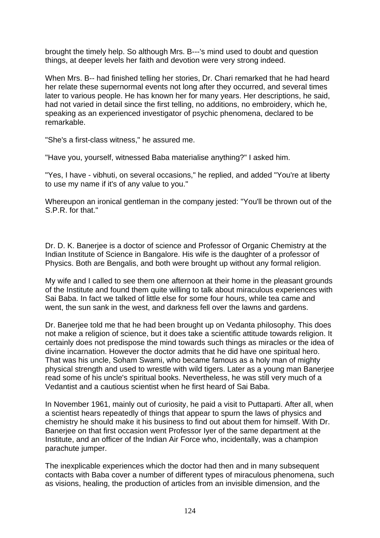brought the timely help. So although Mrs. B---'s mind used to doubt and question things, at deeper levels her faith and devotion were very strong indeed.

When Mrs. B-- had finished telling her stories, Dr. Chari remarked that he had heard her relate these supernormal events not long after they occurred, and several times later to various people. He has known her for many years. Her descriptions, he said, had not varied in detail since the first telling, no additions, no embroidery, which he, speaking as an experienced investigator of psychic phenomena, declared to be remarkable.

"She's a first-class witness," he assured me.

"Have you, yourself, witnessed Baba materialise anything?" I asked him.

"Yes, I have - vibhuti, on several occasions," he replied, and added "You're at liberty to use my name if it's of any value to you."

Whereupon an ironical gentleman in the company jested: "You'll be thrown out of the S.P.R. for that."

Dr. D. K. Banerjee is a doctor of science and Professor of Organic Chemistry at the Indian Institute of Science in Bangalore. His wife is the daughter of a professor of Physics. Both are Bengalis, and both were brought up without any formal religion.

My wife and I called to see them one afternoon at their home in the pleasant grounds of the Institute and found them quite willing to talk about miraculous experiences with Sai Baba. In fact we talked of little else for some four hours, while tea came and went, the sun sank in the west, and darkness fell over the lawns and gardens.

Dr. Banerjee told me that he had been brought up on Vedanta philosophy. This does not make a religion of science, but it does take a scientific attitude towards religion. It certainly does not predispose the mind towards such things as miracles or the idea of divine incarnation. However the doctor admits that he did have one spiritual hero. That was his uncle, Soham Swami, who became famous as a holy man of mighty physical strength and used to wrestle with wild tigers. Later as a young man Banerjee read some of his uncle's spiritual books. Nevertheless, he was still very much of a Vedantist and a cautious scientist when he first heard of Sai Baba.

In November 1961, mainly out of curiosity, he paid a visit to Puttaparti. After all, when a scientist hears repeatedly of things that appear to spurn the laws of physics and chemistry he should make it his business to find out about them for himself. With Dr. Banerjee on that first occasion went Professor Iyer of the same department at the Institute, and an officer of the Indian Air Force who, incidentally, was a champion parachute jumper.

The inexplicable experiences which the doctor had then and in many subsequent contacts with Baba cover a number of different types of miraculous phenomena, such as visions, healing, the production of articles from an invisible dimension, and the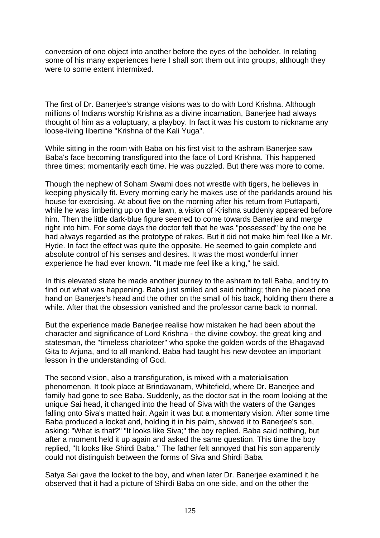conversion of one object into another before the eyes of the beholder. In relating some of his many experiences here I shall sort them out into groups, although they were to some extent intermixed.

The first of Dr. Banerjee's strange visions was to do with Lord Krishna. Although millions of Indians worship Krishna as a divine incarnation, Banerjee had always thought of him as a voluptuary, a playboy. In fact it was his custom to nickname any loose-living libertine "Krishna of the Kali Yuga".

While sitting in the room with Baba on his first visit to the ashram Banerjee saw Baba's face becoming transfigured into the face of Lord Krishna. This happened three times; momentarily each time. He was puzzled. But there was more to come.

Though the nephew of Soham Swami does not wrestle with tigers, he believes in keeping physically fit. Every morning early he makes use of the parklands around his house for exercising. At about five on the morning after his return from Puttaparti, while he was limbering up on the lawn, a vision of Krishna suddenly appeared before him. Then the little dark-blue figure seemed to come towards Banerjee and merge right into him. For some days the doctor felt that he was "possessed" by the one he had always regarded as the prototype of rakes. But it did not make him feel like a Mr. Hyde. In fact the effect was quite the opposite. He seemed to gain complete and absolute control of his senses and desires. It was the most wonderful inner experience he had ever known. "It made me feel like a king," he said.

In this elevated state he made another journey to the ashram to tell Baba, and try to find out what was happening. Baba just smiled and said nothing; then he placed one hand on Banerjee's head and the other on the small of his back, holding them there a while. After that the obsession vanished and the professor came back to normal.

But the experience made Banerjee realise how mistaken he had been about the character and significance of Lord Krishna - the divine cowboy, the great king and statesman, the "timeless charioteer" who spoke the golden words of the Bhagavad Gita to Arjuna, and to all mankind. Baba had taught his new devotee an important lesson in the understanding of God.

The second vision, also a transfiguration, is mixed with a materialisation phenomenon. It took place at Brindavanam, Whitefield, where Dr. Banerjee and family had gone to see Baba. Suddenly, as the doctor sat in the room looking at the unique Sai head, it changed into the head of Siva with the waters of the Ganges falling onto Siva's matted hair. Again it was but a momentary vision. After some time Baba produced a locket and, holding it in his palm, showed it to Banerjee's son, asking: "What is that?" "It looks like Siva;" the boy replied. Baba said nothing, but after a moment held it up again and asked the same question. This time the boy replied, "It looks like Shirdi Baba.'' The father felt annoyed that his son apparently could not distinguish between the forms of Siva and Shirdi Baba.

Satya Sai gave the locket to the boy, and when later Dr. Banerjee examined it he observed that it had a picture of Shirdi Baba on one side, and on the other the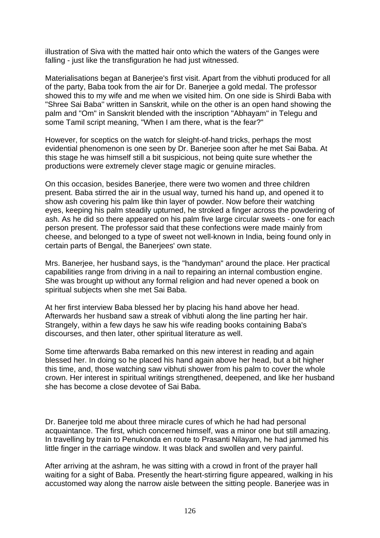illustration of Siva with the matted hair onto which the waters of the Ganges were falling - just like the transfiguration he had just witnessed.

Materialisations began at Banerjee's first visit. Apart from the vibhuti produced for all of the party, Baba took from the air for Dr. Banerjee a gold medal. The professor showed this to my wife and me when we visited him. On one side is Shirdi Baba with "Shree Sai Baba'' written in Sanskrit, while on the other is an open hand showing the palm and "Om" in Sanskrit blended with the inscription "Abhayam" in Telegu and some Tamil script meaning, "When I am there, what is the fear?"

However, for sceptics on the watch for sleight-of-hand tricks, perhaps the most evidential phenomenon is one seen by Dr. Banerjee soon after he met Sai Baba. At this stage he was himself still a bit suspicious, not being quite sure whether the productions were extremely clever stage magic or genuine miracles.

On this occasion, besides Banerjee, there were two women and three children present. Baba stirred the air in the usual way, turned his hand up, and opened it to show ash covering his palm like thin layer of powder. Now before their watching eyes, keeping his palm steadily upturned, he stroked a finger across the powdering of ash. As he did so there appeared on his palm five large circular sweets - one for each person present. The professor said that these confections were made mainly from cheese, and belonged to a type of sweet not well-known in India, being found only in certain parts of Bengal, the Banerjees' own state.

Mrs. Banerjee, her husband says, is the "handyman" around the place. Her practical capabilities range from driving in a nail to repairing an internal combustion engine. She was brought up without any formal religion and had never opened a book on spiritual subjects when she met Sai Baba.

At her first interview Baba blessed her by placing his hand above her head. Afterwards her husband saw a streak of vibhuti along the line parting her hair. Strangely, within a few days he saw his wife reading books containing Baba's discourses, and then later, other spiritual literature as well.

Some time afterwards Baba remarked on this new interest in reading and again blessed her. In doing so he placed his hand again above her head, but a bit higher this time, and, those watching saw vibhuti shower from his palm to cover the whole crown. Her interest in spiritual writings strengthened, deepened, and like her husband she has become a close devotee of Sai Baba.

Dr. Banerjee told me about three miracle cures of which he had had personal acquaintance. The first, which concerned himself, was a minor one but still amazing. In travelling by train to Penukonda en route to Prasanti Nilayam, he had jammed his little finger in the carriage window. It was black and swollen and very painful.

After arriving at the ashram, he was sitting with a crowd in front of the prayer hall waiting for a sight of Baba. Presently the heart-stirring figure appeared, walking in his accustomed way along the narrow aisle between the sitting people. Banerjee was in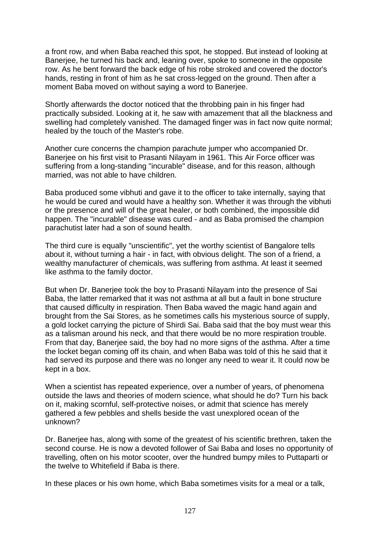a front row, and when Baba reached this spot, he stopped. But instead of looking at Banerjee, he turned his back and, leaning over, spoke to someone in the opposite row. As he bent forward the back edge of his robe stroked and covered the doctor's hands, resting in front of him as he sat cross-legged on the ground. Then after a moment Baba moved on without saying a word to Banerjee.

Shortly afterwards the doctor noticed that the throbbing pain in his finger had practically subsided. Looking at it, he saw with amazement that all the blackness and swelling had completely vanished. The damaged finger was in fact now quite normal; healed by the touch of the Master's robe.

Another cure concerns the champion parachute jumper who accompanied Dr. Banerjee on his first visit to Prasanti Nilayam in 1961. This Air Force officer was suffering from a long-standing "incurable" disease, and for this reason, although married, was not able to have children.

Baba produced some vibhuti and gave it to the officer to take internally, saying that he would be cured and would have a healthy son. Whether it was through the vibhuti or the presence and will of the great healer, or both combined, the impossible did happen. The "incurable" disease was cured - and as Baba promised the champion parachutist later had a son of sound health.

The third cure is equally "unscientific", yet the worthy scientist of Bangalore tells about it, without turning a hair - in fact, with obvious delight. The son of a friend, a wealthy manufacturer of chemicals, was suffering from asthma. At least it seemed like asthma to the family doctor.

But when Dr. Banerjee took the boy to Prasanti Nilayam into the presence of Sai Baba, the latter remarked that it was not asthma at all but a fault in bone structure that caused difficulty in respiration. Then Baba waved the magic hand again and brought from the Sai Stores, as he sometimes calls his mysterious source of supply, a gold locket carrying the picture of Shirdi Sai. Baba said that the boy must wear this as a talisman around his neck, and that there would be no more respiration trouble. From that day, Banerjee said, the boy had no more signs of the asthma. After a time the locket began coming off its chain, and when Baba was told of this he said that it had served its purpose and there was no longer any need to wear it. It could now be kept in a box.

When a scientist has repeated experience, over a number of years, of phenomena outside the laws and theories of modern science, what should he do? Turn his back on it, making scornful, self-protective noises, or admit that science has merely gathered a few pebbles and shells beside the vast unexplored ocean of the unknown?

Dr. Banerjee has, along with some of the greatest of his scientific brethren, taken the second course. He is now a devoted follower of Sai Baba and loses no opportunity of travelling, often on his motor scooter, over the hundred bumpy miles to Puttaparti or the twelve to Whitefield if Baba is there.

In these places or his own home, which Baba sometimes visits for a meal or a talk,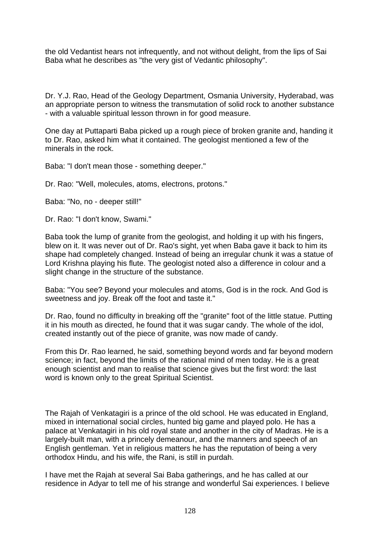the old Vedantist hears not infrequently, and not without delight, from the lips of Sai Baba what he describes as "the very gist of Vedantic philosophy".

Dr. Y.J. Rao, Head of the Geology Department, Osmania University, Hyderabad, was an appropriate person to witness the transmutation of solid rock to another substance - with a valuable spiritual lesson thrown in for good measure.

One day at Puttaparti Baba picked up a rough piece of broken granite and, handing it to Dr. Rao, asked him what it contained. The geologist mentioned a few of the minerals in the rock.

Baba: "I don't mean those - something deeper."

Dr. Rao: "Well, molecules, atoms, electrons, protons."

Baba: "No, no - deeper still!"

Dr. Rao: "I don't know, Swami."

Baba took the lump of granite from the geologist, and holding it up with his fingers, blew on it. It was never out of Dr. Rao's sight, yet when Baba gave it back to him its shape had completely changed. Instead of being an irregular chunk it was a statue of Lord Krishna playing his flute. The geologist noted also a difference in colour and a slight change in the structure of the substance.

Baba: "You see? Beyond your molecules and atoms, God is in the rock. And God is sweetness and joy. Break off the foot and taste it."

Dr. Rao, found no difficulty in breaking off the "granite" foot of the little statue. Putting it in his mouth as directed, he found that it was sugar candy. The whole of the idol, created instantly out of the piece of granite, was now made of candy.

From this Dr. Rao learned, he said, something beyond words and far beyond modern science; in fact, beyond the limits of the rational mind of men today. He is a great enough scientist and man to realise that science gives but the first word: the last word is known only to the great Spiritual Scientist.

The Rajah of Venkatagiri is a prince of the old school. He was educated in England, mixed in international social circles, hunted big game and played polo. He has a palace at Venkatagiri in his old royal state and another in the city of Madras. He is a largely-built man, with a princely demeanour, and the manners and speech of an English gentleman. Yet in religious matters he has the reputation of being a very orthodox Hindu, and his wife, the Rani, is still in purdah.

I have met the Rajah at several Sai Baba gatherings, and he has called at our residence in Adyar to tell me of his strange and wonderful Sai experiences. I believe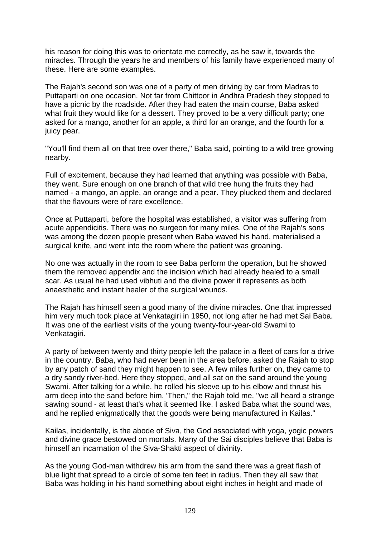his reason for doing this was to orientate me correctly, as he saw it, towards the miracles. Through the years he and members of his family have experienced many of these. Here are some examples.

The Rajah's second son was one of a party of men driving by car from Madras to Puttaparti on one occasion. Not far from Chittoor in Andhra Pradesh they stopped to have a picnic by the roadside. After they had eaten the main course, Baba asked what fruit they would like for a dessert. They proved to be a very difficult party; one asked for a mango, another for an apple, a third for an orange, and the fourth for a juicy pear.

"You'll find them all on that tree over there," Baba said, pointing to a wild tree growing nearby.

Full of excitement, because they had learned that anything was possible with Baba, they went. Sure enough on one branch of that wild tree hung the fruits they had named - a mango, an apple, an orange and a pear. They plucked them and declared that the flavours were of rare excellence.

Once at Puttaparti, before the hospital was established, a visitor was suffering from acute appendicitis. There was no surgeon for many miles. One of the Rajah's sons was among the dozen people present when Baba waved his hand, materialised a surgical knife, and went into the room where the patient was groaning.

No one was actually in the room to see Baba perform the operation, but he showed them the removed appendix and the incision which had already healed to a small scar. As usual he had used vibhuti and the divine power it represents as both anaesthetic and instant healer of the surgical wounds.

The Rajah has himself seen a good many of the divine miracles. One that impressed him very much took place at Venkatagiri in 1950, not long after he had met Sai Baba. It was one of the earliest visits of the young twenty-four-year-old Swami to Venkatagiri.

A party of between twenty and thirty people left the palace in a fleet of cars for a drive in the country. Baba, who had never been in the area before, asked the Rajah to stop by any patch of sand they might happen to see. A few miles further on, they came to a dry sandy river-bed. Here they stopped, and all sat on the sand around the young Swami. After talking for a while, he rolled his sleeve up to his elbow and thrust his arm deep into the sand before him. 'Then," the Rajah told me, "we all heard a strange sawing sound - at least that's what it seemed like. I asked Baba what the sound was, and he replied enigmatically that the goods were being manufactured in Kailas."

Kailas, incidentally, is the abode of Siva, the God associated with yoga, yogic powers and divine grace bestowed on mortals. Many of the Sai disciples believe that Baba is himself an incarnation of the Siva-Shakti aspect of divinity.

As the young God-man withdrew his arm from the sand there was a great flash of blue light that spread to a circle of some ten feet in radius. Then they all saw that Baba was holding in his hand something about eight inches in height and made of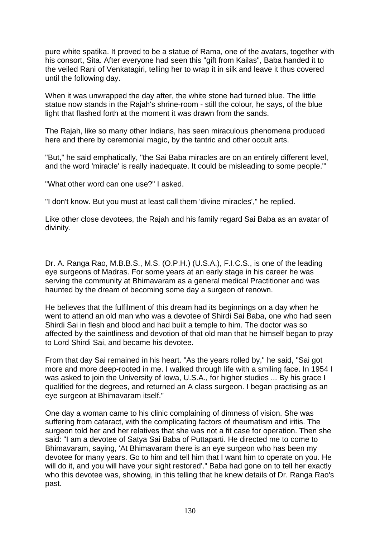pure white spatika. It proved to be a statue of Rama, one of the avatars, together with his consort, Sita. After everyone had seen this "gift from Kailas", Baba handed it to the veiled Rani of Venkatagiri, telling her to wrap it in silk and leave it thus covered until the following day.

When it was unwrapped the day after, the white stone had turned blue. The little statue now stands in the Rajah's shrine-room - still the colour, he says, of the blue light that flashed forth at the moment it was drawn from the sands.

The Rajah, like so many other Indians, has seen miraculous phenomena produced here and there by ceremonial magic, by the tantric and other occult arts.

"But," he said emphatically, "the Sai Baba miracles are on an entirely different level, and the word 'miracle' is really inadequate. It could be misleading to some people."'

"What other word can one use?" I asked.

"I don't know. But you must at least call them 'divine miracles'," he replied.

Like other close devotees, the Rajah and his family regard Sai Baba as an avatar of divinity.

Dr. A. Ranga Rao, M.B.B.S., M.S. (O.P.H.) (U.S.A.), F.I.C.S., is one of the leading eye surgeons of Madras. For some years at an early stage in his career he was serving the community at Bhimavaram as a general medical Practitioner and was haunted by the dream of becoming some day a surgeon of renown.

He believes that the fulfilment of this dream had its beginnings on a day when he went to attend an old man who was a devotee of Shirdi Sai Baba, one who had seen Shirdi Sai in flesh and blood and had built a temple to him. The doctor was so affected by the saintliness and devotion of that old man that he himself began to pray to Lord Shirdi Sai, and became his devotee.

From that day Sai remained in his heart. "As the years rolled by," he said, "Sai got more and more deep-rooted in me. I walked through life with a smiling face. In 1954 I was asked to join the University of Iowa, U.S.A., for higher studies ... By his grace I qualified for the degrees, and returned an A class surgeon. I began practising as an eye surgeon at Bhimavaram itself."

One day a woman came to his clinic complaining of dimness of vision. She was suffering from cataract, with the complicating factors of rheumatism and iritis. The surgeon told her and her relatives that she was not a fit case for operation. Then she said: "I am a devotee of Satya Sai Baba of Puttaparti. He directed me to come to Bhimavaram, saying, 'At Bhimavaram there is an eye surgeon who has been my devotee for many years. Go to him and tell him that I want him to operate on you. He will do it, and you will have your sight restored'." Baba had gone on to tell her exactly who this devotee was, showing, in this telling that he knew details of Dr. Ranga Rao's past.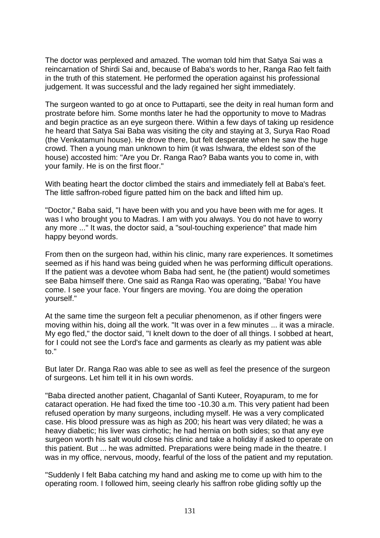The doctor was perplexed and amazed. The woman told him that Satya Sai was a reincarnation of Shirdi Sai and, because of Baba's words to her, Ranga Rao felt faith in the truth of this statement. He performed the operation against his professional judgement. It was successful and the lady regained her sight immediately.

The surgeon wanted to go at once to Puttaparti, see the deity in real human form and prostrate before him. Some months later he had the opportunity to move to Madras and begin practice as an eye surgeon there. Within a few days of taking up residence he heard that Satya Sai Baba was visiting the city and staying at 3, Surya Rao Road (the Venkatamuni house). He drove there, but felt desperate when he saw the huge crowd. Then a young man unknown to him (it was Ishwara, the eldest son of the house) accosted him: "Are you Dr. Ranga Rao? Baba wants you to come in, with your family. He is on the first floor."

With beating heart the doctor climbed the stairs and immediately fell at Baba's feet. The little saffron-robed figure patted him on the back and lifted him up.

"Doctor," Baba said, "I have been with you and you have been with me for ages. It was I who brought you to Madras. I am with you always. You do not have to worry any more ..." It was, the doctor said, a "soul-touching experience" that made him happy beyond words.

From then on the surgeon had, within his clinic, many rare experiences. It sometimes seemed as if his hand was being guided when he was performing difficult operations. If the patient was a devotee whom Baba had sent, he (the patient) would sometimes see Baba himself there. One said as Ranga Rao was operating, "Baba! You have come. I see your face. Your fingers are moving. You are doing the operation yourself."

At the same time the surgeon felt a peculiar phenomenon, as if other fingers were moving within his, doing all the work. "It was over in a few minutes ... it was a miracle. My ego fled," the doctor said, "I knelt down to the doer of all things. I sobbed at heart, for I could not see the Lord's face and garments as clearly as my patient was able to."

But later Dr. Ranga Rao was able to see as well as feel the presence of the surgeon of surgeons. Let him tell it in his own words.

"Baba directed another patient, Chaganlal of Santi Kuteer, Royapuram, to me for cataract operation. He had fixed the time too -10.30 a.m. This very patient had been refused operation by many surgeons, including myself. He was a very complicated case. His blood pressure was as high as 200; his heart was very dilated; he was a heavy diabetic; his liver was cirrhotic; he had hernia on both sides; so that any eye surgeon worth his salt would close his clinic and take a holiday if asked to operate on this patient. But ... he was admitted. Preparations were being made in the theatre. I was in my office, nervous, moody, fearful of the loss of the patient and my reputation.

"Suddenly I felt Baba catching my hand and asking me to come up with him to the operating room. I followed him, seeing clearly his saffron robe gliding softly up the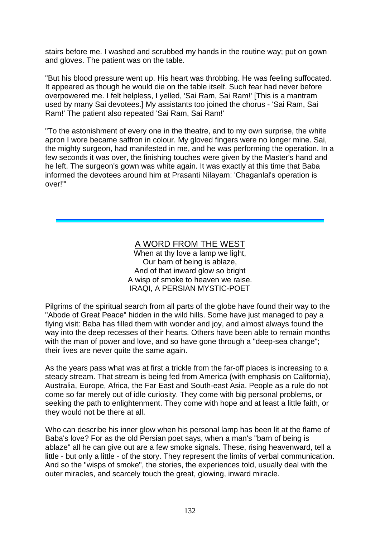stairs before me. I washed and scrubbed my hands in the routine way; put on gown and gloves. The patient was on the table.

"But his blood pressure went up. His heart was throbbing. He was feeling suffocated. It appeared as though he would die on the table itself. Such fear had never before overpowered me. I felt helpless, I yelled, 'Sai Ram, Sai Ram!' [This is a mantram used by many Sai devotees.] My assistants too joined the chorus - 'Sai Ram, Sai Ram!' The patient also repeated 'Sai Ram, Sai Ram!'

"To the astonishment of every one in the theatre, and to my own surprise, the white apron I wore became saffron in colour. My gloved fingers were no longer mine. Sai, the mighty surgeon, had manifested in me, and he was performing the operation. In a few seconds it was over, the finishing touches were given by the Master's hand and he left. The surgeon's gown was white again. It was exactly at this time that Baba informed the devotees around him at Prasanti Nilayam: 'Chaganlal's operation is over!"'

## A WORD FROM THE WEST

When at thy love a lamp we light, Our barn of being is ablaze, And of that inward glow so bright A wisp of smoke to heaven we raise. IRAQI, A PERSIAN MYSTIC-POET

Pilgrims of the spiritual search from all parts of the globe have found their way to the "Abode of Great Peace" hidden in the wild hills. Some have just managed to pay a flying visit: Baba has filled them with wonder and joy, and almost always found the way into the deep recesses of their hearts. Others have been able to remain months with the man of power and love, and so have gone through a "deep-sea change"; their lives are never quite the same again.

As the years pass what was at first a trickle from the far-off places is increasing to a steady stream. That stream is being fed from America (with emphasis on California), Australia, Europe, Africa, the Far East and South-east Asia. People as a rule do not come so far merely out of idle curiosity. They come with big personal problems, or seeking the path to enlightenment. They come with hope and at least a little faith, or they would not be there at all.

Who can describe his inner glow when his personal lamp has been lit at the flame of Baba's love? For as the old Persian poet says, when a man's "barn of being is ablaze" all he can give out are a few smoke signals. These, rising heavenward, tell a little - but only a little - of the story. They represent the limits of verbal communication. And so the "wisps of smoke", the stories, the experiences told, usually deal with the outer miracles, and scarcely touch the great, glowing, inward miracle.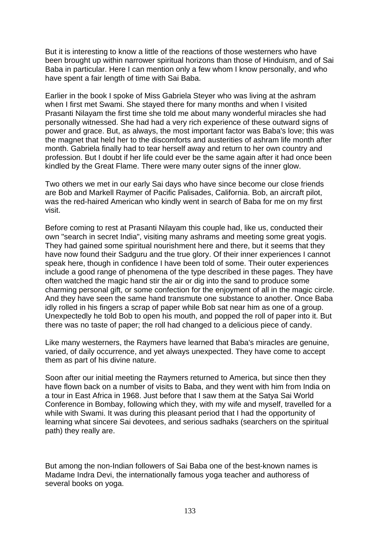But it is interesting to know a little of the reactions of those westerners who have been brought up within narrower spiritual horizons than those of Hinduism, and of Sai Baba in particular. Here I can mention only a few whom I know personally, and who have spent a fair length of time with Sai Baba.

Earlier in the book I spoke of Miss Gabriela Steyer who was living at the ashram when I first met Swami. She stayed there for many months and when I visited Prasanti Nilayam the first time she told me about many wonderful miracles she had personally witnessed. She had had a very rich experience of these outward signs of power and grace. But, as always, the most important factor was Baba's love; this was the magnet that held her to the discomforts and austerities of ashram life month after month. Gabriela finally had to tear herself away and return to her own country and profession. But I doubt if her life could ever be the same again after it had once been kindled by the Great Flame. There were many outer signs of the inner glow.

Two others we met in our early Sai days who have since become our close friends are Bob and Markell Raymer of Pacific Palisades, California. Bob, an aircraft pilot, was the red-haired American who kindly went in search of Baba for me on my first visit.

Before coming to rest at Prasanti Nilayam this couple had, like us, conducted their own "search in secret India", visiting many ashrams and meeting some great vogis. They had gained some spiritual nourishment here and there, but it seems that they have now found their Sadguru and the true glory. Of their inner experiences I cannot speak here, though in confidence I have been told of some. Their outer experiences include a good range of phenomena of the type described in these pages. They have often watched the magic hand stir the air or dig into the sand to produce some charming personal gift, or some confection for the enjoyment of all in the magic circle. And they have seen the same hand transmute one substance to another. Once Baba idly rolled in his fingers a scrap of paper while Bob sat near him as one of a group. Unexpectedly he told Bob to open his mouth, and popped the roll of paper into it. But there was no taste of paper; the roll had changed to a delicious piece of candy.

Like many westerners, the Raymers have learned that Baba's miracles are genuine, varied, of daily occurrence, and yet always unexpected. They have come to accept them as part of his divine nature.

Soon after our initial meeting the Raymers returned to America, but since then they have flown back on a number of visits to Baba, and they went with him from India on a tour in East Africa in 1968. Just before that I saw them at the Satya Sai World Conference in Bombay, following which they, with my wife and myself, travelled for a while with Swami. It was during this pleasant period that I had the opportunity of learning what sincere Sai devotees, and serious sadhaks (searchers on the spiritual path) they really are.

But among the non-Indian followers of Sai Baba one of the best-known names is Madame Indra Devi, the internationally famous yoga teacher and authoress of several books on yoga.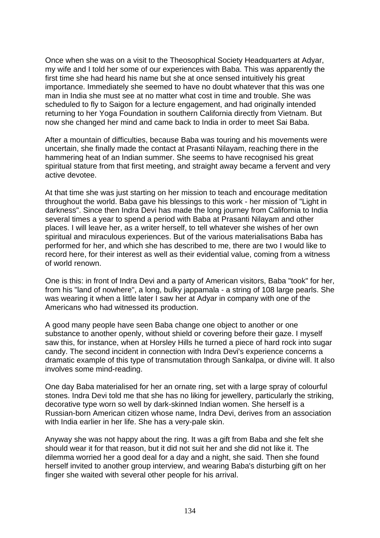Once when she was on a visit to the Theosophical Society Headquarters at Adyar, my wife and I told her some of our experiences with Baba. This was apparently the first time she had heard his name but she at once sensed intuitively his great importance. Immediately she seemed to have no doubt whatever that this was one man in India she must see at no matter what cost in time and trouble. She was scheduled to fly to Saigon for a lecture engagement, and had originally intended returning to her Yoga Foundation in southern California directly from Vietnam. But now she changed her mind and came back to India in order to meet Sai Baba.

After a mountain of difficulties, because Baba was touring and his movements were uncertain, she finally made the contact at Prasanti Nilayam, reaching there in the hammering heat of an Indian summer. She seems to have recognised his great spiritual stature from that first meeting, and straight away became a fervent and very active devotee.

At that time she was just starting on her mission to teach and encourage meditation throughout the world. Baba gave his blessings to this work - her mission of "Light in darkness". Since then Indra Devi has made the long journey from California to India several times a year to spend a period with Baba at Prasanti Nilayam and other places. I will leave her, as a writer herself, to tell whatever she wishes of her own spiritual and miraculous experiences. But of the various materialisations Baba has performed for her, and which she has described to me, there are two I would like to record here, for their interest as well as their evidential value, coming from a witness of world renown.

One is this: in front of Indra Devi and a party of American visitors, Baba "took" for her, from his "land of nowhere", a long, bulky jappamala - a string of 108 large pearls. She was wearing it when a little later I saw her at Adyar in company with one of the Americans who had witnessed its production.

A good many people have seen Baba change one object to another or one substance to another openly, without shield or covering before their gaze. I myself saw this, for instance, when at Horsley Hills he turned a piece of hard rock into sugar candy. The second incident in connection with Indra Devi's experience concerns a dramatic example of this type of transmutation through Sankalpa, or divine will. It also involves some mind-reading.

One day Baba materialised for her an ornate ring, set with a large spray of colourful stones. Indra Devi told me that she has no liking for jewellery, particularly the striking, decorative type worn so well by dark-skinned Indian women. She herself is a Russian-born American citizen whose name, Indra Devi, derives from an association with India earlier in her life. She has a very-pale skin.

Anyway she was not happy about the ring. It was a gift from Baba and she felt she should wear it for that reason, but it did not suit her and she did not like it. The dilemma worried her a good deal for a day and a night, she said. Then she found herself invited to another group interview, and wearing Baba's disturbing gift on her finger she waited with several other people for his arrival.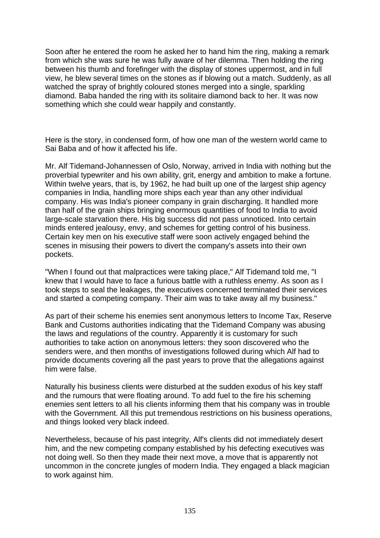Soon after he entered the room he asked her to hand him the ring, making a remark from which she was sure he was fully aware of her dilemma. Then holding the ring between his thumb and forefinger with the display of stones uppermost, and in full view, he blew several times on the stones as if blowing out a match. Suddenly, as all watched the spray of brightly coloured stones merged into a single, sparkling diamond. Baba handed the ring with its solitaire diamond back to her. It was now something which she could wear happily and constantly.

Here is the story, in condensed form, of how one man of the western world came to Sai Baba and of how it affected his life.

Mr. Alf Tidemand-Johannessen of Oslo, Norway, arrived in India with nothing but the proverbial typewriter and his own ability, grit, energy and ambition to make a fortune. Within twelve years, that is, by 1962, he had built up one of the largest ship agency companies in India, handling more ships each year than any other individual company. His was India's pioneer company in grain discharging. It handled more than half of the grain ships bringing enormous quantities of food to India to avoid large-scale starvation there. His big success did not pass unnoticed. Into certain minds entered jealousy, envy, and schemes for getting control of his business. Certain key men on his executive staff were soon actively engaged behind the scenes in misusing their powers to divert the company's assets into their own pockets.

"When I found out that malpractices were taking place," Alf Tidemand told me, "I knew that I would have to face a furious battle with a ruthless enemy. As soon as I took steps to seal the leakages, the executives concerned terminated their services and started a competing company. Their aim was to take away all my business."

As part of their scheme his enemies sent anonymous letters to Income Tax, Reserve Bank and Customs authorities indicating that the Tidemand Company was abusing the laws and regulations of the country. Apparently it is customary for such authorities to take action on anonymous letters: they soon discovered who the senders were, and then months of investigations followed during which Alf had to provide documents covering all the past years to prove that the allegations against him were false.

Naturally his business clients were disturbed at the sudden exodus of his key staff and the rumours that were floating around. To add fuel to the fire his scheming enemies sent letters to all his clients informing them that his company was in trouble with the Government. All this put tremendous restrictions on his business operations, and things looked very black indeed.

Nevertheless, because of his past integrity, Alf's clients did not immediately desert him, and the new competing company established by his defecting executives was not doing well. So then they made their next move, a move that is apparently not uncommon in the concrete jungles of modern India. They engaged a black magician to work against him.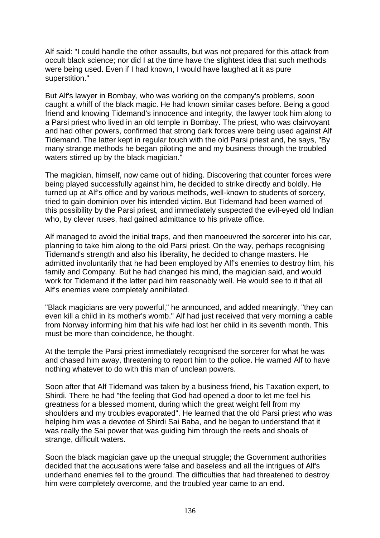Alf said: "I could handle the other assaults, but was not prepared for this attack from occult black science; nor did I at the time have the slightest idea that such methods were being used. Even if I had known, I would have laughed at it as pure superstition."

But Alf's lawyer in Bombay, who was working on the company's problems, soon caught a whiff of the black magic. He had known similar cases before. Being a good friend and knowing Tidemand's innocence and integrity, the lawyer took him along to a Parsi priest who lived in an old temple in Bombay. The priest, who was clairvoyant and had other powers, confirmed that strong dark forces were being used against Alf Tidemand. The latter kept in regular touch with the old Parsi priest and, he says, "By many strange methods he began piloting me and my business through the troubled waters stirred up by the black magician."

The magician, himself, now came out of hiding. Discovering that counter forces were being played successfully against him, he decided to strike directly and boldly. He turned up at Alf's office and by various methods, well-known to students of sorcery, tried to gain dominion over his intended victim. But Tidemand had been warned of this possibility by the Parsi priest, and immediately suspected the evil-eyed old Indian who, by clever ruses, had gained admittance to his private office.

Alf managed to avoid the initial traps, and then manoeuvred the sorcerer into his car, planning to take him along to the old Parsi priest. On the way, perhaps recognising Tidemand's strength and also his liberality, he decided to change masters. He admitted involuntarily that he had been employed by Alf's enemies to destroy him, his family and Company. But he had changed his mind, the magician said, and would work for Tidemand if the latter paid him reasonably well. He would see to it that all Alf's enemies were completely annihilated.

"Black magicians are very powerful," he announced, and added meaningly, "they can even kill a child in its mother's womb." Alf had just received that very morning a cable from Norway informing him that his wife had lost her child in its seventh month. This must be more than coincidence, he thought.

At the temple the Parsi priest immediately recognised the sorcerer for what he was and chased him away, threatening to report him to the police. He warned Alf to have nothing whatever to do with this man of unclean powers.

Soon after that Alf Tidemand was taken by a business friend, his Taxation expert, to Shirdi. There he had "the feeling that God had opened a door to let me feel his greatness for a blessed moment, during which the great weight fell from my shoulders and my troubles evaporated". He learned that the old Parsi priest who was helping him was a devotee of Shirdi Sai Baba, and he began to understand that it was really the Sai power that was guiding him through the reefs and shoals of strange, difficult waters.

Soon the black magician gave up the unequal struggle; the Government authorities decided that the accusations were false and baseless and all the intrigues of Alf's underhand enemies fell to the ground. The difficulties that had threatened to destroy him were completely overcome, and the troubled year came to an end.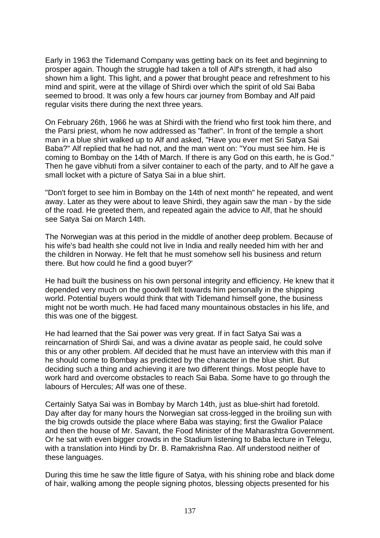Early in 1963 the Tidemand Company was getting back on its feet and beginning to prosper again. Though the struggle had taken a toll of Alf's strength, it had also shown him a light. This light, and a power that brought peace and refreshment to his mind and spirit, were at the village of Shirdi over which the spirit of old Sai Baba seemed to brood. It was only a few hours car journey from Bombay and Alf paid regular visits there during the next three years.

On February 26th, 1966 he was at Shirdi with the friend who first took him there, and the Parsi priest, whom he now addressed as "father". In front of the temple a short man in a blue shirt walked up to Alf and asked, "Have you ever met Sri Satya Sai Baba?" Alf replied that he had not, and the man went on: "You must see him. He is coming to Bombay on the 14th of March. If there is any God on this earth, he is God." Then he gave vibhuti from a silver container to each of the party, and to Alf he gave a small locket with a picture of Satya Sai in a blue shirt.

"Don't forget to see him in Bombay on the 14th of next month" he repeated, and went away. Later as they were about to leave Shirdi, they again saw the man - by the side of the road. He greeted them, and repeated again the advice to Alf, that he should see Satya Sai on March 14th.

The Norwegian was at this period in the middle of another deep problem. Because of his wife's bad health she could not live in India and really needed him with her and the children in Norway. He felt that he must somehow sell his business and return there. But how could he find a good buyer?'

He had built the business on his own personal integrity and efficiency. He knew that it depended very much on the goodwill felt towards him personally in the shipping world. Potential buyers would think that with Tidemand himself gone, the business might not be worth much. He had faced many mountainous obstacles in his life, and this was one of the biggest.

He had learned that the Sai power was very great. If in fact Satya Sai was a reincarnation of Shirdi Sai, and was a divine avatar as people said, he could solve this or any other problem. Alf decided that he must have an interview with this man if he should come to Bombay as predicted by the character in the blue shirt. But deciding such a thing and achieving it are two different things. Most people have to work hard and overcome obstacles to reach Sai Baba. Some have to go through the labours of Hercules; Alf was one of these.

Certainly Satya Sai was in Bombay by March 14th, just as blue-shirt had foretold. Day after day for many hours the Norwegian sat cross-legged in the broiling sun with the big crowds outside the place where Baba was staying; first the Gwalior Palace and then the house of Mr. Savant, the Food Minister of the Maharashtra Government. Or he sat with even bigger crowds in the Stadium listening to Baba lecture in Telegu, with a translation into Hindi by Dr. B. Ramakrishna Rao. Alf understood neither of these languages.

During this time he saw the little figure of Satya, with his shining robe and black dome of hair, walking among the people signing photos, blessing objects presented for his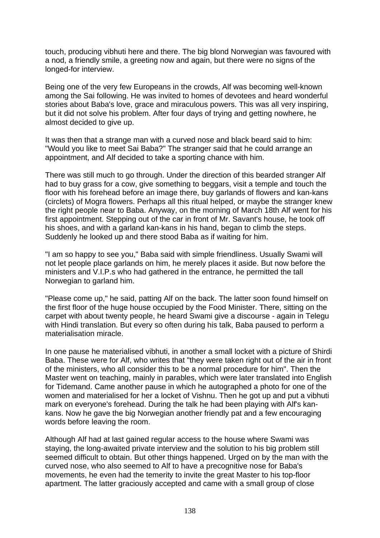touch, producing vibhuti here and there. The big blond Norwegian was favoured with a nod, a friendly smile, a greeting now and again, but there were no signs of the longed-for interview.

Being one of the very few Europeans in the crowds, Alf was becoming well-known among the Sai following. He was invited to homes of devotees and heard wonderful stories about Baba's love, grace and miraculous powers. This was all very inspiring, but it did not solve his problem. After four days of trying and getting nowhere, he almost decided to give up.

It was then that a strange man with a curved nose and black beard said to him: "Would you like to meet Sai Baba?" The stranger said that he could arrange an appointment, and Alf decided to take a sporting chance with him.

There was still much to go through. Under the direction of this bearded stranger Alf had to buy grass for a cow, give something to beggars, visit a temple and touch the floor with his forehead before an image there, buy garlands of flowers and kan-kans (circlets) of Mogra flowers. Perhaps all this ritual helped, or maybe the stranger knew the right people near to Baba. Anyway, on the morning of March 18th Alf went for his first appointment. Stepping out of the car in front of Mr. Savant's house, he took off his shoes, and with a garland kan-kans in his hand, began to climb the steps. Suddenly he looked up and there stood Baba as if waiting for him.

"I am so happy to see you," Baba said with simple friendliness. Usually Swami will not let people place garlands on him, he merely places it aside. But now before the ministers and V.I.P.s who had gathered in the entrance, he permitted the tall Norwegian to garland him.

"Please come up," he said, patting Alf on the back. The latter soon found himself on the first floor of the huge house occupied by the Food Minister. There, sitting on the carpet with about twenty people, he heard Swami give a discourse - again in Telegu with Hindi translation. But every so often during his talk, Baba paused to perform a materialisation miracle.

In one pause he materialised vibhuti, in another a small locket with a picture of Shirdi Baba. These were for Alf, who writes that "they were taken right out of the air in front of the ministers, who all consider this to be a normal procedure for him". Then the Master went on teaching, mainly in parables, which were later translated into English for Tidemand. Came another pause in which he autographed a photo for one of the women and materialised for her a locket of Vishnu. Then he got up and put a vibhuti mark on everyone's forehead. During the talk he had been playing with Alf's kankans. Now he gave the big Norwegian another friendly pat and a few encouraging words before leaving the room.

Although Alf had at last gained regular access to the house where Swami was staying, the long-awaited private interview and the solution to his big problem still seemed difficult to obtain. But other things happened. Urged on by the man with the curved nose, who also seemed to Alf to have a precognitive nose for Baba's movements, he even had the temerity to invite the great Master to his top-floor apartment. The latter graciously accepted and came with a small group of close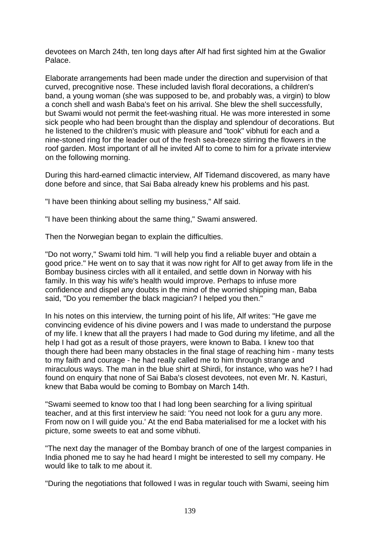devotees on March 24th, ten long days after Alf had first sighted him at the Gwalior Palace.

Elaborate arrangements had been made under the direction and supervision of that curved, precognitive nose. These included lavish floral decorations, a children's band, a young woman (she was supposed to be, and probably was, a virgin) to blow a conch shell and wash Baba's feet on his arrival. She blew the shell successfully, but Swami would not permit the feet-washing ritual. He was more interested in some sick people who had been brought than the display and splendour of decorations. But he listened to the children's music with pleasure and "took" vibhuti for each and a nine-stoned ring for the leader out of the fresh sea-breeze stirring the flowers in the roof garden. Most important of all he invited Alf to come to him for a private interview on the following morning.

During this hard-earned climactic interview, Alf Tidemand discovered, as many have done before and since, that Sai Baba already knew his problems and his past.

"I have been thinking about selling my business," Alf said.

"I have been thinking about the same thing," Swami answered.

Then the Norwegian began to explain the difficulties.

"Do not worry," Swami told him. "I will help you find a reliable buyer and obtain a good price." He went on to say that it was now right for Alf to get away from life in the Bombay business circles with all it entailed, and settle down in Norway with his family. In this way his wife's health would improve. Perhaps to infuse more confidence and dispel any doubts in the mind of the worried shipping man, Baba said, "Do you remember the black magician? I helped you then."

In his notes on this interview, the turning point of his life, Alf writes: "He gave me convincing evidence of his divine powers and I was made to understand the purpose of my life. I knew that all the prayers I had made to God during my lifetime, and all the help I had got as a result of those prayers, were known to Baba. I knew too that though there had been many obstacles in the final stage of reaching him - many tests to my faith and courage - he had really called me to him through strange and miraculous ways. The man in the blue shirt at Shirdi, for instance, who was he? I had found on enquiry that none of Sai Baba's closest devotees, not even Mr. N. Kasturi, knew that Baba would be coming to Bombay on March 14th.

"Swami seemed to know too that I had long been searching for a living spiritual teacher, and at this first interview he said: 'You need not look for a guru any more. From now on I will guide you.' At the end Baba materialised for me a locket with his picture, some sweets to eat and some vibhuti.

"The next day the manager of the Bombay branch of one of the largest companies in India phoned me to say he had heard I might be interested to sell my company. He would like to talk to me about it.

"During the negotiations that followed I was in regular touch with Swami, seeing him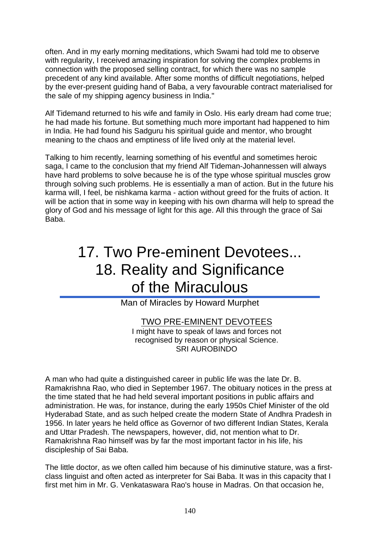often. And in my early morning meditations, which Swami had told me to observe with regularity, I received amazing inspiration for solving the complex problems in connection with the proposed selling contract, for which there was no sample precedent of any kind available. After some months of difficult negotiations, helped by the ever-present guiding hand of Baba, a very favourable contract materialised for the sale of my shipping agency business in India."

Alf Tidemand returned to his wife and family in Oslo. His early dream had come true; he had made his fortune. But something much more important had happened to him in India. He had found his Sadguru his spiritual guide and mentor, who brought meaning to the chaos and emptiness of life lived only at the material level.

Talking to him recently, learning something of his eventful and sometimes heroic saga, I came to the conclusion that my friend Alf Tideman-Johannessen will always have hard problems to solve because he is of the type whose spiritual muscles grow through solving such problems. He is essentially a man of action. But in the future his karma will, I feel, be nishkama karma - action without greed for the fruits of action. It will be action that in some way in keeping with his own dharma will help to spread the glory of God and his message of light for this age. All this through the grace of Sai Baba.

# 17. Two Pre-eminent Devotees... 18. Reality and Significance of the Miraculous

Man of Miracles by Howard Murphet

### TWO PRE-EMINENT DEVOTEES

I might have to speak of laws and forces not recognised by reason or physical Science. SRI AUROBINDO

A man who had quite a distinguished career in public life was the late Dr. B. Ramakrishna Rao, who died in September 1967. The obituary notices in the press at the time stated that he had held several important positions in public affairs and administration. He was, for instance, during the early 1950s Chief Minister of the old Hyderabad State, and as such helped create the modern State of Andhra Pradesh in 1956. In later years he held office as Governor of two different Indian States, Kerala and Uttar Pradesh. The newspapers, however, did, not mention what to Dr. Ramakrishna Rao himself was by far the most important factor in his life, his discipleship of Sai Baba.

The little doctor, as we often called him because of his diminutive stature, was a firstclass linguist and often acted as interpreter for Sai Baba. It was in this capacity that I first met him in Mr. G. Venkataswara Rao's house in Madras. On that occasion he,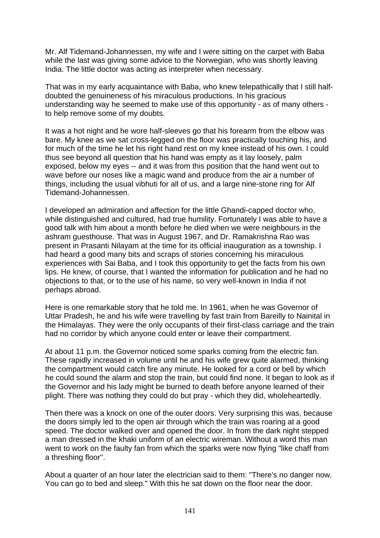Mr. Alf Tidemand-Johannessen, my wife and I were sitting on the carpet with Baba while the last was giving some advice to the Norwegian, who was shortly leaving India. The little doctor was acting as interpreter when necessary.

That was in my early acquaintance with Baba, who knew telepathically that I still halfdoubted the genuineness of his miraculous productions. In his gracious understanding way he seemed to make use of this opportunity - as of many others to help remove some of my doubts.

It was a hot night and he wore half-sleeves go that his forearm from the elbow was bare. My knee as we sat cross-legged on the floor was practically touching his, and for much of the time he let his right hand rest on my knee instead of his own. I could thus see beyond all question that his hand was empty as it lay loosely, palm exposed, below my eyes -- and it was from this position that the hand went out to wave before our noses like a magic wand and produce from the air a number of things, including the usual vibhuti for all of us, and a large nine-stone ring for Alf Tidemand-Johannessen.

I developed an admiration and affection for the little Ghandi-capped doctor who, while distinguished and cultured, had true humility. Fortunately I was able to have a good talk with him about a month before he died when we were neighbours in the ashram guesthouse. That was in August 1967, and Dr. Ramakrishna Rao was present in Prasanti Nilayam at the time for its official inauguration as a township. I had heard a good many bits and scraps of stories concerning his miraculous experiences with Sai Baba, and I took this opportunity to get the facts from his own lips. He knew, of course, that I wanted the information for publication and he had no objections to that, or to the use of his name, so very well-known in India if not perhaps abroad.

Here is one remarkable story that he told me. In 1961, when he was Governor of Uttar Pradesh, he and his wife were travelling by fast train from Bareilly to Nainital in the Himalayas. They were the only occupants of their first-class carriage and the train had no corridor by which anyone could enter or leave their compartment.

At about 11 p.m. the Governor noticed some sparks coming from the electric fan. These rapidly increased in volume until he and his wife grew quite alarmed, thinking the compartment would catch fire any minute. He looked for a cord or bell by which he could sound the alarm and stop the train, but could find none. It began to look as if the Governor and his lady might be burned to death before anyone learned of their plight. There was nothing they could do but pray - which they did, wholeheartedly.

Then there was a knock on one of the outer doors. Very surprising this was, because the doors simply led to the open air through which the train was roaring at a good speed. The doctor walked over and opened the door. In from the dark night stepped a man dressed in the khaki uniform of an electric wireman. Without a word this man went to work on the faulty fan from which the sparks were now flying "like chaff from a threshing floor''.

About a quarter of an hour later the electrician said to them: "There's no danger now. You can go to bed and sleep." With this he sat down on the floor near the door.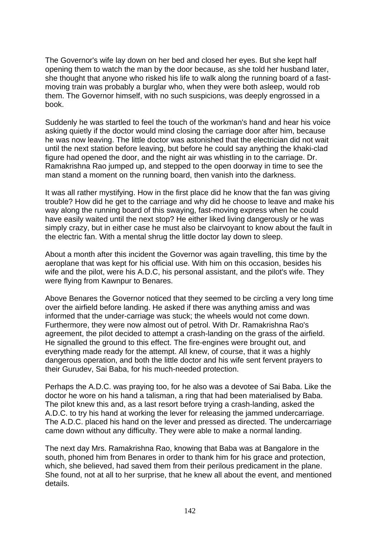The Governor's wife lay down on her bed and closed her eyes. But she kept half opening them to watch the man by the door because, as she told her husband later, she thought that anyone who risked his life to walk along the running board of a fastmoving train was probably a burglar who, when they were both asleep, would rob them. The Governor himself, with no such suspicions, was deeply engrossed in a book.

Suddenly he was startled to feel the touch of the workman's hand and hear his voice asking quietly if the doctor would mind closing the carriage door after him, because he was now leaving. The little doctor was astonished that the electrician did not wait until the next station before leaving, but before he could say anything the khaki-clad figure had opened the door, and the night air was whistling in to the carriage. Dr. Ramakrishna Rao jumped up, and stepped to the open doorway in time to see the man stand a moment on the running board, then vanish into the darkness.

It was all rather mystifying. How in the first place did he know that the fan was giving trouble? How did he get to the carriage and why did he choose to leave and make his way along the running board of this swaying, fast-moving express when he could have easily waited until the next stop? He either liked living dangerously or he was simply crazy, but in either case he must also be clairvoyant to know about the fault in the electric fan. With a mental shrug the little doctor lay down to sleep.

About a month after this incident the Governor was again travelling, this time by the aeroplane that was kept for his official use. With him on this occasion, besides his wife and the pilot, were his A.D.C, his personal assistant, and the pilot's wife. They were flying from Kawnpur to Benares.

Above Benares the Governor noticed that they seemed to be circling a very long time over the airfield before landing. He asked if there was anything amiss and was informed that the under-carriage was stuck; the wheels would not come down. Furthermore, they were now almost out of petrol. With Dr. Ramakrishna Rao's agreement, the pilot decided to attempt a crash-landing on the grass of the airfield. He signalled the ground to this effect. The fire-engines were brought out, and everything made ready for the attempt. All knew, of course, that it was a highly dangerous operation, and both the little doctor and his wife sent fervent prayers to their Gurudev, Sai Baba, for his much-needed protection.

Perhaps the A.D.C. was praying too, for he also was a devotee of Sai Baba. Like the doctor he wore on his hand a talisman, a ring that had been materialised by Baba. The pilot knew this and, as a last resort before trying a crash-landing, asked the A.D.C. to try his hand at working the lever for releasing the jammed undercarriage. The A.D.C. placed his hand on the lever and pressed as directed. The undercarriage came down without any difficulty. They were able to make a normal landing.

The next day Mrs. Ramakrishna Rao, knowing that Baba was at Bangalore in the south, phoned him from Benares in order to thank him for his grace and protection, which, she believed, had saved them from their perilous predicament in the plane. She found, not at all to her surprise, that he knew all about the event, and mentioned details.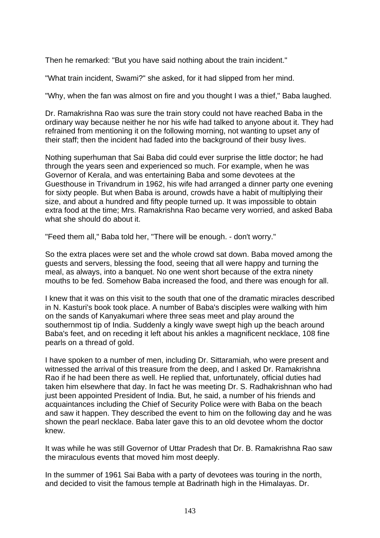Then he remarked: "But you have said nothing about the train incident."

"What train incident, Swami?" she asked, for it had slipped from her mind.

"Why, when the fan was almost on fire and you thought I was a thief," Baba laughed.

Dr. Ramakrishna Rao was sure the train story could not have reached Baba in the ordinary way because neither he nor his wife had talked to anyone about it. They had refrained from mentioning it on the following morning, not wanting to upset any of their staff; then the incident had faded into the background of their busy lives.

Nothing superhuman that Sai Baba did could ever surprise the little doctor; he had through the years seen and experienced so much. For example, when he was Governor of Kerala, and was entertaining Baba and some devotees at the Guesthouse in Trivandrum in 1962, his wife had arranged a dinner party one evening for sixty people. But when Baba is around, crowds have a habit of multiplying their size, and about a hundred and fifty people turned up. It was impossible to obtain extra food at the time; Mrs. Ramakrishna Rao became very worried, and asked Baba what she should do about it.

"Feed them all," Baba told her, "There will be enough. - don't worry."

So the extra places were set and the whole crowd sat down. Baba moved among the guests and servers, blessing the food, seeing that all were happy and turning the meal, as always, into a banquet. No one went short because of the extra ninety mouths to be fed. Somehow Baba increased the food, and there was enough for all.

I knew that it was on this visit to the south that one of the dramatic miracles described in N. Kasturi's book took place. A number of Baba's disciples were walking with him on the sands of Kanyakumari where three seas meet and play around the southernmost tip of India. Suddenly a kingly wave swept high up the beach around Baba's feet, and on receding it left about his ankles a magnificent necklace, 108 fine pearls on a thread of gold.

I have spoken to a number of men, including Dr. Sittaramiah, who were present and witnessed the arrival of this treasure from the deep, and I asked Dr. Ramakrishna Rao if he had been there as well. He replied that, unfortunately, official duties had taken him elsewhere that day. In fact he was meeting Dr. S. Radhakrishnan who had just been appointed President of India. But, he said, a number of his friends and acquaintances including the Chief of Security Police were with Baba on the beach and saw it happen. They described the event to him on the following day and he was shown the pearl necklace. Baba later gave this to an old devotee whom the doctor knew.

It was while he was still Governor of Uttar Pradesh that Dr. B. Ramakrishna Rao saw the miraculous events that moved him most deeply.

In the summer of 1961 Sai Baba with a party of devotees was touring in the north, and decided to visit the famous temple at Badrinath high in the Himalayas. Dr.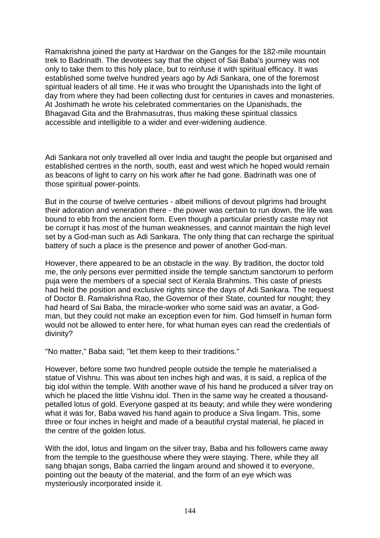Ramakrishna joined the party at Hardwar on the Ganges for the 182-mile mountain trek to Badrinath. The devotees say that the object of Sai Baba's journey was not only to take them to this holy place, but to reinfuse it with spiritual efficacy. It was established some twelve hundred years ago by Adi Sankara, one of the foremost spiritual leaders of all time. He it was who brought the Upanishads into the light of day from where they had been collecting dust for centuries in caves and monasteries. At Joshimath he wrote his celebrated commentaries on the Upanishads, the Bhagavad Gita and the Brahmasutras, thus making these spiritual classics accessible and intelligible to a wider and ever-widening audience.

Adi Sankara not only travelled all over India and taught the people but organised and established centres in the north, south, east and west which he hoped would remain as beacons of light to carry on his work after he had gone. Badrinath was one of those spiritual power-points.

But in the course of twelve centuries - albeit millions of devout pilgrims had brought their adoration and veneration there - the power was certain to run down, the life was bound to ebb from the ancient form. Even though a particular priestly caste may not be corrupt it has most of the human weaknesses, and cannot maintain the high level set by a God-man such as Adi Sankara. The only thing that can recharge the spiritual battery of such a place is the presence and power of another God-man.

However, there appeared to be an obstacle in the way. By tradition, the doctor told me, the only persons ever permitted inside the temple sanctum sanctorum to perform puja were the members of a special sect of Kerala Brahmins. This caste of priests had held the position and exclusive rights since the days of Adi Sankara. The request of Doctor B. Ramakrishna Rao, the Governor of their State, counted for nought; they had heard of Sai Baba, the miracle-worker who some said was an avatar, a Godman, but they could not make an exception even for him. God himself in human form would not be allowed to enter here, for what human eyes can read the credentials of divinity?

"No matter," Baba said; ''let them keep to their traditions."

However, before some two hundred people outside the temple he materialised a statue of Vishnu. This was about ten inches high and was, it is said, a replica of the big idol within the temple. With another wave of his hand he produced a silver tray on which he placed the little Vishnu idol. Then in the same way he created a thousandpetalled lotus of gold. Everyone gasped at its beauty; and while they were wondering what it was for, Baba waved his hand again to produce a Siva lingam. This, some three or four inches in height and made of a beautiful crystal material, he placed in the centre of the golden lotus.

With the idol, lotus and lingam on the silver tray, Baba and his followers came away from the temple to the guesthouse where they were staying. There, while they all sang bhajan songs, Baba carried the lingam around and showed it to everyone, pointing out the beauty of the material, and the form of an eye which was mysteriously incorporated inside it.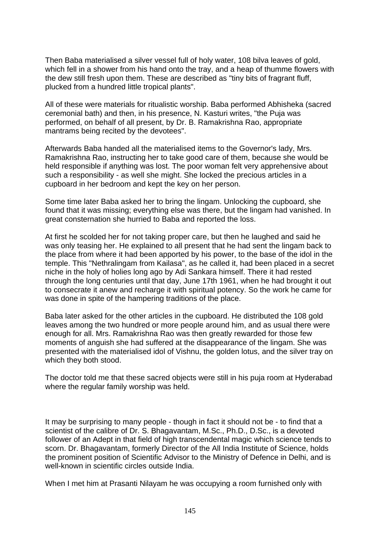Then Baba materialised a silver vessel full of holy water, 108 bilva leaves of gold, which fell in a shower from his hand onto the tray, and a heap of thumme flowers with the dew still fresh upon them. These are described as "tiny bits of fragrant fluff, plucked from a hundred little tropical plants".

All of these were materials for ritualistic worship. Baba performed Abhisheka (sacred ceremonial bath) and then, in his presence, N. Kasturi writes, "the Puja was performed, on behalf of all present, by Dr. B. Ramakrishna Rao, appropriate mantrams being recited by the devotees".

Afterwards Baba handed all the materialised items to the Governor's lady, Mrs. Ramakrishna Rao, instructing her to take good care of them, because she would be held responsible if anything was lost. The poor woman felt very apprehensive about such a responsibility - as well she might. She locked the precious articles in a cupboard in her bedroom and kept the key on her person.

Some time later Baba asked her to bring the lingam. Unlocking the cupboard, she found that it was missing; everything else was there, but the lingam had vanished. In great consternation she hurried to Baba and reported the loss.

At first he scolded her for not taking proper care, but then he laughed and said he was only teasing her. He explained to all present that he had sent the lingam back to the place from where it had been apported by his power, to the base of the idol in the temple. This "Nethralingam from Kailasa", as he called it, had been placed in a secret niche in the holy of holies long ago by Adi Sankara himself. There it had rested through the long centuries until that day, June 17th 1961, when he had brought it out to consecrate it anew and recharge it with spiritual potency. So the work he came for was done in spite of the hampering traditions of the place.

Baba later asked for the other articles in the cupboard. He distributed the 108 gold leaves among the two hundred or more people around him, and as usual there were enough for all. Mrs. Ramakrishna Rao was then greatly rewarded for those few moments of anguish she had suffered at the disappearance of the lingam. She was presented with the materialised idol of Vishnu, the golden lotus, and the silver tray on which they both stood.

The doctor told me that these sacred objects were still in his puja room at Hyderabad where the regular family worship was held.

It may be surprising to many people - though in fact it should not be - to find that a scientist of the calibre of Dr. S. Bhagavantam, M.Sc., Ph.D., D.Sc., is a devoted follower of an Adept in that field of high transcendental magic which science tends to scorn. Dr. Bhagavantam, formerly Director of the All India Institute of Science, holds the prominent position of Scientific Advisor to the Ministry of Defence in Delhi, and is well-known in scientific circles outside India.

When I met him at Prasanti Nilayam he was occupying a room furnished only with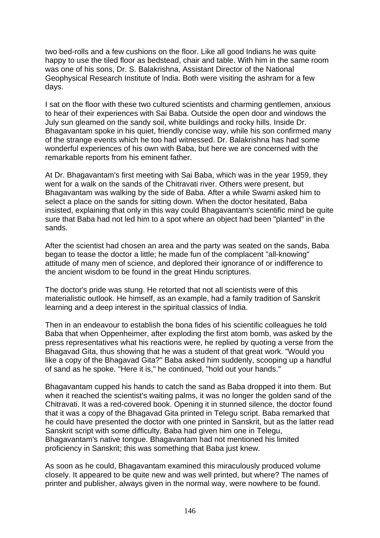two bed-rolls and a few cushions on the floor. Like all good Indians he was quite happy to use the tiled floor as bedstead, chair and table. With him in the same room was one of his sons, Dr. S. Balakrishna, Assistant Director of the National Geophysical Research Institute of India. Both were visiting the ashram for a few days.

I sat on the floor with these two cultured scientists and charming gentlemen, anxious to hear of their experiences with Sai Baba. Outside the open door and windows the July sun gleamed on the sandy soil, white buildings and rocky hills. Inside Dr. Bhagavantam spoke in his quiet, friendly concise way, while his son confirmed many of the strange events which he too had witnessed. Dr. Balakrishna has had some wonderful experiences of his own with Baba, but here we are concerned with the remarkable reports from his eminent father.

At Dr. Bhagavantam's first meeting with Sai Baba, which was in the year 1959, they went for a walk on the sands of the Chitravati river. Others were present, but Bhagavantam was walking by the side of Baba. After a while Swami asked him to select a place on the sands for sitting down. When the doctor hesitated, Baba insisted, explaining that only in this way could Bhagavantam's scientific mind be quite sure that Baba had not led him to a spot where an object had been "planted" in the sands.

After the scientist had chosen an area and the party was seated on the sands, Baba began to tease the doctor a little; he made fun of the complacent "all-knowing" attitude of many men of science, and deplored their ignorance of or indifference to the ancient wisdom to be found in the great Hindu scriptures.

The doctor's pride was stung. He retorted that not all scientists were of this materialistic outlook. He himself, as an example, had a family tradition of Sanskrit learning and a deep interest in the spiritual classics of India.

Then in an endeavour to establish the bona fides of his scientific colleagues he told Baba that when Oppenheimer, after exploding the first atom bomb, was asked by the press representatives what his reactions were, he replied by quoting a verse from the Bhagavad Gita, thus showing that he was a student of that great work. "Would you like a copy of the Bhagavad Gita?" Baba asked him suddenly, scooping up a handful of sand as he spoke. "Here it is," he continued, "hold out your hands."

Bhagavantam cupped his hands to catch the sand as Baba dropped it into them. But when it reached the scientist's waiting palms, it was no longer the golden sand of the Chitravati. It was a red-covered book. Opening it in stunned silence, the doctor found that it was a copy of the Bhagavad Gita printed in Telegu script. Baba remarked that he could have presented the doctor with one printed in Sanskrit, but as the latter read Sanskrit script with some difficulty, Baba had given him one in Telegu, Bhagavantam's native tongue. Bhagavantam had not mentioned his limited proficiency in Sanskrit; this was something that Baba just knew.

As soon as he could, Bhagavantam examined this miraculously produced volume closely. It appeared to be quite new and was well printed, but where? The names of printer and publisher, always given in the normal way, were nowhere to be found.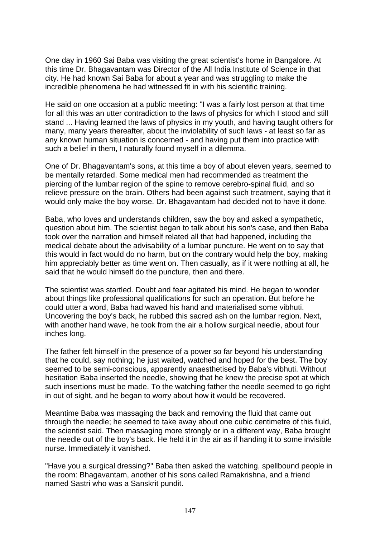One day in 1960 Sai Baba was visiting the great scientist's home in Bangalore. At this time Dr. Bhagavantam was Director of the All India Institute of Science in that city. He had known Sai Baba for about a year and was struggling to make the incredible phenomena he had witnessed fit in with his scientific training.

He said on one occasion at a public meeting: "I was a fairly lost person at that time for all this was an utter contradiction to the laws of physics for which I stood and still stand ... Having learned the laws of physics in my youth, and having taught others for many, many years thereafter, about the inviolability of such laws - at least so far as any known human situation is concerned - and having put them into practice with such a belief in them, I naturally found myself in a dilemma.

One of Dr. Bhagavantam's sons, at this time a boy of about eleven years, seemed to be mentally retarded. Some medical men had recommended as treatment the piercing of the lumbar region of the spine to remove cerebro-spinal fluid, and so relieve pressure on the brain. Others had been against such treatment, saying that it would only make the boy worse. Dr. Bhagavantam had decided not to have it done.

Baba, who loves and understands children, saw the boy and asked a sympathetic, question about him. The scientist began to talk about his son's case, and then Baba took over the narration and himself related all that had happened, including the medical debate about the advisability of a lumbar puncture. He went on to say that this would in fact would do no harm, but on the contrary would help the boy, making him appreciably better as time went on. Then casually, as if it were nothing at all, he said that he would himself do the puncture, then and there.

The scientist was startled. Doubt and fear agitated his mind. He began to wonder about things like professional qualifications for such an operation. But before he could utter a word, Baba had waved his hand and materialised some vibhuti. Uncovering the boy's back, he rubbed this sacred ash on the lumbar region. Next, with another hand wave, he took from the air a hollow surgical needle, about four inches long.

The father felt himself in the presence of a power so far beyond his understanding that he could, say nothing; he just waited, watched and hoped for the best. The boy seemed to be semi-conscious, apparently anaesthetised by Baba's vibhuti. Without hesitation Baba inserted the needle, showing that he knew the precise spot at which such insertions must be made. To the watching father the needle seemed to go right in out of sight, and he began to worry about how it would be recovered.

Meantime Baba was massaging the back and removing the fluid that came out through the needle; he seemed to take away about one cubic centimetre of this fluid, the scientist said. Then massaging more strongly or in a different way, Baba brought the needle out of the boy's back. He held it in the air as if handing it to some invisible nurse. Immediately it vanished.

"Have you a surgical dressing?" Baba then asked the watching, spellbound people in the room: Bhagavantam, another of his sons called Ramakrishna, and a friend named Sastri who was a Sanskrit pundit.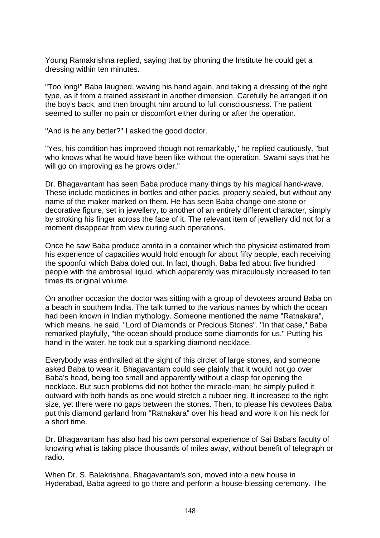Young Ramakrishna replied, saying that by phoning the Institute he could get a dressing within ten minutes.

"Too long!" Baba laughed, waving his hand again, and taking a dressing of the right type, as if from a trained assistant in another dimension. Carefully he arranged it on the boy's back, and then brought him around to full consciousness. The patient seemed to suffer no pain or discomfort either during or after the operation.

''And is he any better?" I asked the good doctor.

"Yes, his condition has improved though not remarkably," he replied cautiously, "but who knows what he would have been like without the operation. Swami says that he will go on improving as he grows older."

Dr. Bhagavantam has seen Baba produce many things by his magical hand-wave. These include medicines in bottles and other packs, properly sealed, but without any name of the maker marked on them. He has seen Baba change one stone or decorative figure, set in jewellery, to another of an entirely different character, simply by stroking his finger across the face of it. The relevant item of jewellery did not for a moment disappear from view during such operations.

Once he saw Baba produce amrita in a container which the physicist estimated from his experience of capacities would hold enough for about fifty people, each receiving the spoonful which Baba doled out. In fact, though, Baba fed about five hundred people with the ambrosial liquid, which apparently was miraculously increased to ten times its original volume.

On another occasion the doctor was sitting with a group of devotees around Baba on a beach in southern India. The talk turned to the various names by which the ocean had been known in Indian mythology. Someone mentioned the name "Ratnakara", which means, he said, "Lord of Diamonds or Precious Stones". "In that case," Baba remarked playfully, "the ocean should produce some diamonds for us." Putting his hand in the water, he took out a sparkling diamond necklace.

Everybody was enthralled at the sight of this circlet of large stones, and someone asked Baba to wear it. Bhagavantam could see plainly that it would not go over Baba's head, being too small and apparently without a clasp for opening the necklace. But such problems did not bother the miracle-man; he simply pulled it outward with both hands as one would stretch a rubber ring. It increased to the right size, yet there were no gaps between the stones. Then, to please his devotees Baba put this diamond garland from "Ratnakara" over his head and wore it on his neck for a short time.

Dr. Bhagavantam has also had his own personal experience of Sai Baba's faculty of knowing what is taking place thousands of miles away, without benefit of telegraph or radio.

When Dr. S. Balakrishna, Bhagavantam's son, moved into a new house in Hyderabad, Baba agreed to go there and perform a house-blessing ceremony. The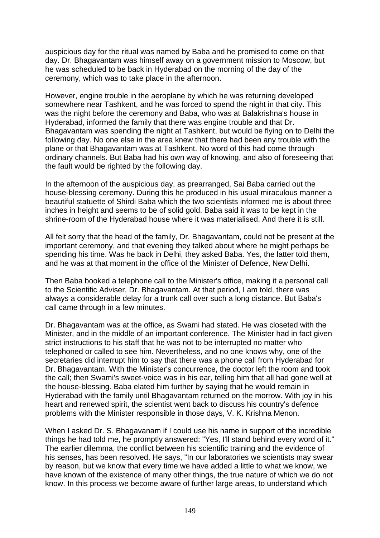auspicious day for the ritual was named by Baba and he promised to come on that day. Dr. Bhagavantam was himself away on a government mission to Moscow, but he was scheduled to be back in Hyderabad on the morning of the day of the ceremony, which was to take place in the afternoon.

However, engine trouble in the aeroplane by which he was returning developed somewhere near Tashkent, and he was forced to spend the night in that city. This was the night before the ceremony and Baba, who was at Balakrishna's house in Hyderabad, informed the family that there was engine trouble and that Dr. Bhagavantam was spending the night at Tashkent, but would be flying on to Delhi the following day. No one else in the area knew that there had been any trouble with the plane or that Bhagavantam was at Tashkent. No word of this had come through ordinary channels. But Baba had his own way of knowing, and also of foreseeing that the fault would be righted by the following day.

In the afternoon of the auspicious day, as prearranged, Sai Baba carried out the house-blessing ceremony. During this he produced in his usual miraculous manner a beautiful statuette of Shirdi Baba which the two scientists informed me is about three inches in height and seems to be of solid gold. Baba said it was to be kept in the shrine-room of the Hyderabad house where it was materialised. And there it is still.

All felt sorry that the head of the family, Dr. Bhagavantam, could not be present at the important ceremony, and that evening they talked about where he might perhaps be spending his time. Was he back in Delhi, they asked Baba. Yes, the latter told them, and he was at that moment in the office of the Minister of Defence, New Delhi.

Then Baba booked a telephone call to the Minister's office, making it a personal call to the Scientific Adviser, Dr. Bhagavantam. At that period, I am told, there was always a considerable delay for a trunk call over such a long distance. But Baba's call came through in a few minutes.

Dr. Bhagavantam was at the office, as Swami had stated. He was closeted with the Minister, and in the middle of an important conference. The Minister had in fact given strict instructions to his staff that he was not to be interrupted no matter who telephoned or called to see him. Nevertheless, and no one knows why, one of the secretaries did interrupt him to say that there was a phone call from Hyderabad for Dr. Bhagavantam. With the Minister's concurrence, the doctor left the room and took the call; then Swami's sweet-voice was in his ear, telling him that all had gone well at the house-blessing. Baba elated him further by saying that he would remain in Hyderabad with the family until Bhagavantam returned on the morrow. With joy in his heart and renewed spirit, the scientist went back to discuss his country's defence problems with the Minister responsible in those days, V. K. Krishna Menon.

When I asked Dr. S. Bhagavanam if I could use his name in support of the incredible things he had told me, he promptly answered: "Yes, I'll stand behind every word of it." The earlier dilemma, the conflict between his scientific training and the evidence of his senses, has been resolved. He says, "In our laboratories we scientists may swear by reason, but we know that every time we have added a little to what we know, we have known of the existence of many other things, the true nature of which we do not know. In this process we become aware of further large areas, to understand which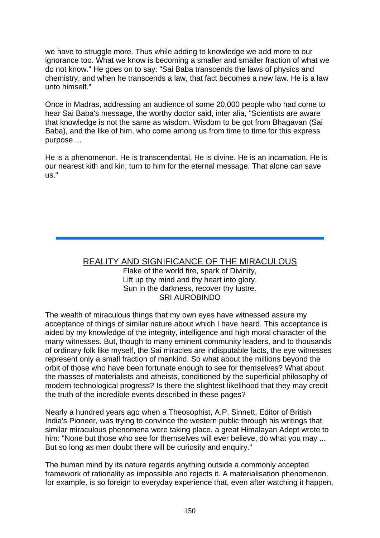we have to struggle more. Thus while adding to knowledge we add more to our ignorance too. What we know is becoming a smaller and smaller fraction of what we do not know." He goes on to say: "Sai Baba transcends the laws of physics and chemistry, and when he transcends a law, that fact becomes a new law. He is a law unto himself."

Once in Madras, addressing an audience of some 20,000 people who had come to hear Sai Baba's message, the worthy doctor said, inter alia, "Scientists are aware that knowledge is not the same as wisdom. Wisdom to be got from Bhagavan (Sai Baba), and the like of him, who come among us from time to time for this express purpose ...

He is a phenomenon. He is transcendental. He is divine. He is an incarnation. He is our nearest kith and kin; turn to him for the eternal message. That alone can save us."

# REALITY AND SIGNIFICANCE OF THE MIRACULOUS

Flake of the world fire, spark of Divinity, Lift up thy mind and thy heart into glory. Sun in the darkness, recover thy lustre. SRI AUROBINDO

The wealth of miraculous things that my own eyes have witnessed assure my acceptance of things of similar nature about which I have heard. This acceptance is aided by my knowledge of the integrity, intelligence and high moral character of the many witnesses. But, though to many eminent community leaders, and to thousands of ordinary folk like myself, the Sai miracles are indisputable facts, the eye witnesses represent only a small fraction of mankind. So what about the millions beyond the orbit of those who have been fortunate enough to see for themselves? What about the masses of materialists and atheists, conditioned by the superficial philosophy of modern technological progress? Is there the slightest likelihood that they may credit the truth of the incredible events described in these pages?

Nearly a hundred years ago when a Theosophist, A.P. Sinnett, Editor of British India's Pioneer, was trying to convince the western public through his writings that similar miraculous phenomena were taking place, a great Himalayan Adept wrote to him: "None but those who see for themselves will ever believe, do what you may ... But so long as men doubt there will be curiosity and enquiry."

The human mind by its nature regards anything outside a commonly accepted framework of rationality as impossible and rejects it. A materialisation phenomenon, for example, is so foreign to everyday experience that, even after watching it happen,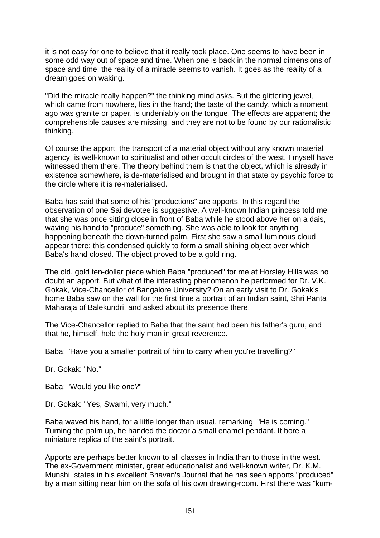it is not easy for one to believe that it really took place. One seems to have been in some odd way out of space and time. When one is back in the normal dimensions of space and time, the reality of a miracle seems to vanish. It goes as the reality of a dream goes on waking.

"Did the miracle really happen?" the thinking mind asks. But the glittering jewel, which came from nowhere, lies in the hand; the taste of the candy, which a moment ago was granite or paper, is undeniably on the tongue. The effects are apparent; the comprehensible causes are missing, and they are not to be found by our rationalistic thinking.

Of course the apport, the transport of a material object without any known material agency, is well-known to spiritualist and other occult circles of the west. I myself have witnessed them there. The theory behind them is that the object, which is already in existence somewhere, is de-materialised and brought in that state by psychic force to the circle where it is re-materialised.

Baba has said that some of his "productions" are apports. In this regard the observation of one Sai devotee is suggestive. A well-known Indian princess told me that she was once sitting close in front of Baba while he stood above her on a dais, waving his hand to "produce" something. She was able to look for anything happening beneath the down-turned palm. First she saw a small luminous cloud appear there; this condensed quickly to form a small shining object over which Baba's hand closed. The object proved to be a gold ring.

The old, gold ten-dollar piece which Baba "produced" for me at Horsley Hills was no doubt an apport. But what of the interesting phenomenon he performed for Dr. V.K. Gokak, Vice-Chancellor of Bangalore University? On an early visit to Dr. Gokak's home Baba saw on the wall for the first time a portrait of an Indian saint, Shri Panta Maharaja of Balekundri, and asked about its presence there.

The Vice-Chancellor replied to Baba that the saint had been his father's guru, and that he, himself, held the holy man in great reverence.

Baba: "Have you a smaller portrait of him to carry when you're travelling?"

Dr. Gokak: "No."

Baba: "Would you like one?"

Dr. Gokak: "Yes, Swami, very much."

Baba waved his hand, for a little longer than usual, remarking, "He is coming." Turning the palm up, he handed the doctor a small enamel pendant. It bore a miniature replica of the saint's portrait.

Apports are perhaps better known to all classes in India than to those in the west. The ex-Government minister, great educationalist and well-known writer, Dr. K.M. Munshi, states in his excellent Bhavan's Journal that he has seen apports "produced" by a man sitting near him on the sofa of his own drawing-room. First there was "kum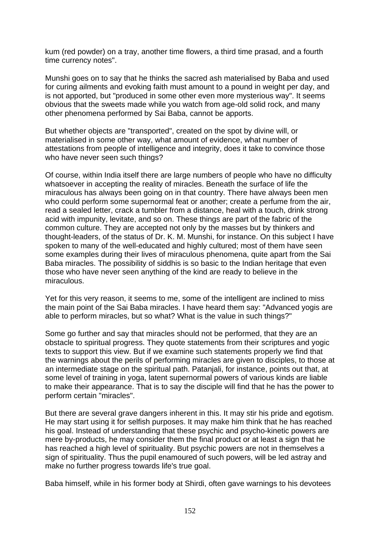kum (red powder) on a tray, another time flowers, a third time prasad, and a fourth time currency notes".

Munshi goes on to say that he thinks the sacred ash materialised by Baba and used for curing ailments and evoking faith must amount to a pound in weight per day, and is not apported, but "produced in some other even more mysterious way". It seems obvious that the sweets made while you watch from age-old solid rock, and many other phenomena performed by Sai Baba, cannot be apports.

But whether objects are "transported", created on the spot by divine will, or materialised in some other way, what amount of evidence, what number of attestations from people of intelligence and integrity, does it take to convince those who have never seen such things?

Of course, within India itself there are large numbers of people who have no difficulty whatsoever in accepting the reality of miracles. Beneath the surface of life the miraculous has always been going on in that country. There have always been men who could perform some supernormal feat or another; create a perfume from the air, read a sealed letter, crack a tumbler from a distance, heal with a touch, drink strong acid with impunity, levitate, and so on. These things are part of the fabric of the common culture. They are accepted not only by the masses but by thinkers and thought-leaders, of the status of Dr. K. M. Munshi, for instance. On this subject I have spoken to many of the well-educated and highly cultured; most of them have seen some examples during their lives of miraculous phenomena, quite apart from the Sai Baba miracles. The possibility of siddhis is so basic to the Indian heritage that even those who have never seen anything of the kind are ready to believe in the miraculous.

Yet for this very reason, it seems to me, some of the intelligent are inclined to miss the main point of the Sai Baba miracles. I have heard them say: "Advanced yogis are able to perform miracles, but so what? What is the value in such things?"

Some go further and say that miracles should not be performed, that they are an obstacle to spiritual progress. They quote statements from their scriptures and yogic texts to support this view. But if we examine such statements properly we find that the warnings about the perils of performing miracles are given to disciples, to those at an intermediate stage on the spiritual path. Patanjali, for instance, points out that, at some level of training in yoga, latent supernormal powers of various kinds are liable to make their appearance. That is to say the disciple will find that he has the power to perform certain "miracles".

But there are several grave dangers inherent in this. It may stir his pride and egotism. He may start using it for selfish purposes. It may make him think that he has reached his goal. Instead of understanding that these psychic and psycho-kinetic powers are mere by-products, he may consider them the final product or at least a sign that he has reached a high level of spirituality. But psychic powers are not in themselves a sign of spirituality. Thus the pupil enamoured of such powers, will be led astray and make no further progress towards life's true goal.

Baba himself, while in his former body at Shirdi, often gave warnings to his devotees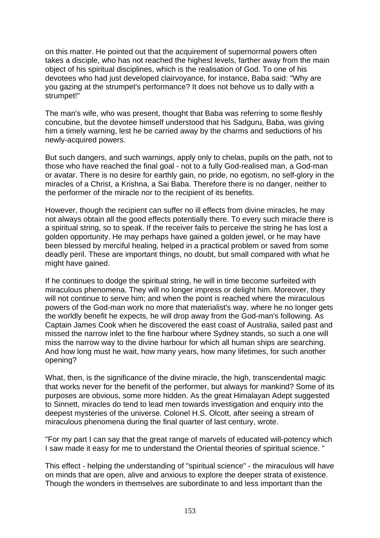on this matter. He pointed out that the acquirement of supernormal powers often takes a disciple, who has not reached the highest levels, farther away from the main object of his spiritual disciplines, which is the realisation of God. To one of his devotees who had just developed clairvoyance, for instance, Baba said: "Why are you gazing at the strumpet's performance? It does not behove us to dally with a strumpet!"

The man's wife, who was present, thought that Baba was referring to some fleshly concubine, but the devotee himself understood that his Sadguru, Baba, was giving him a timely warning, lest he be carried away by the charms and seductions of his newly-acquired powers.

But such dangers, and such warnings, apply only to chelas, pupils on the path, not to those who have reached the final goal - not to a fully God-realised man, a God-man or avatar. There is no desire for earthly gain, no pride, no egotism, no self-glory in the miracles of a Christ, a Krishna, a Sai Baba. Therefore there is no danger, neither to the performer of the miracle nor to the recipient of its benefits.

However, though the recipient can suffer no ill effects from divine miracles, he may not always obtain all the good effects potentially there. To every such miracle there is a spiritual string, so to speak. If the receiver fails to perceive the string he has lost a golden opportunity. He may perhaps have gained a golden jewel, or he may have been blessed by merciful healing, helped in a practical problem or saved from some deadly peril. These are important things, no doubt, but small compared with what he might have gained.

If he continues to dodge the spiritual string, he will in time become surfeited with miraculous phenomena. They will no longer impress or delight him. Moreover, they will not continue to serve him; and when the point is reached where the miraculous powers of the God-man work no more that materialist's way, where he no longer gets the worldly benefit he expects, he will drop away from the God-man's following. As Captain James Cook when he discovered the east coast of Australia, sailed past and missed the narrow inlet to the fine harbour where Sydney stands, so such a one will miss the narrow way to the divine harbour for which all human ships are searching. And how long must he wait, how many years, how many lifetimes, for such another opening?

What, then, is the significance of the divine miracle, the high, transcendental magic that works never for the benefit of the performer, but always for mankind? Some of its purposes are obvious, some more hidden. As the great Himalayan Adept suggested to Sinnett, miracles do tend to lead men towards investigation and enquiry into the deepest mysteries of the universe. Colonel H.S. Olcott, after seeing a stream of miraculous phenomena during the final quarter of last century, wrote.

"For my part I can say that the great range of marvels of educated will-potency which I saw made it easy for me to understand the Oriental theories of spiritual science. "

This effect - helping the understanding of "spiritual science" - the miraculous will have on minds that are open, alive and anxious to explore the deeper strata of existence. Though the wonders in themselves are subordinate to and less important than the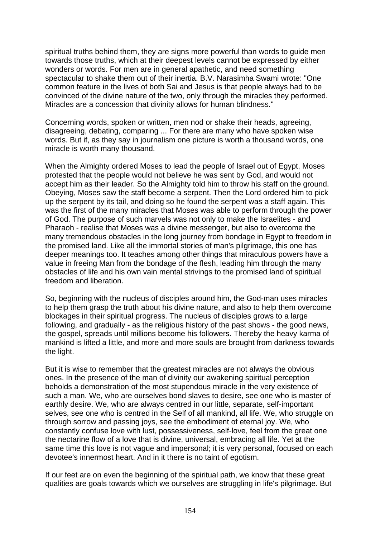spiritual truths behind them, they are signs more powerful than words to guide men towards those truths, which at their deepest levels cannot be expressed by either wonders or words. For men are in general apathetic, and need something spectacular to shake them out of their inertia. B.V. Narasimha Swami wrote: "One common feature in the lives of both Sai and Jesus is that people always had to be convinced of the divine nature of the two, only through the miracles they performed. Miracles are a concession that divinity allows for human blindness."

Concerning words, spoken or written, men nod or shake their heads, agreeing, disagreeing, debating, comparing ... For there are many who have spoken wise words. But if, as they say in journalism one picture is worth a thousand words, one miracle is worth many thousand.

When the Almighty ordered Moses to lead the people of Israel out of Egypt, Moses protested that the people would not believe he was sent by God, and would not accept him as their leader. So the Almighty told him to throw his staff on the ground. Obeying, Moses saw the staff become a serpent. Then the Lord ordered him to pick up the serpent by its tail, and doing so he found the serpent was a staff again. This was the first of the many miracles that Moses was able to perform through the power of God. The purpose of such marvels was not only to make the Israelites - and Pharaoh - realise that Moses was a divine messenger, but also to overcome the many tremendous obstacles in the long journey from bondage in Egypt to freedom in the promised land. Like all the immortal stories of man's pilgrimage, this one has deeper meanings too. It teaches among other things that miraculous powers have a value in freeing Man from the bondage of the flesh, leading him through the many obstacles of life and his own vain mental strivings to the promised land of spiritual freedom and liberation.

So, beginning with the nucleus of disciples around him, the God-man uses miracles to help them grasp the truth about his divine nature, and also to help them overcome blockages in their spiritual progress. The nucleus of disciples grows to a large following, and gradually - as the religious history of the past shows - the good news, the gospel, spreads until millions become his followers. Thereby the heavy karma of mankind is lifted a little, and more and more souls are brought from darkness towards the light.

But it is wise to remember that the greatest miracles are not always the obvious ones. In the presence of the man of divinity our awakening spiritual perception beholds a demonstration of the most stupendous miracle in the very existence of such a man. We, who are ourselves bond slaves to desire, see one who is master of earthly desire. We, who are always centred in our little, separate, self-important selves, see one who is centred in the Self of all mankind, all life. We, who struggle on through sorrow and passing joys, see the embodiment of eternal joy. We, who constantly confuse love with lust, possessiveness, self-love, feel from the great one the nectarine flow of a love that is divine, universal, embracing all life. Yet at the same time this love is not vague and impersonal; it is very personal, focused on each devotee's innermost heart. And in it there is no taint of egotism.

If our feet are on even the beginning of the spiritual path, we know that these great qualities are goals towards which we ourselves are struggling in life's pilgrimage. But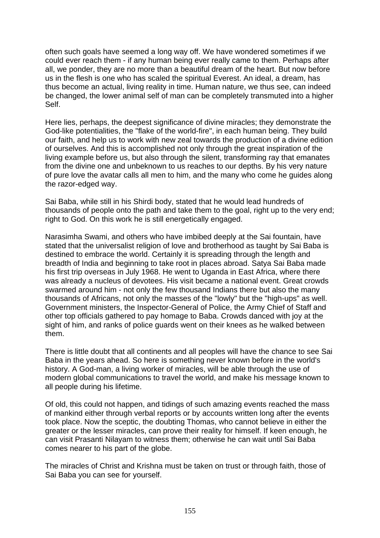often such goals have seemed a long way off. We have wondered sometimes if we could ever reach them - if any human being ever really came to them. Perhaps after all, we ponder, they are no more than a beautiful dream of the heart. But now before us in the flesh is one who has scaled the spiritual Everest. An ideal, a dream, has thus become an actual, living reality in time. Human nature, we thus see, can indeed be changed, the lower animal self of man can be completely transmuted into a higher Self.

Here lies, perhaps, the deepest significance of divine miracles; they demonstrate the God-like potentialities, the "flake of the world-fire", in each human being. They build our faith, and help us to work with new zeal towards the production of a divine edition of ourselves. And this is accomplished not only through the great inspiration of the living example before us, but also through the silent, transforming ray that emanates from the divine one and unbeknown to us reaches to our depths. By his very nature of pure love the avatar calls all men to him, and the many who come he guides along the razor-edged way.

Sai Baba, while still in his Shirdi body, stated that he would lead hundreds of thousands of people onto the path and take them to the goal, right up to the very end; right to God. On this work he is still energetically engaged.

Narasimha Swami, and others who have imbibed deeply at the Sai fountain, have stated that the universalist religion of love and brotherhood as taught by Sai Baba is destined to embrace the world. Certainly it is spreading through the length and breadth of India and beginning to take root in places abroad. Satya Sai Baba made his first trip overseas in July 1968. He went to Uganda in East Africa, where there was already a nucleus of devotees. His visit became a national event. Great crowds swarmed around him - not only the few thousand Indians there but also the many thousands of Africans, not only the masses of the "lowly" but the "high-ups" as well. Government ministers, the Inspector-General of Police, the Army Chief of Staff and other top officials gathered to pay homage to Baba. Crowds danced with joy at the sight of him, and ranks of police guards went on their knees as he walked between them.

There is little doubt that all continents and all peoples will have the chance to see Sai Baba in the years ahead. So here is something never known before in the world's history. A God-man, a living worker of miracles, will be able through the use of modern global communications to travel the world, and make his message known to all people during his lifetime.

Of old, this could not happen, and tidings of such amazing events reached the mass of mankind either through verbal reports or by accounts written long after the events took place. Now the sceptic, the doubting Thomas, who cannot believe in either the greater or the lesser miracles, can prove their reality for himself. If keen enough, he can visit Prasanti Nilayam to witness them; otherwise he can wait until Sai Baba comes nearer to his part of the globe.

The miracles of Christ and Krishna must be taken on trust or through faith, those of Sai Baba you can see for yourself.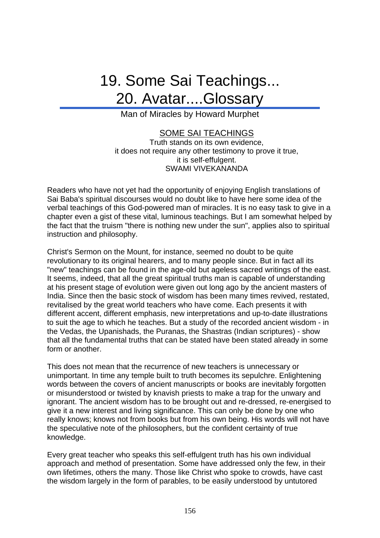# 19. Some Sai Teachings... 20. Avatar....Glossary

Man of Miracles by Howard Murphet

### SOME SAI TEACHINGS

Truth stands on its own evidence, it does not require any other testimony to prove it true, it is self-effulgent. SWAMI VIVEKANANDA

Readers who have not yet had the opportunity of enjoying English translations of Sai Baba's spiritual discourses would no doubt like to have here some idea of the verbal teachings of this God-powered man of miracles. It is no easy task to give in a chapter even a gist of these vital, luminous teachings. But I am somewhat helped by the fact that the truism "there is nothing new under the sun", applies also to spiritual instruction and philosophy.

Christ's Sermon on the Mount, for instance, seemed no doubt to be quite revolutionary to its original hearers, and to many people since. But in fact all its "new" teachings can be found in the age-old but ageless sacred writings of the east. It seems, indeed, that all the great spiritual truths man is capable of understanding at his present stage of evolution were given out long ago by the ancient masters of India. Since then the basic stock of wisdom has been many times revived, restated, revitalised by the great world teachers who have come. Each presents it with different accent, different emphasis, new interpretations and up-to-date illustrations to suit the age to which he teaches. But a study of the recorded ancient wisdom - in the Vedas, the Upanishads, the Puranas, the Shastras (Indian scriptures) - show that all the fundamental truths that can be stated have been stated already in some form or another.

This does not mean that the recurrence of new teachers is unnecessary or unimportant. In time any temple built to truth becomes its sepulchre. Enlightening words between the covers of ancient manuscripts or books are inevitably forgotten or misunderstood or twisted by knavish priests to make a trap for the unwary and ignorant. The ancient wisdom has to be brought out and re-dressed, re-energised to give it a new interest and living significance. This can only be done by one who really knows; knows not from books but from his own being. His words will not have the speculative note of the philosophers, but the confident certainty of true knowledge.

Every great teacher who speaks this self-effulgent truth has his own individual approach and method of presentation. Some have addressed only the few, in their own lifetimes, others the many. Those like Christ who spoke to crowds, have cast the wisdom largely in the form of parables, to be easily understood by untutored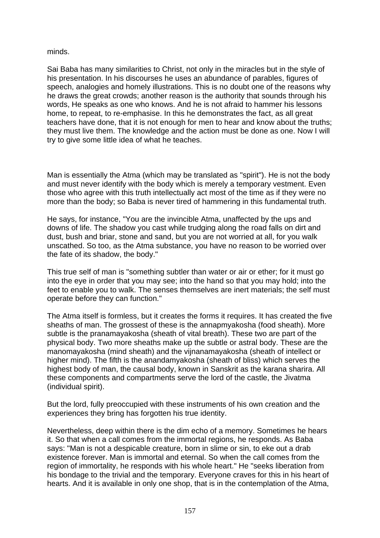#### minds.

Sai Baba has many similarities to Christ, not only in the miracles but in the style of his presentation. In his discourses he uses an abundance of parables, figures of speech, analogies and homely illustrations. This is no doubt one of the reasons why he draws the great crowds; another reason is the authority that sounds through his words, He speaks as one who knows. And he is not afraid to hammer his lessons home, to repeat, to re-emphasise. In this he demonstrates the fact, as all great teachers have done, that it is not enough for men to hear and know about the truths; they must live them. The knowledge and the action must be done as one. Now I will try to give some little idea of what he teaches.

Man is essentially the Atma (which may be translated as "spirit"). He is not the body and must never identify with the body which is merely a temporary vestment. Even those who agree with this truth intellectually act most of the time as if they were no more than the body; so Baba is never tired of hammering in this fundamental truth.

He says, for instance, "You are the invincible Atma, unaffected by the ups and downs of life. The shadow you cast while trudging along the road falls on dirt and dust, bush and briar, stone and sand, but you are not worried at all, for you walk unscathed. So too, as the Atma substance, you have no reason to be worried over the fate of its shadow, the body."

This true self of man is "something subtler than water or air or ether; for it must go into the eye in order that you may see; into the hand so that you may hold; into the feet to enable you to walk. The senses themselves are inert materials; the self must operate before they can function."

The Atma itself is formless, but it creates the forms it requires. It has created the five sheaths of man. The grossest of these is the annapmyakosha (food sheath). More subtle is the pranamayakosha (sheath of vital breath). These two are part of the physical body. Two more sheaths make up the subtle or astral body. These are the manomayakosha (mind sheath) and the vijnanamayakosha (sheath of intellect or higher mind). The fifth is the anandamyakosha (sheath of bliss) which serves the highest body of man, the causal body, known in Sanskrit as the karana sharira. All these components and compartments serve the lord of the castle, the Jivatma (individual spirit).

But the lord, fully preoccupied with these instruments of his own creation and the experiences they bring has forgotten his true identity.

Nevertheless, deep within there is the dim echo of a memory. Sometimes he hears it. So that when a call comes from the immortal regions, he responds. As Baba says: "Man is not a despicable creature, born in slime or sin, to eke out a drab existence forever. Man is immortal and eternal. So when the call comes from the region of immortality, he responds with his whole heart." He "seeks liberation from his bondage to the trivial and the temporary. Everyone craves for this in his heart of hearts. And it is available in only one shop, that is in the contemplation of the Atma,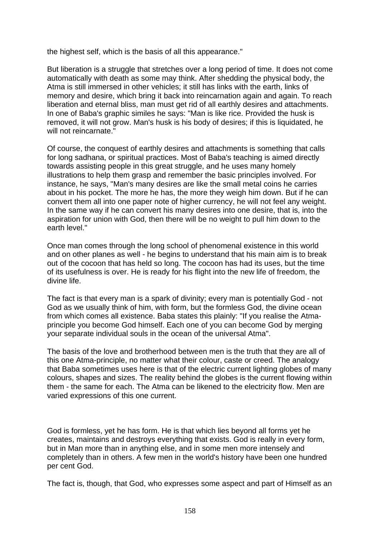the highest self, which is the basis of all this appearance."

But liberation is a struggle that stretches over a long period of time. It does not come automatically with death as some may think. After shedding the physical body, the Atma is still immersed in other vehicles; it still has links with the earth, links of memory and desire, which bring it back into reincarnation again and again. To reach liberation and eternal bliss, man must get rid of all earthly desires and attachments. In one of Baba's graphic similes he says: "Man is like rice. Provided the husk is removed, it will not grow. Man's husk is his body of desires; if this is liquidated, he will not reincarnate."

Of course, the conquest of earthly desires and attachments is something that calls for long sadhana, or spiritual practices. Most of Baba's teaching is aimed directly towards assisting people in this great struggle, and he uses many homely illustrations to help them grasp and remember the basic principles involved. For instance, he says, "Man's many desires are like the small metal coins he carries about in his pocket. The more he has, the more they weigh him down. But if he can convert them all into one paper note of higher currency, he will not feel any weight. In the same way if he can convert his many desires into one desire, that is, into the aspiration for union with God, then there will be no weight to pull him down to the earth level."

Once man comes through the long school of phenomenal existence in this world and on other planes as well - he begins to understand that his main aim is to break out of the cocoon that has held so long. The cocoon has had its uses, but the time of its usefulness is over. He is ready for his flight into the new life of freedom, the divine life.

The fact is that every man is a spark of divinity; every man is potentially God - not God as we usually think of him, with form, but the formless God, the divine ocean from which comes all existence. Baba states this plainly: "If you realise the Atmaprinciple you become God himself. Each one of you can become God by merging your separate individual souls in the ocean of the universal Atma".

The basis of the love and brotherhood between men is the truth that they are all of this one Atma-principle, no matter what their colour, caste or creed. The analogy that Baba sometimes uses here is that of the electric current lighting globes of many colours, shapes and sizes. The reality behind the globes is the current flowing within them - the same for each. The Atma can be likened to the electricity flow. Men are varied expressions of this one current.

God is formless, yet he has form. He is that which lies beyond all forms yet he creates, maintains and destroys everything that exists. God is really in every form, but in Man more than in anything else, and in some men more intensely and completely than in others. A few men in the world's history have been one hundred per cent God.

The fact is, though, that God, who expresses some aspect and part of Himself as an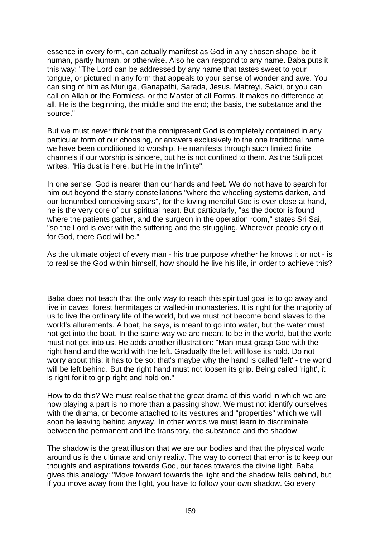essence in every form, can actually manifest as God in any chosen shape, be it human, partly human, or otherwise. Also he can respond to any name. Baba puts it this way: "The Lord can be addressed by any name that tastes sweet to your tongue, or pictured in any form that appeals to your sense of wonder and awe. You can sing of him as Muruga, Ganapathi, Sarada, Jesus, Maitreyi, Sakti, or you can call on Allah or the Formless, or the Master of all Forms. It makes no difference at all. He is the beginning, the middle and the end; the basis, the substance and the source."

But we must never think that the omnipresent God is completely contained in any particular form of our choosing, or answers exclusively to the one traditional name we have been conditioned to worship. He manifests through such limited finite channels if our worship is sincere, but he is not confined to them. As the Sufi poet writes, "His dust is here, but He in the Infinite".

In one sense, God is nearer than our hands and feet. We do not have to search for him out beyond the starry constellations "where the wheeling systems darken, and our benumbed conceiving soars", for the loving merciful God is ever close at hand, he is the very core of our spiritual heart. But particularly, "as the doctor is found where the patients gather, and the surgeon in the operation room," states Sri Sai, "so the Lord is ever with the suffering and the struggling. Wherever people cry out for God, there God will be."

As the ultimate object of every man - his true purpose whether he knows it or not - is to realise the God within himself, how should he live his life, in order to achieve this?

Baba does not teach that the only way to reach this spiritual goal is to go away and live in caves, forest hermitages or walled-in monasteries. It is right for the majority of us to live the ordinary life of the world, but we must not become bond slaves to the world's allurements. A boat, he says, is meant to go into water, but the water must not get into the boat. In the same way we are meant to be in the world, but the world must not get into us. He adds another illustration: "Man must grasp God with the right hand and the world with the left. Gradually the left will lose its hold. Do not worry about this; it has to be so; that's maybe why the hand is called 'left' - the world will be left behind. But the right hand must not loosen its grip. Being called 'right', it is right for it to grip right and hold on."

How to do this? We must realise that the great drama of this world in which we are now playing a part is no more than a passing show. We must not identify ourselves with the drama, or become attached to its vestures and "properties" which we will soon be leaving behind anyway. In other words we must learn to discriminate between the permanent and the transitory, the substance and the shadow.

The shadow is the great illusion that we are our bodies and that the physical world around us is the ultimate and only reality. The way to correct that error is to keep our thoughts and aspirations towards God, our faces towards the divine light. Baba gives this analogy: "Move forward towards the light and the shadow falls behind, but if you move away from the light, you have to follow your own shadow. Go every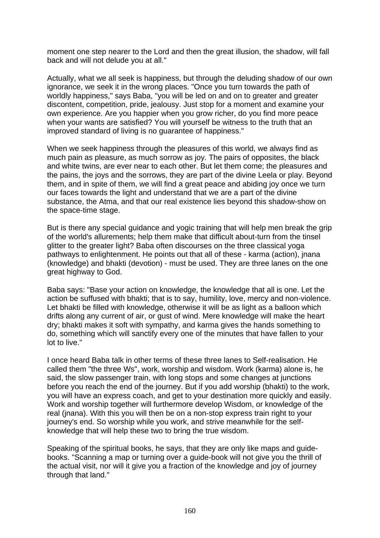moment one step nearer to the Lord and then the great illusion, the shadow, will fall back and will not delude you at all."

Actually, what we all seek is happiness, but through the deluding shadow of our own ignorance, we seek it in the wrong places. "Once you turn towards the path of worldly happiness," says Baba, "you will be led on and on to greater and greater discontent, competition, pride, jealousy. Just stop for a moment and examine your own experience. Are you happier when you grow richer, do you find more peace when your wants are satisfied? You will yourself be witness to the truth that an improved standard of living is no guarantee of happiness."

When we seek happiness through the pleasures of this world, we always find as much pain as pleasure, as much sorrow as joy. The pairs of opposites, the black and white twins, are ever near to each other. But let them come; the pleasures and the pains, the joys and the sorrows, they are part of the divine Leela or play. Beyond them, and in spite of them, we will find a great peace and abiding joy once we turn our faces towards the light and understand that we are a part of the divine substance, the Atma, and that our real existence lies beyond this shadow-show on the space-time stage.

But is there any special guidance and yogic training that will help men break the grip of the world's allurements; help them make that difficult about-turn from the tinsel glitter to the greater light? Baba often discourses on the three classical yoga pathways to enlightenment. He points out that all of these - karma (action), jnana (knowledge) and bhakti (devotion) - must be used. They are three lanes on the one great highway to God.

Baba says: "Base your action on knowledge, the knowledge that all is one. Let the action be suffused with bhakti; that is to say, humility, love, mercy and non-violence. Let bhakti be filled with knowledge, otherwise it will be as light as a balloon which drifts along any current of air, or gust of wind. Mere knowledge will make the heart dry; bhakti makes it soft with sympathy, and karma gives the hands something to do, something which will sanctify every one of the minutes that have fallen to your lot to live."

I once heard Baba talk in other terms of these three lanes to Self-realisation. He called them "the three Ws", work, worship and wisdom. Work (karma) alone is, he said, the slow passenger train, with long stops and some changes at junctions before you reach the end of the journey. But if you add worship (bhakti) to the work, you will have an express coach, and get to your destination more quickly and easily. Work and worship together will furthermore develop Wisdom, or knowledge of the real (jnana). With this you will then be on a non-stop express train right to your journey's end. So worship while you work, and strive meanwhile for the selfknowledge that will help these two to bring the true wisdom.

Speaking of the spiritual books, he says, that they are only like maps and guidebooks. "Scanning a map or turning over a guide-book will not give you the thrill of the actual visit, nor will it give you a fraction of the knowledge and joy of journey through that land."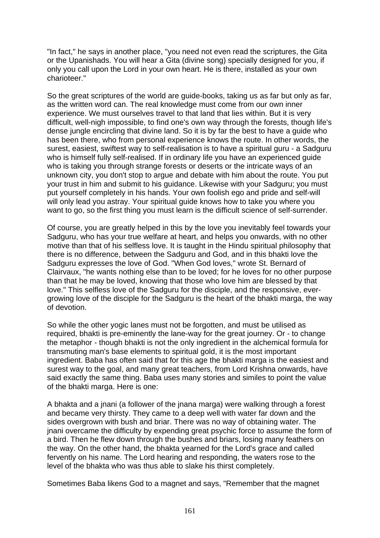"In fact," he says in another place, "you need not even read the scriptures, the Gita or the Upanishads. You will hear a Gita (divine song) specially designed for you, if only you call upon the Lord in your own heart. He is there, installed as your own charioteer."

So the great scriptures of the world are guide-books, taking us as far but only as far, as the written word can. The real knowledge must come from our own inner experience. We must ourselves travel to that land that lies within. But it is very difficult, well-nigh impossible, to find one's own way through the forests, though life's dense jungle encircling that divine land. So it is by far the best to have a guide who has been there, who from personal experience knows the route. In other words, the surest, easiest, swiftest way to self-realisation is to have a spiritual guru - a Sadguru who is himself fully self-realised. If in ordinary life you have an experienced guide who is taking you through strange forests or deserts or the intricate ways of an unknown city, you don't stop to argue and debate with him about the route. You put your trust in him and submit to his guidance. Likewise with your Sadguru; you must put yourself completely in his hands. Your own foolish ego and pride and self-will will only lead you astray. Your spiritual guide knows how to take you where you want to go, so the first thing you must learn is the difficult science of self-surrender.

Of course, you are greatly helped in this by the love you inevitably feel towards your Sadguru, who has your true welfare at heart, and helps you onwards, with no other motive than that of his selfless love. It is taught in the Hindu spiritual philosophy that there is no difference, between the Sadguru and God, and in this bhakti love the Sadguru expresses the love of God. "When God loves," wrote St. Bernard of Clairvaux, "he wants nothing else than to be loved; for he loves for no other purpose than that he may be loved, knowing that those who love him are blessed by that love." This selfless love of the Sadguru for the disciple, and the responsive, evergrowing love of the disciple for the Sadguru is the heart of the bhakti marga, the way of devotion.

So while the other yogic lanes must not be forgotten, and must be utilised as required, bhakti is pre-eminently the lane-way for the great journey. Or - to change the metaphor - though bhakti is not the only ingredient in the alchemical formula for transmuting man's base elements to spiritual gold, it is the most important ingredient. Baba has often said that for this age the bhakti marga is the easiest and surest way to the goal, and many great teachers, from Lord Krishna onwards, have said exactly the same thing. Baba uses many stories and similes to point the value of the bhakti marga. Here is one:

A bhakta and a jnani (a follower of the jnana marga) were walking through a forest and became very thirsty. They came to a deep well with water far down and the sides overgrown with bush and briar. There was no way of obtaining water. The jnani overcame the difficulty by expending great psychic force to assume the form of a bird. Then he flew down through the bushes and briars, losing many feathers on the way. On the other hand, the bhakta yearned for the Lord's grace and called fervently on his name. The Lord hearing and responding, the waters rose to the level of the bhakta who was thus able to slake his thirst completely.

Sometimes Baba likens God to a magnet and says, "Remember that the magnet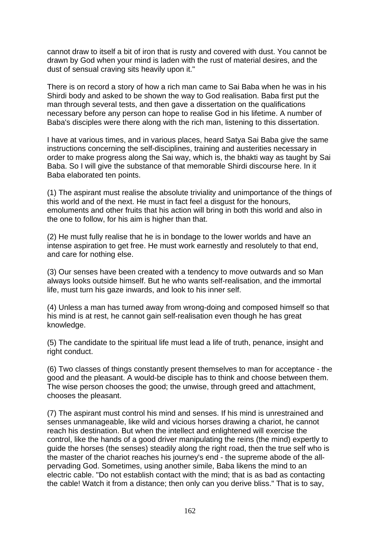cannot draw to itself a bit of iron that is rusty and covered with dust. You cannot be drawn by God when your mind is laden with the rust of material desires, and the dust of sensual craving sits heavily upon it."

There is on record a story of how a rich man came to Sai Baba when he was in his Shirdi body and asked to be shown the way to God realisation. Baba first put the man through several tests, and then gave a dissertation on the qualifications necessary before any person can hope to realise God in his lifetime. A number of Baba's disciples were there along with the rich man, listening to this dissertation.

I have at various times, and in various places, heard Satya Sai Baba give the same instructions concerning the self-disciplines, training and austerities necessary in order to make progress along the Sai way, which is, the bhakti way as taught by Sai Baba. So I will give the substance of that memorable Shirdi discourse here. In it Baba elaborated ten points.

(1) The aspirant must realise the absolute triviality and unimportance of the things of this world and of the next. He must in fact feel a disgust for the honours, emoluments and other fruits that his action will bring in both this world and also in the one to follow, for his aim is higher than that.

(2) He must fully realise that he is in bondage to the lower worlds and have an intense aspiration to get free. He must work earnestly and resolutely to that end, and care for nothing else.

(3) Our senses have been created with a tendency to move outwards and so Man always looks outside himself. But he who wants self-realisation, and the immortal life, must turn his gaze inwards, and look to his inner self.

(4) Unless a man has turned away from wrong-doing and composed himself so that his mind is at rest, he cannot gain self-realisation even though he has great knowledge.

(5) The candidate to the spiritual life must lead a life of truth, penance, insight and right conduct.

(6) Two classes of things constantly present themselves to man for acceptance - the good and the pleasant. A would-be disciple has to think and choose between them. The wise person chooses the good; the unwise, through greed and attachment, chooses the pleasant.

(7) The aspirant must control his mind and senses. If his mind is unrestrained and senses unmanageable, like wild and vicious horses drawing a chariot, he cannot reach his destination. But when the intellect and enlightened will exercise the control, like the hands of a good driver manipulating the reins (the mind) expertly to guide the horses (the senses) steadily along the right road, then the true self who is the master of the chariot reaches his journey's end - the supreme abode of the allpervading God. Sometimes, using another simile, Baba likens the mind to an electric cable. "Do not establish contact with the mind; that is as bad as contacting the cable! Watch it from a distance; then only can you derive bliss." That is to say,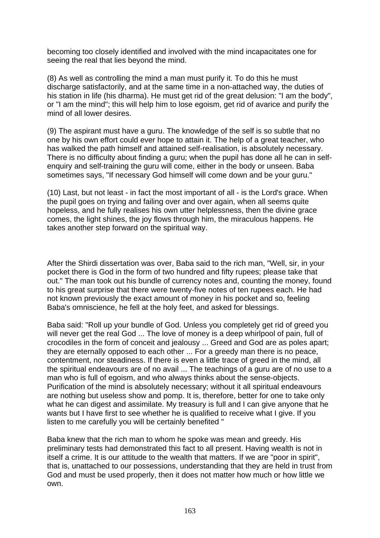becoming too closely identified and involved with the mind incapacitates one for seeing the real that lies beyond the mind.

(8) As well as controlling the mind a man must purify it. To do this he must discharge satisfactorily, and at the same time in a non-attached way, the duties of his station in life (his dharma). He must get rid of the great delusion: "I am the body", or "I am the mind"; this will help him to lose egoism, get rid of avarice and purify the mind of all lower desires.

(9) The aspirant must have a guru. The knowledge of the self is so subtle that no one by his own effort could ever hope to attain it. The help of a great teacher, who has walked the path himself and attained self-realisation, is absolutely necessary. There is no difficulty about finding a guru; when the pupil has done all he can in selfenquiry and self-training the guru will come, either in the body or unseen. Baba sometimes says, "If necessary God himself will come down and be your guru."

(10) Last, but not least - in fact the most important of all - is the Lord's grace. When the pupil goes on trying and failing over and over again, when all seems quite hopeless, and he fully realises his own utter helplessness, then the divine grace comes, the light shines, the joy flows through him, the miraculous happens. He takes another step forward on the spiritual way.

After the Shirdi dissertation was over, Baba said to the rich man, "Well, sir, in your pocket there is God in the form of two hundred and fifty rupees; please take that out." The man took out his bundle of currency notes and, counting the money, found to his great surprise that there were twenty-five notes of ten rupees each. He had not known previously the exact amount of money in his pocket and so, feeling Baba's omniscience, he fell at the holy feet, and asked for blessings.

Baba said: "Roll up your bundle of God. Unless you completely get rid of greed you will never get the real God ... The love of money is a deep whirlpool of pain, full of crocodiles in the form of conceit and jealousy ... Greed and God are as poles apart; they are eternally opposed to each other ... For a greedy man there is no peace, contentment, nor steadiness. If there is even a little trace of greed in the mind, all the spiritual endeavours are of no avail ... The teachings of a guru are of no use to a man who is full of egoism, and who always thinks about the sense-objects. Purification of the mind is absolutely necessary; without it all spiritual endeavours are nothing but useless show and pomp. It is, therefore, better for one to take only what he can digest and assimilate. My treasury is full and I can give anyone that he wants but I have first to see whether he is qualified to receive what I give. If you listen to me carefully you will be certainly benefited "

Baba knew that the rich man to whom he spoke was mean and greedy. His preliminary tests had demonstrated this fact to all present. Having wealth is not in itself a crime. It is our attitude to the wealth that matters. If we are "poor in spirit", that is, unattached to our possessions, understanding that they are held in trust from God and must be used properly, then it does not matter how much or how little we own.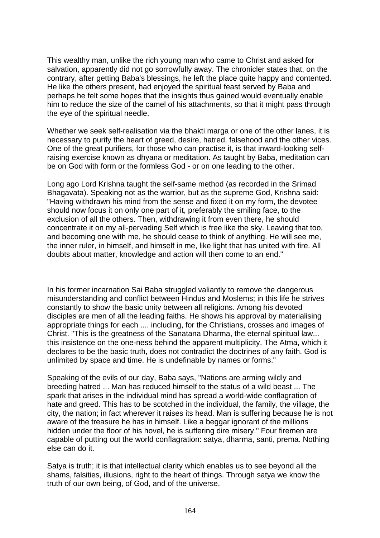This wealthy man, unlike the rich young man who came to Christ and asked for salvation, apparently did not go sorrowfully away. The chronicler states that, on the contrary, after getting Baba's blessings, he left the place quite happy and contented. He like the others present, had enjoyed the spiritual feast served by Baba and perhaps he felt some hopes that the insights thus gained would eventually enable him to reduce the size of the camel of his attachments, so that it might pass through the eye of the spiritual needle.

Whether we seek self-realisation via the bhakti marga or one of the other lanes, it is necessary to purify the heart of greed, desire, hatred, falsehood and the other vices. One of the great purifiers, for those who can practise it, is that inward-looking selfraising exercise known as dhyana or meditation. As taught by Baba, meditation can be on God with form or the formless God - or on one leading to the other.

Long ago Lord Krishna taught the self-same method (as recorded in the Srimad Bhagavata). Speaking not as the warrior, but as the supreme God, Krishna said: "Having withdrawn his mind from the sense and fixed it on my form, the devotee should now focus it on only one part of it, preferably the smiling face, to the exclusion of all the others. Then, withdrawing it from even there, he should concentrate it on my all-pervading Self which is free like the sky. Leaving that too, and becoming one with me, he should cease to think of anything. He will see me, the inner ruler, in himself, and himself in me, like light that has united with fire. All doubts about matter, knowledge and action will then come to an end."

In his former incarnation Sai Baba struggled valiantly to remove the dangerous misunderstanding and conflict between Hindus and Moslems; in this life he strives constantly to show the basic unity between all religions. Among his devoted disciples are men of all the leading faiths. He shows his approval by materialising appropriate things for each .... including, for the Christians, crosses and images of Christ. "This is the greatness of the Sanatana Dharma, the eternal spiritual law... this insistence on the one-ness behind the apparent multiplicity. The Atma, which it declares to be the basic truth, does not contradict the doctrines of any faith. God is unlimited by space and time. He is undefinable by names or forms."

Speaking of the evils of our day, Baba says, "Nations are arming wildly and breeding hatred ... Man has reduced himself to the status of a wild beast ... The spark that arises in the individual mind has spread a world-wide conflagration of hate and greed. This has to be scotched in the individual, the family, the village, the city, the nation; in fact wherever it raises its head. Man is suffering because he is not aware of the treasure he has in himself. Like a beggar ignorant of the millions hidden under the floor of his hovel, he is suffering dire misery." Four firemen are capable of putting out the world conflagration: satya, dharma, santi, prema. Nothing else can do it.

Satya is truth; it is that intellectual clarity which enables us to see beyond all the shams, falsities, illusions, right to the heart of things. Through satya we know the truth of our own being, of God, and of the universe.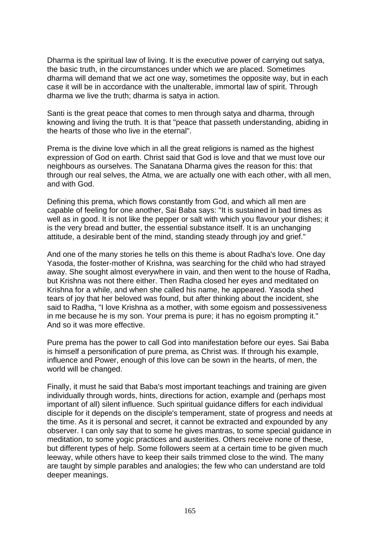Dharma is the spiritual law of living. It is the executive power of carrying out satya, the basic truth, in the circumstances under which we are placed. Sometimes dharma will demand that we act one way, sometimes the opposite way, but in each case it will be in accordance with the unalterable, immortal law of spirit. Through dharma we live the truth; dharma is satya in action.

Santi is the great peace that comes to men through satya and dharma, through knowing and living the truth. It is that "peace that passeth understanding, abiding in the hearts of those who live in the eternal".

Prema is the divine love which in all the great religions is named as the highest expression of God on earth. Christ said that God is love and that we must love our neighbours as ourselves. The Sanatana Dharma gives the reason for this: that through our real selves, the Atma, we are actually one with each other, with all men, and with God.

Defining this prema, which flows constantly from God, and which all men are capable of feeling for one another, Sai Baba says: "It is sustained in bad times as well as in good. It is not like the pepper or salt with which you flavour your dishes; it is the very bread and butter, the essential substance itself. It is an unchanging attitude, a desirable bent of the mind, standing steady through joy and grief."

And one of the many stories he tells on this theme is about Radha's love. One day Yasoda, the foster-mother of Krishna, was searching for the child who had strayed away. She sought almost everywhere in vain, and then went to the house of Radha, but Krishna was not there either. Then Radha closed her eyes and meditated on Krishna for a while, and when she called his name, he appeared. Yasoda shed tears of joy that her beloved was found, but after thinking about the incident, she said to Radha, "I love Krishna as a mother, with some egoism and possessiveness in me because he is my son. Your prema is pure; it has no egoism prompting it." And so it was more effective.

Pure prema has the power to call God into manifestation before our eyes. Sai Baba is himself a personification of pure prema, as Christ was. If through his example, influence and Power, enough of this love can be sown in the hearts, of men, the world will be changed.

Finally, it must he said that Baba's most important teachings and training are given individually through words, hints, directions for action, example and (perhaps most important of all) silent influence. Such spiritual guidance differs for each individual disciple for it depends on the disciple's temperament, state of progress and needs at the time. As it is personal and secret, it cannot be extracted and expounded by any observer. I can only say that to some he gives mantras, to some special guidance in meditation, to some yogic practices and austerities. Others receive none of these, but different types of help. Some followers seem at a certain time to be given much leeway, while others have to keep their sails trimmed close to the wind. The many are taught by simple parables and analogies; the few who can understand are told deeper meanings.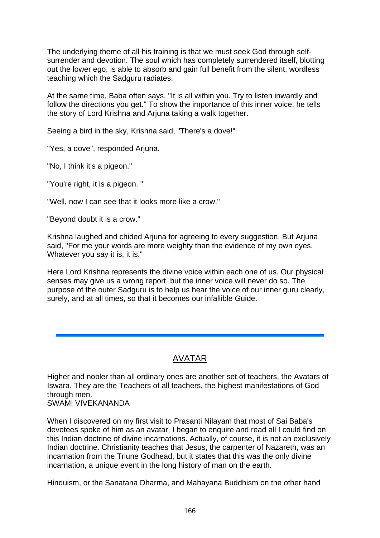The underlying theme of all his training is that we must seek God through selfsurrender and devotion. The soul which has completely surrendered itself, blotting out the lower ego, is able to absorb and gain full benefit from the silent, wordless teaching which the Sadguru radiates.

At the same time, Baba often says, "It is all within you. Try to listen inwardly and follow the directions you get." To show the importance of this inner voice, he tells the story of Lord Krishna and Arjuna taking a walk together.

Seeing a bird in the sky, Krishna said, "There's a dove!"

"Yes, a dove", responded Arjuna.

"No, I think it's a pigeon."

"You're right, it is a pigeon. "

"Well, now I can see that it looks more like a crow."

"Beyond doubt it is a crow."

Krishna laughed and chided Arjuna for agreeing to every suggestion. But Arjuna said, "For me your words are more weighty than the evidence of my own eyes. Whatever you say it is, it is."

Here Lord Krishna represents the divine voice within each one of us. Our physical senses may give us a wrong report, but the inner voice will never do so. The purpose of the outer Sadguru is to help us hear the voice of our inner guru clearly, surely, and at all times, so that it becomes our infallible Guide.

## AVATAR

Higher and nobler than all ordinary ones are another set of teachers, the Avatars of Iswara. They are the Teachers of all teachers, the highest manifestations of God through men. SWAMI VIVEKANANDA

When I discovered on my first visit to Prasanti Nilayam that most of Sai Baba's devotees spoke of him as an avatar, I began to enquire and read all I could find on this Indian doctrine of divine incarnations. Actually, of course, it is not an exclusively Indian doctrine. Christianity teaches that Jesus, the carpenter of Nazareth, was an incarnation from the Triune Godhead, but it states that this was the only divine incarnation, a unique event in the long history of man on the earth.

Hinduism, or the Sanatana Dharma, and Mahayana Buddhism on the other hand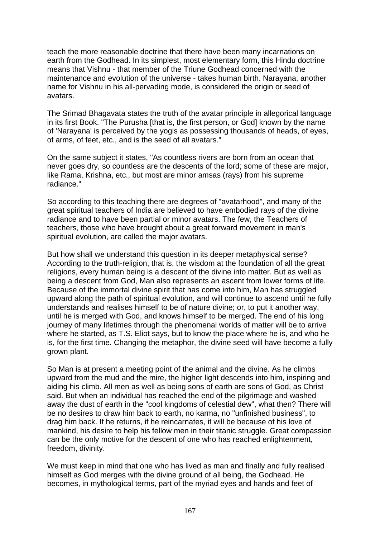teach the more reasonable doctrine that there have been many incarnations on earth from the Godhead. In its simplest, most elementary form, this Hindu doctrine means that Vishnu - that member of the Triune Godhead concerned with the maintenance and evolution of the universe - takes human birth. Narayana, another name for Vishnu in his all-pervading mode, is considered the origin or seed of avatars.

The Srimad Bhagavata states the truth of the avatar principle in allegorical language in its first Book. "The Purusha [that is, the first person, or God] known by the name of 'Narayana' is perceived by the yogis as possessing thousands of heads, of eyes, of arms, of feet, etc., and is the seed of all avatars."

On the same subject it states, "As countless rivers are born from an ocean that never goes dry, so countless are the descents of the lord; some of these are major, like Rama, Krishna, etc., but most are minor amsas (rays) from his supreme radiance."

So according to this teaching there are degrees of "avatarhood", and many of the great spiritual teachers of India are believed to have embodied rays of the divine radiance and to have been partial or minor avatars. The few, the Teachers of teachers, those who have brought about a great forward movement in man's spiritual evolution, are called the major avatars.

But how shall we understand this question in its deeper metaphysical sense? According to the truth-religion, that is, the wisdom at the foundation of all the great religions, every human being is a descent of the divine into matter. But as well as being a descent from God, Man also represents an ascent from lower forms of life. Because of the immortal divine spirit that has come into him, Man has struggled upward along the path of spiritual evolution, and will continue to ascend until he fully understands and realises himself to be of nature divine; or, to put it another way, until he is merged with God, and knows himself to be merged. The end of his long journey of many lifetimes through the phenomenal worlds of matter will be to arrive where he started, as T.S. Eliot says, but to know the place where he is, and who he is, for the first time. Changing the metaphor, the divine seed will have become a fully grown plant.

So Man is at present a meeting point of the animal and the divine. As he climbs upward from the mud and the mire, the higher light descends into him, inspiring and aiding his climb. All men as well as being sons of earth are sons of God, as Christ said. But when an individual has reached the end of the pilgrimage and washed away the dust of earth in the "cool kingdoms of celestial dew", what then? There will be no desires to draw him back to earth, no karma, no "unfinished business", to drag him back. If he returns, if he reincarnates, it will be because of his love of mankind, his desire to help his fellow men in their titanic struggle. Great compassion can be the only motive for the descent of one who has reached enlightenment, freedom, divinity.

We must keep in mind that one who has lived as man and finally and fully realised himself as God merges with the divine ground of all being, the Godhead. He becomes, in mythological terms, part of the myriad eyes and hands and feet of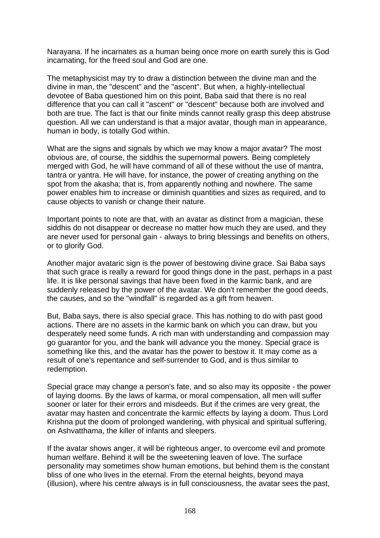Narayana. If he incarnates as a human being once more on earth surely this is God incarnating, for the freed soul and God are one.

The metaphysicist may try to draw a distinction between the divine man and the divine in man, the "descent" and the "ascent". But when, a highly-intellectual devotee of Baba questioned him on this point, Baba said that there is no real difference that you can call it "ascent" or "descent" because both are involved and both are true. The fact is that our finite minds cannot really grasp this deep abstruse question. All we can understand is that a major avatar, though man in appearance, human in body, is totally God within.

What are the signs and signals by which we may know a major avatar? The most obvious are, of course, the siddhis the supernormal powers. Being completely merged with God, he will have command of all of these without the use of mantra, tantra or yantra. He will have, for instance, the power of creating anything on the spot from the akasha; that is, from apparently nothing and nowhere. The same power enables him to increase or diminish quantities and sizes as required, and to cause objects to vanish or change their nature.

Important points to note are that, with an avatar as distinct from a magician, these siddhis do not disappear or decrease no matter how much they are used, and they are never used for personal gain - always to bring blessings and benefits on others, or to glorify God.

Another major avataric sign is the power of bestowing divine grace. Sai Baba says that such grace is really a reward for good things done in the past, perhaps in a past life. It is like personal savings that have been fixed in the karmic bank, and are suddenly released by the power of the avatar. We don't remember the good deeds, the causes, and so the "windfall" is regarded as a gift from heaven.

But, Baba says, there is also special grace. This has nothing to do with past good actions. There are no assets in the karmic bank on which you can draw, but you desperately need some funds. A rich man with understanding and compassion may go guarantor for you, and the bank will advance you the money. Special grace is something like this, and the avatar has the power to bestow it. It may come as a result of one's repentance and self-surrender to God, and is thus similar to redemption.

Special grace may change a person's fate, and so also may its opposite - the power of laying dooms. By the laws of karma, or moral compensation, all men will suffer sooner or later for their errors and misdeeds. But if the crimes are very great, the avatar may hasten and concentrate the karmic effects by laying a doom. Thus Lord Krishna put the doom of prolonged wandering, with physical and spiritual suffering, on Ashvatthama, the killer of infants and sleepers.

If the avatar shows anger, it will be righteous anger, to overcome evil and promote human welfare. Behind it will be the sweetening leaven of love. The surface personality may sometimes show human emotions, but behind them is the constant bliss of one who lives in the eternal. From the eternal heights, beyond maya (illusion), where his centre always is in full consciousness, the avatar sees the past,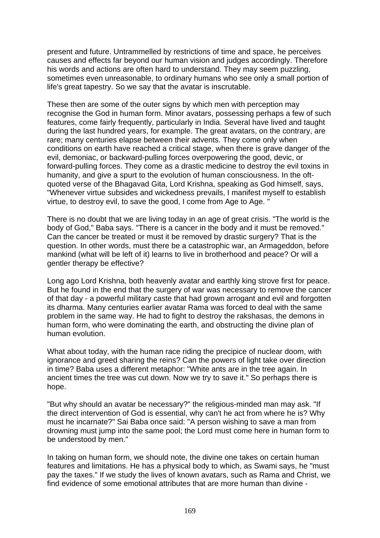present and future. Untrammelled by restrictions of time and space, he perceives causes and effects far beyond our human vision and judges accordingly. Therefore his words and actions are often hard to understand. They may seem puzzling, sometimes even unreasonable, to ordinary humans who see only a small portion of life's great tapestry. So we say that the avatar is inscrutable.

These then are some of the outer signs by which men with perception may recognise the God in human form. Minor avatars, possessing perhaps a few of such features, come fairly frequently, particularly in India. Several have lived and taught during the last hundred years, for example. The great avatars, on the contrary, are rare; many centuries elapse between their advents. They come only when conditions on earth have reached a critical stage, when there is grave danger of the evil, demoniac, or backward-pulling forces overpowering the good, devic, or forward-pulling forces. They come as a drastic medicine to destroy the evil toxins in humanity, and give a spurt to the evolution of human consciousness. In the oftquoted verse of the Bhagavad Gita, Lord Krishna, speaking as God himself, says, "Whenever virtue subsides and wickedness prevails, I manifest myself to establish virtue, to destroy evil, to save the good, I come from Age to Age. "

There is no doubt that we are living today in an age of great crisis. "The world is the body of God," Baba says. "There is a cancer in the body and it must be removed." Can the cancer be treated or must it be removed by drastic surgery? That is the question. In other words, must there be a catastrophic war, an Armageddon, before mankind (what will be left of it) learns to live in brotherhood and peace? Or will a gentler therapy be effective?

Long ago Lord Krishna, both heavenly avatar and earthly king strove first for peace. But he found in the end that the surgery of war was necessary to remove the cancer of that day - a powerful military caste that had grown arrogant and evil and forgotten its dharma. Many centuries earlier avatar Rama was forced to deal with the same problem in the same way. He had to fight to destroy the rakshasas, the demons in human form, who were dominating the earth, and obstructing the divine plan of human evolution.

What about today, with the human race riding the precipice of nuclear doom, with ignorance and greed sharing the reins? Can the powers of light take over direction in time? Baba uses a different metaphor: "White ants are in the tree again. In ancient times the tree was cut down. Now we try to save it." So perhaps there is hope.

"But why should an avatar be necessary?" the religious-minded man may ask. "If the direct intervention of God is essential, why can't he act from where he is? Why must he incarnate?" Sai Baba once said: "A person wishing to save a man from drowning must jump into the same pool; the Lord must come here in human form to be understood by men."

In taking on human form, we should note, the divine one takes on certain human features and limitations. He has a physical body to which, as Swami says, he "must pay the taxes." If we study the lives of known avatars, such as Rama and Christ, we find evidence of some emotional attributes that are more human than divine -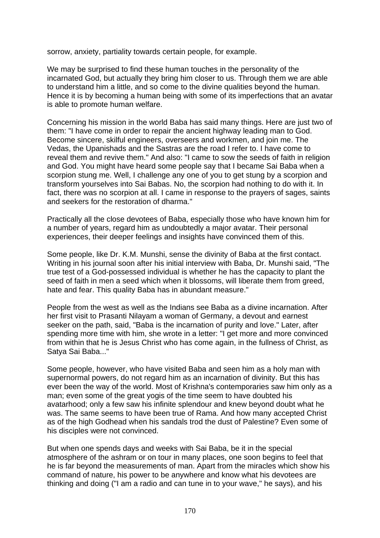sorrow, anxiety, partiality towards certain people, for example.

We may be surprised to find these human touches in the personality of the incarnated God, but actually they bring him closer to us. Through them we are able to understand him a little, and so come to the divine qualities beyond the human. Hence it is by becoming a human being with some of its imperfections that an avatar is able to promote human welfare.

Concerning his mission in the world Baba has said many things. Here are just two of them: "I have come in order to repair the ancient highway leading man to God. Become sincere, skilful engineers, overseers and workmen, and join me. The Vedas, the Upanishads and the Sastras are the road I refer to. I have come to reveal them and revive them." And also: "I came to sow the seeds of faith in religion and God. You might have heard some people say that I became Sai Baba when a scorpion stung me. Well, I challenge any one of you to get stung by a scorpion and transform yourselves into Sai Babas. No, the scorpion had nothing to do with it. In fact, there was no scorpion at all. I came in response to the prayers of sages, saints and seekers for the restoration of dharma."

Practically all the close devotees of Baba, especially those who have known him for a number of years, regard him as undoubtedly a major avatar. Their personal experiences, their deeper feelings and insights have convinced them of this.

Some people, like Dr. K.M. Munshi, sense the divinity of Baba at the first contact. Writing in his journal soon after his initial interview with Baba, Dr. Munshi said, "The true test of a God-possessed individual is whether he has the capacity to plant the seed of faith in men a seed which when it blossoms, will liberate them from greed, hate and fear. This quality Baba has in abundant measure."

People from the west as well as the Indians see Baba as a divine incarnation. After her first visit to Prasanti Nilayam a woman of Germany, a devout and earnest seeker on the path, said, "Baba is the incarnation of purity and love." Later, after spending more time with him, she wrote in a letter: "I get more and more convinced from within that he is Jesus Christ who has come again, in the fullness of Christ, as Satya Sai Baba..."

Some people, however, who have visited Baba and seen him as a holy man with supernormal powers, do not regard him as an incarnation of divinity. But this has ever been the way of the world. Most of Krishna's contemporaries saw him only as a man; even some of the great yogis of the time seem to have doubted his avatarhood; only a few saw his infinite splendour and knew beyond doubt what he was. The same seems to have been true of Rama. And how many accepted Christ as of the high Godhead when his sandals trod the dust of Palestine? Even some of his disciples were not convinced.

But when one spends days and weeks with Sai Baba, be it in the special atmosphere of the ashram or on tour in many places, one soon begins to feel that he is far beyond the measurements of man. Apart from the miracles which show his command of nature, his power to be anywhere and know what his devotees are thinking and doing ("I am a radio and can tune in to your wave," he says), and his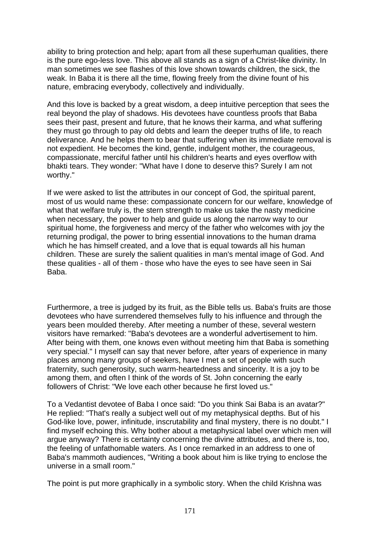ability to bring protection and help; apart from all these superhuman qualities, there is the pure ego-less love. This above all stands as a sign of a Christ-like divinity. In man sometimes we see flashes of this love shown towards children, the sick, the weak. In Baba it is there all the time, flowing freely from the divine fount of his nature, embracing everybody, collectively and individually.

And this love is backed by a great wisdom, a deep intuitive perception that sees the real beyond the play of shadows. His devotees have countless proofs that Baba sees their past, present and future, that he knows their karma, and what suffering they must go through to pay old debts and learn the deeper truths of life, to reach deliverance. And he helps them to bear that suffering when its immediate removal is not expedient. He becomes the kind, gentle, indulgent mother, the courageous, compassionate, merciful father until his children's hearts and eyes overflow with bhakti tears. They wonder: "What have I done to deserve this? Surely I am not worthy."

If we were asked to list the attributes in our concept of God, the spiritual parent, most of us would name these: compassionate concern for our welfare, knowledge of what that welfare truly is, the stern strength to make us take the nasty medicine when necessary, the power to help and guide us along the narrow way to our spiritual home, the forgiveness and mercy of the father who welcomes with joy the returning prodigal, the power to bring essential innovations to the human drama which he has himself created, and a love that is equal towards all his human children. These are surely the salient qualities in man's mental image of God. And these qualities - all of them - those who have the eyes to see have seen in Sai Baba.

Furthermore, a tree is judged by its fruit, as the Bible tells us. Baba's fruits are those devotees who have surrendered themselves fully to his influence and through the years been moulded thereby. After meeting a number of these, several western visitors have remarked: "Baba's devotees are a wonderful advertisement to him. After being with them, one knows even without meeting him that Baba is something very special." I myself can say that never before, after years of experience in many places among many groups of seekers, have I met a set of people with such fraternity, such generosity, such warm-heartedness and sincerity. It is a joy to be among them, and often I think of the words of St. John concerning the early followers of Christ: "We love each other because he first loved us."

To a Vedantist devotee of Baba I once said: "Do you think Sai Baba is an avatar?" He replied: "That's really a subject well out of my metaphysical depths. But of his God-like love, power, infinitude, inscrutability and final mystery, there is no doubt." I find myself echoing this. Why bother about a metaphysical label over which men will argue anyway? There is certainty concerning the divine attributes, and there is, too, the feeling of unfathomable waters. As I once remarked in an address to one of Baba's mammoth audiences, "Writing a book about him is like trying to enclose the universe in a small room."

The point is put more graphically in a symbolic story. When the child Krishna was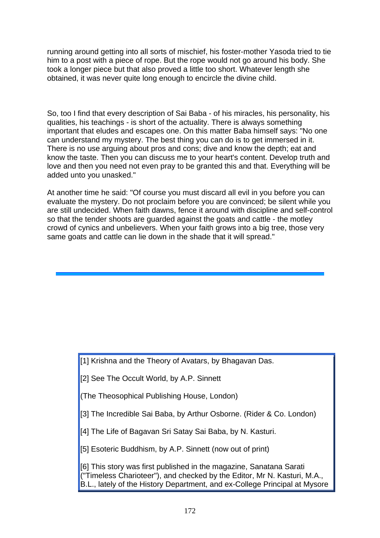running around getting into all sorts of mischief, his foster-mother Yasoda tried to tie him to a post with a piece of rope. But the rope would not go around his body. She took a longer piece but that also proved a little too short. Whatever length she obtained, it was never quite long enough to encircle the divine child.

So, too I find that every description of Sai Baba - of his miracles, his personality, his qualities, his teachings - is short of the actuality. There is always something important that eludes and escapes one. On this matter Baba himself says: "No one can understand my mystery. The best thing you can do is to get immersed in it. There is no use arguing about pros and cons; dive and know the depth; eat and know the taste. Then you can discuss me to your heart's content. Develop truth and love and then you need not even pray to be granted this and that. Everything will be added unto you unasked."

At another time he said: "Of course you must discard all evil in you before you can evaluate the mystery. Do not proclaim before you are convinced; be silent while you are still undecided. When faith dawns, fence it around with discipline and self-control so that the tender shoots are guarded against the goats and cattle - the motley crowd of cynics and unbelievers. When your faith grows into a big tree, those very same goats and cattle can lie down in the shade that it will spread."

[1] Krishna and the Theory of Avatars, by Bhagavan Das.

[2] See The Occult World, by A.P. Sinnett

(The Theosophical Publishing House, London)

[3] The Incredible Sai Baba, by Arthur Osborne. (Rider & Co. London)

[4] The Life of Bagavan Sri Satay Sai Baba, by N. Kasturi.

[5] Esoteric Buddhism, by A.P. Sinnett (now out of print)

[6] This story was first published in the magazine, Sanatana Sarati ("Timeless Charioteer"), and checked by the Editor, Mr N. Kasturi, M.A., B.L., lately of the History Department, and ex-College Principal at Mysore